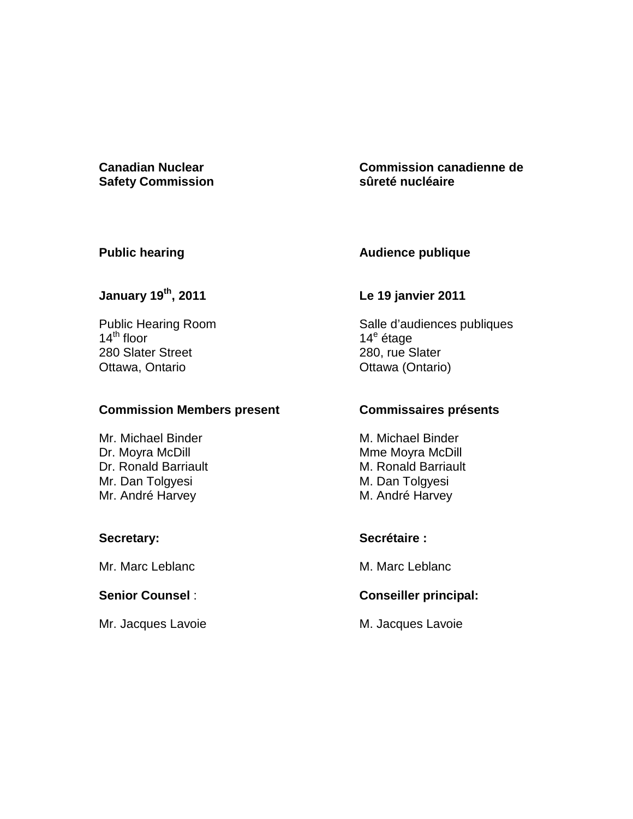# **Safety Commission**

#### **Canadian Nuclear Commission canadienne de sûreté nucléaire**

#### **Public hearing**

# **Audience publique**

# **January 19th, 2011**

Public Hearing Room  $14^{\text{th}}$  floor 280 Slater Street Ottawa, Ontario

#### **Commission Members present**

Mr. Michael Binder Dr. Moyra McDill Dr. Ronald Barriault Mr. Dan Tolgyesi Mr. André Harvey

#### **Secretary:**

Mr. Marc Leblanc

#### **Senior Counsel** :

Mr. Jacques Lavoie

#### **Le 19 janvier 2011**

Salle d'audiences publiques 14<sup>e</sup> étage 280, rue Slater Ottawa (Ontario)

#### **Commissaires présents**

M. Michael Binder Mme Moyra McDill M. Ronald Barriault M. Dan Tolgyesi M. André Harvey

# **Secrétaire :**

M. Marc Leblanc

# **Conseiller principal:**

M. Jacques Lavoie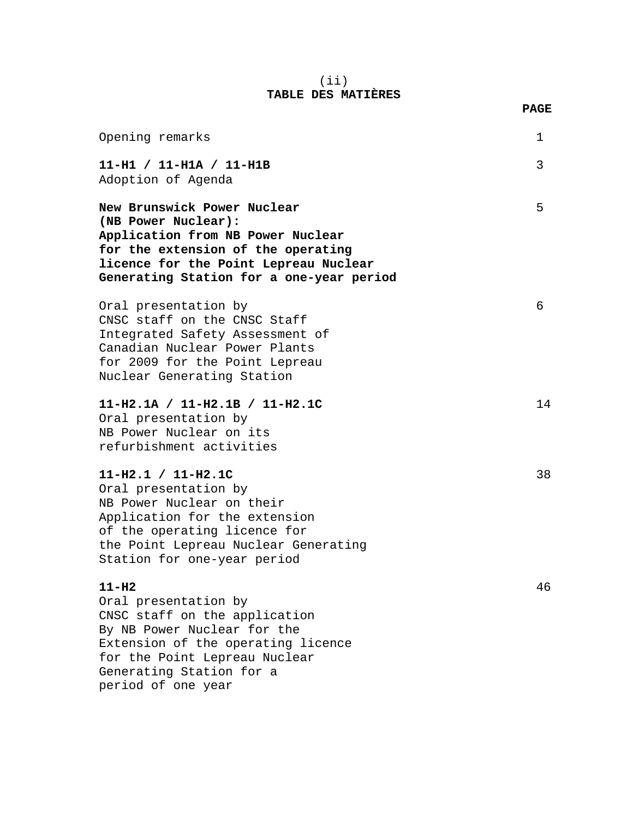#### (ii) **TABLE DES MATIÈRES**

| Opening remarks                                                                                                                                                                                                          | 1  |
|--------------------------------------------------------------------------------------------------------------------------------------------------------------------------------------------------------------------------|----|
| $11-H1 / 11-H1A / 11-H1B$<br>Adoption of Agenda                                                                                                                                                                          | 3  |
| New Brunswick Power Nuclear<br>(NB Power Nuclear):<br>Application from NB Power Nuclear<br>for the extension of the operating<br>licence for the Point Lepreau Nuclear<br>Generating Station for a one-year period       | 5  |
| Oral presentation by<br>CNSC staff on the CNSC Staff<br>Integrated Safety Assessment of<br>Canadian Nuclear Power Plants<br>for 2009 for the Point Lepreau<br>Nuclear Generating Station                                 | 6  |
| 11-H2.1A / 11-H2.1B / 11-H2.1C<br>Oral presentation by<br>NB Power Nuclear on its<br>refurbishment activities                                                                                                            | 14 |
| $11-H2.1 / 11-H2.1C$<br>Oral presentation by<br>NB Power Nuclear on their<br>Application for the extension<br>of the operating licence for<br>the Point Lepreau Nuclear Generating<br>Station for one-year period        | 38 |
| $11-H2$<br>Oral presentation by<br>CNSC staff on the application<br>By NB Power Nuclear for the<br>Extension of the operating licence<br>for the Point Lepreau Nuclear<br>Generating Station for a<br>period of one year | 46 |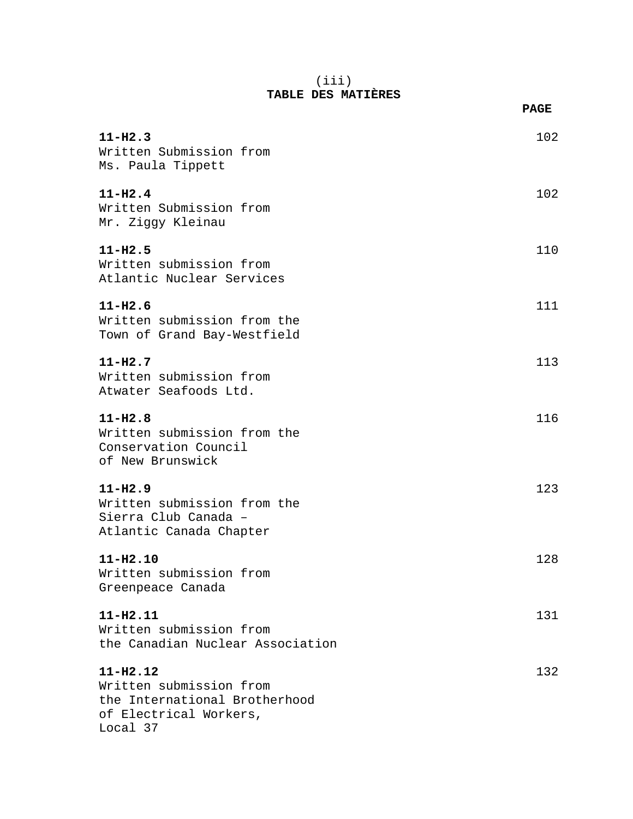#### (iii) **TABLE DES MATIÈRES**

|                                                                                                                | <b>PAGE</b> |
|----------------------------------------------------------------------------------------------------------------|-------------|
| $11 - H2.3$<br>Written Submission from<br>Ms. Paula Tippett                                                    | 102         |
| $11 - H2.4$<br>Written Submission from<br>Mr. Ziggy Kleinau                                                    | 102         |
| $11 - H2.5$<br>Written submission from<br>Atlantic Nuclear Services                                            | 110         |
| $11 - H2.6$<br>Written submission from the<br>Town of Grand Bay-Westfield                                      | 111         |
| $11 - H2.7$<br>Written submission from<br>Atwater Seafoods Ltd.                                                | 113         |
| $11 - H2.8$<br>Written submission from the<br>Conservation Council<br>of New Brunswick                         | 116         |
| $11 - H2.9$<br>Written submission from the<br>Sierra Club Canada -<br>Atlantic Canada Chapter                  | 123         |
| $11 - H2.10$<br>Written submission from<br>Greenpeace Canada                                                   | 128         |
| $11 - H2.11$<br>Written submission from<br>the Canadian Nuclear Association                                    | 131         |
| $11 - H2.12$<br>Written submission from<br>the International Brotherhood<br>of Electrical Workers,<br>Local 37 | 132         |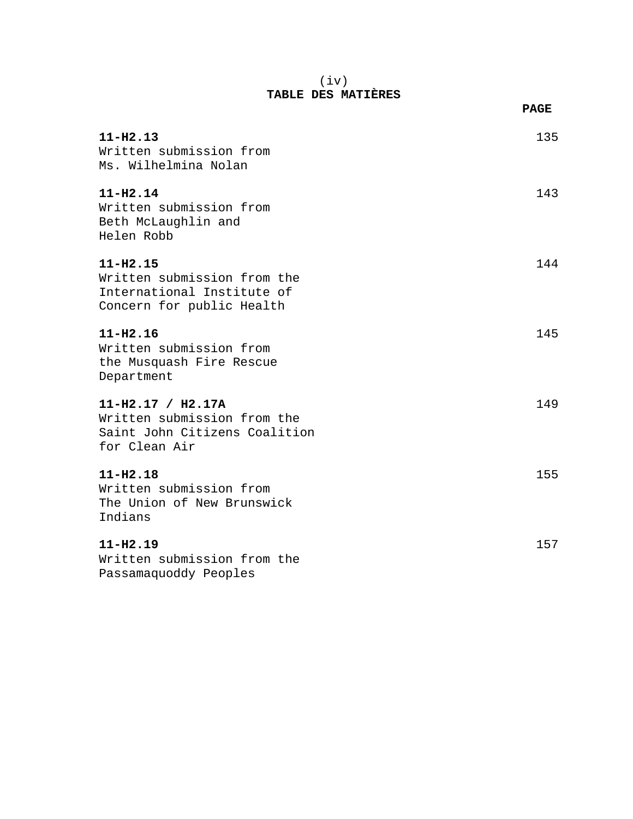#### (iv) **TABLE DES MATIÈRES**

|                                                                                                        | <b>PAGE</b> |
|--------------------------------------------------------------------------------------------------------|-------------|
| $11 - H2.13$<br>Written submission from<br>Ms. Wilhelmina Nolan                                        | 135         |
| $11 - H2.14$<br>Written submission from<br>Beth McLaughlin and<br>Helen Robb                           | 143         |
| $11 - H2.15$<br>Written submission from the<br>International Institute of<br>Concern for public Health | 144         |
| $11 - H2.16$<br>Written submission from<br>the Musquash Fire Rescue<br>Department                      | 145         |
| $11-H2.17 / H2.17A$<br>Written submission from the<br>Saint John Citizens Coalition<br>for Clean Air   | 149         |
| $11 - H2.18$<br>Written submission from<br>The Union of New Brunswick<br>Indians                       | 155         |
| $11 - H2.19$<br>Written submission from the                                                            | 157         |

Passamaquoddy Peoples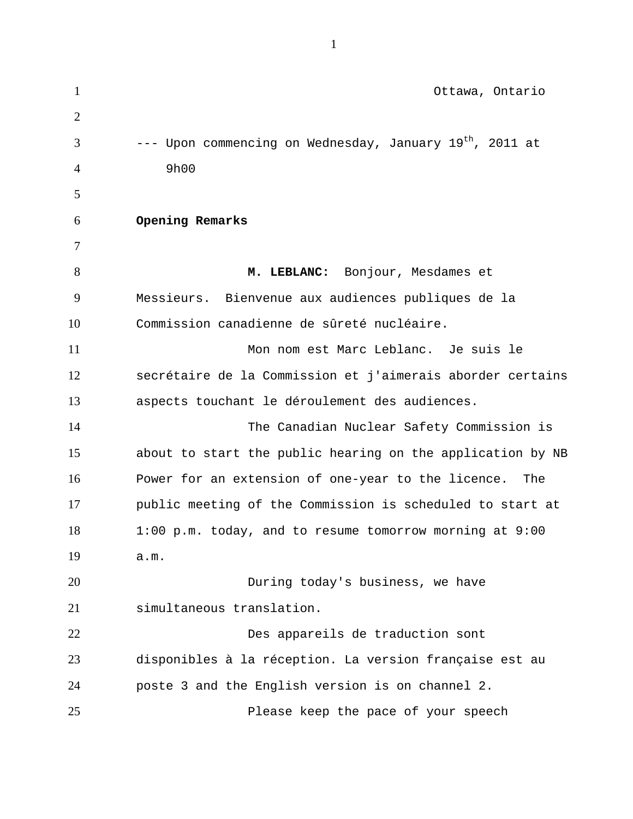1 Ottawa, Ontario 2 3 4 5 6 7 8 9 10 11 12 13 14 15 16 17 18 19 20 21 22 23 24 25 --- Upon commencing on Wednesday, January  $19^{th}$ , 2011 at 9h00 **Opening Remarks M. LEBLANC:** Bonjour, Mesdames et Messieurs. Bienvenue aux audiences publiques de la Commission canadienne de sûreté nucléaire. Mon nom est Marc Leblanc. Je suis le secrétaire de la Commission et j'aimerais aborder certains aspects touchant le déroulement des audiences. The Canadian Nuclear Safety Commission is about to start the public hearing on the application by NB Power for an extension of one-year to the licence. The public meeting of the Commission is scheduled to start at 1:00 p.m. today, and to resume tomorrow morning at 9:00 a.m. During today's business, we have simultaneous translation. Des appareils de traduction sont disponibles à la réception. La version française est au poste 3 and the English version is on channel 2. Please keep the pace of your speech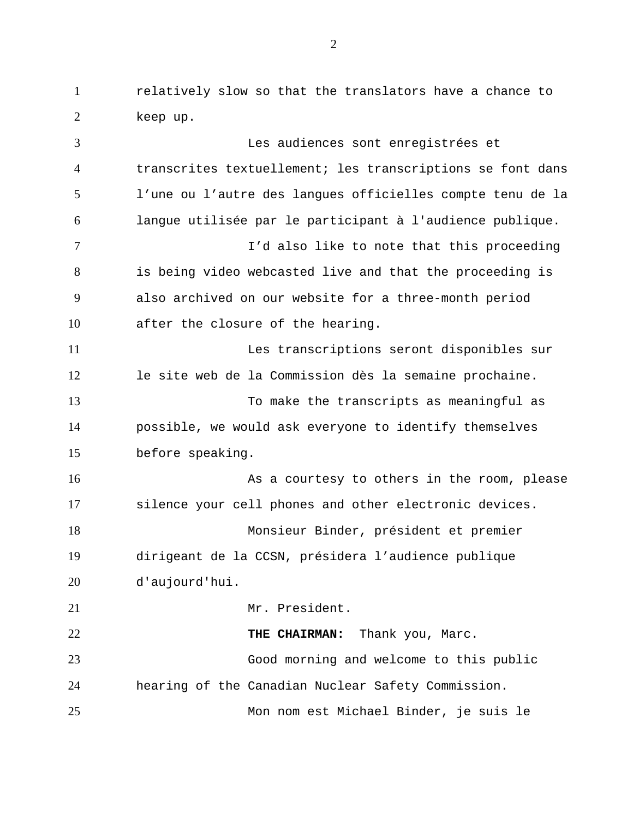1 relatively slow so that the translators have a chance to 2 keep up.

3 4 5 6 7 8 9 10 11 12 13 14 15 16 17 18 19 20 21 22 23 24 25 Les audiences sont enregistrées et transcrites textuellement; les transcriptions se font dans l'une ou l'autre des langues officielles compte tenu de la langue utilisée par le participant à l'audience publique. I'd also like to note that this proceeding is being video webcasted live and that the proceeding is also archived on our website for a three-month period after the closure of the hearing. Les transcriptions seront disponibles sur le site web de la Commission dès la semaine prochaine. To make the transcripts as meaningful as possible, we would ask everyone to identify themselves before speaking. As a courtesy to others in the room, please silence your cell phones and other electronic devices. Monsieur Binder, président et premier dirigeant de la CCSN, présidera l'audience publique d'aujourd'hui. Mr. President. **THE CHAIRMAN:** Thank you, Marc. Good morning and welcome to this public hearing of the Canadian Nuclear Safety Commission. Mon nom est Michael Binder, je suis le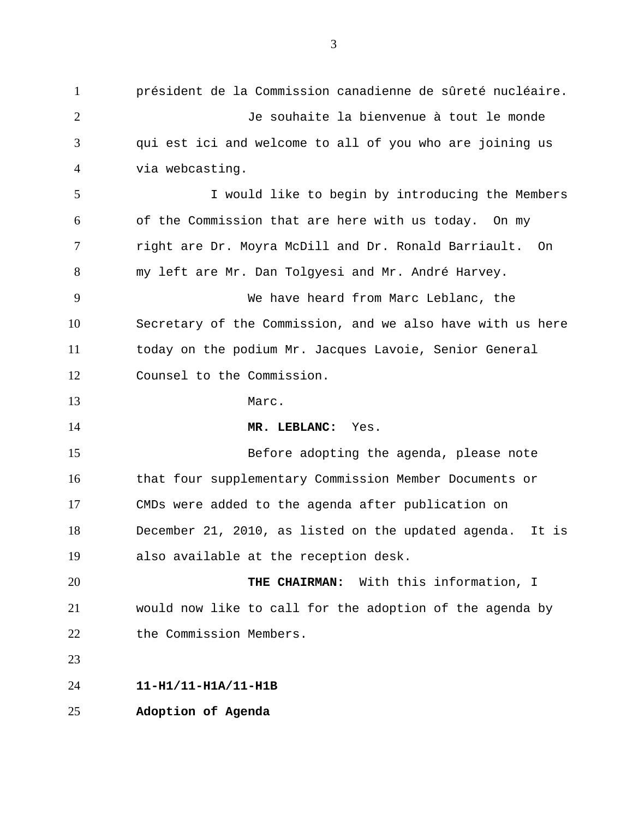président de la Commission canadienne de sûreté nucléaire. Je souhaite la bienvenue à tout le monde 1 2 3 4 5 6 7 8 9 10 11 12 13 14 15 16 17 18 19 20 21 22 23 24 25 qui est ici and welcome to all of you who are joining us via webcasting. I would like to begin by introducing the Members of the Commission that are here with us today. On my right are Dr. Moyra McDill and Dr. Ronald Barriault. On my left are Mr. Dan Tolgyesi and Mr. André Harvey. We have heard from Marc Leblanc, the Secretary of the Commission, and we also have with us here today on the podium Mr. Jacques Lavoie, Senior General Counsel to the Commission. Marc. **MR. LEBLANC:** Yes. Before adopting the agenda, please note that four supplementary Commission Member Documents or CMDs were added to the agenda after publication on December 21, 2010, as listed on the updated agenda. It is also available at the reception desk. **THE CHAIRMAN:** With this information, I would now like to call for the adoption of the agenda by the Commission Members. **11-H1/11-H1A/11-H1B Adoption of Agenda**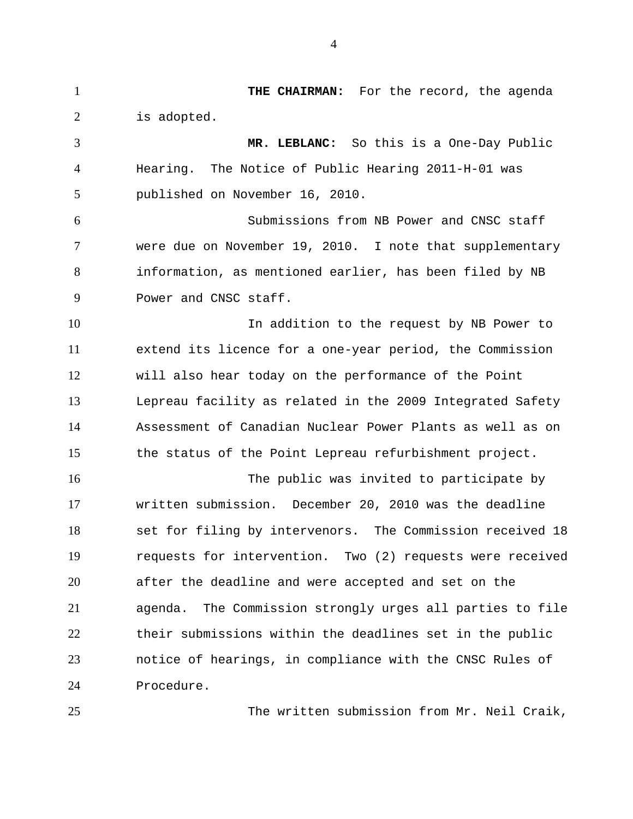1 **THE CHAIRMAN:** For the record, the agenda 2 3 4 5 6 7 8 9 10 11 12 13 14 15 16 17 18 19 20 21 22 23 24 25 is adopted. **MR. LEBLANC:** So this is a One-Day Public Hearing. The Notice of Public Hearing 2011-H-01 was published on November 16, 2010. Submissions from NB Power and CNSC staff were due on November 19, 2010. I note that supplementary information, as mentioned earlier, has been filed by NB Power and CNSC staff. In addition to the request by NB Power to extend its licence for a one-year period, the Commission will also hear today on the performance of the Point Lepreau facility as related in the 2009 Integrated Safety Assessment of Canadian Nuclear Power Plants as well as on the status of the Point Lepreau refurbishment project. The public was invited to participate by written submission. December 20, 2010 was the deadline set for filing by intervenors. The Commission received 18 requests for intervention. Two (2) requests were received after the deadline and were accepted and set on the agenda. The Commission strongly urges all parties to file their submissions within the deadlines set in the public notice of hearings, in compliance with the CNSC Rules of Procedure.

The written submission from Mr. Neil Craik,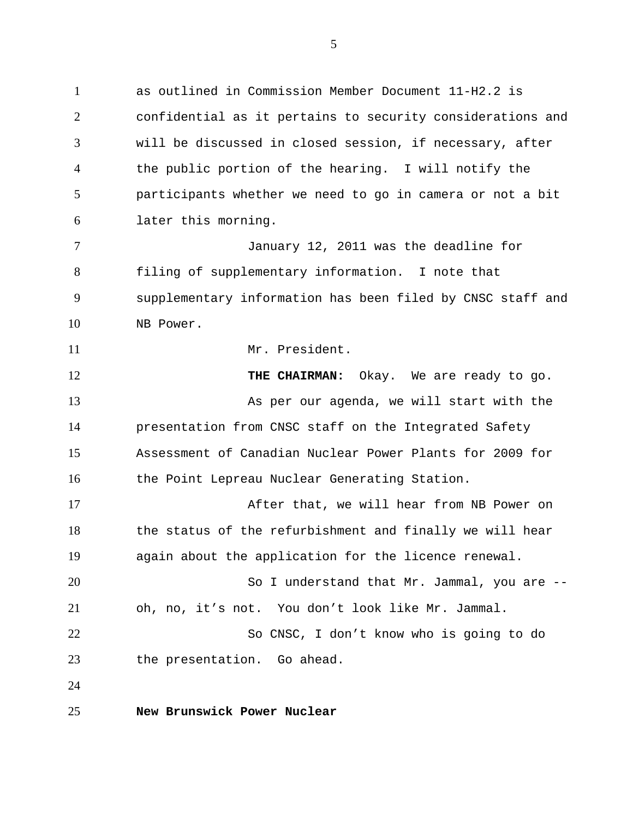1 as outlined in Commission Member Document 11-H2.2 is 2 3 4 5 6 confidential as it pertains to security considerations and will be discussed in closed session, if necessary, after the public portion of the hearing. I will notify the participants whether we need to go in camera or not a bit later this morning.

7 8 9 10 January 12, 2011 was the deadline for filing of supplementary information. I note that supplementary information has been filed by CNSC staff and NB Power.

Mr. President.

12 13 14 15 16 17 **THE CHAIRMAN:** Okay. We are ready to go. As per our agenda, we will start with the presentation from CNSC staff on the Integrated Safety Assessment of Canadian Nuclear Power Plants for 2009 for the Point Lepreau Nuclear Generating Station. After that, we will hear from NB Power on

18 19 the status of the refurbishment and finally we will hear again about the application for the licence renewal.

20 21 So I understand that Mr. Jammal, you are - oh, no, it's not. You don't look like Mr. Jammal.

22 23 So CNSC, I don't know who is going to do the presentation. Go ahead.

24

11

25 **New Brunswick Power Nuclear**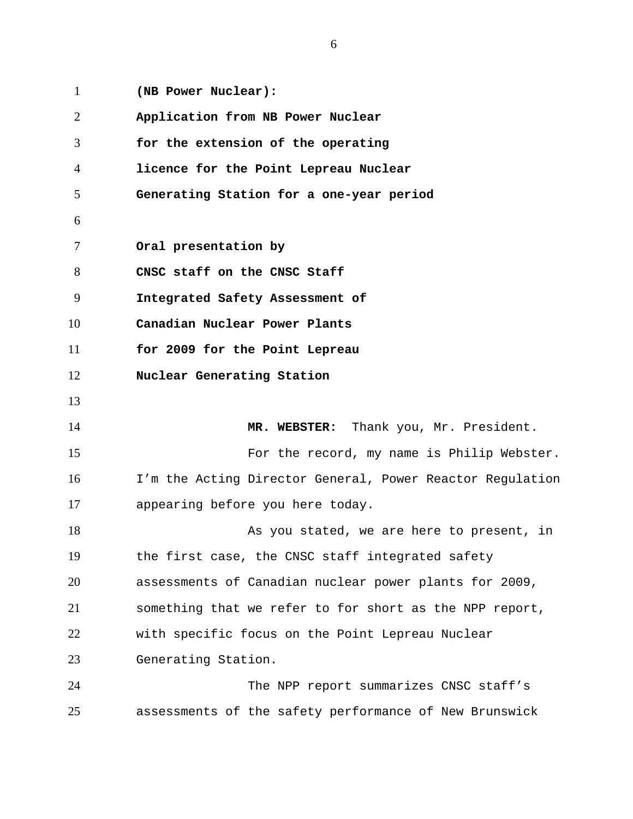1 **(NB Power Nuclear):**  2 3 4 5 6 7 8 9 10 11 12 13 14 15 16 17 18 19 20 21 22 23 24 25 **Application from NB Power Nuclear for the extension of the operating licence for the Point Lepreau Nuclear Generating Station for a one-year period Oral presentation by CNSC staff on the CNSC Staff Integrated Safety Assessment of Canadian Nuclear Power Plants for 2009 for the Point Lepreau Nuclear Generating Station MR. WEBSTER:** Thank you, Mr. President. For the record, my name is Philip Webster. I'm the Acting Director General, Power Reactor Regulation appearing before you here today. As you stated, we are here to present, in the first case, the CNSC staff integrated safety assessments of Canadian nuclear power plants for 2009, something that we refer to for short as the NPP report, with specific focus on the Point Lepreau Nuclear Generating Station. The NPP report summarizes CNSC staff's assessments of the safety performance of New Brunswick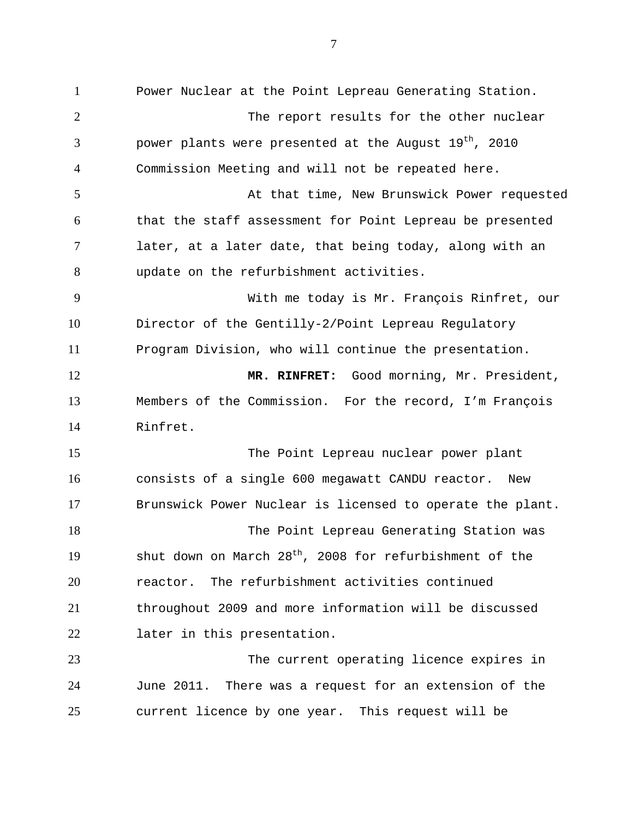1 Power Nuclear at the Point Lepreau Generating Station. 2 3 4 5 6 7 8 9 10 11 12 13 14 15 16 17 18 19 20 21 22 23 24 25 The report results for the other nuclear power plants were presented at the August  $19^{th}$ , 2010 Commission Meeting and will not be repeated here. At that time, New Brunswick Power requested that the staff assessment for Point Lepreau be presented later, at a later date, that being today, along with an update on the refurbishment activities. With me today is Mr. François Rinfret, our Director of the Gentilly-2/Point Lepreau Regulatory Program Division, who will continue the presentation. **MR. RINFRET:** Good morning, Mr. President, Members of the Commission. For the record, I'm François Rinfret. The Point Lepreau nuclear power plant consists of a single 600 megawatt CANDU reactor. New Brunswick Power Nuclear is licensed to operate the plant. The Point Lepreau Generating Station was shut down on March  $28<sup>th</sup>$ , 2008 for refurbishment of the reactor. The refurbishment activities continued throughout 2009 and more information will be discussed later in this presentation. The current operating licence expires in June 2011. There was a request for an extension of the current licence by one year. This request will be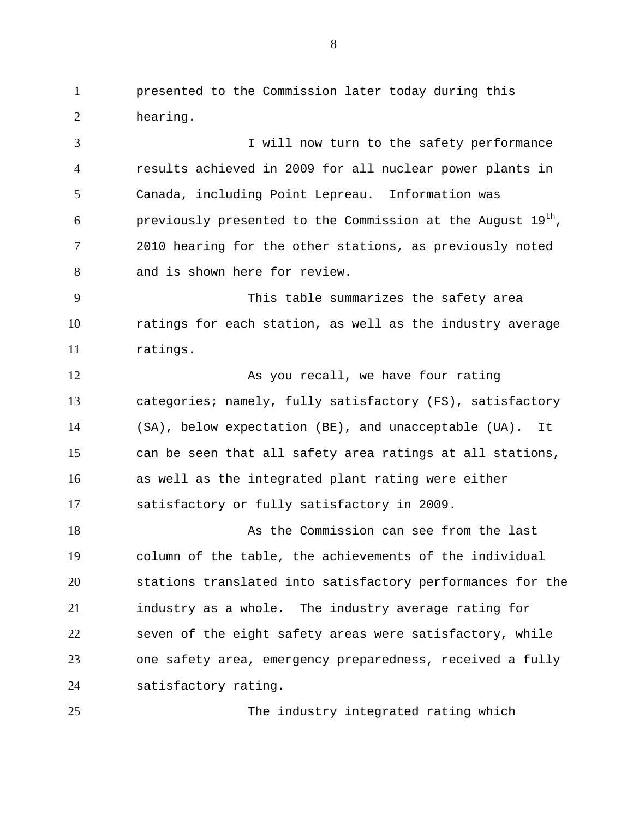1 presented to the Commission later today during this 2 hearing.

3 4 5 6 7 8 I will now turn to the safety performance results achieved in 2009 for all nuclear power plants in Canada, including Point Lepreau. Information was previously presented to the Commission at the August  $19^{th}$ , 2010 hearing for the other stations, as previously noted and is shown here for review.

9 10 11 This table summarizes the safety area ratings for each station, as well as the industry average ratings.

12 13 14 15 16 17 As you recall, we have four rating categories; namely, fully satisfactory (FS), satisfactory (SA), below expectation (BE), and unacceptable (UA). It can be seen that all safety area ratings at all stations, as well as the integrated plant rating were either satisfactory or fully satisfactory in 2009.

18 19 20 21 22 23 24 As the Commission can see from the last column of the table, the achievements of the individual stations translated into satisfactory performances for the industry as a whole. The industry average rating for seven of the eight safety areas were satisfactory, while one safety area, emergency preparedness, received a fully satisfactory rating.

The industry integrated rating which

25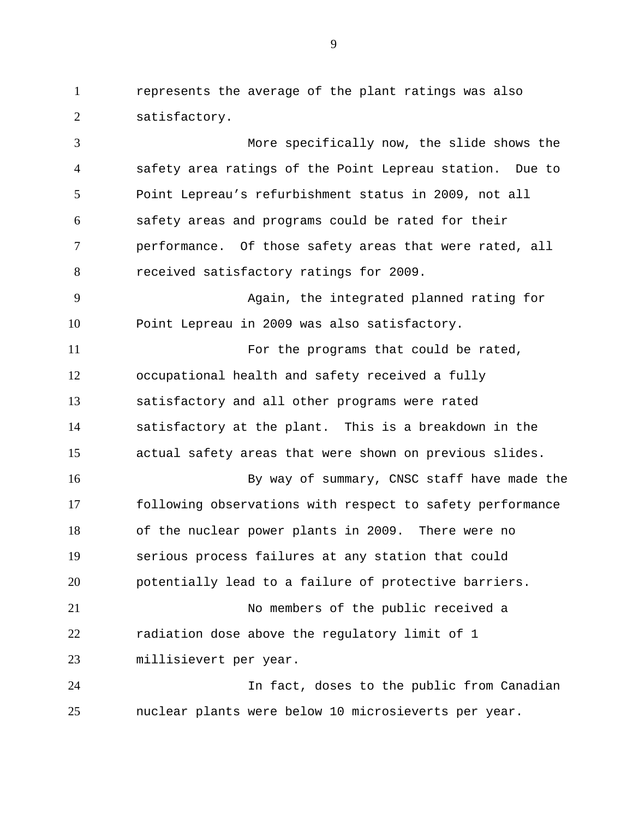1 represents the average of the plant ratings was also 2 satisfactory.

3 4 5 6 7 8 9 10 11 12 13 14 15 16 17 18 19 20 21 22 23 24 More specifically now, the slide shows the safety area ratings of the Point Lepreau station. Due to Point Lepreau's refurbishment status in 2009, not all safety areas and programs could be rated for their performance. Of those safety areas that were rated, all received satisfactory ratings for 2009. Again, the integrated planned rating for Point Lepreau in 2009 was also satisfactory. For the programs that could be rated, occupational health and safety received a fully satisfactory and all other programs were rated satisfactory at the plant. This is a breakdown in the actual safety areas that were shown on previous slides. By way of summary, CNSC staff have made the following observations with respect to safety performance of the nuclear power plants in 2009. There were no serious process failures at any station that could potentially lead to a failure of protective barriers. No members of the public received a radiation dose above the regulatory limit of 1 millisievert per year. In fact, doses to the public from Canadian

nuclear plants were below 10 microsieverts per year.

25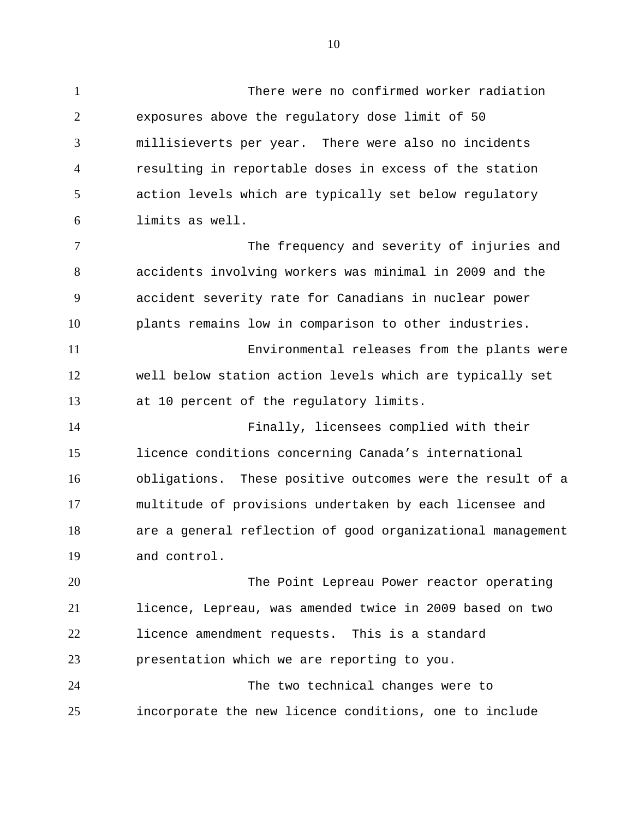1 There were no confirmed worker radiation 2 3 4 5 6 exposures above the regulatory dose limit of 50 millisieverts per year. There were also no incidents resulting in reportable doses in excess of the station action levels which are typically set below regulatory limits as well.

7 8 9 10 The frequency and severity of injuries and accidents involving workers was minimal in 2009 and the accident severity rate for Canadians in nuclear power plants remains low in comparison to other industries.

11 12 13 Environmental releases from the plants were well below station action levels which are typically set at 10 percent of the regulatory limits.

14 15 16 17 18 19 Finally, licensees complied with their licence conditions concerning Canada's international obligations. These positive outcomes were the result of a multitude of provisions undertaken by each licensee and are a general reflection of good organizational management and control.

20 21 22 23 24 25 The Point Lepreau Power reactor operating licence, Lepreau, was amended twice in 2009 based on two licence amendment requests. This is a standard presentation which we are reporting to you. The two technical changes were to incorporate the new licence conditions, one to include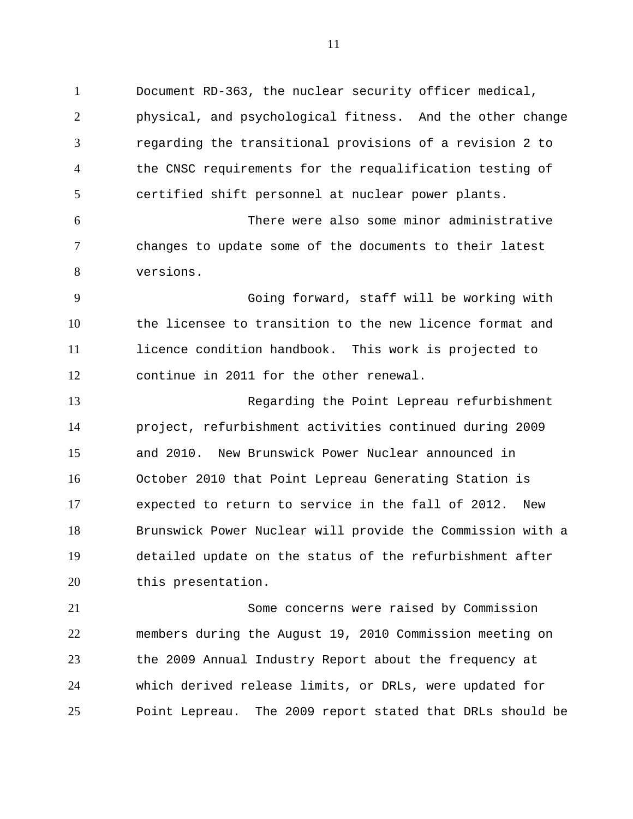1 Document RD-363, the nuclear security officer medical, 2 3 4 5 6 7 8 9 10 11 12 13 14 15 16 17 18 physical, and psychological fitness. And the other change regarding the transitional provisions of a revision 2 to the CNSC requirements for the requalification testing of certified shift personnel at nuclear power plants. There were also some minor administrative changes to update some of the documents to their latest versions. Going forward, staff will be working with the licensee to transition to the new licence format and licence condition handbook. This work is projected to continue in 2011 for the other renewal. Regarding the Point Lepreau refurbishment project, refurbishment activities continued during 2009 and 2010. New Brunswick Power Nuclear announced in October 2010 that Point Lepreau Generating Station is expected to return to service in the fall of 2012. New Brunswick Power Nuclear will provide the Commission with a

19 20 detailed update on the status of the refurbishment after this presentation.

21 22 23 24 25 Some concerns were raised by Commission members during the August 19, 2010 Commission meeting on the 2009 Annual Industry Report about the frequency at which derived release limits, or DRLs, were updated for Point Lepreau. The 2009 report stated that DRLs should be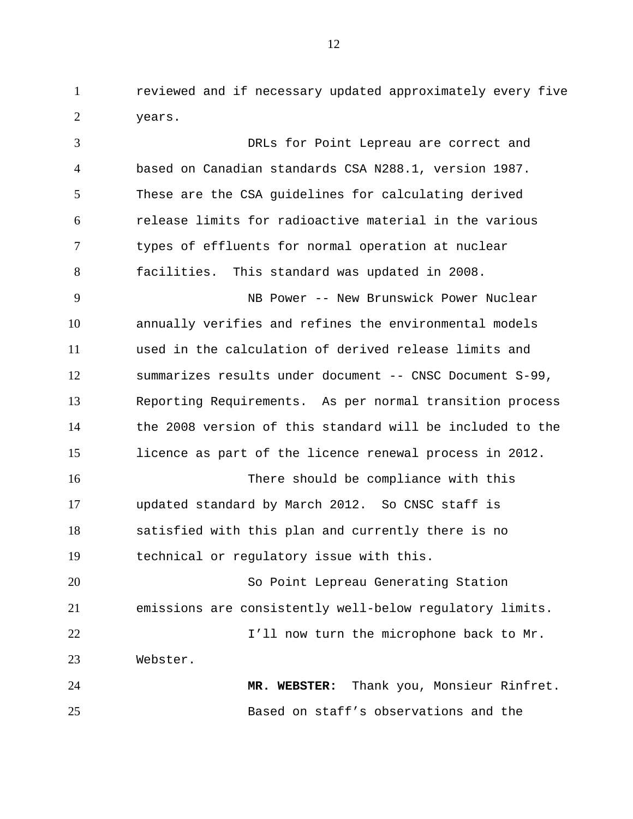1 reviewed and if necessary updated approximately every five 2 years.

3 4 5 6 7 8 9 10 11 12 13 14 15 16 17 18 19 20 21 22 23 24 25 DRLs for Point Lepreau are correct and based on Canadian standards CSA N288.1, version 1987. These are the CSA guidelines for calculating derived release limits for radioactive material in the various types of effluents for normal operation at nuclear facilities. This standard was updated in 2008. NB Power -- New Brunswick Power Nuclear annually verifies and refines the environmental models used in the calculation of derived release limits and summarizes results under document -- CNSC Document S-99, Reporting Requirements. As per normal transition process the 2008 version of this standard will be included to the licence as part of the licence renewal process in 2012. There should be compliance with this updated standard by March 2012. So CNSC staff is satisfied with this plan and currently there is no technical or regulatory issue with this. So Point Lepreau Generating Station emissions are consistently well-below regulatory limits. I'll now turn the microphone back to Mr. Webster. **MR. WEBSTER:** Thank you, Monsieur Rinfret. Based on staff's observations and the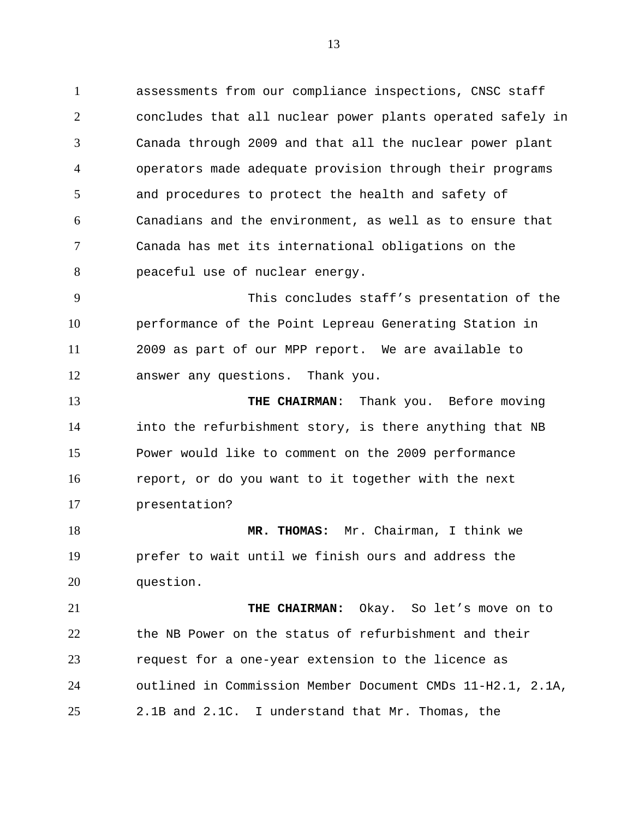1 assessments from our compliance inspections, CNSC staff 2 3 4 5 6 7 8 concludes that all nuclear power plants operated safely in Canada through 2009 and that all the nuclear power plant operators made adequate provision through their programs and procedures to protect the health and safety of Canadians and the environment, as well as to ensure that Canada has met its international obligations on the peaceful use of nuclear energy.

9 10 11 12 This concludes staff's presentation of the performance of the Point Lepreau Generating Station in 2009 as part of our MPP report. We are available to answer any questions. Thank you.

13 14 15 16 17 **THE CHAIRMAN**: Thank you. Before moving into the refurbishment story, is there anything that NB Power would like to comment on the 2009 performance report, or do you want to it together with the next presentation?

18 19 20 **MR. THOMAS:** Mr. Chairman, I think we prefer to wait until we finish ours and address the question.

21 22 23 24 25 THE CHAIRMAN: Okay. So let's move on to the NB Power on the status of refurbishment and their request for a one-year extension to the licence as outlined in Commission Member Document CMDs 11-H2.1, 2.1A, 2.1B and 2.1C. I understand that Mr. Thomas, the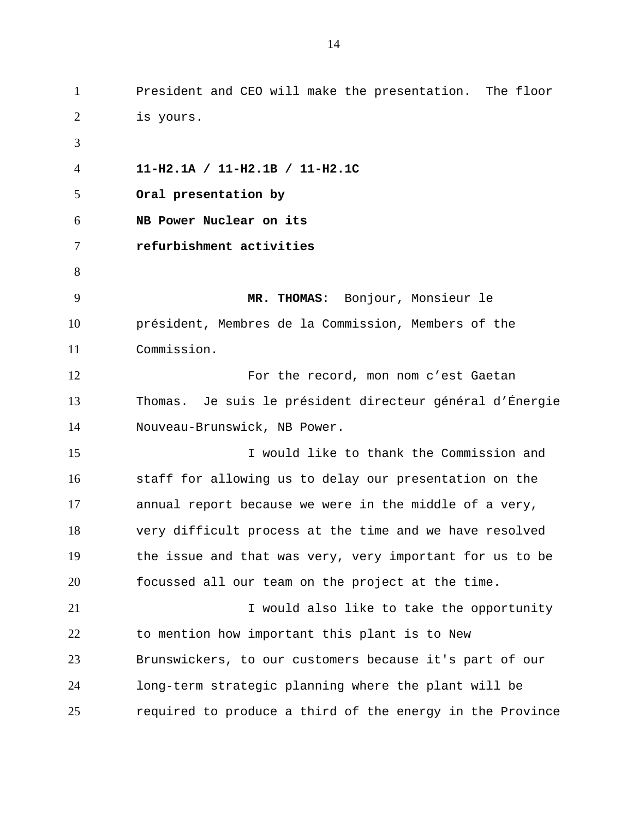1 President and CEO will make the presentation. The floor 2 3 4 5 6 7 8 9 10 11 12 13 14 15 16 17 18 19 20 21 22 23 24 25 is yours. **11-H2.1A / 11-H2.1B / 11-H2.1C Oral presentation by NB Power Nuclear on its refurbishment activities MR. THOMAS**: Bonjour, Monsieur le président, Membres de la Commission, Members of the Commission. For the record, mon nom c'est Gaetan Thomas. Je suis le président directeur général d'Énergie Nouveau-Brunswick, NB Power. I would like to thank the Commission and staff for allowing us to delay our presentation on the annual report because we were in the middle of a very, very difficult process at the time and we have resolved the issue and that was very, very important for us to be focussed all our team on the project at the time. I would also like to take the opportunity to mention how important this plant is to New Brunswickers, to our customers because it's part of our long-term strategic planning where the plant will be required to produce a third of the energy in the Province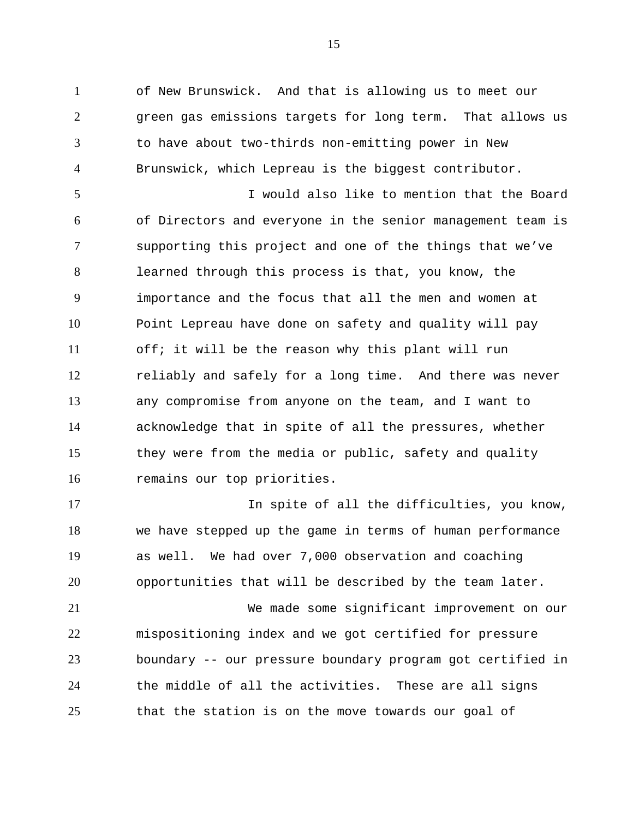1 of New Brunswick. And that is allowing us to meet our 2 3 4 green gas emissions targets for long term. That allows us to have about two-thirds non-emitting power in New Brunswick, which Lepreau is the biggest contributor.

5 6 7 8 9 10 11 12 13 14 15 16 I would also like to mention that the Board of Directors and everyone in the senior management team is supporting this project and one of the things that we've learned through this process is that, you know, the importance and the focus that all the men and women at Point Lepreau have done on safety and quality will pay off; it will be the reason why this plant will run reliably and safely for a long time. And there was never any compromise from anyone on the team, and I want to acknowledge that in spite of all the pressures, whether they were from the media or public, safety and quality remains our top priorities.

17 18 19 20 In spite of all the difficulties, you know, we have stepped up the game in terms of human performance as well. We had over 7,000 observation and coaching opportunities that will be described by the team later.

21 22 23 24 25 We made some significant improvement on our mispositioning index and we got certified for pressure boundary -- our pressure boundary program got certified in the middle of all the activities. These are all signs that the station is on the move towards our goal of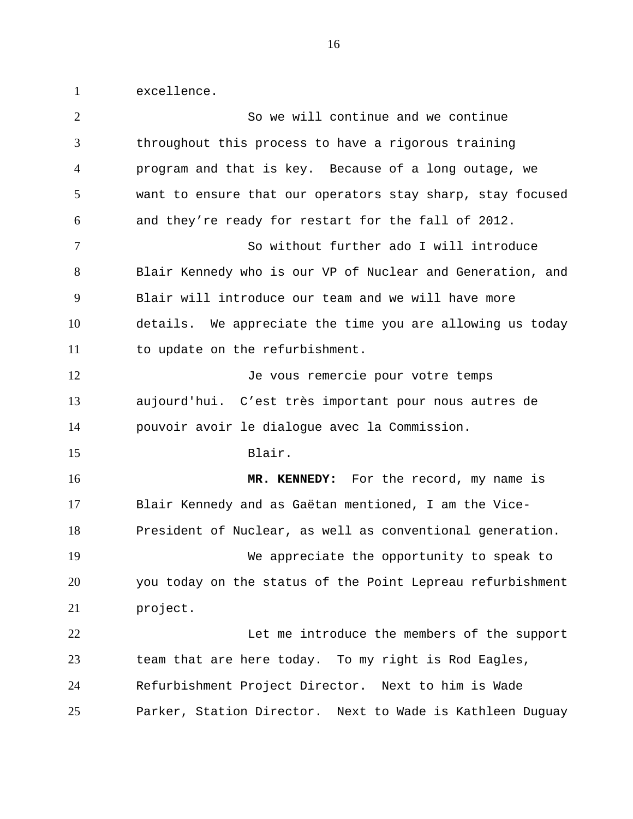1 excellence.

| $\overline{2}$ | So we will continue and we continue                        |
|----------------|------------------------------------------------------------|
| 3              | throughout this process to have a rigorous training        |
| 4              | program and that is key. Because of a long outage, we      |
| 5              | want to ensure that our operators stay sharp, stay focused |
| 6              | and they're ready for restart for the fall of 2012.        |
| $\tau$         | So without further ado I will introduce                    |
| 8              | Blair Kennedy who is our VP of Nuclear and Generation, and |
| 9              | Blair will introduce our team and we will have more        |
| 10             | details. We appreciate the time you are allowing us today  |
| 11             | to update on the refurbishment.                            |
| 12             | Je vous remercie pour votre temps                          |
| 13             | aujourd'hui. C'est très important pour nous autres de      |
| 14             | pouvoir avoir le dialogue avec la Commission.              |
| 15             | Blair.                                                     |
| 16             | MR. KENNEDY: For the record, my name is                    |
| 17             | Blair Kennedy and as Gaëtan mentioned, I am the Vice-      |
| 18             | President of Nuclear, as well as conventional generation.  |
| 19             | We appreciate the opportunity to speak to                  |
| 20             | you today on the status of the Point Lepreau refurbishment |
| 21             | project.                                                   |
| 22             | Let me introduce the members of the support                |
| 23             | team that are here today. To my right is Rod Eagles,       |
| 24             | Refurbishment Project Director. Next to him is Wade        |
| 25             | Parker, Station Director. Next to Wade is Kathleen Duguay  |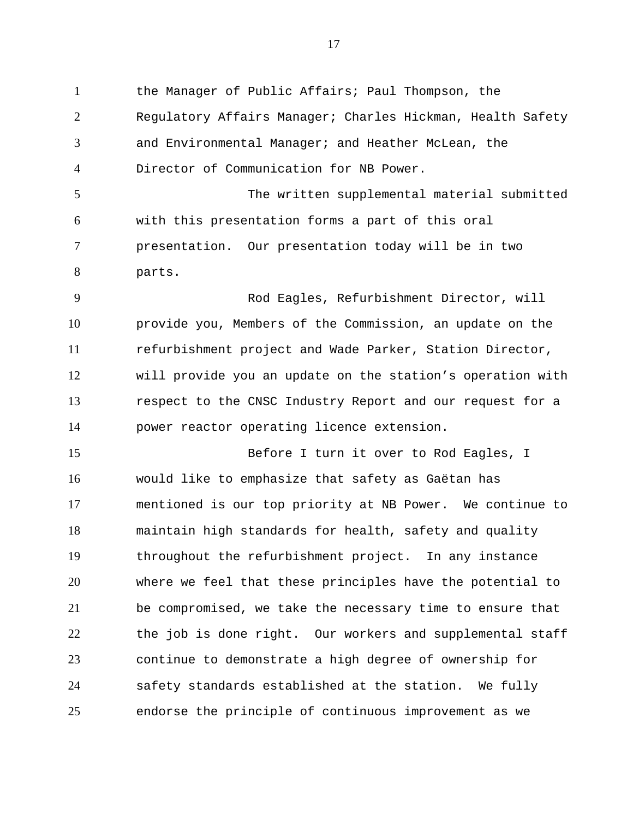1 the Manager of Public Affairs; Paul Thompson, the 2 3 4 5 6 7 8 9 10 11 12 13 14 15 16 17 18 19 20 21 22 23 24 25 Regulatory Affairs Manager; Charles Hickman, Health Safety and Environmental Manager; and Heather McLean, the Director of Communication for NB Power. The written supplemental material submitted with this presentation forms a part of this oral presentation. Our presentation today will be in two parts. Rod Eagles, Refurbishment Director, will provide you, Members of the Commission, an update on the refurbishment project and Wade Parker, Station Director, will provide you an update on the station's operation with respect to the CNSC Industry Report and our request for a power reactor operating licence extension. Before I turn it over to Rod Eagles, I would like to emphasize that safety as Gaëtan has mentioned is our top priority at NB Power. We continue to maintain high standards for health, safety and quality throughout the refurbishment project. In any instance where we feel that these principles have the potential to be compromised, we take the necessary time to ensure that the job is done right. Our workers and supplemental staff continue to demonstrate a high degree of ownership for safety standards established at the station. We fully endorse the principle of continuous improvement as we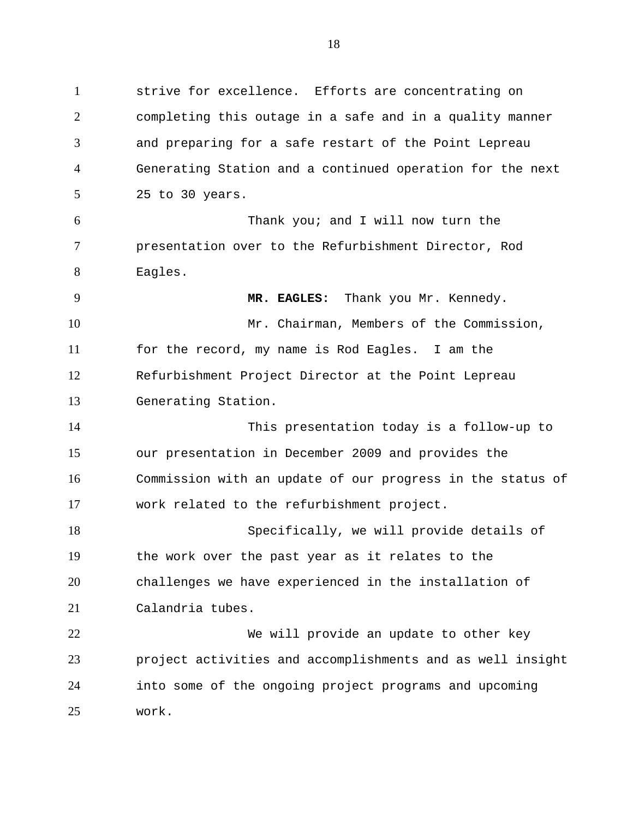1 strive for excellence. Efforts are concentrating on 2 3 4 5 completing this outage in a safe and in a quality manner and preparing for a safe restart of the Point Lepreau Generating Station and a continued operation for the next 25 to 30 years.

6 7 8 Thank you; and I will now turn the presentation over to the Refurbishment Director, Rod Eagles.

9

10 11 12 13 **MR. EAGLES:** Thank you Mr. Kennedy. Mr. Chairman, Members of the Commission, for the record, my name is Rod Eagles. I am the Refurbishment Project Director at the Point Lepreau Generating Station.

14 15 16 17 This presentation today is a follow-up to our presentation in December 2009 and provides the Commission with an update of our progress in the status of work related to the refurbishment project.

18 19 20 21 Specifically, we will provide details of the work over the past year as it relates to the challenges we have experienced in the installation of Calandria tubes.

22 23 24 25 We will provide an update to other key project activities and accomplishments and as well insight into some of the ongoing project programs and upcoming work.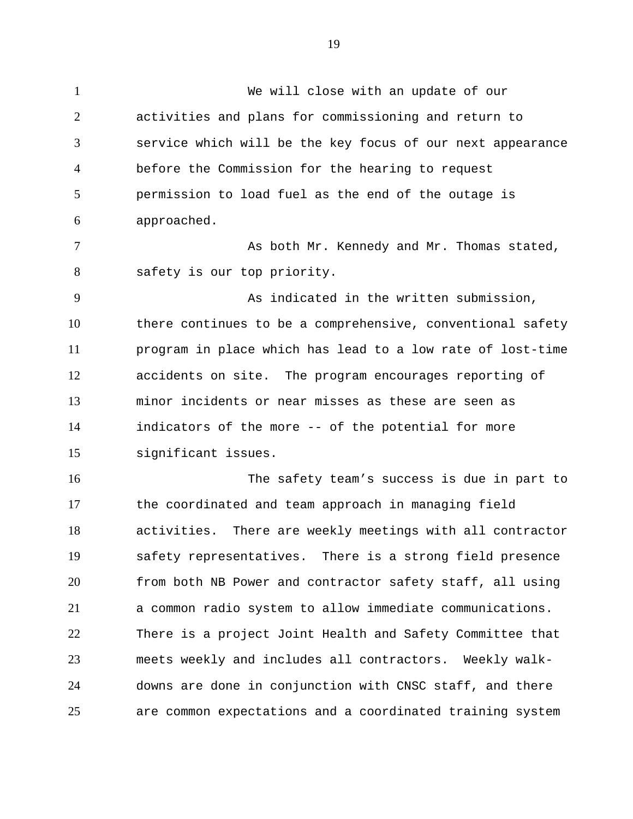19

1 We will close with an update of our 2 3 4 5 6 7 8 9 10 11 12 13 14 15 16 17 18 19 20 21 22 23 24 25 activities and plans for commissioning and return to service which will be the key focus of our next appearance before the Commission for the hearing to request permission to load fuel as the end of the outage is approached. As both Mr. Kennedy and Mr. Thomas stated, safety is our top priority. As indicated in the written submission, there continues to be a comprehensive, conventional safety program in place which has lead to a low rate of lost-time accidents on site. The program encourages reporting of minor incidents or near misses as these are seen as indicators of the more -- of the potential for more significant issues. The safety team's success is due in part to the coordinated and team approach in managing field activities. There are weekly meetings with all contractor safety representatives. There is a strong field presence from both NB Power and contractor safety staff, all using a common radio system to allow immediate communications. There is a project Joint Health and Safety Committee that meets weekly and includes all contractors. Weekly walkdowns are done in conjunction with CNSC staff, and there are common expectations and a coordinated training system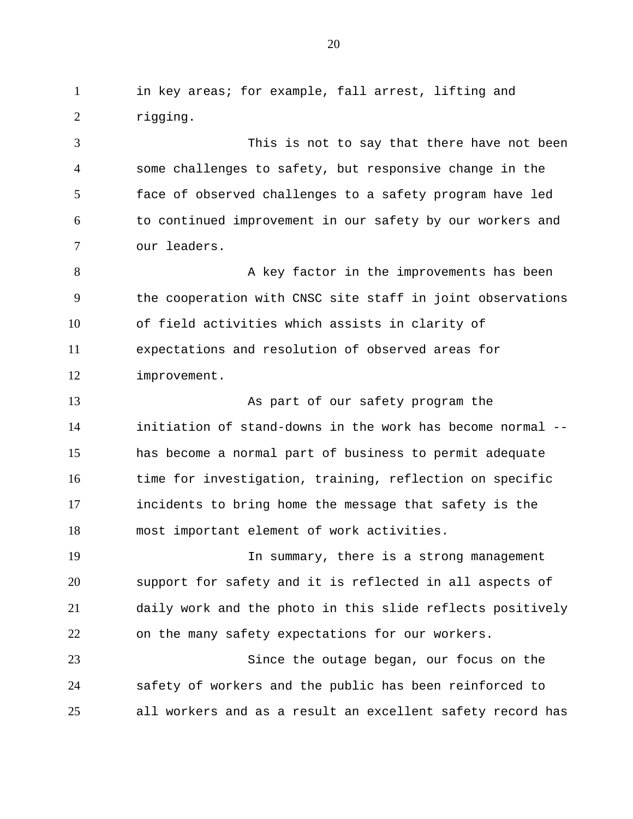1 in key areas; for example, fall arrest, lifting and 2 rigging.

3 4 5 6 7 This is not to say that there have not been some challenges to safety, but responsive change in the face of observed challenges to a safety program have led to continued improvement in our safety by our workers and our leaders.

8 9 10 11 12 A key factor in the improvements has been the cooperation with CNSC site staff in joint observations of field activities which assists in clarity of expectations and resolution of observed areas for improvement.

13 14 15 16 17 18 As part of our safety program the initiation of stand-downs in the work has become normal - has become a normal part of business to permit adequate time for investigation, training, reflection on specific incidents to bring home the message that safety is the most important element of work activities.

19 20 21 22 In summary, there is a strong management support for safety and it is reflected in all aspects of daily work and the photo in this slide reflects positively on the many safety expectations for our workers.

23 24 25 Since the outage began, our focus on the safety of workers and the public has been reinforced to all workers and as a result an excellent safety record has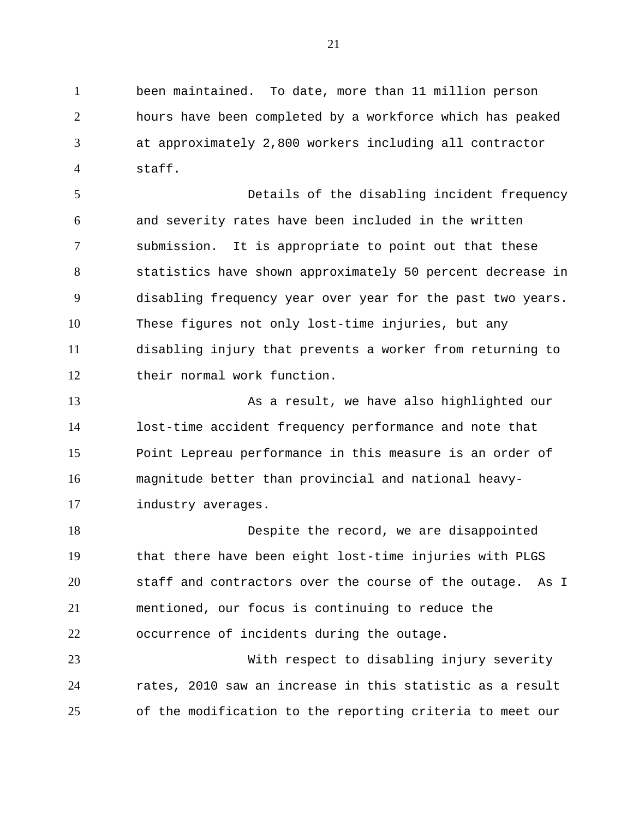1 been maintained. To date, more than 11 million person 2 3 4 hours have been completed by a workforce which has peaked at approximately 2,800 workers including all contractor staff.

5 6 7 8 9 10 11 12 Details of the disabling incident frequency and severity rates have been included in the written submission. It is appropriate to point out that these statistics have shown approximately 50 percent decrease in disabling frequency year over year for the past two years. These figures not only lost-time injuries, but any disabling injury that prevents a worker from returning to their normal work function.

13 14 15 16 17 As a result, we have also highlighted our lost-time accident frequency performance and note that Point Lepreau performance in this measure is an order of magnitude better than provincial and national heavyindustry averages.

18 19 20 21 22 Despite the record, we are disappointed that there have been eight lost-time injuries with PLGS staff and contractors over the course of the outage. As I mentioned, our focus is continuing to reduce the occurrence of incidents during the outage.

23 24 25 With respect to disabling injury severity rates, 2010 saw an increase in this statistic as a result of the modification to the reporting criteria to meet our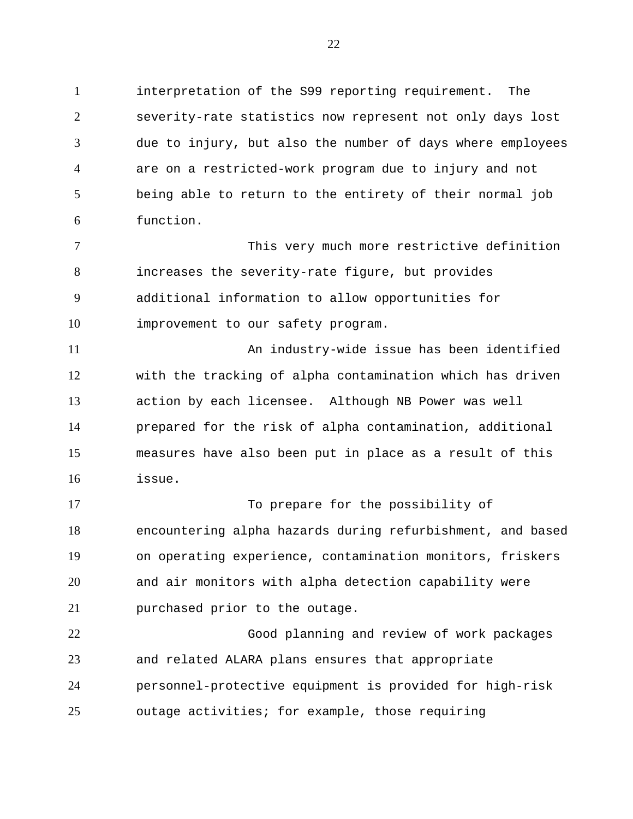1 interpretation of the S99 reporting requirement. The 2 3 4 5 6 severity-rate statistics now represent not only days lost due to injury, but also the number of days where employees are on a restricted-work program due to injury and not being able to return to the entirety of their normal job function.

7 8 9 10 This very much more restrictive definition increases the severity-rate figure, but provides additional information to allow opportunities for improvement to our safety program.

11 12 13 14 15 16 An industry-wide issue has been identified with the tracking of alpha contamination which has driven action by each licensee. Although NB Power was well prepared for the risk of alpha contamination, additional measures have also been put in place as a result of this issue.

17 18 19 20 21 To prepare for the possibility of encountering alpha hazards during refurbishment, and based on operating experience, contamination monitors, friskers and air monitors with alpha detection capability were purchased prior to the outage.

22 23 24 25 Good planning and review of work packages and related ALARA plans ensures that appropriate personnel-protective equipment is provided for high-risk outage activities; for example, those requiring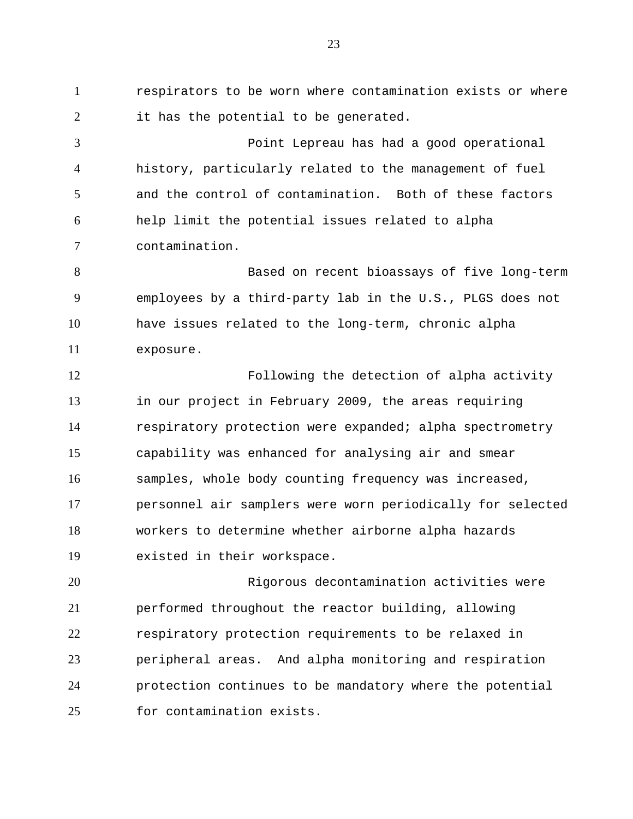1 respirators to be worn where contamination exists or where 2 it has the potential to be generated.

3 4 5 6 7 Point Lepreau has had a good operational history, particularly related to the management of fuel and the control of contamination. Both of these factors help limit the potential issues related to alpha contamination.

8 9 10 11 Based on recent bioassays of five long-term employees by a third-party lab in the U.S., PLGS does not have issues related to the long-term, chronic alpha exposure.

12 13 14 15 16 17 18 19 Following the detection of alpha activity in our project in February 2009, the areas requiring respiratory protection were expanded; alpha spectrometry capability was enhanced for analysing air and smear samples, whole body counting frequency was increased, personnel air samplers were worn periodically for selected workers to determine whether airborne alpha hazards existed in their workspace.

20 21 22 23 24 25 Rigorous decontamination activities were performed throughout the reactor building, allowing respiratory protection requirements to be relaxed in peripheral areas. And alpha monitoring and respiration protection continues to be mandatory where the potential for contamination exists.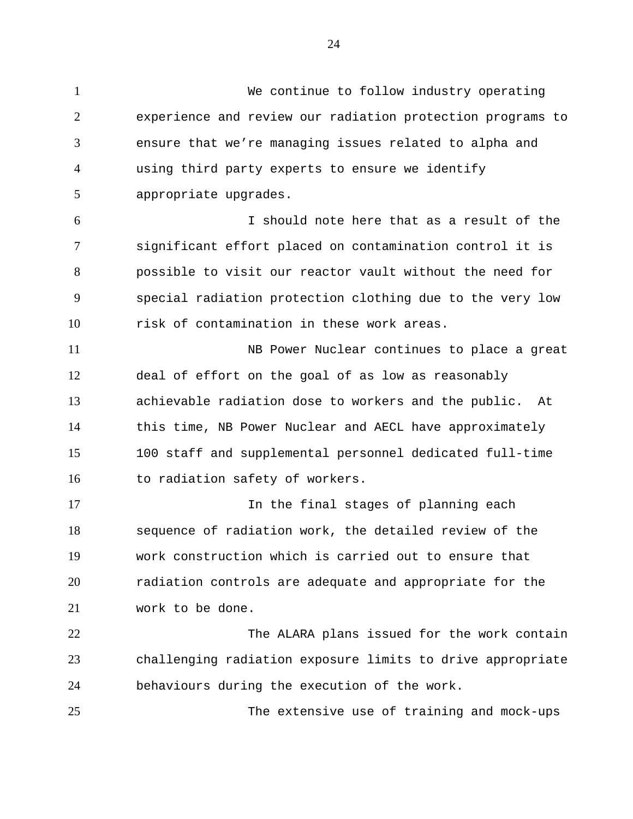1 We continue to follow industry operating 2 3 4 5 6 7 8 9 10 11 12 13 14 15 16 17 18 19 20 21 experience and review our radiation protection programs to ensure that we're managing issues related to alpha and using third party experts to ensure we identify appropriate upgrades. I should note here that as a result of the significant effort placed on contamination control it is possible to visit our reactor vault without the need for special radiation protection clothing due to the very low risk of contamination in these work areas. NB Power Nuclear continues to place a great deal of effort on the goal of as low as reasonably achievable radiation dose to workers and the public. At this time, NB Power Nuclear and AECL have approximately 100 staff and supplemental personnel dedicated full-time to radiation safety of workers. In the final stages of planning each sequence of radiation work, the detailed review of the work construction which is carried out to ensure that radiation controls are adequate and appropriate for the work to be done.

22 23 24 The ALARA plans issued for the work contain challenging radiation exposure limits to drive appropriate behaviours during the execution of the work.

25 The extensive use of training and mock-ups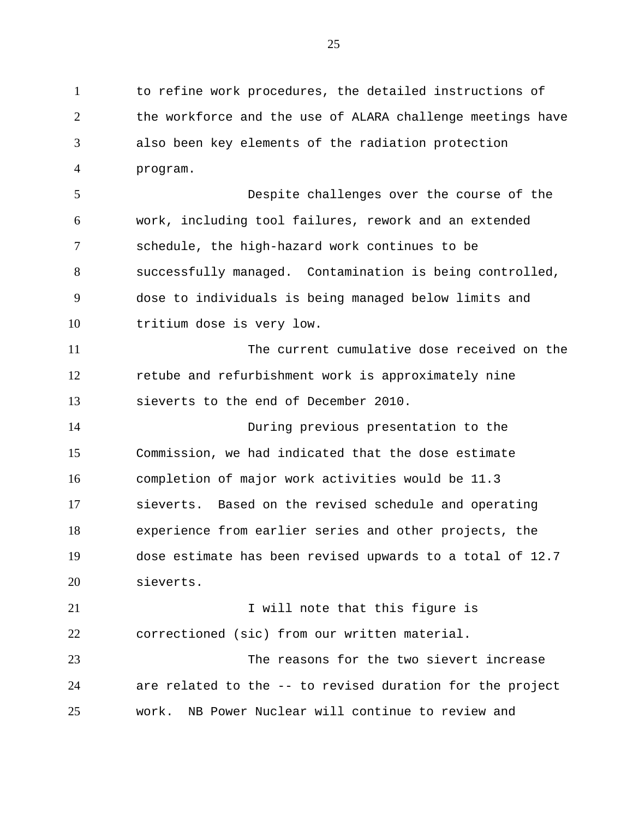1 to refine work procedures, the detailed instructions of 2 3 4 the workforce and the use of ALARA challenge meetings have also been key elements of the radiation protection program.

5 6 7 8 9 10 Despite challenges over the course of the work, including tool failures, rework and an extended schedule, the high-hazard work continues to be successfully managed. Contamination is being controlled, dose to individuals is being managed below limits and tritium dose is very low.

11 12 13 The current cumulative dose received on the retube and refurbishment work is approximately nine sieverts to the end of December 2010.

14 15 16 17 18 19 20 During previous presentation to the Commission, we had indicated that the dose estimate completion of major work activities would be 11.3 sieverts. Based on the revised schedule and operating experience from earlier series and other projects, the dose estimate has been revised upwards to a total of 12.7 sieverts.

21 22 23 I will note that this figure is correctioned (sic) from our written material. The reasons for the two sievert increase

24 25 are related to the -- to revised duration for the project work. NB Power Nuclear will continue to review and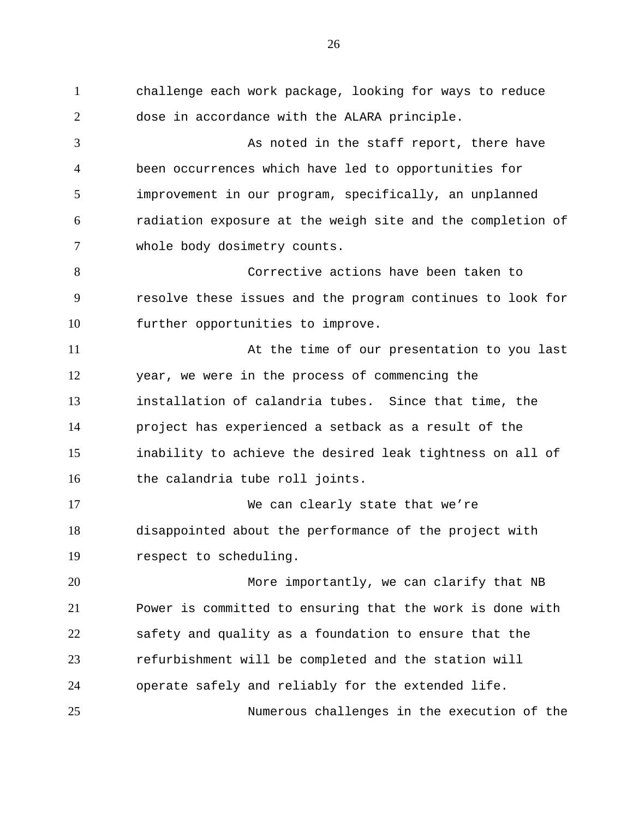1 challenge each work package, looking for ways to reduce 2 3 4 5 6 7 8 9 10 11 12 13 14 15 16 17 18 19 20 21 22 23 24 25 dose in accordance with the ALARA principle. As noted in the staff report, there have been occurrences which have led to opportunities for improvement in our program, specifically, an unplanned radiation exposure at the weigh site and the completion of whole body dosimetry counts. Corrective actions have been taken to resolve these issues and the program continues to look for further opportunities to improve. At the time of our presentation to you last year, we were in the process of commencing the installation of calandria tubes. Since that time, the project has experienced a setback as a result of the inability to achieve the desired leak tightness on all of the calandria tube roll joints. We can clearly state that we're disappointed about the performance of the project with respect to scheduling. More importantly, we can clarify that NB Power is committed to ensuring that the work is done with safety and quality as a foundation to ensure that the refurbishment will be completed and the station will operate safely and reliably for the extended life. Numerous challenges in the execution of the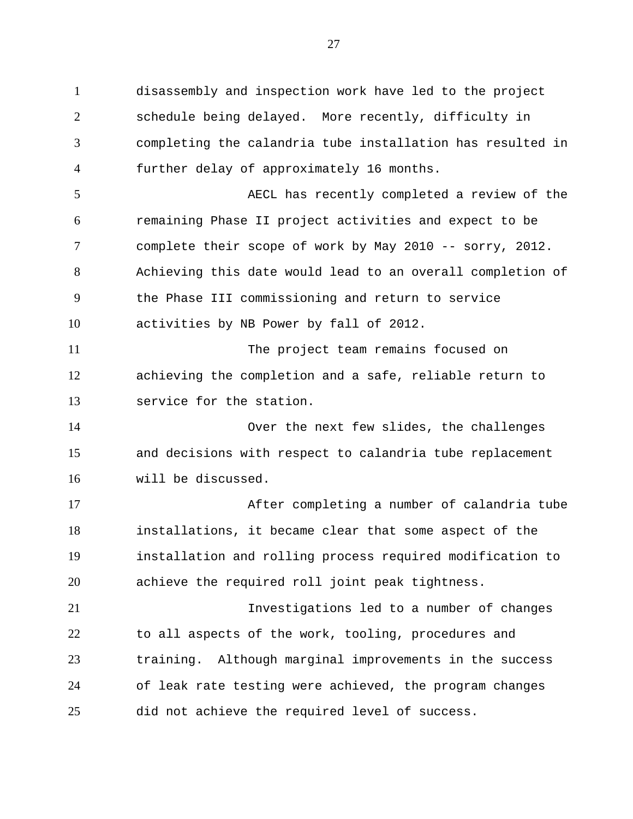1 disassembly and inspection work have led to the project 2 3 4 5 6 7 8 9 10 11 12 13 14 15 16 17 18 19 20 21 22 23 24 25 schedule being delayed. More recently, difficulty in completing the calandria tube installation has resulted in further delay of approximately 16 months. AECL has recently completed a review of the remaining Phase II project activities and expect to be complete their scope of work by May 2010 -- sorry, 2012. Achieving this date would lead to an overall completion of the Phase III commissioning and return to service activities by NB Power by fall of 2012. The project team remains focused on achieving the completion and a safe, reliable return to service for the station. Over the next few slides, the challenges and decisions with respect to calandria tube replacement will be discussed. After completing a number of calandria tube installations, it became clear that some aspect of the installation and rolling process required modification to achieve the required roll joint peak tightness. Investigations led to a number of changes to all aspects of the work, tooling, procedures and training. Although marginal improvements in the success of leak rate testing were achieved, the program changes did not achieve the required level of success.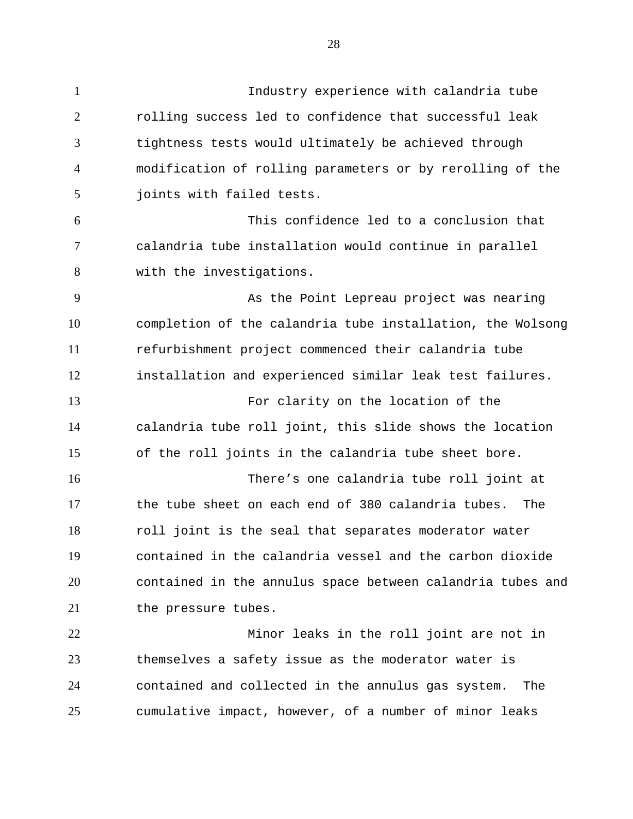1 Industry experience with calandria tube 2 3 4 5 6 7 8 9 10 11 12 13 14 15 16 17 18 19 20 21 22 23 24 rolling success led to confidence that successful leak tightness tests would ultimately be achieved through modification of rolling parameters or by rerolling of the joints with failed tests. This confidence led to a conclusion that calandria tube installation would continue in parallel with the investigations. As the Point Lepreau project was nearing completion of the calandria tube installation, the Wolsong refurbishment project commenced their calandria tube installation and experienced similar leak test failures. For clarity on the location of the calandria tube roll joint, this slide shows the location of the roll joints in the calandria tube sheet bore. There's one calandria tube roll joint at the tube sheet on each end of 380 calandria tubes. The roll joint is the seal that separates moderator water contained in the calandria vessel and the carbon dioxide contained in the annulus space between calandria tubes and the pressure tubes. Minor leaks in the roll joint are not in themselves a safety issue as the moderator water is contained and collected in the annulus gas system. The

cumulative impact, however, of a number of minor leaks

25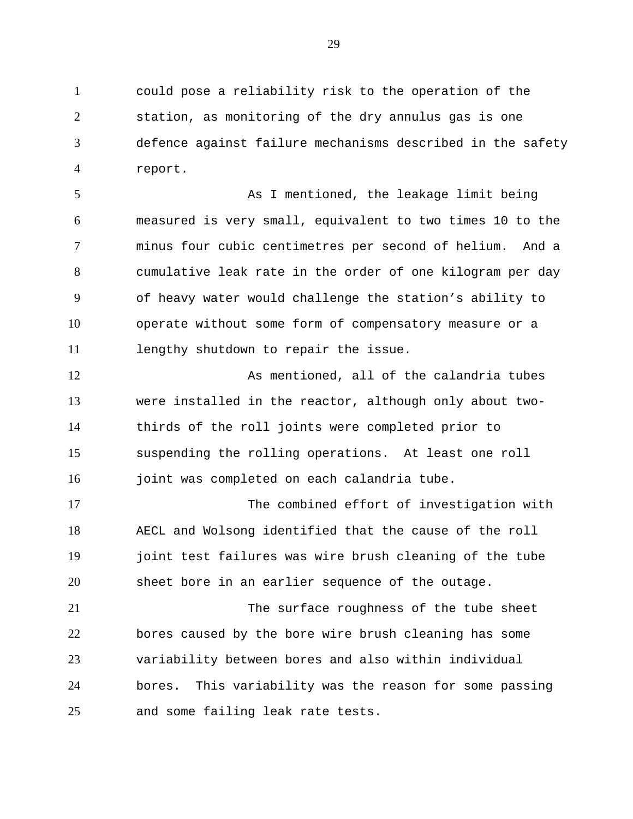1 could pose a reliability risk to the operation of the 2 3 4 station, as monitoring of the dry annulus gas is one defence against failure mechanisms described in the safety report.

5 6 7 8 9 10 11 As I mentioned, the leakage limit being measured is very small, equivalent to two times 10 to the minus four cubic centimetres per second of helium. And a cumulative leak rate in the order of one kilogram per day of heavy water would challenge the station's ability to operate without some form of compensatory measure or a lengthy shutdown to repair the issue.

12 13 14 15 16 As mentioned, all of the calandria tubes were installed in the reactor, although only about twothirds of the roll joints were completed prior to suspending the rolling operations. At least one roll joint was completed on each calandria tube.

17 18 19 20 The combined effort of investigation with AECL and Wolsong identified that the cause of the roll joint test failures was wire brush cleaning of the tube sheet bore in an earlier sequence of the outage.

21 22 23 24 25 The surface roughness of the tube sheet bores caused by the bore wire brush cleaning has some variability between bores and also within individual bores. This variability was the reason for some passing and some failing leak rate tests.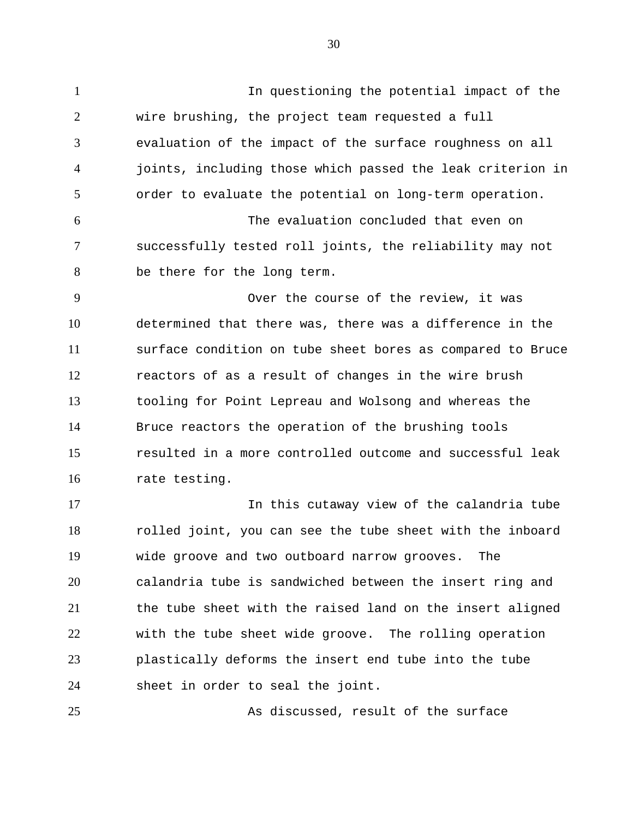1 In questioning the potential impact of the 2 3 4 5 6 7 8 9 10 11 12 13 14 15 16 17 18 19 wire brushing, the project team requested a full evaluation of the impact of the surface roughness on all joints, including those which passed the leak criterion in order to evaluate the potential on long-term operation. The evaluation concluded that even on successfully tested roll joints, the reliability may not be there for the long term. Over the course of the review, it was determined that there was, there was a difference in the surface condition on tube sheet bores as compared to Bruce reactors of as a result of changes in the wire brush tooling for Point Lepreau and Wolsong and whereas the Bruce reactors the operation of the brushing tools resulted in a more controlled outcome and successful leak rate testing. In this cutaway view of the calandria tube rolled joint, you can see the tube sheet with the inboard wide groove and two outboard narrow grooves. The

20 21 22 23 24 calandria tube is sandwiched between the insert ring and the tube sheet with the raised land on the insert aligned with the tube sheet wide groove. The rolling operation plastically deforms the insert end tube into the tube sheet in order to seal the joint.

25 As discussed, result of the surface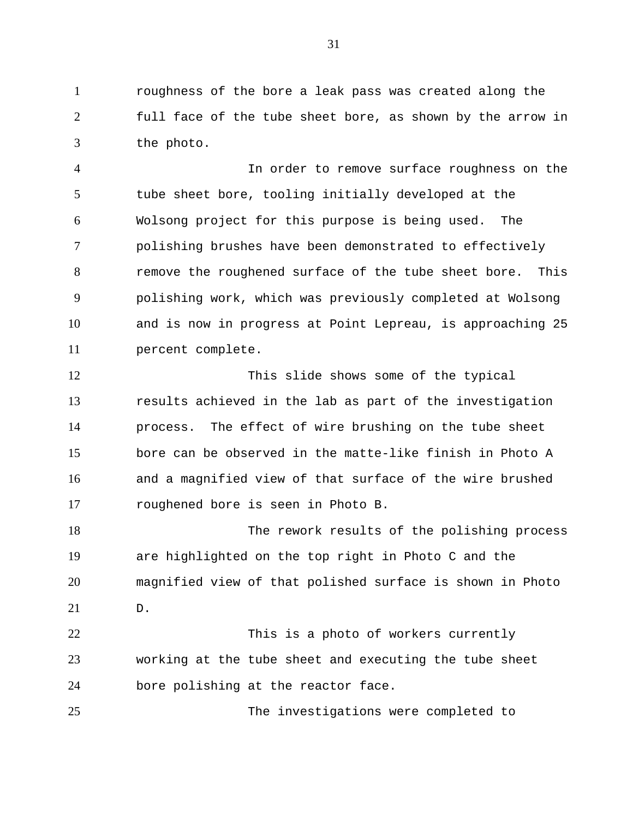1 roughness of the bore a leak pass was created along the 2 3 full face of the tube sheet bore, as shown by the arrow in the photo.

4 5 6 7 8 9 10 11 In order to remove surface roughness on the tube sheet bore, tooling initially developed at the Wolsong project for this purpose is being used. The polishing brushes have been demonstrated to effectively remove the roughened surface of the tube sheet bore. This polishing work, which was previously completed at Wolsong and is now in progress at Point Lepreau, is approaching 25 percent complete.

12 13 14 15 16 17 This slide shows some of the typical results achieved in the lab as part of the investigation process. The effect of wire brushing on the tube sheet bore can be observed in the matte-like finish in Photo A and a magnified view of that surface of the wire brushed roughened bore is seen in Photo B.

18 19 20 21 The rework results of the polishing process are highlighted on the top right in Photo C and the magnified view of that polished surface is shown in Photo D.

22 23 24 This is a photo of workers currently working at the tube sheet and executing the tube sheet bore polishing at the reactor face.

25 The investigations were completed to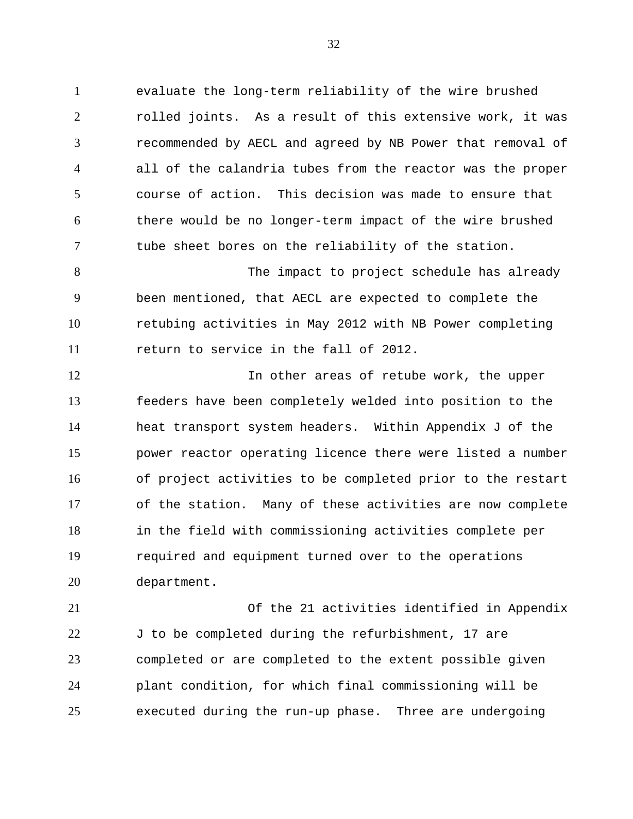1 evaluate the long-term reliability of the wire brushed 2 3 4 5 6 7 rolled joints. As a result of this extensive work, it was recommended by AECL and agreed by NB Power that removal of all of the calandria tubes from the reactor was the proper course of action. This decision was made to ensure that there would be no longer-term impact of the wire brushed tube sheet bores on the reliability of the station.

8 9 10 11 The impact to project schedule has already been mentioned, that AECL are expected to complete the retubing activities in May 2012 with NB Power completing return to service in the fall of 2012.

12 13 14 15 16 17 18 19 20 In other areas of retube work, the upper feeders have been completely welded into position to the heat transport system headers. Within Appendix J of the power reactor operating licence there were listed a number of project activities to be completed prior to the restart of the station. Many of these activities are now complete in the field with commissioning activities complete per required and equipment turned over to the operations department.

21 22 23 24 25 Of the 21 activities identified in Appendix J to be completed during the refurbishment, 17 are completed or are completed to the extent possible given plant condition, for which final commissioning will be executed during the run-up phase. Three are undergoing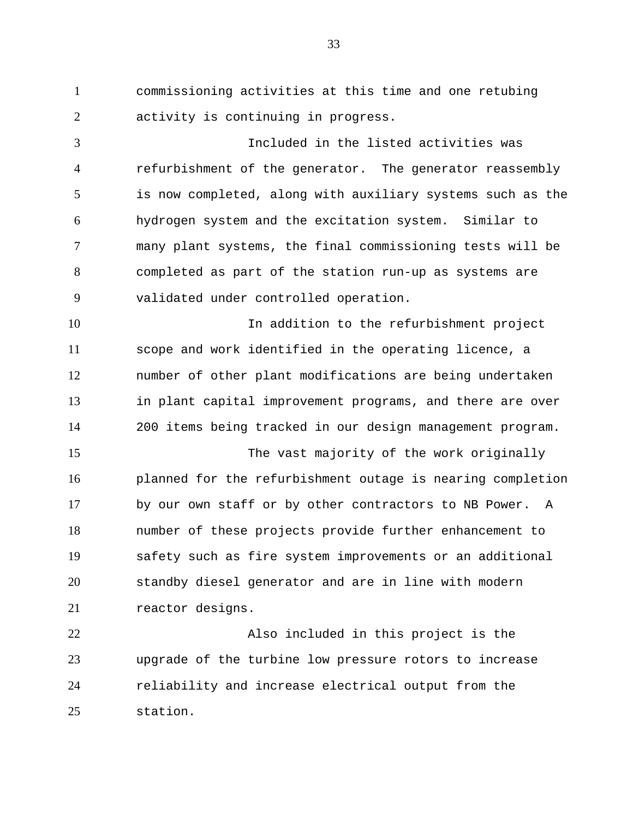1 commissioning activities at this time and one retubing 2 activity is continuing in progress.

3 4 5 6 7 8 9 Included in the listed activities was refurbishment of the generator. The generator reassembly is now completed, along with auxiliary systems such as the hydrogen system and the excitation system. Similar to many plant systems, the final commissioning tests will be completed as part of the station run-up as systems are validated under controlled operation.

10 11 12 13 14 In addition to the refurbishment project scope and work identified in the operating licence, a number of other plant modifications are being undertaken in plant capital improvement programs, and there are over 200 items being tracked in our design management program.

15 16 17 18 19 20 21 The vast majority of the work originally planned for the refurbishment outage is nearing completion by our own staff or by other contractors to NB Power. A number of these projects provide further enhancement to safety such as fire system improvements or an additional standby diesel generator and are in line with modern reactor designs.

22 23 24 25 Also included in this project is the upgrade of the turbine low pressure rotors to increase reliability and increase electrical output from the station.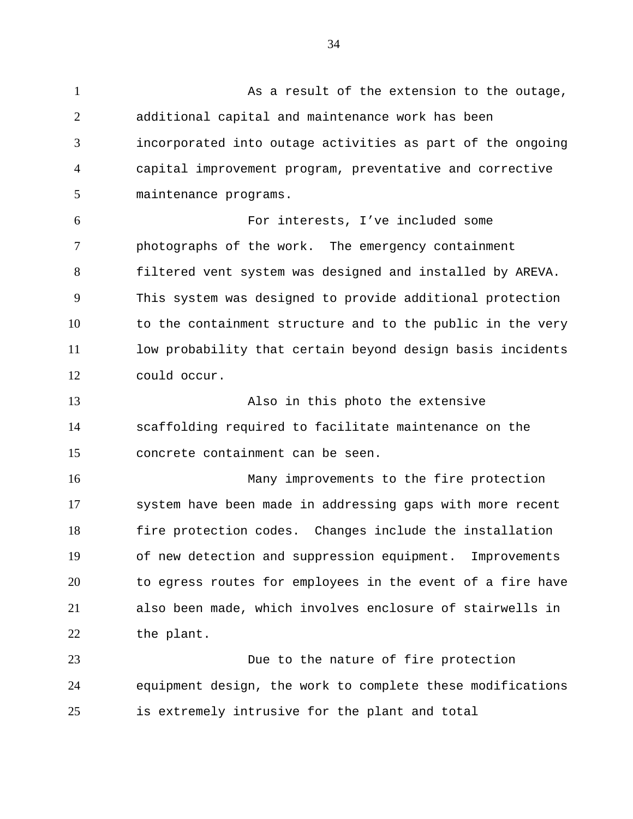1 As a result of the extension to the outage, 2 3 4 5 additional capital and maintenance work has been incorporated into outage activities as part of the ongoing capital improvement program, preventative and corrective maintenance programs.

6 7 8 9 10 11 12 For interests, I've included some photographs of the work. The emergency containment filtered vent system was designed and installed by AREVA. This system was designed to provide additional protection to the containment structure and to the public in the very low probability that certain beyond design basis incidents could occur.

13 14 15 Also in this photo the extensive scaffolding required to facilitate maintenance on the concrete containment can be seen.

16 17 18 19 20 21 22 Many improvements to the fire protection system have been made in addressing gaps with more recent fire protection codes. Changes include the installation of new detection and suppression equipment. Improvements to egress routes for employees in the event of a fire have also been made, which involves enclosure of stairwells in the plant.

23 24 25 Due to the nature of fire protection equipment design, the work to complete these modifications is extremely intrusive for the plant and total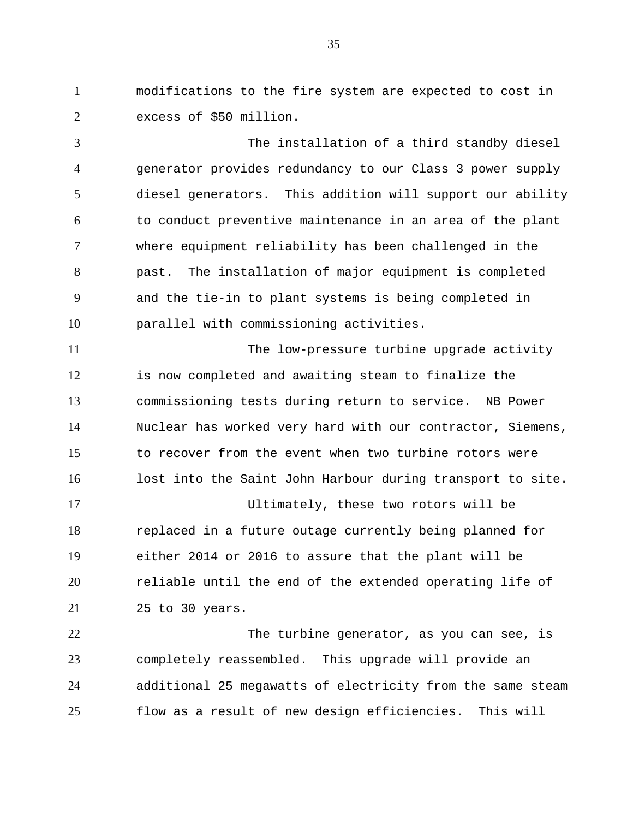1 modifications to the fire system are expected to cost in 2 excess of \$50 million.

3 4 5 6 7 8 9 10 The installation of a third standby diesel generator provides redundancy to our Class 3 power supply diesel generators. This addition will support our ability to conduct preventive maintenance in an area of the plant where equipment reliability has been challenged in the past. The installation of major equipment is completed and the tie-in to plant systems is being completed in parallel with commissioning activities.

11 12 13 14 15 16 The low-pressure turbine upgrade activity is now completed and awaiting steam to finalize the commissioning tests during return to service. NB Power Nuclear has worked very hard with our contractor, Siemens, to recover from the event when two turbine rotors were lost into the Saint John Harbour during transport to site.

17 18 19 20 21 Ultimately, these two rotors will be replaced in a future outage currently being planned for either 2014 or 2016 to assure that the plant will be reliable until the end of the extended operating life of 25 to 30 years.

22 23 24 25 The turbine generator, as you can see, is completely reassembled. This upgrade will provide an additional 25 megawatts of electricity from the same steam flow as a result of new design efficiencies. This will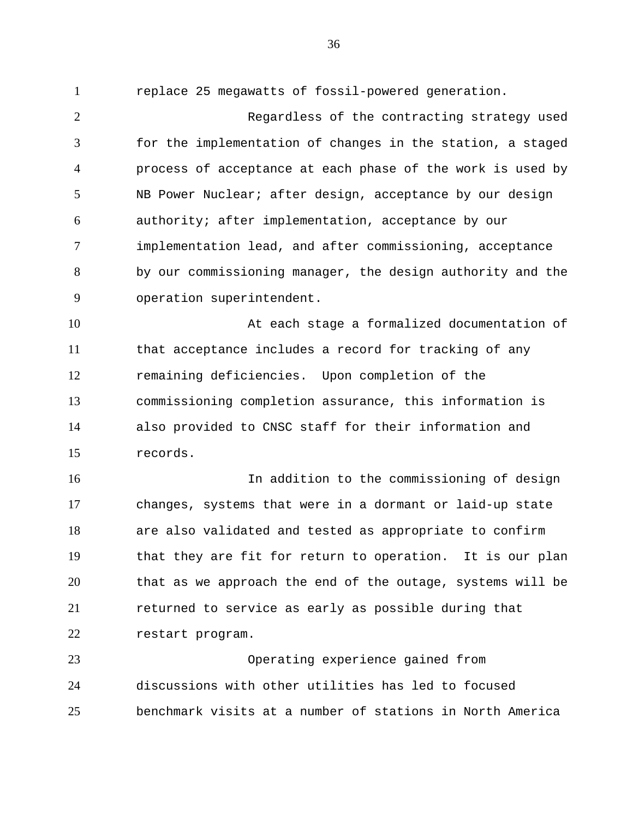1 replace 25 megawatts of fossil-powered generation.

2 3 4 5 6 7 8 9 Regardless of the contracting strategy used for the implementation of changes in the station, a staged process of acceptance at each phase of the work is used by NB Power Nuclear; after design, acceptance by our design authority; after implementation, acceptance by our implementation lead, and after commissioning, acceptance by our commissioning manager, the design authority and the operation superintendent.

10 11 12 13 14 15 At each stage a formalized documentation of that acceptance includes a record for tracking of any remaining deficiencies. Upon completion of the commissioning completion assurance, this information is also provided to CNSC staff for their information and records.

16 17 18 19 20 21 22 In addition to the commissioning of design changes, systems that were in a dormant or laid-up state are also validated and tested as appropriate to confirm that they are fit for return to operation. It is our plan that as we approach the end of the outage, systems will be returned to service as early as possible during that restart program.

23 24 25 Operating experience gained from discussions with other utilities has led to focused benchmark visits at a number of stations in North America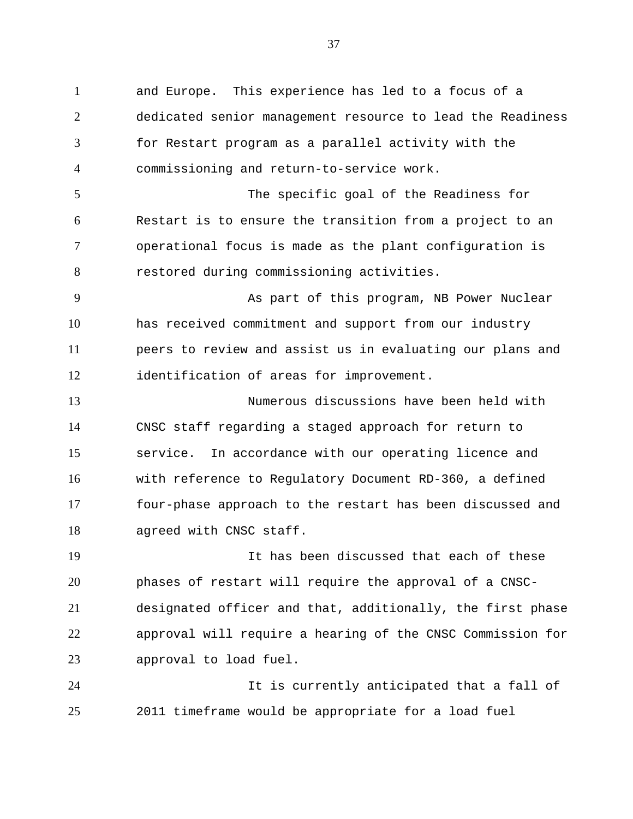1 and Europe. This experience has led to a focus of a 2 3 4 5 6 7 8 9 10 11 12 dedicated senior management resource to lead the Readiness for Restart program as a parallel activity with the commissioning and return-to-service work. The specific goal of the Readiness for Restart is to ensure the transition from a project to an operational focus is made as the plant configuration is restored during commissioning activities. As part of this program, NB Power Nuclear has received commitment and support from our industry peers to review and assist us in evaluating our plans and identification of areas for improvement.

13 14 15 16 17 18 Numerous discussions have been held with CNSC staff regarding a staged approach for return to service. In accordance with our operating licence and with reference to Regulatory Document RD-360, a defined four-phase approach to the restart has been discussed and agreed with CNSC staff.

19 20 21 22 23 It has been discussed that each of these phases of restart will require the approval of a CNSCdesignated officer and that, additionally, the first phase approval will require a hearing of the CNSC Commission for approval to load fuel.

24 25 It is currently anticipated that a fall of 2011 timeframe would be appropriate for a load fuel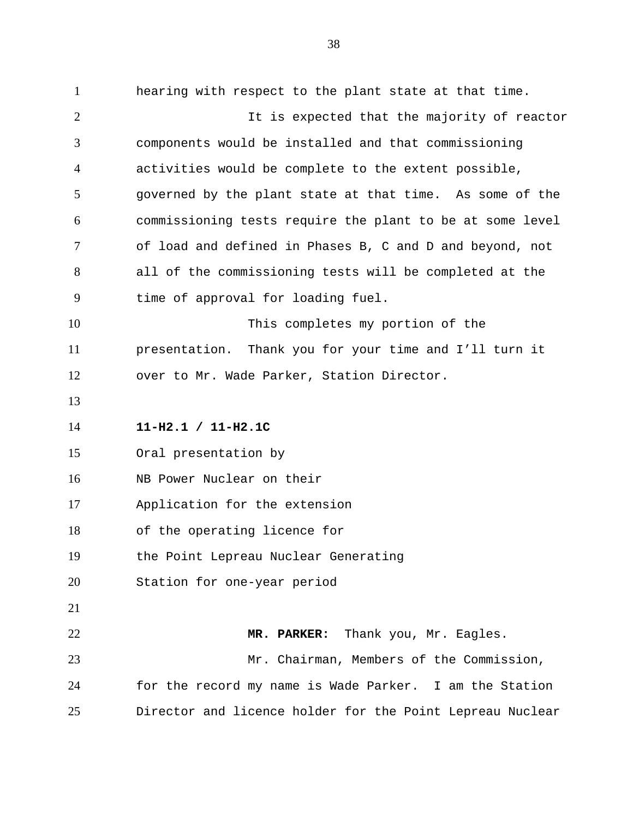1 hearing with respect to the plant state at that time. 2 3 4 5 6 7 8 9 10 11 12 13 14 15 16 17 18 19 20 21 22 23 24 25 It is expected that the majority of reactor components would be installed and that commissioning activities would be complete to the extent possible, governed by the plant state at that time. As some of the commissioning tests require the plant to be at some level of load and defined in Phases B, C and D and beyond, not all of the commissioning tests will be completed at the time of approval for loading fuel. This completes my portion of the presentation. Thank you for your time and I'll turn it over to Mr. Wade Parker, Station Director. **11-H2.1 / 11-H2.1C**  Oral presentation by NB Power Nuclear on their Application for the extension of the operating licence for the Point Lepreau Nuclear Generating Station for one-year period **MR. PARKER:** Thank you, Mr. Eagles. Mr. Chairman, Members of the Commission, for the record my name is Wade Parker. I am the Station Director and licence holder for the Point Lepreau Nuclear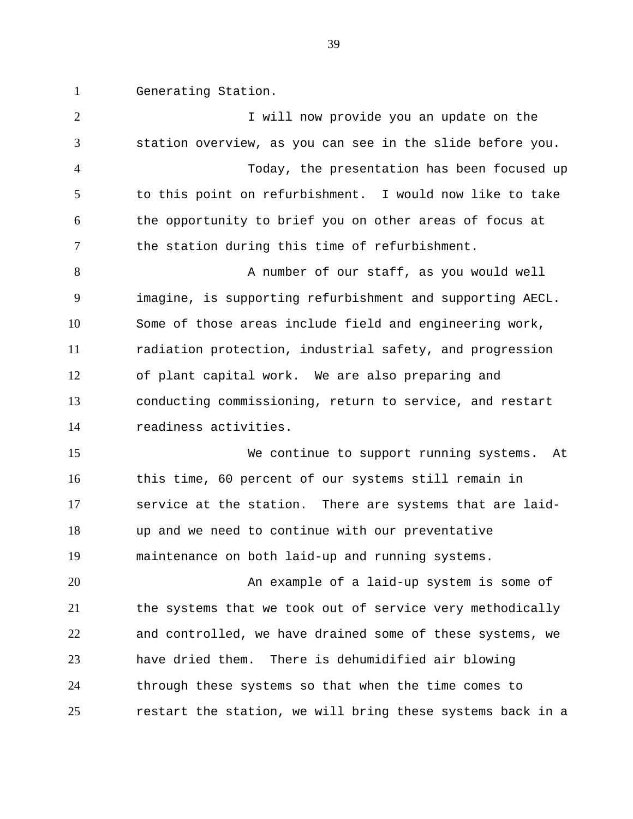1 Generating Station.

2 3 4 5 6 7 8 9 10 11 12 13 14 15 16 17 18 19 20 21 22 23 24 25 I will now provide you an update on the station overview, as you can see in the slide before you. Today, the presentation has been focused up to this point on refurbishment. I would now like to take the opportunity to brief you on other areas of focus at the station during this time of refurbishment. A number of our staff, as you would well imagine, is supporting refurbishment and supporting AECL. Some of those areas include field and engineering work, radiation protection, industrial safety, and progression of plant capital work. We are also preparing and conducting commissioning, return to service, and restart readiness activities. We continue to support running systems. At this time, 60 percent of our systems still remain in service at the station. There are systems that are laidup and we need to continue with our preventative maintenance on both laid-up and running systems. An example of a laid-up system is some of the systems that we took out of service very methodically and controlled, we have drained some of these systems, we have dried them. There is dehumidified air blowing through these systems so that when the time comes to restart the station, we will bring these systems back in a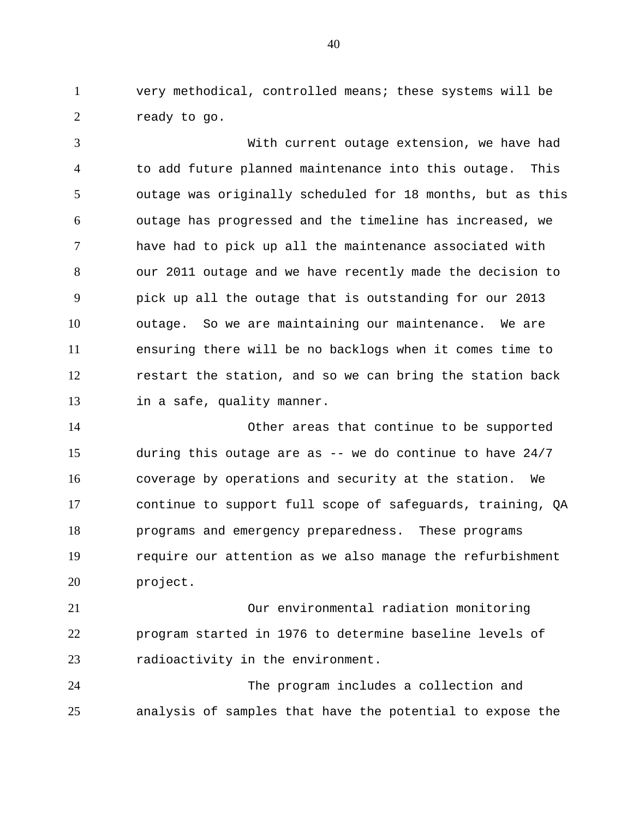1 very methodical, controlled means; these systems will be 2 ready to go.

3 4 5 6 7 8 9 10 11 12 13 With current outage extension, we have had to add future planned maintenance into this outage. This outage was originally scheduled for 18 months, but as this outage has progressed and the timeline has increased, we have had to pick up all the maintenance associated with our 2011 outage and we have recently made the decision to pick up all the outage that is outstanding for our 2013 outage. So we are maintaining our maintenance. We are ensuring there will be no backlogs when it comes time to restart the station, and so we can bring the station back in a safe, quality manner.

14 15 16 17 18 19 20 Other areas that continue to be supported during this outage are as  $-$ - we do continue to have  $24/7$ coverage by operations and security at the station. We continue to support full scope of safeguards, training, QA programs and emergency preparedness. These programs require our attention as we also manage the refurbishment project.

21 22 23 Our environmental radiation monitoring program started in 1976 to determine baseline levels of radioactivity in the environment.

24 25 The program includes a collection and analysis of samples that have the potential to expose the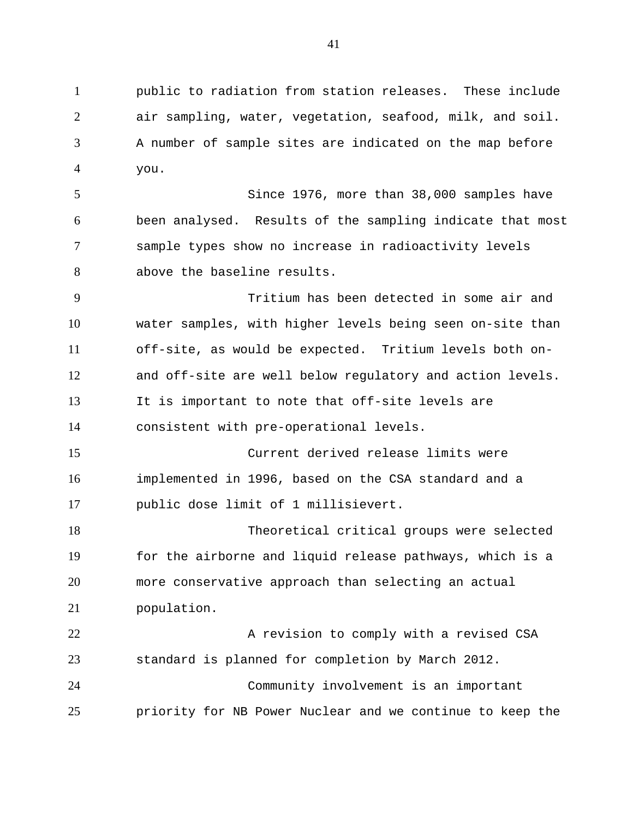1 public to radiation from station releases. These include 2 3 4 air sampling, water, vegetation, seafood, milk, and soil. A number of sample sites are indicated on the map before you.

5 6 7 8 Since 1976, more than 38,000 samples have been analysed. Results of the sampling indicate that most sample types show no increase in radioactivity levels above the baseline results.

9 10 11 12 13 14 Tritium has been detected in some air and water samples, with higher levels being seen on-site than off-site, as would be expected. Tritium levels both onand off-site are well below regulatory and action levels. It is important to note that off-site levels are consistent with pre-operational levels.

15 16 17 Current derived release limits were implemented in 1996, based on the CSA standard and a public dose limit of 1 millisievert.

18 19 20 21 Theoretical critical groups were selected for the airborne and liquid release pathways, which is a more conservative approach than selecting an actual population.

22 23 24 25 A revision to comply with a revised CSA standard is planned for completion by March 2012. Community involvement is an important priority for NB Power Nuclear and we continue to keep the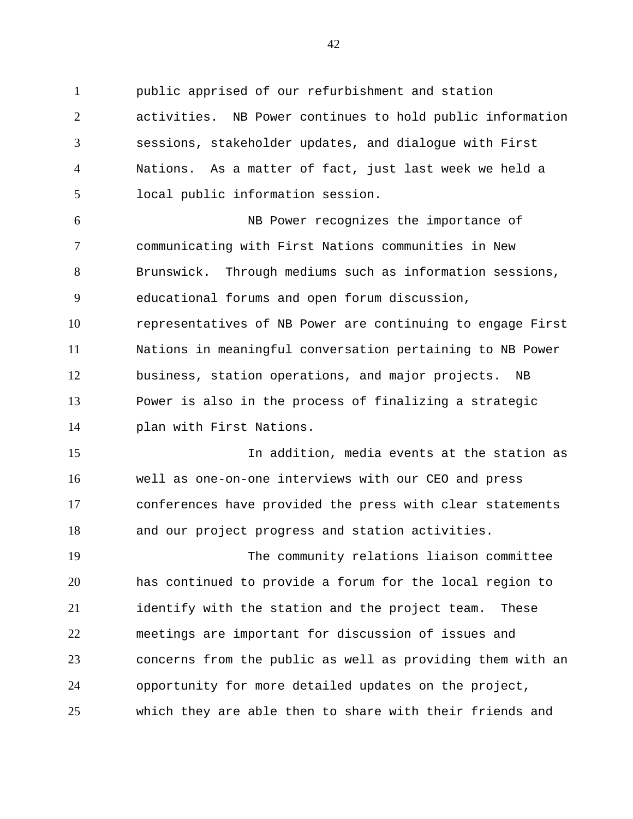1 public apprised of our refurbishment and station 2 3 4 5 activities. NB Power continues to hold public information sessions, stakeholder updates, and dialogue with First Nations. As a matter of fact, just last week we held a local public information session.

6 7 8 9 10 11 12 13 14 NB Power recognizes the importance of communicating with First Nations communities in New Brunswick. Through mediums such as information sessions, educational forums and open forum discussion, representatives of NB Power are continuing to engage First Nations in meaningful conversation pertaining to NB Power business, station operations, and major projects. NB Power is also in the process of finalizing a strategic plan with First Nations.

15 16 17 18 In addition, media events at the station as well as one-on-one interviews with our CEO and press conferences have provided the press with clear statements and our project progress and station activities.

19 20 21 22 23 24 25 The community relations liaison committee has continued to provide a forum for the local region to identify with the station and the project team. These meetings are important for discussion of issues and concerns from the public as well as providing them with an opportunity for more detailed updates on the project, which they are able then to share with their friends and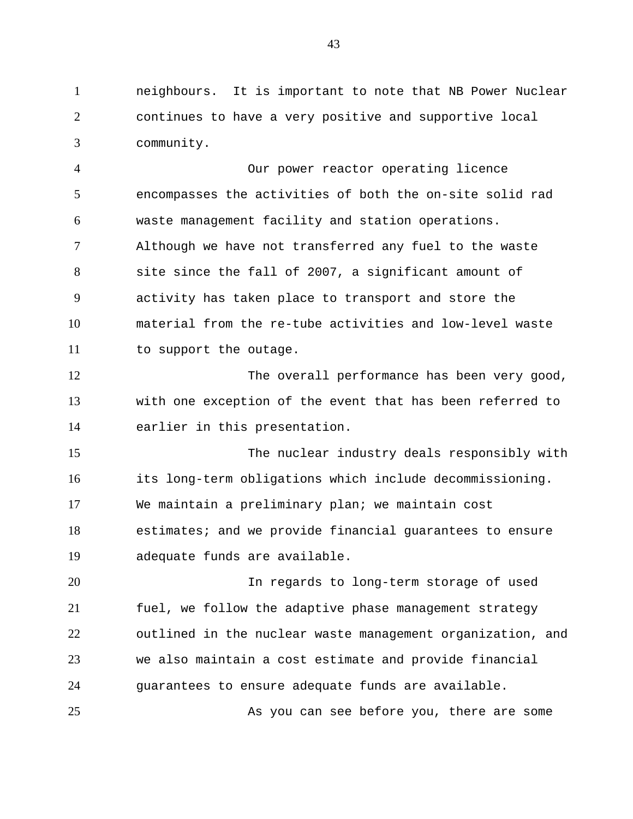1 neighbours. It is important to note that NB Power Nuclear 2 3 continues to have a very positive and supportive local community.

4 5 6 7 8 9 10 11 Our power reactor operating licence encompasses the activities of both the on-site solid rad waste management facility and station operations. Although we have not transferred any fuel to the waste site since the fall of 2007, a significant amount of activity has taken place to transport and store the material from the re-tube activities and low-level waste to support the outage.

12 13 14 The overall performance has been very good, with one exception of the event that has been referred to earlier in this presentation.

15 16 17 18 19 The nuclear industry deals responsibly with its long-term obligations which include decommissioning. We maintain a preliminary plan; we maintain cost estimates; and we provide financial guarantees to ensure adequate funds are available.

20 21 22 23 24 In regards to long-term storage of used fuel, we follow the adaptive phase management strategy outlined in the nuclear waste management organization, and we also maintain a cost estimate and provide financial guarantees to ensure adequate funds are available.

25 As you can see before you, there are some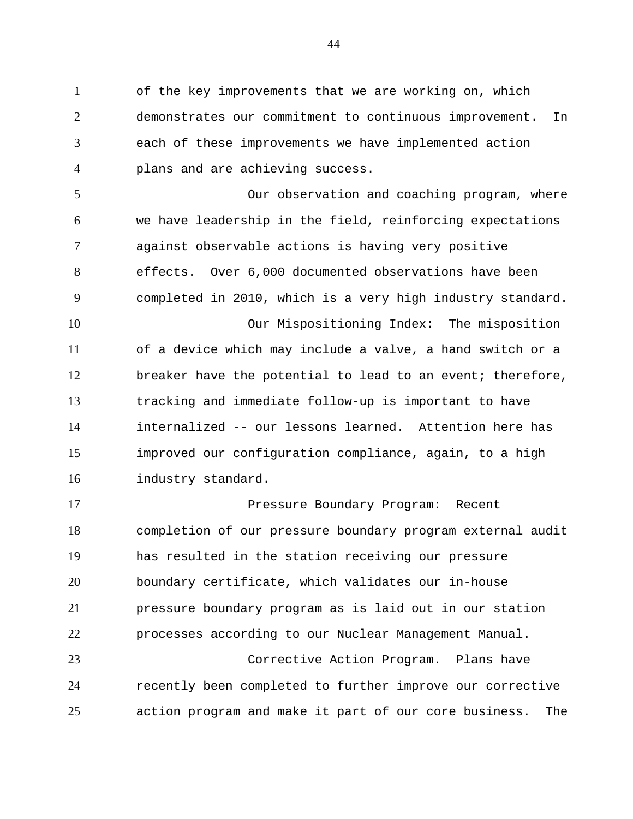1 of the key improvements that we are working on, which 2 3 4 demonstrates our commitment to continuous improvement. In each of these improvements we have implemented action plans and are achieving success.

5 6 7 8 9 10 11 12 13 14 15 16 Our observation and coaching program, where we have leadership in the field, reinforcing expectations against observable actions is having very positive effects. Over 6,000 documented observations have been completed in 2010, which is a very high industry standard. Our Mispositioning Index: The misposition of a device which may include a valve, a hand switch or a breaker have the potential to lead to an event; therefore, tracking and immediate follow-up is important to have internalized -- our lessons learned. Attention here has improved our configuration compliance, again, to a high industry standard.

17 18 19 20 21 22 23 24 Pressure Boundary Program: Recent completion of our pressure boundary program external audit has resulted in the station receiving our pressure boundary certificate, which validates our in-house pressure boundary program as is laid out in our station processes according to our Nuclear Management Manual. Corrective Action Program. Plans have recently been completed to further improve our corrective

action program and make it part of our core business. The

25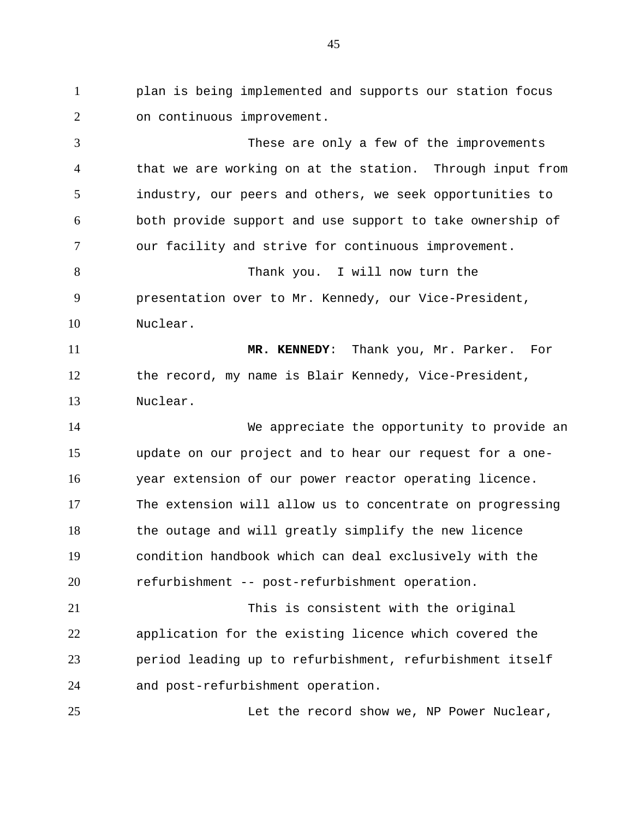1 plan is being implemented and supports our station focus 2 on continuous improvement.

3 4 5 6 7 8 9 10 11 12 13 14 15 16 17 18 19 20 21 22 23 24 These are only a few of the improvements that we are working on at the station. Through input from industry, our peers and others, we seek opportunities to both provide support and use support to take ownership of our facility and strive for continuous improvement. Thank you. I will now turn the presentation over to Mr. Kennedy, our Vice-President, Nuclear. **MR. KENNEDY**: Thank you, Mr. Parker. For the record, my name is Blair Kennedy, Vice-President, Nuclear. We appreciate the opportunity to provide an update on our project and to hear our request for a oneyear extension of our power reactor operating licence. The extension will allow us to concentrate on progressing the outage and will greatly simplify the new licence condition handbook which can deal exclusively with the refurbishment -- post-refurbishment operation. This is consistent with the original application for the existing licence which covered the period leading up to refurbishment, refurbishment itself and post-refurbishment operation.

Let the record show we, NP Power Nuclear,

25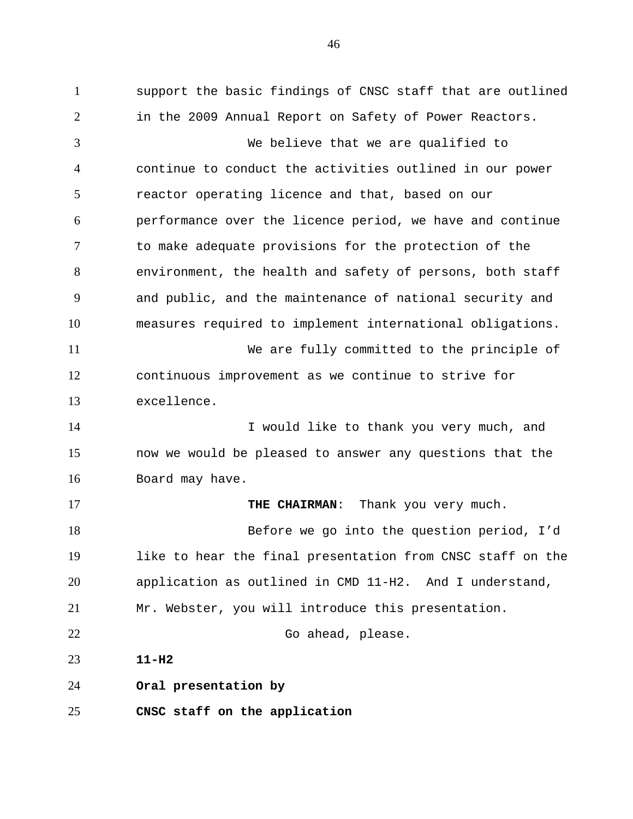1 support the basic findings of CNSC staff that are outlined 2 3 4 5 6 7 8 9 10 11 12 13 14 15 16 17 18 19 20 21 22 23 24 25 in the 2009 Annual Report on Safety of Power Reactors. We believe that we are qualified to continue to conduct the activities outlined in our power reactor operating licence and that, based on our performance over the licence period, we have and continue to make adequate provisions for the protection of the environment, the health and safety of persons, both staff and public, and the maintenance of national security and measures required to implement international obligations. We are fully committed to the principle of continuous improvement as we continue to strive for excellence. I would like to thank you very much, and now we would be pleased to answer any questions that the Board may have. **THE CHAIRMAN**: Thank you very much. Before we go into the question period, I'd like to hear the final presentation from CNSC staff on the application as outlined in CMD 11-H2. And I understand, Mr. Webster, you will introduce this presentation. Go ahead, please. **11-H2 Oral presentation by CNSC staff on the application**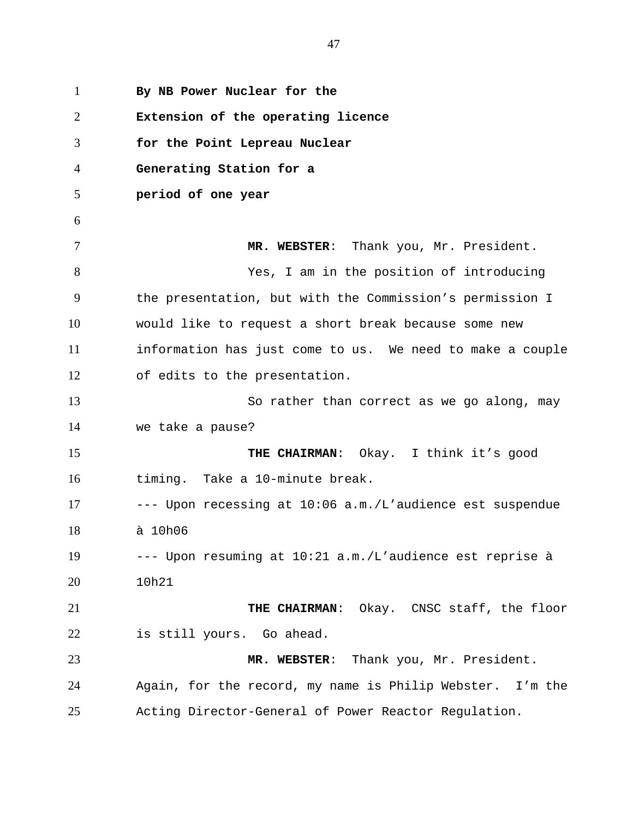1 **By NB Power Nuclear for the**  2 3 4 5 6 7 8 9 10 11 12 13 14 15 16 17 18 19 20 21 22 23 24 25 **Extension of the operating licence for the Point Lepreau Nuclear Generating Station for a period of one year MR. WEBSTER**: Thank you, Mr. President. Yes, I am in the position of introducing the presentation, but with the Commission's permission I would like to request a short break because some new information has just come to us. We need to make a couple of edits to the presentation. So rather than correct as we go along, may we take a pause? **THE CHAIRMAN**: Okay. I think it's good timing. Take a 10-minute break. --- Upon recessing at 10:06 a.m./L'audience est suspendue à 10h06 --- Upon resuming at 10:21 a.m./L'audience est reprise à 10h21 **THE CHAIRMAN**: Okay. CNSC staff, the floor is still yours. Go ahead. **MR. WEBSTER**: Thank you, Mr. President. Again, for the record, my name is Philip Webster. I'm the Acting Director-General of Power Reactor Regulation.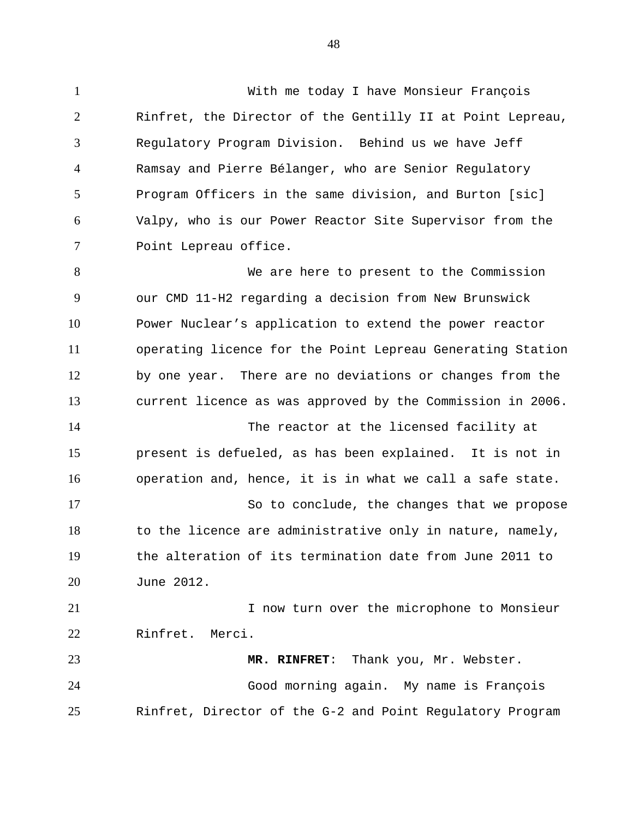1 With me today I have Monsieur François 2 3 4 5 6 7 Rinfret, the Director of the Gentilly II at Point Lepreau, Regulatory Program Division. Behind us we have Jeff Ramsay and Pierre Bélanger, who are Senior Regulatory Program Officers in the same division, and Burton [sic] Valpy, who is our Power Reactor Site Supervisor from the Point Lepreau office.

8 9 10 11 12 13 14 15 16 17 We are here to present to the Commission our CMD 11-H2 regarding a decision from New Brunswick Power Nuclear's application to extend the power reactor operating licence for the Point Lepreau Generating Station by one year. There are no deviations or changes from the current licence as was approved by the Commission in 2006. The reactor at the licensed facility at present is defueled, as has been explained. It is not in operation and, hence, it is in what we call a safe state. So to conclude, the changes that we propose

18 19 20 to the licence are administrative only in nature, namely, the alteration of its termination date from June 2011 to June 2012.

21 22 I now turn over the microphone to Monsieur Rinfret. Merci.

23 24 25 **MR. RINFRET**: Thank you, Mr. Webster. Good morning again. My name is François Rinfret, Director of the G-2 and Point Regulatory Program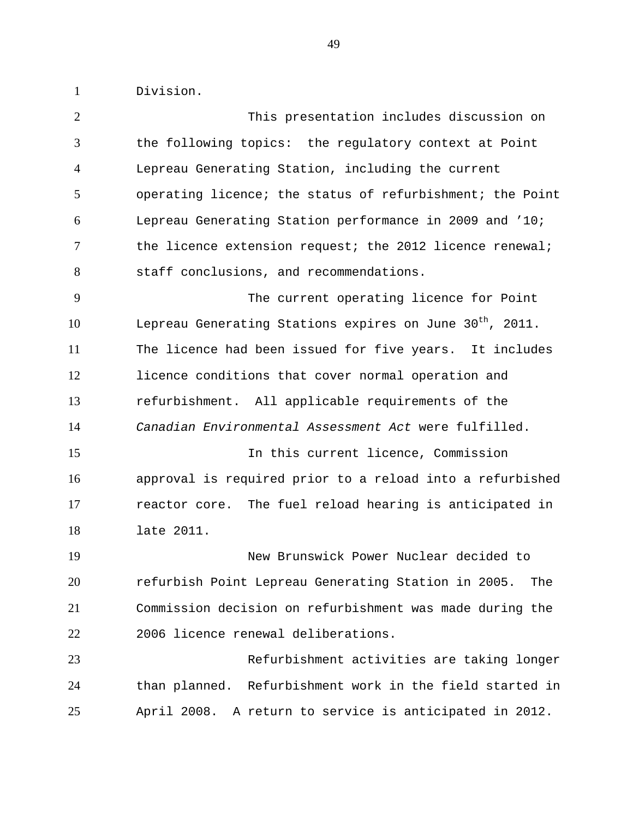1 Division.

| the following topics: the regulatory context at Point<br>Lepreau Generating Station, including the current<br>operating licence; the status of refurbishment; the Point<br>Lepreau Generating Station performance in 2009 and '10;<br>the licence extension request; the 2012 licence renewal;<br>The current operating licence for Point |
|-------------------------------------------------------------------------------------------------------------------------------------------------------------------------------------------------------------------------------------------------------------------------------------------------------------------------------------------|
|                                                                                                                                                                                                                                                                                                                                           |
|                                                                                                                                                                                                                                                                                                                                           |
|                                                                                                                                                                                                                                                                                                                                           |
|                                                                                                                                                                                                                                                                                                                                           |
|                                                                                                                                                                                                                                                                                                                                           |
|                                                                                                                                                                                                                                                                                                                                           |
|                                                                                                                                                                                                                                                                                                                                           |
| Lepreau Generating Stations expires on June 30 <sup>th</sup> , 2011.                                                                                                                                                                                                                                                                      |
| The licence had been issued for five years. It includes                                                                                                                                                                                                                                                                                   |
| licence conditions that cover normal operation and                                                                                                                                                                                                                                                                                        |
| refurbishment. All applicable requirements of the                                                                                                                                                                                                                                                                                         |
| Canadian Environmental Assessment Act were fulfilled.                                                                                                                                                                                                                                                                                     |
| In this current licence, Commission                                                                                                                                                                                                                                                                                                       |
| approval is required prior to a reload into a refurbished                                                                                                                                                                                                                                                                                 |
| reactor core. The fuel reload hearing is anticipated in                                                                                                                                                                                                                                                                                   |
|                                                                                                                                                                                                                                                                                                                                           |
|                                                                                                                                                                                                                                                                                                                                           |
| New Brunswick Power Nuclear decided to                                                                                                                                                                                                                                                                                                    |
| refurbish Point Lepreau Generating Station in 2005.<br>The                                                                                                                                                                                                                                                                                |
| Commission decision on refurbishment was made during the                                                                                                                                                                                                                                                                                  |
|                                                                                                                                                                                                                                                                                                                                           |
| Refurbishment activities are taking longer                                                                                                                                                                                                                                                                                                |
| than planned. Refurbishment work in the field started in                                                                                                                                                                                                                                                                                  |
|                                                                                                                                                                                                                                                                                                                                           |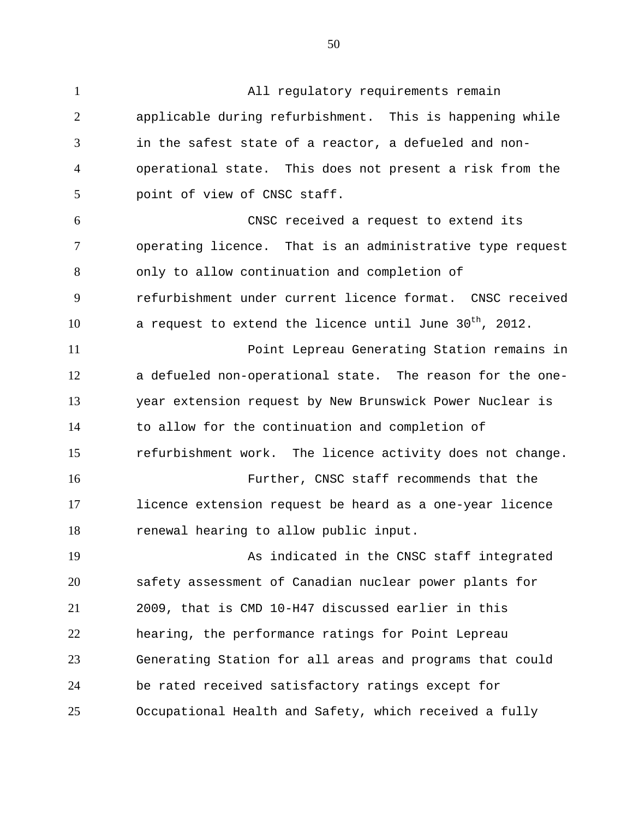1 All regulatory requirements remain 2 3 4 5 6 7 8 9 10 11 12 13 14 15 16 17 18 19 20 21 22 23 24 25 applicable during refurbishment. This is happening while in the safest state of a reactor, a defueled and nonoperational state. This does not present a risk from the point of view of CNSC staff. CNSC received a request to extend its operating licence. That is an administrative type request only to allow continuation and completion of refurbishment under current licence format. CNSC received a request to extend the licence until June  $30^{th}$ , 2012. Point Lepreau Generating Station remains in a defueled non-operational state. The reason for the oneyear extension request by New Brunswick Power Nuclear is to allow for the continuation and completion of refurbishment work. The licence activity does not change. Further, CNSC staff recommends that the licence extension request be heard as a one-year licence renewal hearing to allow public input. As indicated in the CNSC staff integrated safety assessment of Canadian nuclear power plants for 2009, that is CMD 10-H47 discussed earlier in this hearing, the performance ratings for Point Lepreau Generating Station for all areas and programs that could be rated received satisfactory ratings except for Occupational Health and Safety, which received a fully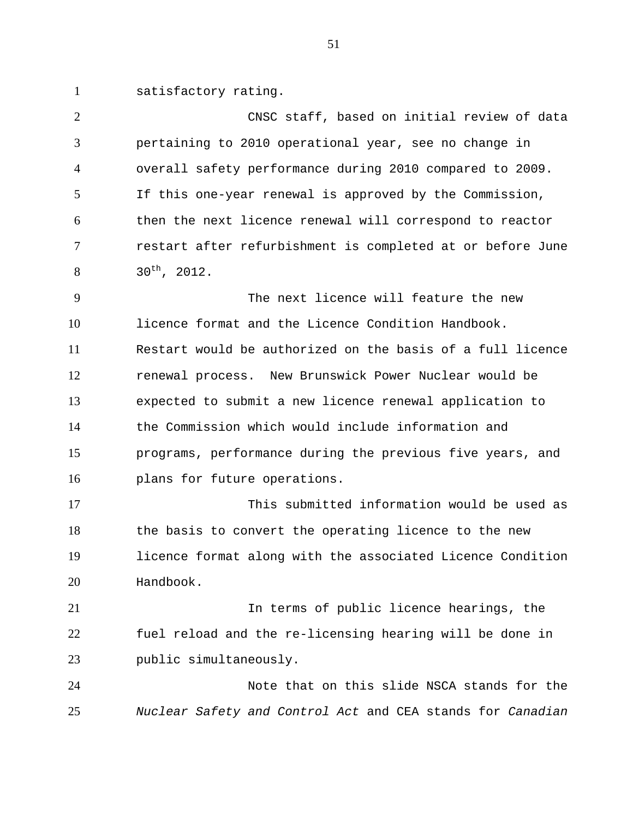1 satisfactory rating.

2 3 4 5 6 7 8 CNSC staff, based on initial review of data pertaining to 2010 operational year, see no change in overall safety performance during 2010 compared to 2009. If this one-year renewal is approved by the Commission, then the next licence renewal will correspond to reactor restart after refurbishment is completed at or before June 30th, 2012.

9 10 11 12 13 14 15 16 The next licence will feature the new licence format and the Licence Condition Handbook. Restart would be authorized on the basis of a full licence renewal process. New Brunswick Power Nuclear would be expected to submit a new licence renewal application to the Commission which would include information and programs, performance during the previous five years, and plans for future operations.

17 18 19 20 This submitted information would be used as the basis to convert the operating licence to the new licence format along with the associated Licence Condition Handbook.

21 22 23 In terms of public licence hearings, the fuel reload and the re-licensing hearing will be done in public simultaneously.

24 25 Note that on this slide NSCA stands for the *Nuclear Safety and Control Act* and CEA stands for *Canadian*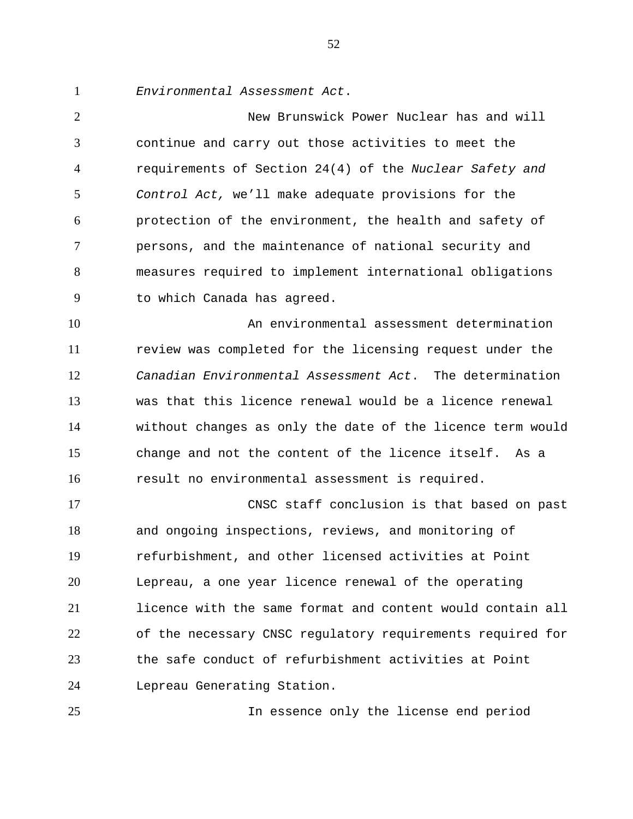1 *Environmental Assessment Act*.

2 3 4 5 6 7 8 9 New Brunswick Power Nuclear has and will continue and carry out those activities to meet the requirements of Section 24(4) of the *Nuclear Safety and Control Act,* we'll make adequate provisions for the protection of the environment, the health and safety of persons, and the maintenance of national security and measures required to implement international obligations to which Canada has agreed.

10 11 12 13 14 15 16 An environmental assessment determination review was completed for the licensing request under the *Canadian Environmental Assessment Act*. The determination was that this licence renewal would be a licence renewal without changes as only the date of the licence term would change and not the content of the licence itself. As a result no environmental assessment is required.

17 18 19 20 21 22 23 24 CNSC staff conclusion is that based on past and ongoing inspections, reviews, and monitoring of refurbishment, and other licensed activities at Point Lepreau, a one year licence renewal of the operating licence with the same format and content would contain all of the necessary CNSC regulatory requirements required for the safe conduct of refurbishment activities at Point Lepreau Generating Station.

25

In essence only the license end period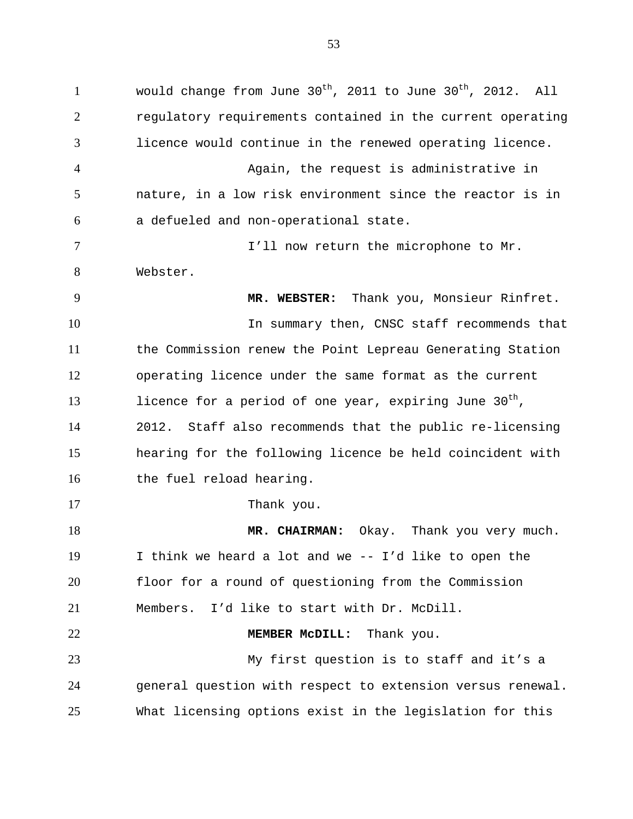1 would change from June  $30^{th}$ , 2011 to June  $30^{th}$ , 2012. All 2 3 4 5 6 7 8 9 10 11 12 13 14 15 16 17 18 19 20 21 22 23 24 25 regulatory requirements contained in the current operating licence would continue in the renewed operating licence. Again, the request is administrative in nature, in a low risk environment since the reactor is in a defueled and non-operational state. I'll now return the microphone to Mr. Webster. **MR. WEBSTER:** Thank you, Monsieur Rinfret. In summary then, CNSC staff recommends that the Commission renew the Point Lepreau Generating Station operating licence under the same format as the current licence for a period of one year, expiring June  $30<sup>th</sup>$ , 2012. Staff also recommends that the public re-licensing hearing for the following licence be held coincident with the fuel reload hearing. Thank you. **MR. CHAIRMAN:** Okay. Thank you very much. I think we heard a lot and we -- I'd like to open the floor for a round of questioning from the Commission Members. I'd like to start with Dr. McDill. **MEMBER McDILL:** Thank you. My first question is to staff and it's a general question with respect to extension versus renewal. What licensing options exist in the legislation for this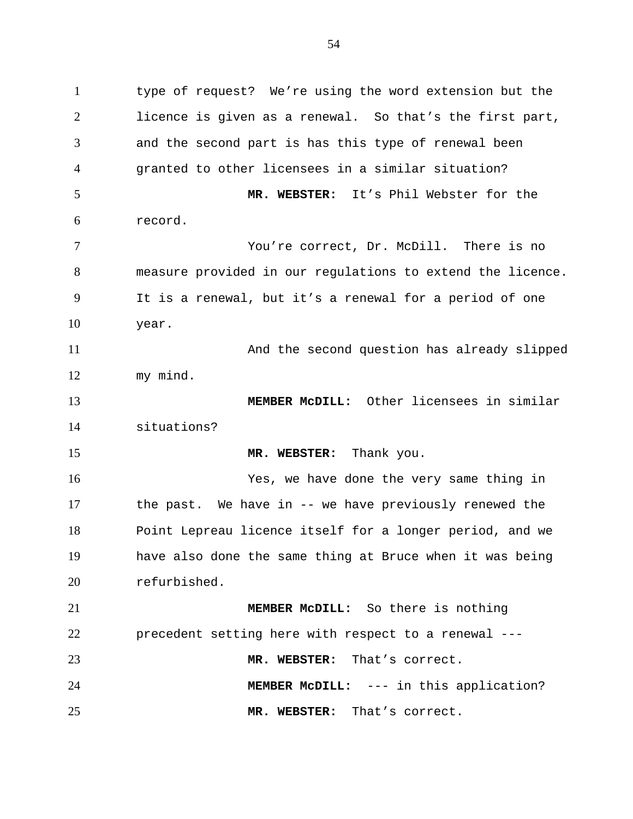1 type of request? We're using the word extension but the 2 3 4 5 6 7 8 9 10 11 12 13 14 15 16 17 18 19 20 21 22 23 licence is given as a renewal. So that's the first part, and the second part is has this type of renewal been granted to other licensees in a similar situation? **MR. WEBSTER:** It's Phil Webster for the record. You're correct, Dr. McDill. There is no measure provided in our regulations to extend the licence. It is a renewal, but it's a renewal for a period of one year. And the second question has already slipped my mind. **MEMBER McDILL:** Other licensees in similar situations? **MR. WEBSTER:** Thank you. Yes, we have done the very same thing in the past. We have in -- we have previously renewed the Point Lepreau licence itself for a longer period, and we have also done the same thing at Bruce when it was being refurbished. **MEMBER McDILL:** So there is nothing precedent setting here with respect to a renewal --- **MR. WEBSTER:** That's correct.

24 **MEMBER McDILL:** --- in this application?

**MR. WEBSTER:** That's correct.

25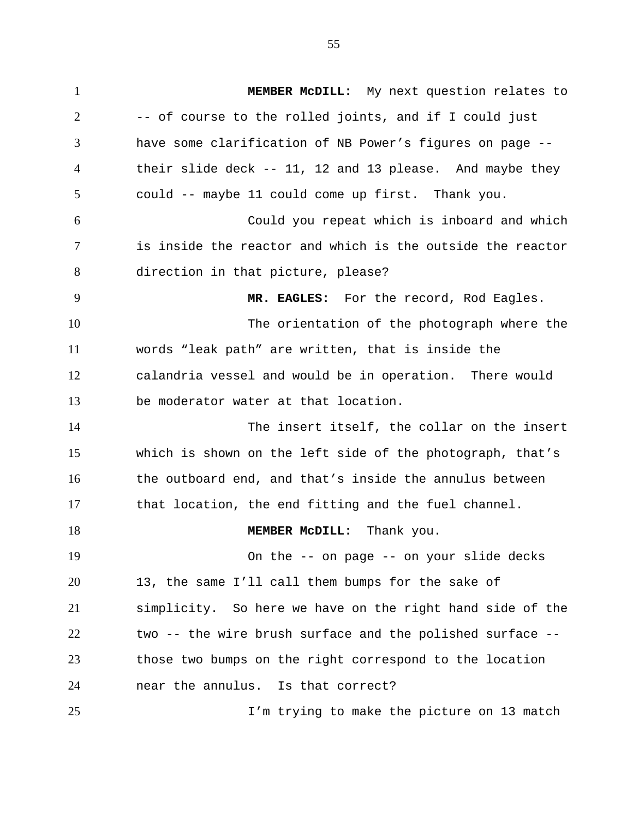1 **MEMBER McDILL:** My next question relates to 2 3 4 5 6 7 8 9 10 11 12 13 14 15 16 17 18 19 20 21 22 23 24 -- of course to the rolled joints, and if I could just have some clarification of NB Power's figures on page - their slide deck -- 11, 12 and 13 please. And maybe they could -- maybe 11 could come up first. Thank you. Could you repeat which is inboard and which is inside the reactor and which is the outside the reactor direction in that picture, please? **MR. EAGLES:** For the record, Rod Eagles. The orientation of the photograph where the words "leak path" are written, that is inside the calandria vessel and would be in operation. There would be moderator water at that location. The insert itself, the collar on the insert which is shown on the left side of the photograph, that's the outboard end, and that's inside the annulus between that location, the end fitting and the fuel channel. **MEMBER McDILL:** Thank you. On the -- on page -- on your slide decks 13, the same I'll call them bumps for the sake of simplicity. So here we have on the right hand side of the two -- the wire brush surface and the polished surface - those two bumps on the right correspond to the location near the annulus. Is that correct?

I'm trying to make the picture on 13 match

25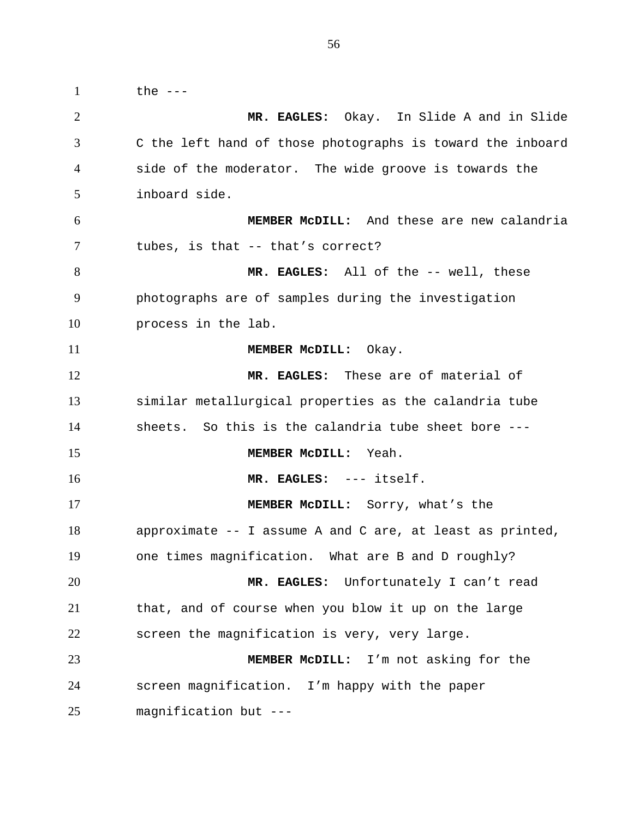1 the --- 2 3 4 5 6 7 8 9 10 11 12 13 14 15 16 17 18 19 20 21 22 23 24 25 **MR. EAGLES:** Okay. In Slide A and in Slide C the left hand of those photographs is toward the inboard side of the moderator. The wide groove is towards the inboard side. **MEMBER McDILL:** And these are new calandria tubes, is that -- that's correct? **MR. EAGLES:** All of the -- well, these photographs are of samples during the investigation process in the lab. **MEMBER McDILL:** Okay. **MR. EAGLES:** These are of material of similar metallurgical properties as the calandria tube sheets. So this is the calandria tube sheet bore --- **MEMBER McDILL:** Yeah. **MR. EAGLES:** --- itself. **MEMBER McDILL:** Sorry, what's the approximate -- I assume A and C are, at least as printed, one times magnification. What are B and D roughly? **MR. EAGLES:** Unfortunately I can't read that, and of course when you blow it up on the large screen the magnification is very, very large. **MEMBER McDILL:** I'm not asking for the screen magnification. I'm happy with the paper magnification but ---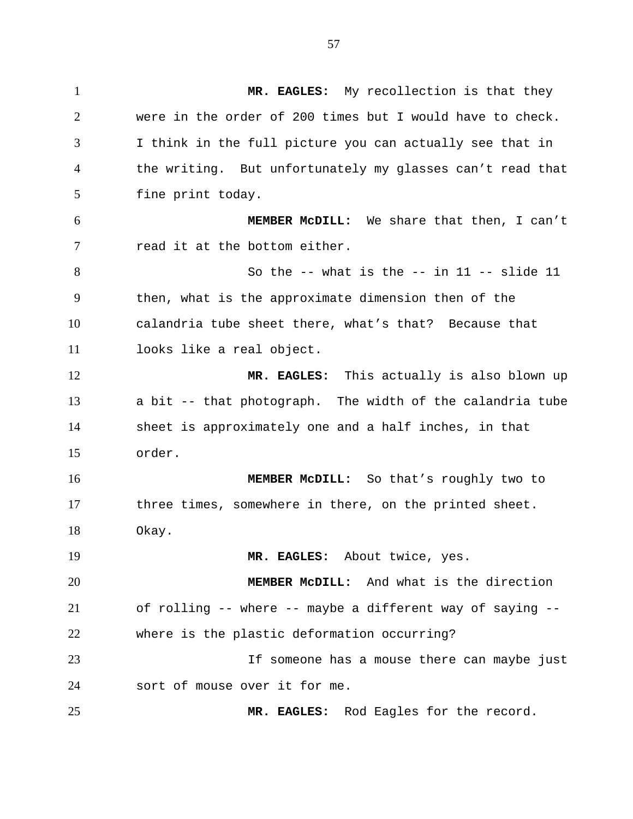1 **MR. EAGLES:** My recollection is that they 2 3 4 5 6 7 8 9 10 11 12 13 14 15 16 17 18 19 20 21 22 23 24 25 were in the order of 200 times but I would have to check. I think in the full picture you can actually see that in the writing. But unfortunately my glasses can't read that fine print today. **MEMBER McDILL:** We share that then, I can't read it at the bottom either. So the  $--$  what is the  $--$  in  $11$   $--$  slide  $11$ then, what is the approximate dimension then of the calandria tube sheet there, what's that? Because that looks like a real object. **MR. EAGLES:** This actually is also blown up a bit -- that photograph. The width of the calandria tube sheet is approximately one and a half inches, in that order. **MEMBER McDILL:** So that's roughly two to three times, somewhere in there, on the printed sheet. Okay. **MR. EAGLES:** About twice, yes. **MEMBER McDILL:** And what is the direction of rolling -- where -- maybe a different way of saying - where is the plastic deformation occurring? If someone has a mouse there can maybe just sort of mouse over it for me. **MR. EAGLES:** Rod Eagles for the record.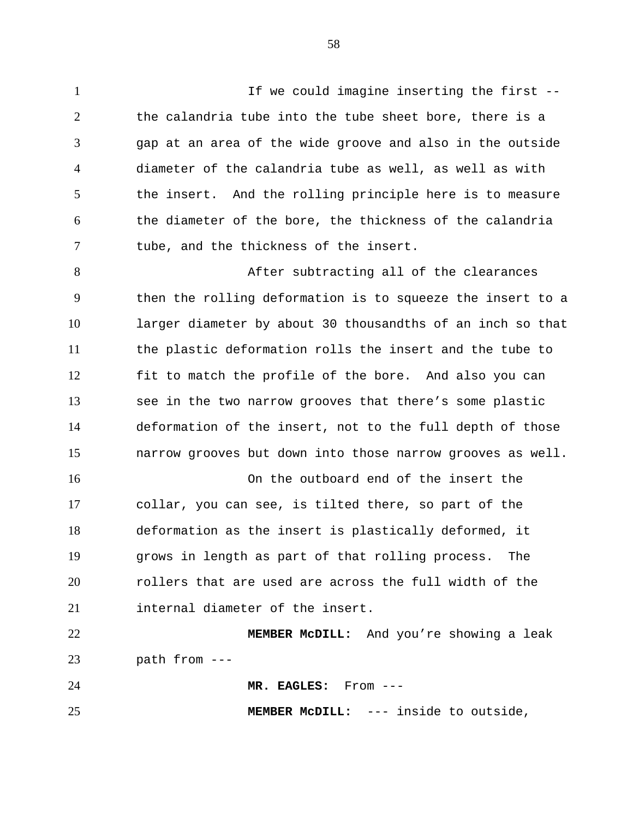1 1 If we could imagine inserting the first  $-$ 2 3 4 5 6 7 the calandria tube into the tube sheet bore, there is a gap at an area of the wide groove and also in the outside diameter of the calandria tube as well, as well as with the insert. And the rolling principle here is to measure the diameter of the bore, the thickness of the calandria tube, and the thickness of the insert.

8 9 10 11 12 13 14 15 After subtracting all of the clearances then the rolling deformation is to squeeze the insert to a larger diameter by about 30 thousandths of an inch so that the plastic deformation rolls the insert and the tube to fit to match the profile of the bore. And also you can see in the two narrow grooves that there's some plastic deformation of the insert, not to the full depth of those narrow grooves but down into those narrow grooves as well.

16 17 18 19 20 21 On the outboard end of the insert the collar, you can see, is tilted there, so part of the deformation as the insert is plastically deformed, it grows in length as part of that rolling process. The rollers that are used are across the full width of the internal diameter of the insert.

22 23 **MEMBER McDILL:** And you're showing a leak path from ---

24 **MR. EAGLES:** From ---

25

**MEMBER McDILL:** --- inside to outside,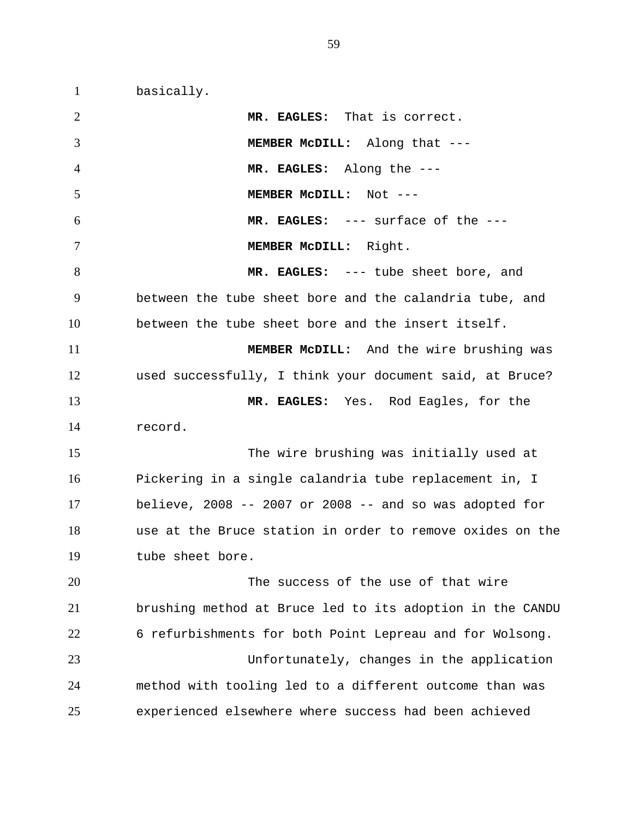1 basically.

2 3 4 5 6 7 8 9 10 11 12 13 14 15 16 17 18 19 20 21 22 23 24 25 **MR. EAGLES:** That is correct. **MEMBER McDILL:** Along that --- **MR. EAGLES:** Along the --- **MEMBER McDILL:** Not --- **MR. EAGLES:** --- surface of the --- **MEMBER McDILL:** Right. **MR. EAGLES:** --- tube sheet bore, and between the tube sheet bore and the calandria tube, and between the tube sheet bore and the insert itself. **MEMBER McDILL:** And the wire brushing was used successfully, I think your document said, at Bruce? **MR. EAGLES:** Yes. Rod Eagles, for the record. The wire brushing was initially used at Pickering in a single calandria tube replacement in, I believe, 2008  $-$ - 2007 or 2008  $-$ - and so was adopted for use at the Bruce station in order to remove oxides on the tube sheet bore. The success of the use of that wire brushing method at Bruce led to its adoption in the CANDU 6 refurbishments for both Point Lepreau and for Wolsong. Unfortunately, changes in the application method with tooling led to a different outcome than was experienced elsewhere where success had been achieved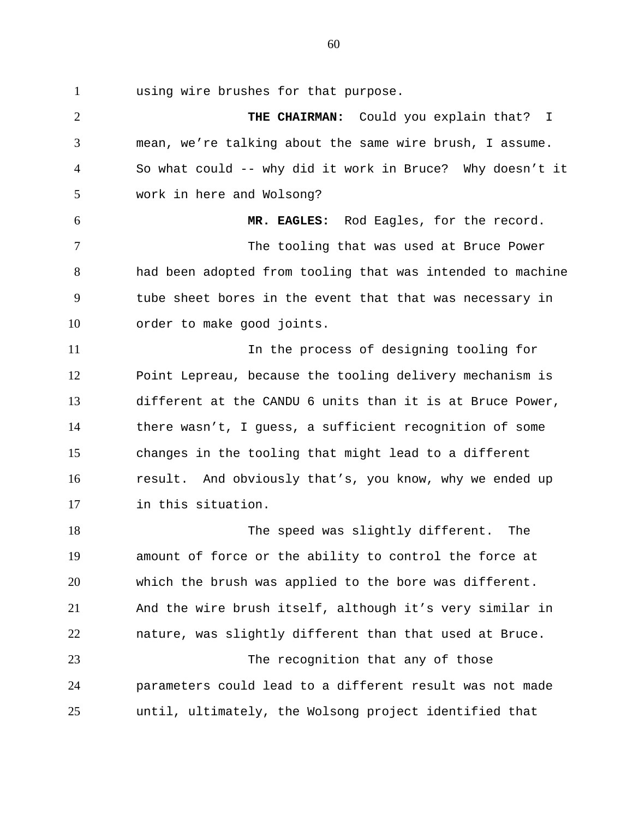1 using wire brushes for that purpose.

2 3 4 5 6 7 8 9 10 11 12 13 14 15 16 17 18 19 20 21 22 23 24 25 **THE CHAIRMAN:** Could you explain that? I mean, we're talking about the same wire brush, I assume. So what could -- why did it work in Bruce? Why doesn't it work in here and Wolsong? **MR. EAGLES:** Rod Eagles, for the record. The tooling that was used at Bruce Power had been adopted from tooling that was intended to machine tube sheet bores in the event that that was necessary in order to make good joints. In the process of designing tooling for Point Lepreau, because the tooling delivery mechanism is different at the CANDU 6 units than it is at Bruce Power, there wasn't, I guess, a sufficient recognition of some changes in the tooling that might lead to a different result. And obviously that's, you know, why we ended up in this situation. The speed was slightly different. The amount of force or the ability to control the force at which the brush was applied to the bore was different. And the wire brush itself, although it's very similar in nature, was slightly different than that used at Bruce. The recognition that any of those parameters could lead to a different result was not made until, ultimately, the Wolsong project identified that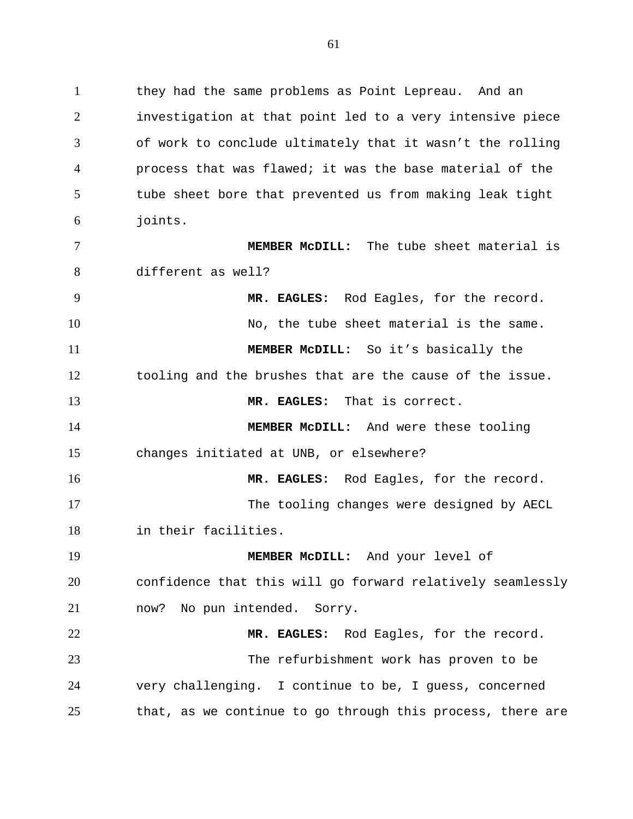1 they had the same problems as Point Lepreau. And an 2 3 4 5 6 investigation at that point led to a very intensive piece of work to conclude ultimately that it wasn't the rolling process that was flawed; it was the base material of the tube sheet bore that prevented us from making leak tight joints.

7 8 **MEMBER McDILL:** The tube sheet material is different as well?

9 10 11 12 13 14 15 16 17 **MR. EAGLES:** Rod Eagles, for the record. No, the tube sheet material is the same. **MEMBER McDILL:** So it's basically the tooling and the brushes that are the cause of the issue. **MR. EAGLES:** That is correct. **MEMBER McDILL:** And were these tooling changes initiated at UNB, or elsewhere? **MR. EAGLES:** Rod Eagles, for the record. The tooling changes were designed by AECL

18 in their facilities.

19 20 21 **MEMBER McDILL:** And your level of confidence that this will go forward relatively seamlessly now? No pun intended. Sorry.

22 23 24 25 **MR. EAGLES:** Rod Eagles, for the record. The refurbishment work has proven to be very challenging. I continue to be, I guess, concerned that, as we continue to go through this process, there are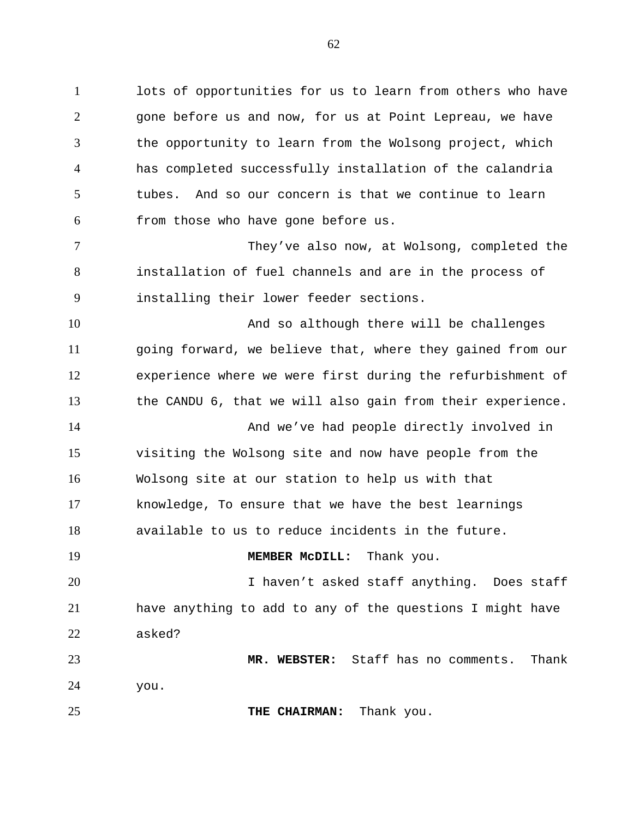1 lots of opportunities for us to learn from others who have 2 3 4 5 6 gone before us and now, for us at Point Lepreau, we have the opportunity to learn from the Wolsong project, which has completed successfully installation of the calandria tubes. And so our concern is that we continue to learn from those who have gone before us.

7 8 9 They've also now, at Wolsong, completed the installation of fuel channels and are in the process of installing their lower feeder sections.

10 11 12 13 14 And so although there will be challenges going forward, we believe that, where they gained from our experience where we were first during the refurbishment of the CANDU 6, that we will also gain from their experience. And we've had people directly involved in

15 16 17 18 visiting the Wolsong site and now have people from the Wolsong site at our station to help us with that knowledge, To ensure that we have the best learnings available to us to reduce incidents in the future.

## **MEMBER McDILL:** Thank you.

20 21 22 I haven't asked staff anything. Does staff have anything to add to any of the questions I might have asked?

23 24 **MR. WEBSTER:** Staff has no comments. Thank you.

25 **THE CHAIRMAN:** Thank you.

19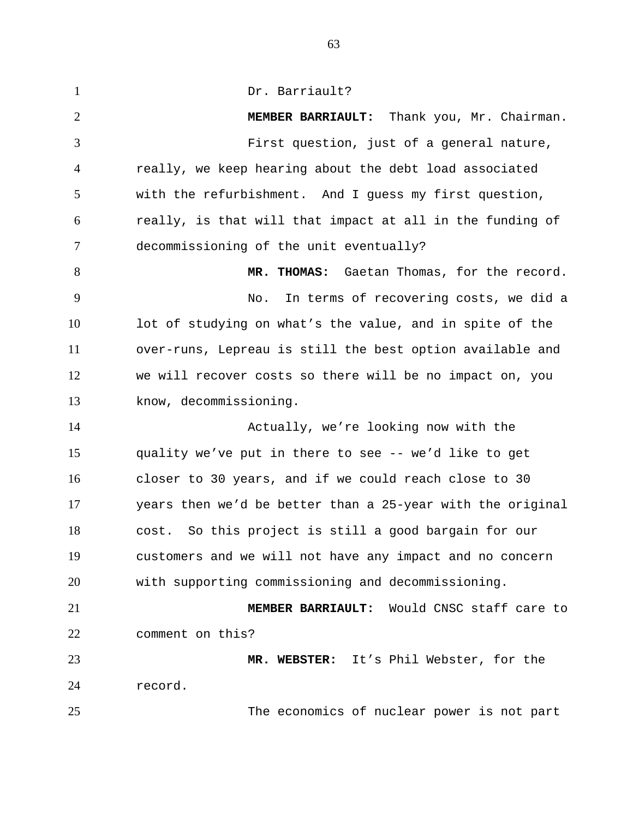1 Dr. Barriault? 2 3 4 5 6 7 8 9 10 11 12 13 14 15 16 17 18 19 20 21 22 23 24 25 **MEMBER BARRIAULT:** Thank you, Mr. Chairman. First question, just of a general nature, really, we keep hearing about the debt load associated with the refurbishment. And I guess my first question, really, is that will that impact at all in the funding of decommissioning of the unit eventually? **MR. THOMAS:** Gaetan Thomas, for the record. No. In terms of recovering costs, we did a lot of studying on what's the value, and in spite of the over-runs, Lepreau is still the best option available and we will recover costs so there will be no impact on, you know, decommissioning. Actually, we're looking now with the quality we've put in there to see -- we'd like to get closer to 30 years, and if we could reach close to 30 years then we'd be better than a 25-year with the original cost. So this project is still a good bargain for our customers and we will not have any impact and no concern with supporting commissioning and decommissioning. **MEMBER BARRIAULT:** Would CNSC staff care to comment on this? **MR. WEBSTER:** It's Phil Webster, for the record. The economics of nuclear power is not part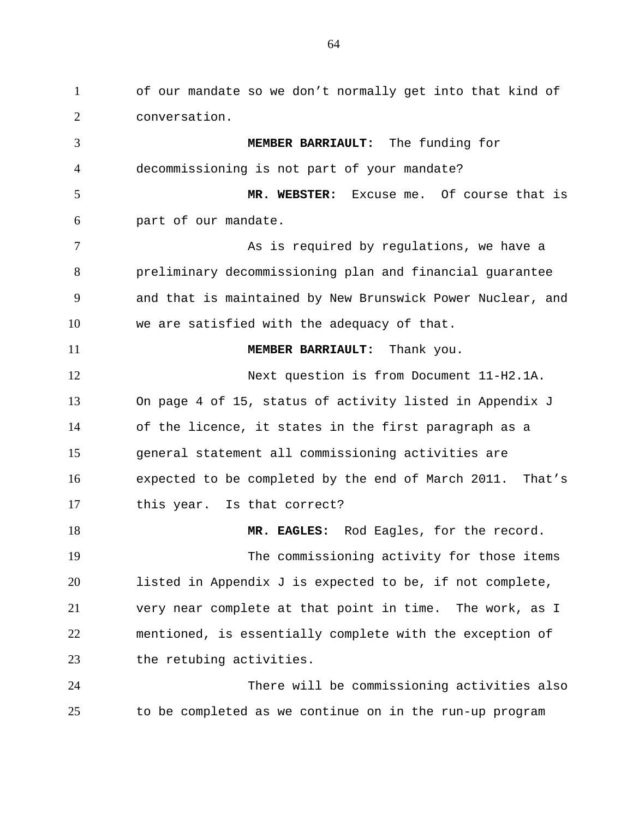1 of our mandate so we don't normally get into that kind of 2 3 4 5 6 7 8 9 10 11 12 13 14 15 16 17 18 19 20 21 22 23 24 25 conversation. **MEMBER BARRIAULT:** The funding for decommissioning is not part of your mandate? **MR. WEBSTER:** Excuse me. Of course that is part of our mandate. As is required by regulations, we have a preliminary decommissioning plan and financial guarantee and that is maintained by New Brunswick Power Nuclear, and we are satisfied with the adequacy of that. **MEMBER BARRIAULT:** Thank you. Next question is from Document 11-H2.1A. On page 4 of 15, status of activity listed in Appendix J of the licence, it states in the first paragraph as a general statement all commissioning activities are expected to be completed by the end of March 2011. That's this year. Is that correct? **MR. EAGLES:** Rod Eagles, for the record. The commissioning activity for those items listed in Appendix J is expected to be, if not complete, very near complete at that point in time. The work, as I mentioned, is essentially complete with the exception of the retubing activities. There will be commissioning activities also to be completed as we continue on in the run-up program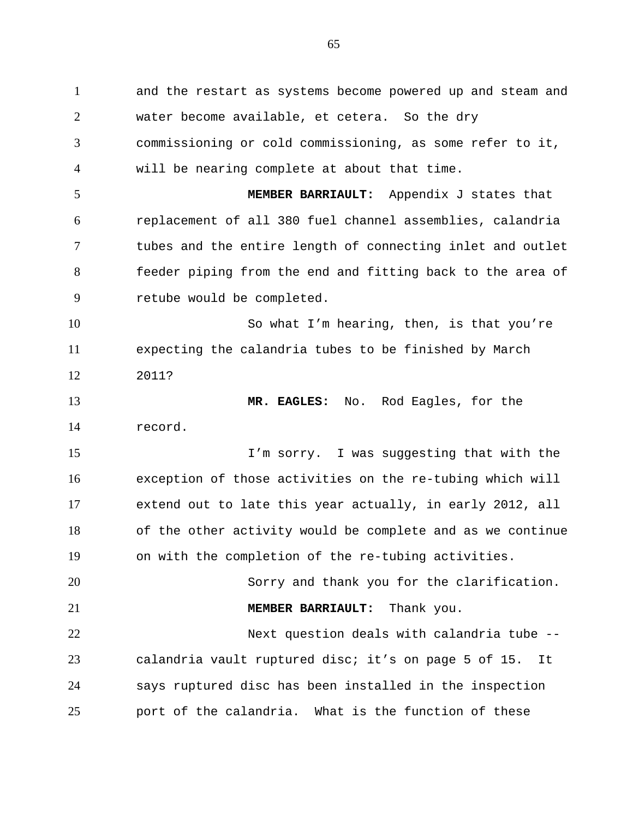1 and the restart as systems become powered up and steam and 2 3 4 5 6 7 8 9 10 11 12 13 14 15 16 17 18 19 20 21 22 23 24 25 water become available, et cetera. So the dry commissioning or cold commissioning, as some refer to it, will be nearing complete at about that time. **MEMBER BARRIAULT:** Appendix J states that replacement of all 380 fuel channel assemblies, calandria tubes and the entire length of connecting inlet and outlet feeder piping from the end and fitting back to the area of retube would be completed. So what I'm hearing, then, is that you're expecting the calandria tubes to be finished by March 2011? **MR. EAGLES:** No. Rod Eagles, for the record. I'm sorry. I was suggesting that with the exception of those activities on the re-tubing which will extend out to late this year actually, in early 2012, all of the other activity would be complete and as we continue on with the completion of the re-tubing activities. Sorry and thank you for the clarification. **MEMBER BARRIAULT:** Thank you. Next question deals with calandria tube - calandria vault ruptured disc; it's on page 5 of 15. It says ruptured disc has been installed in the inspection port of the calandria. What is the function of these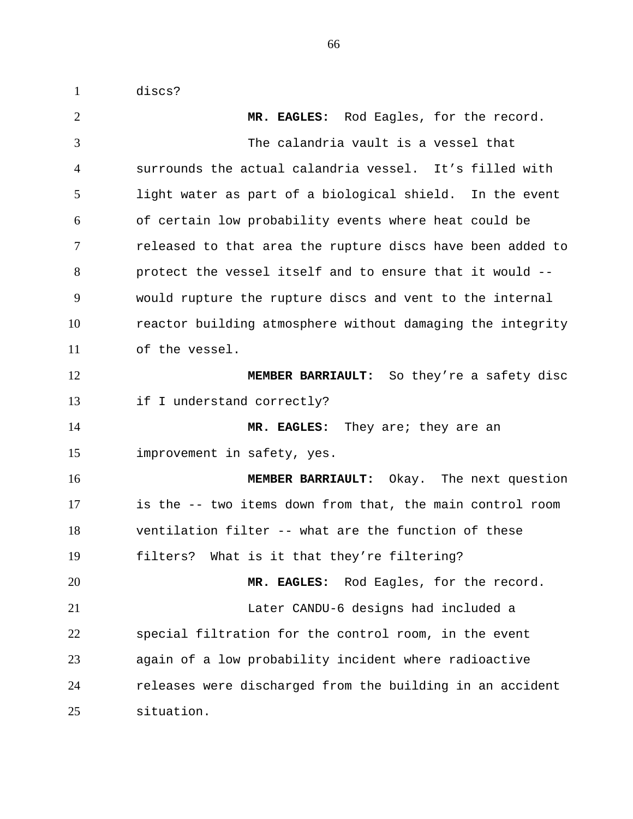1 discs?

2 3 4 5 6 7 8 9 10 11 12 13 14 15 16 17 18 19 20 21 22 23 24 25 **MR. EAGLES:** Rod Eagles, for the record. The calandria vault is a vessel that surrounds the actual calandria vessel. It's filled with light water as part of a biological shield. In the event of certain low probability events where heat could be released to that area the rupture discs have been added to protect the vessel itself and to ensure that it would - would rupture the rupture discs and vent to the internal reactor building atmosphere without damaging the integrity of the vessel. **MEMBER BARRIAULT:** So they're a safety disc if I understand correctly? **MR. EAGLES:** They are; they are an improvement in safety, yes. **MEMBER BARRIAULT:** Okay. The next question is the -- two items down from that, the main control room ventilation filter -- what are the function of these filters? What is it that they're filtering? **MR. EAGLES:** Rod Eagles, for the record. Later CANDU-6 designs had included a special filtration for the control room, in the event again of a low probability incident where radioactive releases were discharged from the building in an accident situation.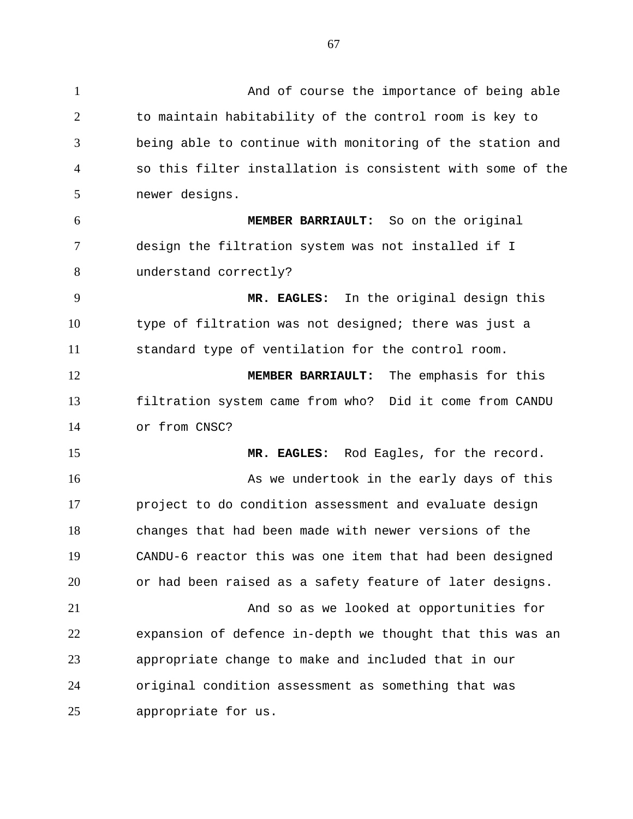1 And of course the importance of being able 2 3 4 5 6 7 8 9 10 11 12 13 14 15 16 17 18 19 20 21 22 23 24 25 to maintain habitability of the control room is key to being able to continue with monitoring of the station and so this filter installation is consistent with some of the newer designs. **MEMBER BARRIAULT:** So on the original design the filtration system was not installed if I understand correctly? **MR. EAGLES:** In the original design this type of filtration was not designed; there was just a standard type of ventilation for the control room. **MEMBER BARRIAULT:** The emphasis for this filtration system came from who? Did it come from CANDU or from CNSC? **MR. EAGLES:** Rod Eagles, for the record. As we undertook in the early days of this project to do condition assessment and evaluate design changes that had been made with newer versions of the CANDU-6 reactor this was one item that had been designed or had been raised as a safety feature of later designs. And so as we looked at opportunities for expansion of defence in-depth we thought that this was an appropriate change to make and included that in our original condition assessment as something that was appropriate for us.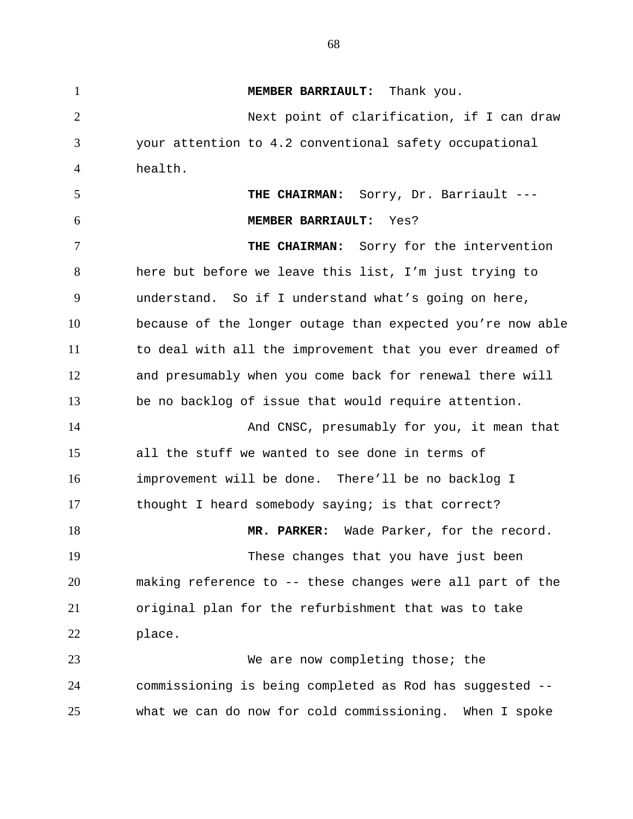1 **MEMBER BARRIAULT:** Thank you. 2 3 4 5 6 7 8 9 10 11 12 13 14 15 16 17 18 19 20 21 22 23 24 25 Next point of clarification, if I can draw your attention to 4.2 conventional safety occupational health. **THE CHAIRMAN:** Sorry, Dr. Barriault --- **MEMBER BARRIAULT:** Yes? **THE CHAIRMAN:** Sorry for the intervention here but before we leave this list, I'm just trying to understand. So if I understand what's going on here, because of the longer outage than expected you're now able to deal with all the improvement that you ever dreamed of and presumably when you come back for renewal there will be no backlog of issue that would require attention. And CNSC, presumably for you, it mean that all the stuff we wanted to see done in terms of improvement will be done. There'll be no backlog I thought I heard somebody saying; is that correct? **MR. PARKER:** Wade Parker, for the record. These changes that you have just been making reference to -- these changes were all part of the original plan for the refurbishment that was to take place. We are now completing those; the commissioning is being completed as Rod has suggested - what we can do now for cold commissioning. When I spoke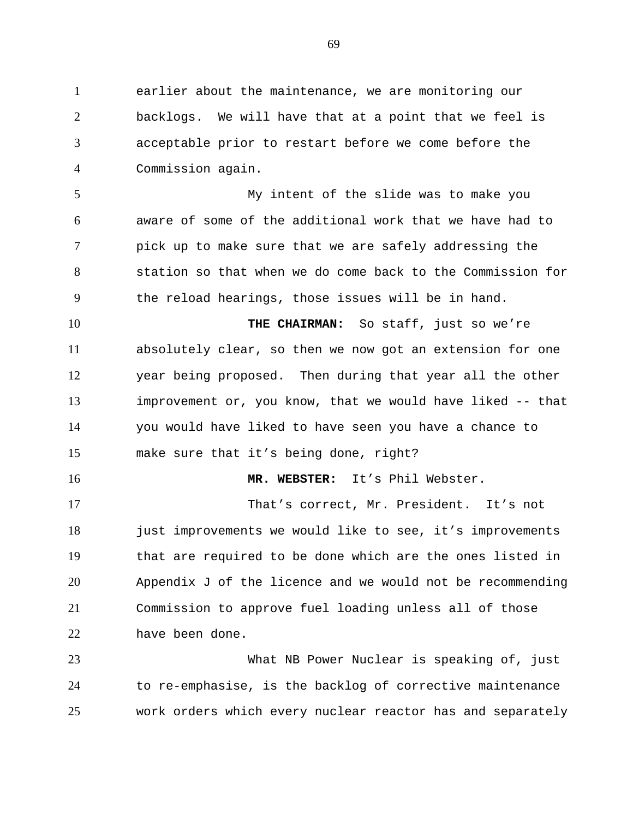1 earlier about the maintenance, we are monitoring our 2 3 4 backlogs. We will have that at a point that we feel is acceptable prior to restart before we come before the Commission again.

5 6 7 8 9 My intent of the slide was to make you aware of some of the additional work that we have had to pick up to make sure that we are safely addressing the station so that when we do come back to the Commission for the reload hearings, those issues will be in hand.

10 11 12 13 14 15 **THE CHAIRMAN:** So staff, just so we're absolutely clear, so then we now got an extension for one year being proposed. Then during that year all the other improvement or, you know, that we would have liked -- that you would have liked to have seen you have a chance to make sure that it's being done, right?

16

**MR. WEBSTER:** It's Phil Webster.

17 18 19 20 21 22 That's correct, Mr. President. It's not just improvements we would like to see, it's improvements that are required to be done which are the ones listed in Appendix J of the licence and we would not be recommending Commission to approve fuel loading unless all of those have been done.

23 24 25 What NB Power Nuclear is speaking of, just to re-emphasise, is the backlog of corrective maintenance work orders which every nuclear reactor has and separately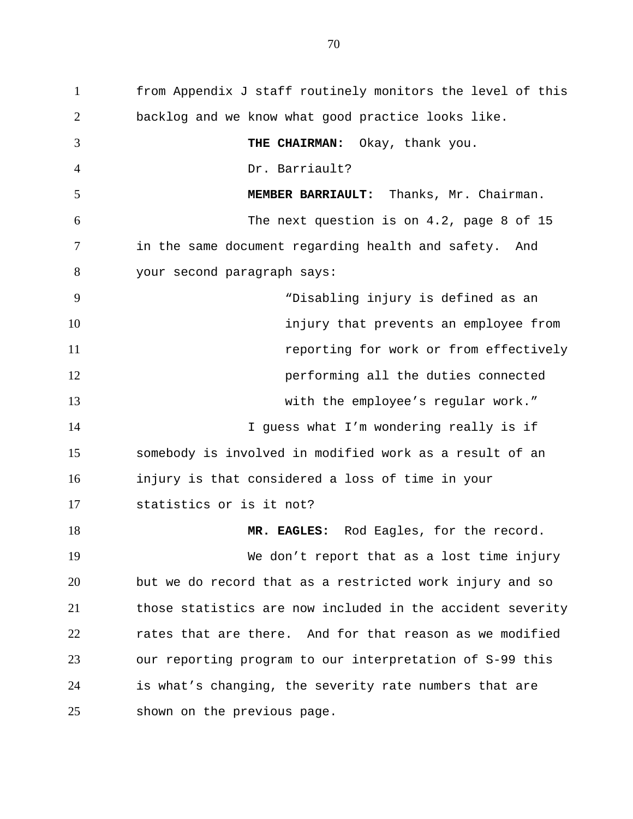1 from Appendix J staff routinely monitors the level of this 2 3 4 5 6 7 8 9 10 11 12 13 14 15 16 17 18 19 20 21 22 23 24 25 backlog and we know what good practice looks like. **THE CHAIRMAN:** Okay, thank you. Dr. Barriault? **MEMBER BARRIAULT:** Thanks, Mr. Chairman. The next question is on 4.2, page 8 of 15 in the same document regarding health and safety. And your second paragraph says: "Disabling injury is defined as an injury that prevents an employee from reporting for work or from effectively performing all the duties connected with the employee's regular work." I guess what I'm wondering really is if somebody is involved in modified work as a result of an injury is that considered a loss of time in your statistics or is it not? **MR. EAGLES:** Rod Eagles, for the record. We don't report that as a lost time injury but we do record that as a restricted work injury and so those statistics are now included in the accident severity rates that are there.And for that reason as we modified our reporting program to our interpretation of S-99 this is what's changing, the severity rate numbers that are shown on the previous page.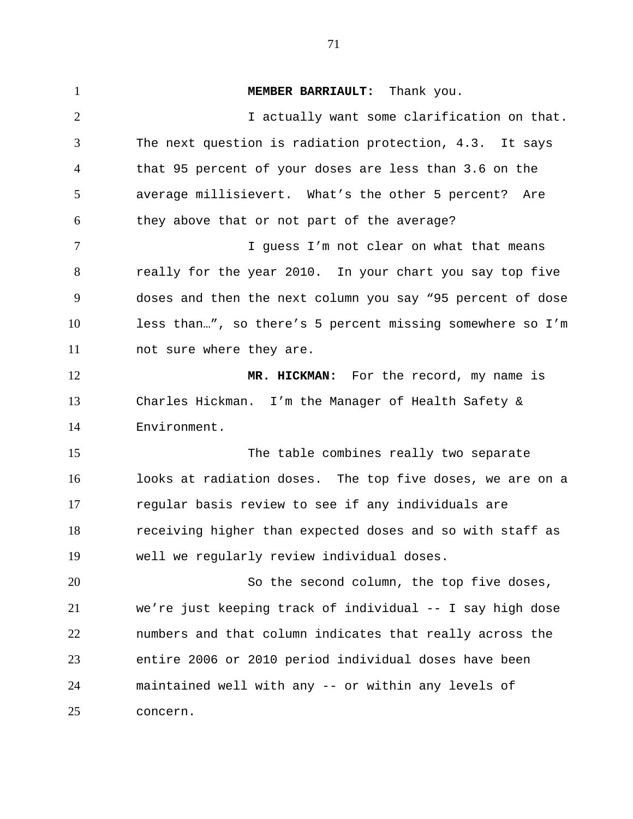1 **MEMBER BARRIAULT:** Thank you. 2 3 4 5 6 7 8 9 10 11 12 13 14 15 16 17 18 19 20 21 22 23 24 25 I actually want some clarification on that. The next question is radiation protection, 4.3. It says that 95 percent of your doses are less than 3.6 on the average millisievert. What's the other 5 percent? Are they above that or not part of the average? I guess I'm not clear on what that means really for the year 2010. In your chart you say top five doses and then the next column you say "95 percent of dose less than…", so there's 5 percent missing somewhere so I'm not sure where they are. **MR. HICKMAN:** For the record, my name is Charles Hickman. I'm the Manager of Health Safety & Environment. The table combines really two separate looks at radiation doses. The top five doses, we are on a regular basis review to see if any individuals are receiving higher than expected doses and so with staff as well we regularly review individual doses. So the second column, the top five doses, we're just keeping track of individual -- I say high dose numbers and that column indicates that really across the entire 2006 or 2010 period individual doses have been maintained well with any -- or within any levels of concern.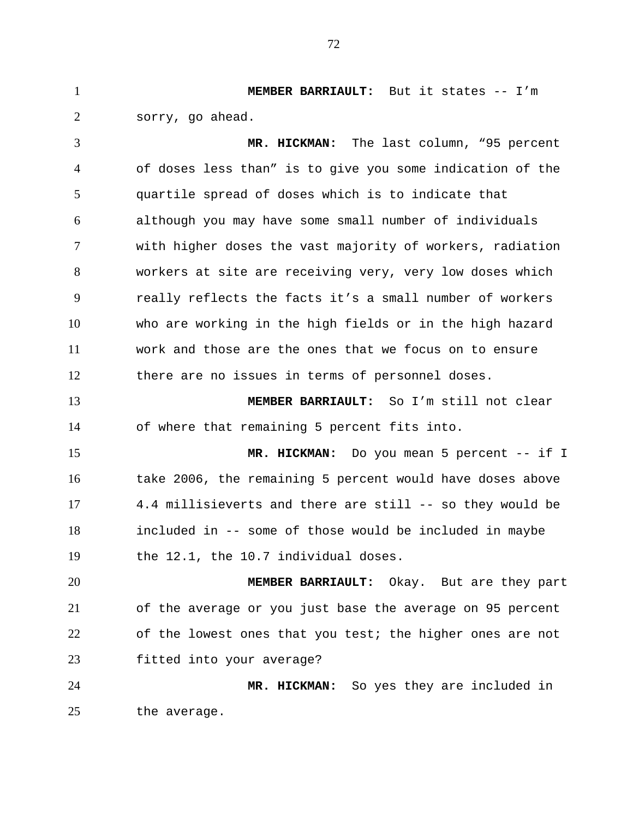1 **MEMBER BARRIAULT:** But it states -- I'm 2 sorry, go ahead.

3 4 5 6 7 8 9 10 11 12 **MR. HICKMAN:** The last column, "95 percent of doses less than" is to give you some indication of the quartile spread of doses which is to indicate that although you may have some small number of individuals with higher doses the vast majority of workers, radiation workers at site are receiving very, very low doses which really reflects the facts it's a small number of workers who are working in the high fields or in the high hazard work and those are the ones that we focus on to ensure there are no issues in terms of personnel doses.

13 14 **MEMBER BARRIAULT:** So I'm still not clear of where that remaining 5 percent fits into.

15 16 17 18 19 **MR. HICKMAN:** Do you mean 5 percent -- if I take 2006, the remaining 5 percent would have doses above 4.4 millisieverts and there are still -- so they would be included in -- some of those would be included in maybe the 12.1, the 10.7 individual doses.

20 21 22 23 **MEMBER BARRIAULT:** Okay. But are they part of the average or you just base the average on 95 percent of the lowest ones that you test; the higher ones are not fitted into your average?

24 25 **MR. HICKMAN:** So yes they are included in the average.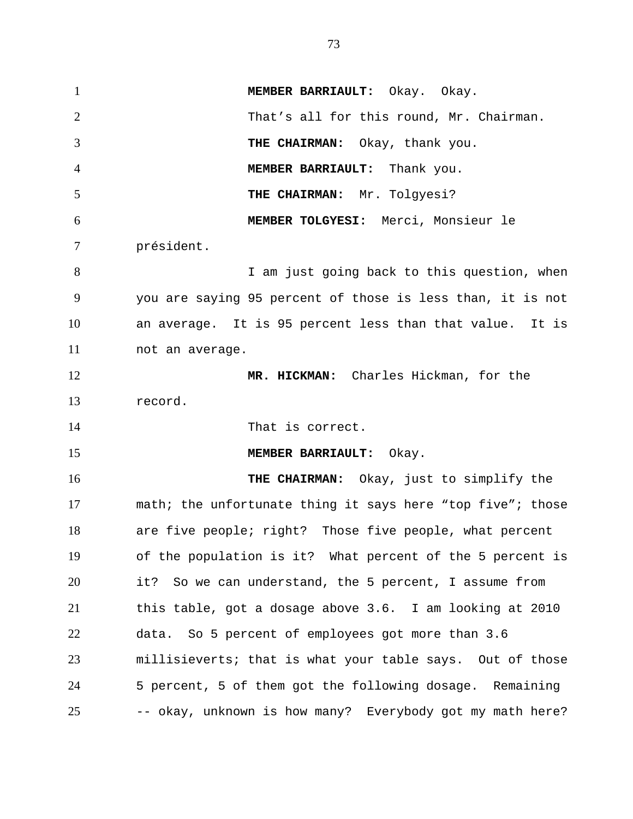1 **MEMBER BARRIAULT:** Okay. Okay. 2 3 4 5 6 7 8 9 10 11 12 13 14 15 16 17 18 19 20 21 22 23 24 25 That's all for this round, Mr. Chairman. **THE CHAIRMAN:** Okay, thank you. **MEMBER BARRIAULT:** Thank you. **THE CHAIRMAN:** Mr. Tolgyesi? **MEMBER TOLGYESI:** Merci, Monsieur le président. I am just going back to this question, when you are saying 95 percent of those is less than, it is not an average. It is 95 percent less than that value. It is not an average. **MR. HICKMAN:** Charles Hickman, for the record. That is correct. **MEMBER BARRIAULT:** Okay. **THE CHAIRMAN:** Okay, just to simplify the math; the unfortunate thing it says here "top five"; those are five people; right? Those five people, what percent of the population is it? What percent of the 5 percent is it? So we can understand, the 5 percent, I assume from this table, got a dosage above 3.6. I am looking at 2010 data. So 5 percent of employees got more than 3.6 millisieverts; that is what your table says. Out of those 5 percent, 5 of them got the following dosage. Remaining -- okay, unknown is how many? Everybody got my math here?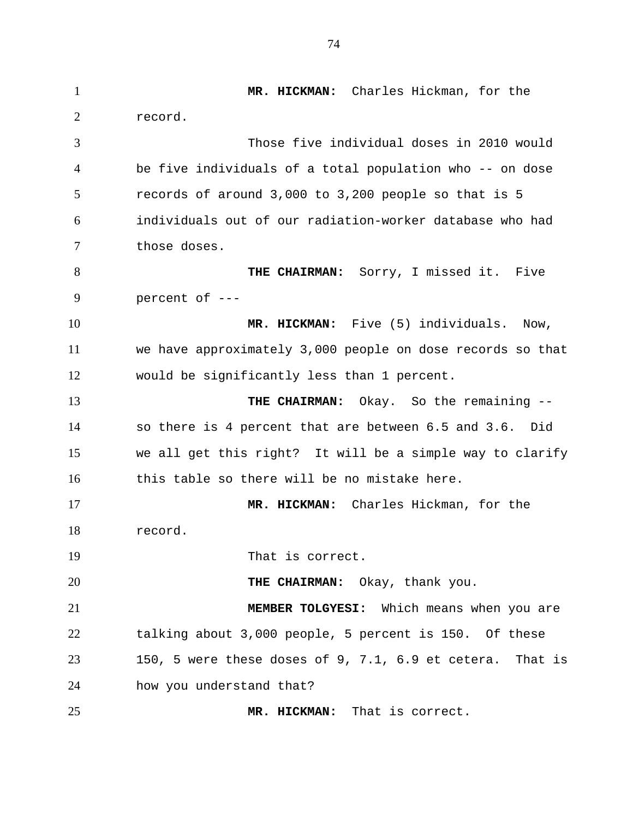1 **MR. HICKMAN:** Charles Hickman, for the 2 3 4 5 6 7 8 9 10 11 12 13 14 15 16 17 18 19 20 21 22 23 24 25 record. Those five individual doses in 2010 would be five individuals of a total population who -- on dose records of around 3,000 to 3,200 people so that is 5 individuals out of our radiation-worker database who had those doses. **THE CHAIRMAN:** Sorry, I missed it. Five percent of --- **MR. HICKMAN:** Five (5) individuals. Now, we have approximately 3,000 people on dose records so that would be significantly less than 1 percent. **THE CHAIRMAN:** Okay. So the remaining - so there is 4 percent that are between 6.5 and 3.6. Did we all get this right? It will be a simple way to clarify this table so there will be no mistake here. **MR. HICKMAN:** Charles Hickman, for the record. That is correct. **THE CHAIRMAN:** Okay, thank you. **MEMBER TOLGYESI:** Which means when you are talking about 3,000 people, 5 percent is 150. Of these 150, 5 were these doses of 9, 7.1, 6.9 et cetera. That is how you understand that? **MR. HICKMAN:** That is correct.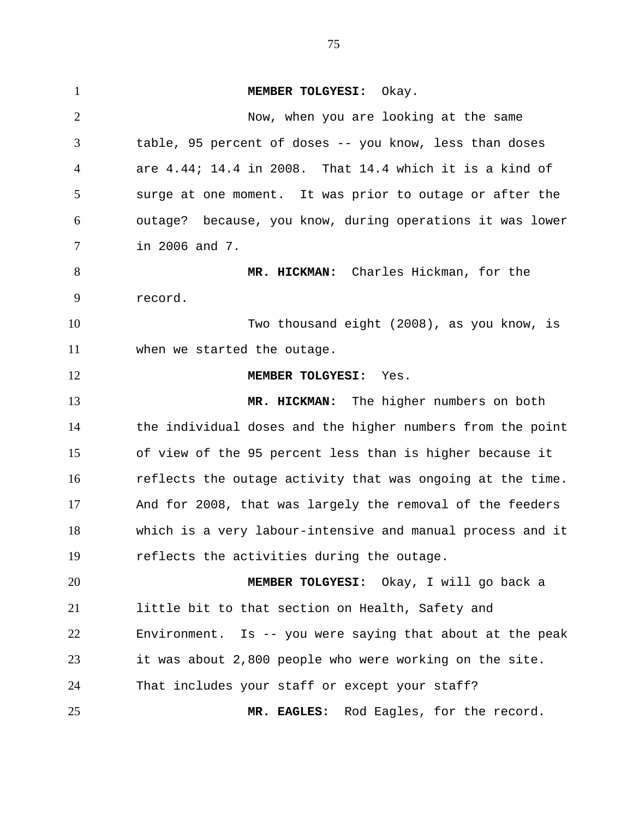1 **MEMBER TOLGYESI:** Okay. 2 3 4 5 6 7 8 9 10 11 12 13 14 15 16 17 18 19 20 21 22 23 24 25 Now, when you are looking at the same table, 95 percent of doses -- you know, less than doses are 4.44; 14.4 in 2008. That 14.4 which it is a kind of surge at one moment. It was prior to outage or after the outage? because, you know, during operations it was lower in 2006 and 7. **MR. HICKMAN:** Charles Hickman, for the record. Two thousand eight (2008), as you know, is when we started the outage. **MEMBER TOLGYESI:** Yes. **MR. HICKMAN:** The higher numbers on both the individual doses and the higher numbers from the point of view of the 95 percent less than is higher because it reflects the outage activity that was ongoing at the time. And for 2008, that was largely the removal of the feeders which is a very labour-intensive and manual process and it reflects the activities during the outage. **MEMBER TOLGYESI:** Okay, I will go back a little bit to that section on Health, Safety and Environment. Is -- you were saying that about at the peak it was about 2,800 people who were working on the site. That includes your staff or except your staff? **MR. EAGLES:** Rod Eagles, for the record.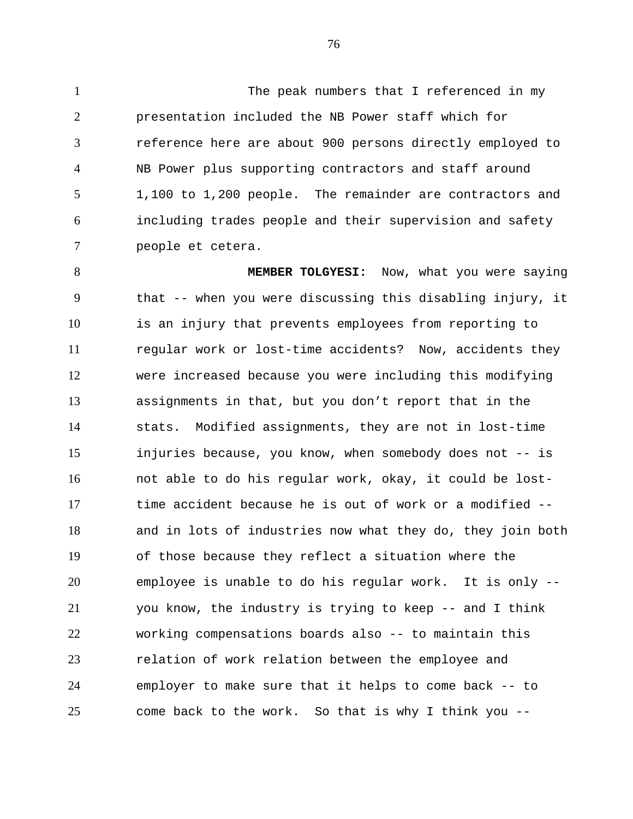1 The peak numbers that I referenced in my 2 3 4 5 6 7 presentation included the NB Power staff which for reference here are about 900 persons directly employed to NB Power plus supporting contractors and staff around 1,100 to 1,200 people. The remainder are contractors and including trades people and their supervision and safety people et cetera.

8 9 10 11 12 13 14 15 16 17 18 19 20 21 22 23 24 25 **MEMBER TOLGYESI:** Now, what you were saying that -- when you were discussing this disabling injury, it is an injury that prevents employees from reporting to regular work or lost-time accidents? Now, accidents they were increased because you were including this modifying assignments in that, but you don't report that in the stats. Modified assignments, they are not in lost-time injuries because, you know, when somebody does not -- is not able to do his regular work, okay, it could be losttime accident because he is out of work or a modified - and in lots of industries now what they do, they join both of those because they reflect a situation where the employee is unable to do his regular work. It is only - you know, the industry is trying to keep -- and I think working compensations boards also -- to maintain this relation of work relation between the employee and employer to make sure that it helps to come back -- to come back to the work. So that is why I think you --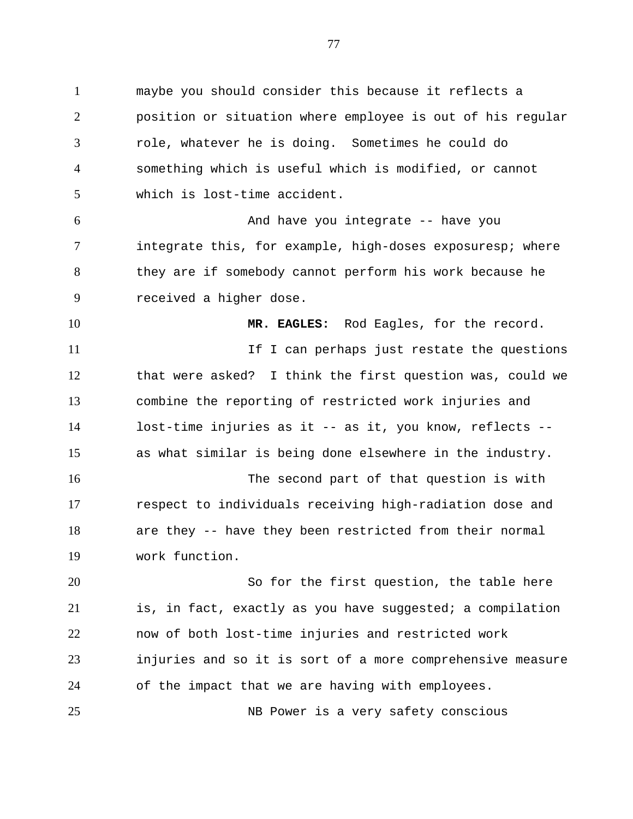1 maybe you should consider this because it reflects a 2 3 4 5 6 7 8 9 10 11 12 13 14 15 16 17 18 19 20 21 22 23 24 position or situation where employee is out of his regular role, whatever he is doing. Sometimes he could do something which is useful which is modified, or cannot which is lost-time accident. And have you integrate -- have you integrate this, for example, high-doses exposuresp; where they are if somebody cannot perform his work because he received a higher dose. **MR. EAGLES:** Rod Eagles, for the record. If I can perhaps just restate the questions that were asked? I think the first question was, could we combine the reporting of restricted work injuries and lost-time injuries as it -- as it, you know, reflects - as what similar is being done elsewhere in the industry. The second part of that question is with respect to individuals receiving high-radiation dose and are they -- have they been restricted from their normal work function. So for the first question, the table here is, in fact, exactly as you have suggested; a compilation now of both lost-time injuries and restricted work injuries and so it is sort of a more comprehensive measure of the impact that we are having with employees.

25 NB Power is a very safety conscious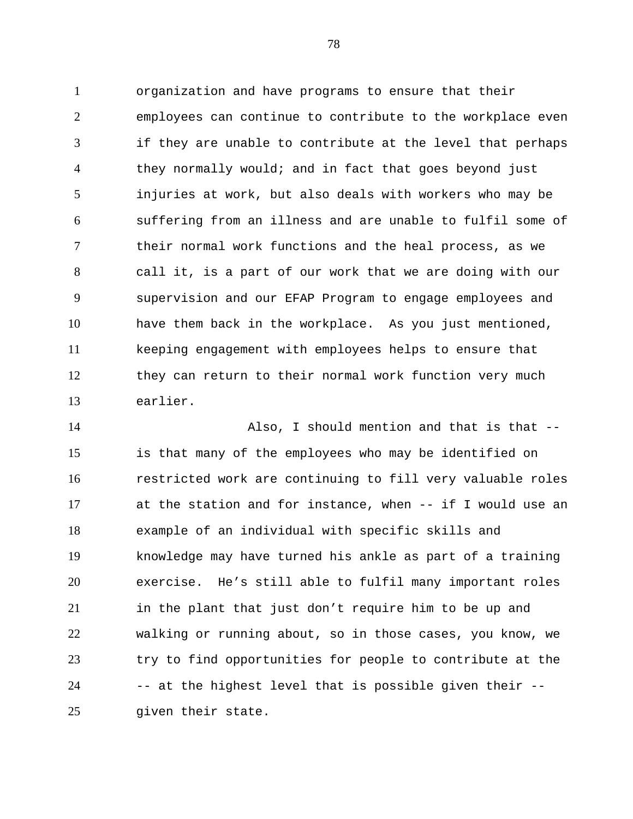1 organization and have programs to ensure that their 2 3 4 5 6 7 8 9 10 11 12 13 employees can continue to contribute to the workplace even if they are unable to contribute at the level that perhaps they normally would; and in fact that goes beyond just injuries at work, but also deals with workers who may be suffering from an illness and are unable to fulfil some of their normal work functions and the heal process, as we call it, is a part of our work that we are doing with our supervision and our EFAP Program to engage employees and have them back in the workplace. As you just mentioned, keeping engagement with employees helps to ensure that they can return to their normal work function very much earlier.

14 15 16 17 18 19 20 21 22 23 24 25 Also, I should mention and that is that - is that many of the employees who may be identified on restricted work are continuing to fill very valuable roles at the station and for instance, when -- if I would use an example of an individual with specific skills and knowledge may have turned his ankle as part of a training exercise. He's still able to fulfil many important roles in the plant that just don't require him to be up and walking or running about, so in those cases, you know, we try to find opportunities for people to contribute at the -- at the highest level that is possible given their - given their state.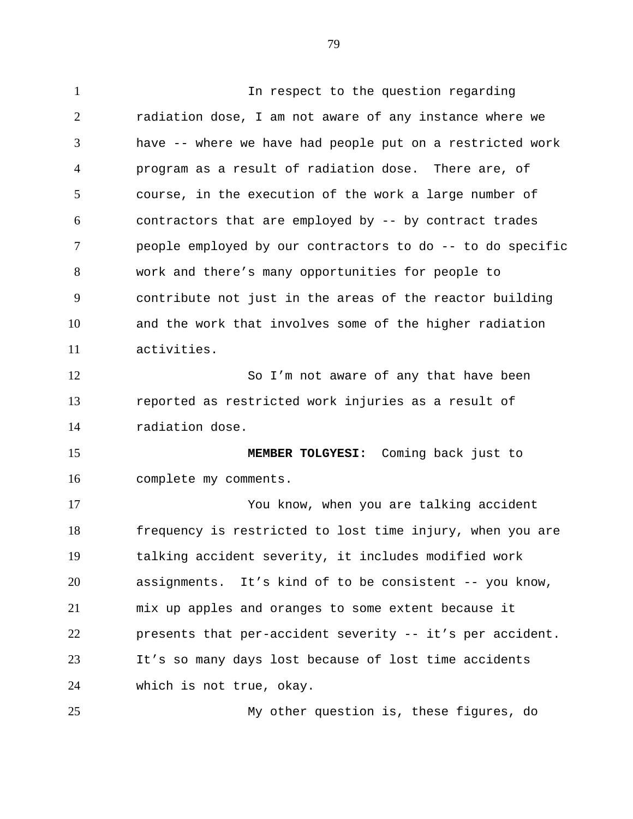1 In respect to the question regarding 2 3 4 5 6 7 8 9 10 11 12 13 14 15 16 17 18 19 20 21 22 23 24 25 radiation dose, I am not aware of any instance where we have -- where we have had people put on a restricted work program as a result of radiation dose. There are, of course, in the execution of the work a large number of contractors that are employed by -- by contract trades people employed by our contractors to do -- to do specific work and there's many opportunities for people to contribute not just in the areas of the reactor building and the work that involves some of the higher radiation activities. So I'm not aware of any that have been reported as restricted work injuries as a result of radiation dose. **MEMBER TOLGYESI:** Coming back just to complete my comments. You know, when you are talking accident frequency is restricted to lost time injury, when you are talking accident severity, it includes modified work assignments. It's kind of to be consistent -- you know, mix up apples and oranges to some extent because it presents that per-accident severity -- it's per accident. It's so many days lost because of lost time accidents which is not true, okay. My other question is, these figures, do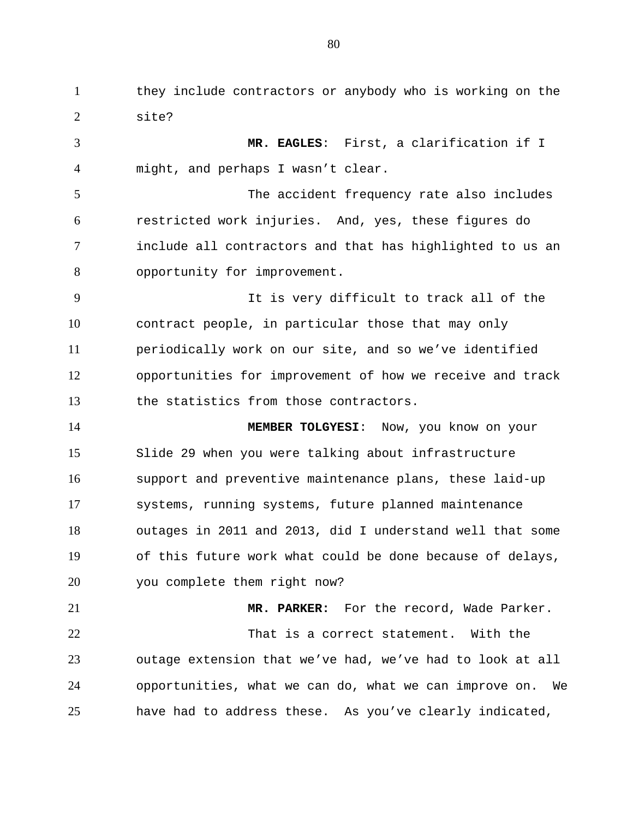1 they include contractors or anybody who is working on the 2 site?

3 4 5 6 7 8 9 10 11 12 13 14 15 16 17 **MR. EAGLES**: First, a clarification if I might, and perhaps I wasn't clear. The accident frequency rate also includes restricted work injuries. And, yes, these figures do include all contractors and that has highlighted to us an opportunity for improvement. It is very difficult to track all of the contract people, in particular those that may only periodically work on our site, and so we've identified opportunities for improvement of how we receive and track the statistics from those contractors. **MEMBER TOLGYESI**: Now, you know on your Slide 29 when you were talking about infrastructure support and preventive maintenance plans, these laid-up systems, running systems, future planned maintenance

18 19 20 outages in 2011 and 2013, did I understand well that some of this future work what could be done because of delays, you complete them right now?

21 22 23 24 25 **MR. PARKER:** For the record, Wade Parker. That is a correct statement. With the outage extension that we've had, we've had to look at all opportunities, what we can do, what we can improve on. We have had to address these. As you've clearly indicated,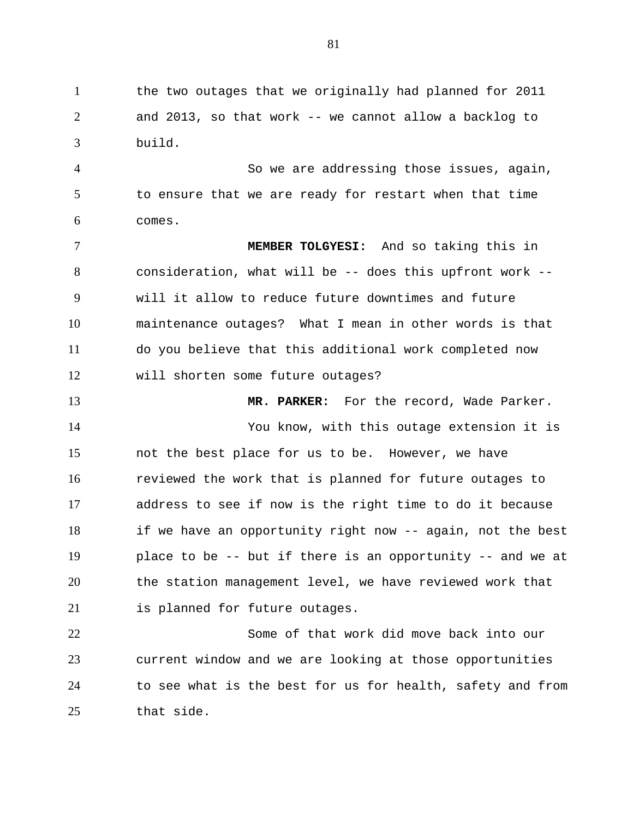1 the two outages that we originally had planned for 2011 2 3 and 2013, so that work -- we cannot allow a backlog to build.

4 5 6 So we are addressing those issues, again, to ensure that we are ready for restart when that time comes.

7 8 9 10 11 12 **MEMBER TOLGYESI:** And so taking this in consideration, what will be -- does this upfront work - will it allow to reduce future downtimes and future maintenance outages? What I mean in other words is that do you believe that this additional work completed now will shorten some future outages?

13 14 15 16 17 18 19 20 21 **MR. PARKER:** For the record, Wade Parker. You know, with this outage extension it is not the best place for us to be. However, we have reviewed the work that is planned for future outages to address to see if now is the right time to do it because if we have an opportunity right now -- again, not the best place to be -- but if there is an opportunity -- and we at the station management level, we have reviewed work that is planned for future outages.

22 23 24 25 Some of that work did move back into our current window and we are looking at those opportunities to see what is the best for us for health, safety and from that side.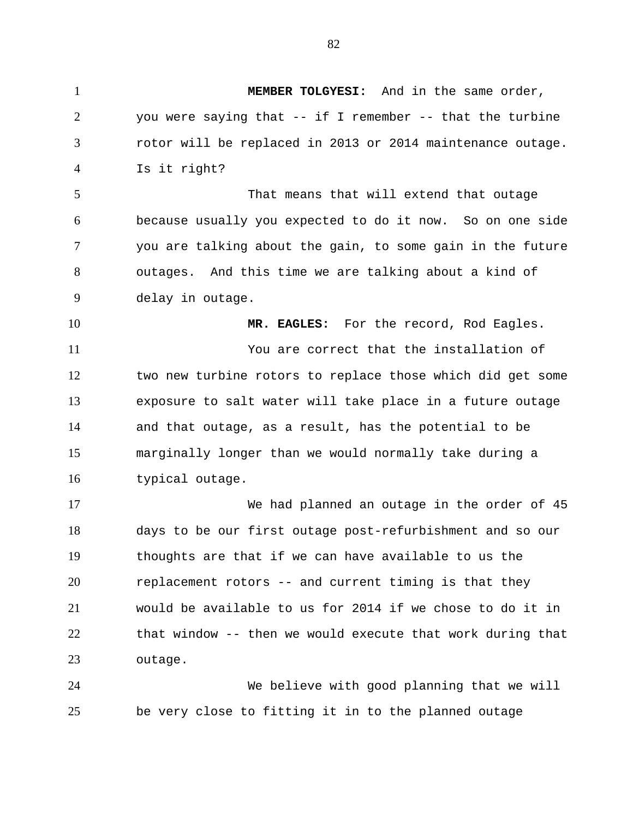1 **MEMBER TOLGYESI:** And in the same order, 2 3 4 5 6 7 8 9 10 11 12 13 14 15 16 17 18 19 20 21 22 23 24 25 you were saying that -- if I remember -- that the turbine rotor will be replaced in 2013 or 2014 maintenance outage. Is it right? That means that will extend that outage because usually you expected to do it now. So on one side you are talking about the gain, to some gain in the future outages. And this time we are talking about a kind of delay in outage. **MR. EAGLES:** For the record, Rod Eagles. You are correct that the installation of two new turbine rotors to replace those which did get some exposure to salt water will take place in a future outage and that outage, as a result, has the potential to be marginally longer than we would normally take during a typical outage. We had planned an outage in the order of 45 days to be our first outage post-refurbishment and so our thoughts are that if we can have available to us the replacement rotors -- and current timing is that they would be available to us for 2014 if we chose to do it in that window -- then we would execute that work during that outage. We believe with good planning that we will be very close to fitting it in to the planned outage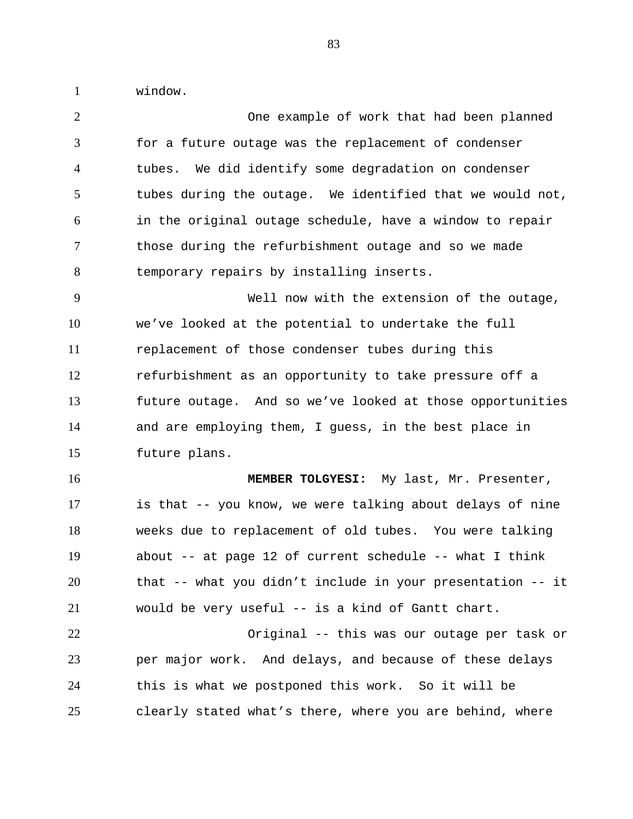1 window.

| $\overline{2}$ | One example of work that had been planned                  |
|----------------|------------------------------------------------------------|
| 3              | for a future outage was the replacement of condenser       |
| $\overline{4}$ | tubes. We did identify some degradation on condenser       |
| 5              | tubes during the outage. We identified that we would not,  |
| 6              | in the original outage schedule, have a window to repair   |
| $\tau$         | those during the refurbishment outage and so we made       |
| 8              | temporary repairs by installing inserts.                   |
| 9              | Well now with the extension of the outage,                 |
| 10             | we've looked at the potential to undertake the full        |
| 11             | replacement of those condenser tubes during this           |
| 12             | refurbishment as an opportunity to take pressure off a     |
| 13             | future outage. And so we've looked at those opportunities  |
|                |                                                            |
| 14             | and are employing them, I guess, in the best place in      |
| 15             | future plans.                                              |
| 16             | MEMBER TOLGYESI: My last, Mr. Presenter,                   |
| 17             | is that -- you know, we were talking about delays of nine  |
| 18             | weeks due to replacement of old tubes. You were talking    |
| 19             | about -- at page 12 of current schedule -- what I think    |
| 20             | that -- what you didn't include in your presentation -- it |
| 21             | would be very useful -- is a kind of Gantt chart.          |
| 22             | Original -- this was our outage per task or                |
| 23             | per major work. And delays, and because of these delays    |
| 24             | this is what we postponed this work. So it will be         |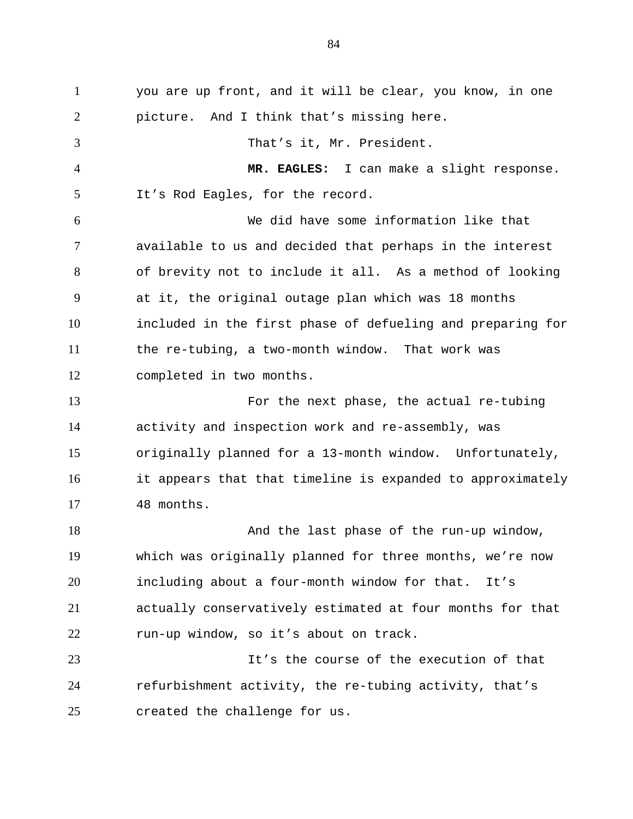1 you are up front, and it will be clear, you know, in one 2 3 4 5 6 7 8 9 10 11 12 13 14 15 16 17 18 19 20 21 22 23 24 25 picture. And I think that's missing here. That's it, Mr. President. **MR. EAGLES:** I can make a slight response. It's Rod Eagles, for the record. We did have some information like that available to us and decided that perhaps in the interest of brevity not to include it all. As a method of looking at it, the original outage plan which was 18 months included in the first phase of defueling and preparing for the re-tubing, a two-month window. That work was completed in two months. For the next phase, the actual re-tubing activity and inspection work and re-assembly, was originally planned for a 13-month window. Unfortunately, it appears that that timeline is expanded to approximately 48 months. And the last phase of the run-up window, which was originally planned for three months, we're now including about a four-month window for that. It's actually conservatively estimated at four months for that run-up window, so it's about on track. It's the course of the execution of that refurbishment activity, the re-tubing activity, that's created the challenge for us.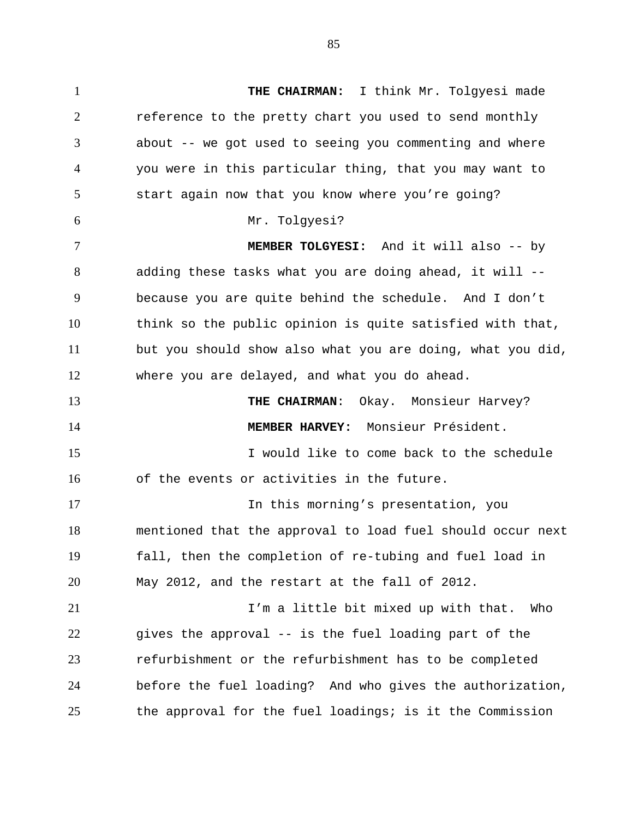1 **THE CHAIRMAN:** I think Mr. Tolgyesi made 2 3 4 5 6 7 8 9 10 11 12 13 14 15 16 17 18 19 20 21 22 23 24 25 reference to the pretty chart you used to send monthly about -- we got used to seeing you commenting and where you were in this particular thing, that you may want to start again now that you know where you're going? Mr. Tolgyesi? **MEMBER TOLGYESI:** And it will also -- by adding these tasks what you are doing ahead, it will - because you are quite behind the schedule. And I don't think so the public opinion is quite satisfied with that, but you should show also what you are doing, what you did, where you are delayed, and what you do ahead. **THE CHAIRMAN**: Okay. Monsieur Harvey? **MEMBER HARVEY:** Monsieur Président. I would like to come back to the schedule of the events or activities in the future. In this morning's presentation, you mentioned that the approval to load fuel should occur next fall, then the completion of re-tubing and fuel load in May 2012, and the restart at the fall of 2012. I'm a little bit mixed up with that. Who gives the approval -- is the fuel loading part of the refurbishment or the refurbishment has to be completed before the fuel loading? And who gives the authorization, the approval for the fuel loadings; is it the Commission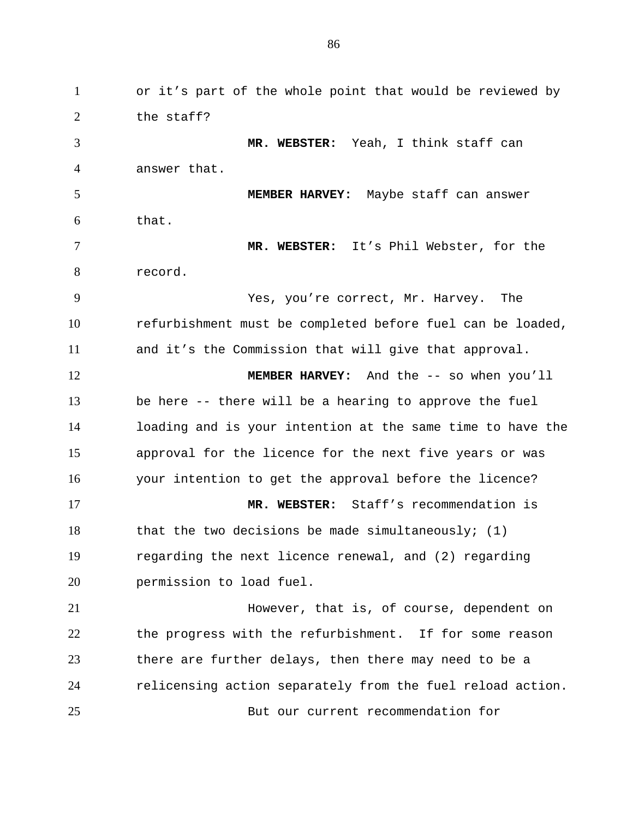1 or it's part of the whole point that would be reviewed by 2 3 4 5 6 7 8 9 10 11 12 13 14 15 16 17 18 19 20 21 22 23 24 25 the staff? **MR. WEBSTER:** Yeah, I think staff can answer that. **MEMBER HARVEY:** Maybe staff can answer that. **MR. WEBSTER:** It's Phil Webster, for the record. Yes, you're correct, Mr. Harvey. The refurbishment must be completed before fuel can be loaded, and it's the Commission that will give that approval. **MEMBER HARVEY:** And the -- so when you'll be here -- there will be a hearing to approve the fuel loading and is your intention at the same time to have the approval for the licence for the next five years or was your intention to get the approval before the licence? **MR. WEBSTER:** Staff's recommendation is that the two decisions be made simultaneously;  $(1)$ regarding the next licence renewal, and (2) regarding permission to load fuel. However, that is, of course, dependent on the progress with the refurbishment. If for some reason there are further delays, then there may need to be a relicensing action separately from the fuel reload action. But our current recommendation for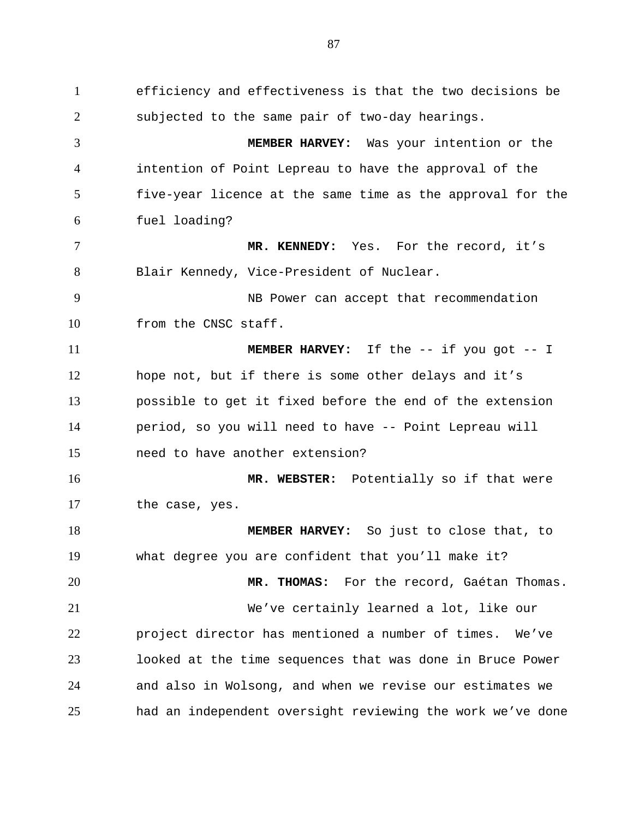1 efficiency and effectiveness is that the two decisions be 2 3 4 5 6 7 8 9 10 11 12 13 14 15 16 17 18 19 20 21 22 23 24 25 subjected to the same pair of two-day hearings. **MEMBER HARVEY:** Was your intention or the intention of Point Lepreau to have the approval of the five-year licence at the same time as the approval for the fuel loading? **MR. KENNEDY:** Yes. For the record, it's Blair Kennedy, Vice-President of Nuclear. NB Power can accept that recommendation from the CNSC staff. **MEMBER HARVEY:** If the -- if you got -- I hope not, but if there is some other delays and it's possible to get it fixed before the end of the extension period, so you will need to have -- Point Lepreau will need to have another extension? **MR. WEBSTER:** Potentially so if that were the case, yes. **MEMBER HARVEY:** So just to close that, to what degree you are confident that you'll make it? **MR. THOMAS:** For the record, Gaétan Thomas. We've certainly learned a lot, like our project director has mentioned a number of times. We've looked at the time sequences that was done in Bruce Power and also in Wolsong, and when we revise our estimates we had an independent oversight reviewing the work we've done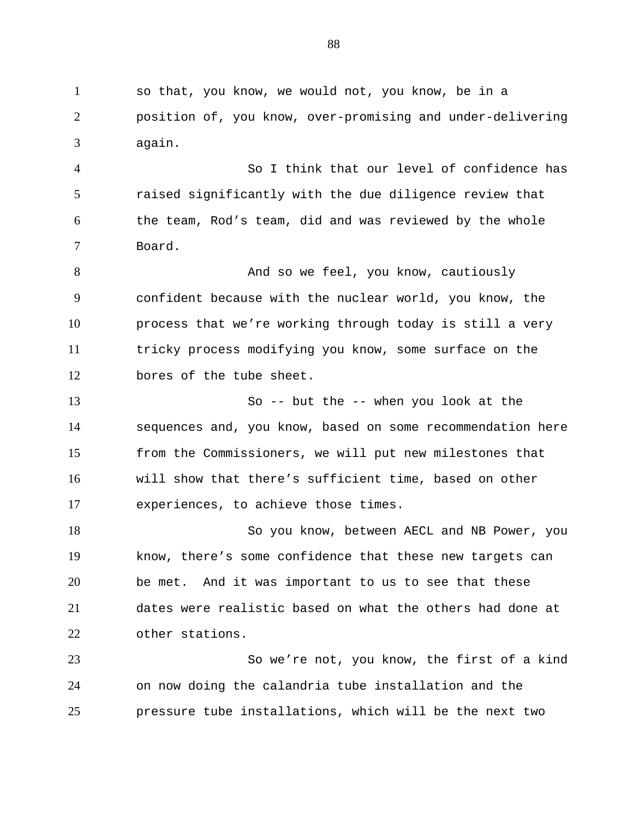1 so that, you know, we would not, you know, be in a 2 3 position of, you know, over-promising and under-delivering again.

4 5 6 7 So I think that our level of confidence has raised significantly with the due diligence review that the team, Rod's team, did and was reviewed by the whole Board.

8 9 10 11 12 And so we feel, you know, cautiously confident because with the nuclear world, you know, the process that we're working through today is still a very tricky process modifying you know, some surface on the bores of the tube sheet.

13 14 15 16 17 So -- but the -- when you look at the sequences and, you know, based on some recommendation here from the Commissioners, we will put new milestones that will show that there's sufficient time, based on other experiences, to achieve those times.

18 19 20 21 22 So you know, between AECL and NB Power, you know, there's some confidence that these new targets can be met. And it was important to us to see that these dates were realistic based on what the others had done at other stations.

23 24 25 So we're not, you know, the first of a kind on now doing the calandria tube installation and the pressure tube installations, which will be the next two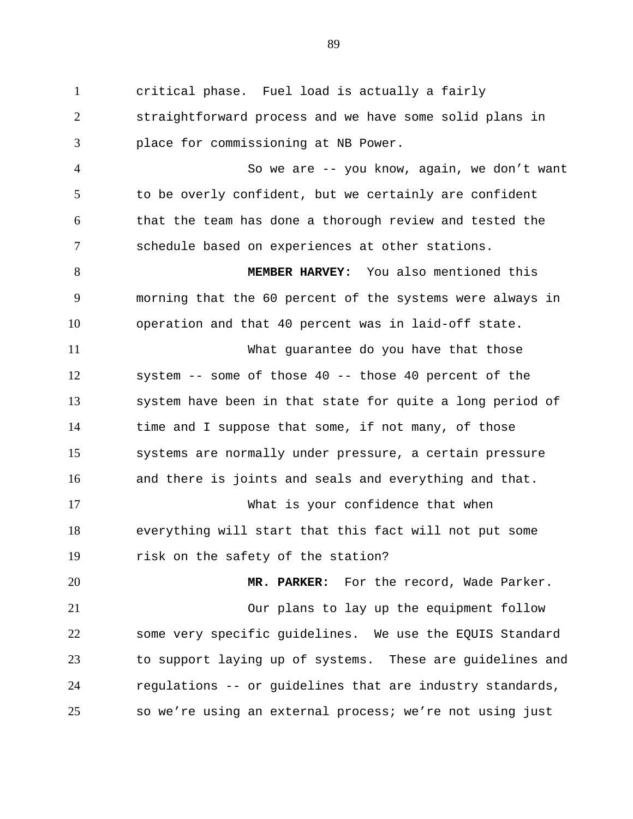1 critical phase. Fuel load is actually a fairly 2 3 straightforward process and we have some solid plans in place for commissioning at NB Power.

4 5 6 7 So we are -- you know, again, we don't want to be overly confident, but we certainly are confident that the team has done a thorough review and tested the schedule based on experiences at other stations.

8 9 10 **MEMBER HARVEY:** You also mentioned this morning that the 60 percent of the systems were always in operation and that 40 percent was in laid-off state.

11 12 13 14 15 16 What guarantee do you have that those system -- some of those 40 -- those 40 percent of the system have been in that state for quite a long period of time and I suppose that some, if not many, of those systems are normally under pressure, a certain pressure and there is joints and seals and everything and that.

17 18 19 What is your confidence that when everything will start that this fact will not put some risk on the safety of the station?

20 21 22 23 24 25 **MR. PARKER:** For the record, Wade Parker. Our plans to lay up the equipment follow some very specific guidelines. We use the EQUIS Standard to support laying up of systems. These are guidelines and regulations -- or guidelines that are industry standards, so we're using an external process; we're not using just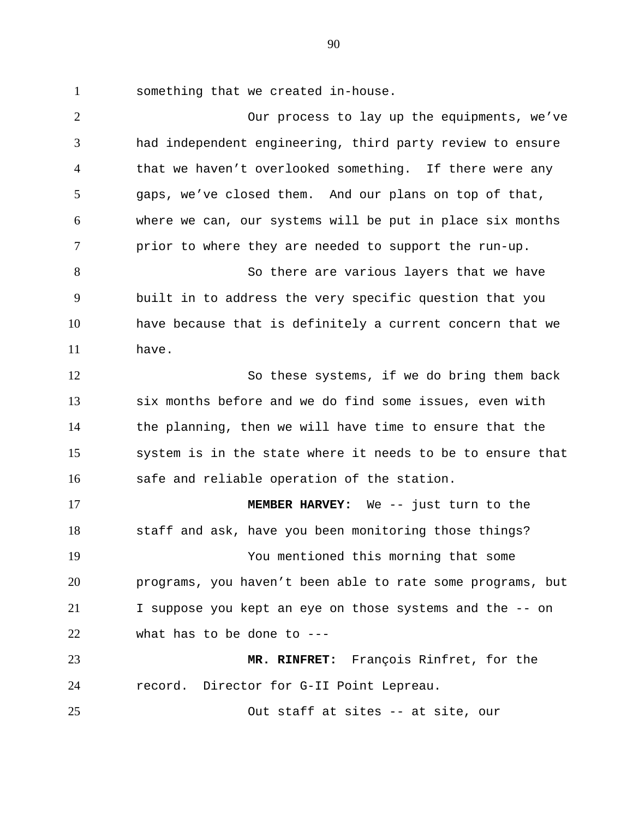1 something that we created in-house.

2 3 4 5 6 7 8 9 10 11 12 13 14 15 16 17 18 19 20 21 22 23 24 25 Our process to lay up the equipments, we've had independent engineering, third party review to ensure that we haven't overlooked something. If there were any gaps, we've closed them. And our plans on top of that, where we can, our systems will be put in place six months prior to where they are needed to support the run-up. So there are various layers that we have built in to address the very specific question that you have because that is definitely a current concern that we have. So these systems, if we do bring them back six months before and we do find some issues, even with the planning, then we will have time to ensure that the system is in the state where it needs to be to ensure that safe and reliable operation of the station. **MEMBER HARVEY:** We -- just turn to the staff and ask, have you been monitoring those things? You mentioned this morning that some programs, you haven't been able to rate some programs, but I suppose you kept an eye on those systems and the -- on what has to be done to --- **MR. RINFRET:** François Rinfret, for the record. Director for G-II Point Lepreau. Out staff at sites -- at site, our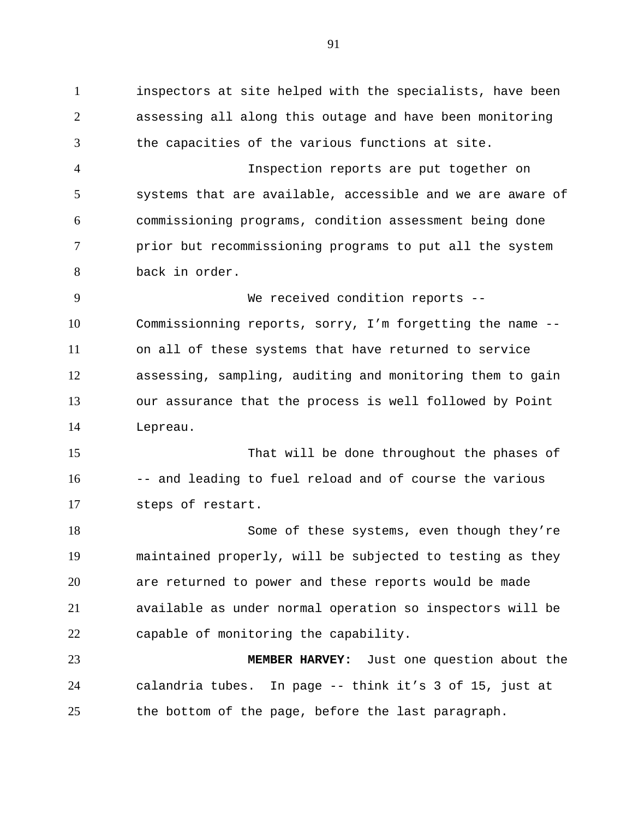1 inspectors at site helped with the specialists, have been 2 3 4 5 6 7 8 9 10 11 12 13 14 15 16 17 18 19 20 21 22 23 24 assessing all along this outage and have been monitoring the capacities of the various functions at site. Inspection reports are put together on systems that are available, accessible and we are aware of commissioning programs, condition assessment being done prior but recommissioning programs to put all the system back in order. We received condition reports --Commissionning reports, sorry, I'm forgetting the name - on all of these systems that have returned to service assessing, sampling, auditing and monitoring them to gain our assurance that the process is well followed by Point Lepreau. That will be done throughout the phases of -- and leading to fuel reload and of course the various steps of restart. Some of these systems, even though they're maintained properly, will be subjected to testing as they are returned to power and these reports would be made available as under normal operation so inspectors will be capable of monitoring the capability. **MEMBER HARVEY:** Just one question about the calandria tubes. In page -- think it's 3 of 15, just at

25 the bottom of the page, before the last paragraph.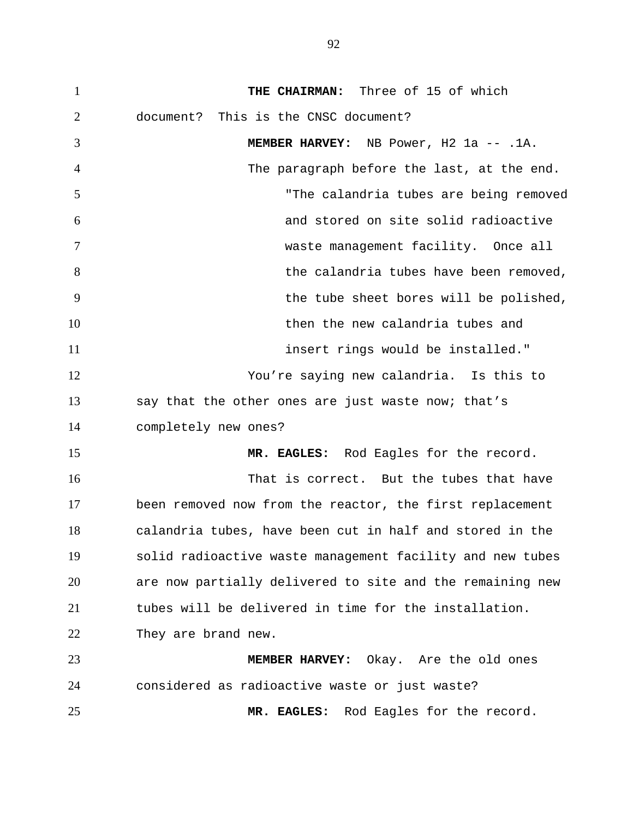1 **THE CHAIRMAN:** Three of 15 of which 2 3 4 5 6 7 8 9 10 11 12 13 14 15 16 17 18 19 20 21 22 23 24 25 document? This is the CNSC document? **MEMBER HARVEY:** NB Power, H2 1a -- .1A. The paragraph before the last, at the end. "The calandria tubes are being removed and stored on site solid radioactive waste management facility. Once all the calandria tubes have been removed, the tube sheet bores will be polished, then the new calandria tubes and insert rings would be installed." You're saying new calandria. Is this to say that the other ones are just waste now; that's completely new ones? **MR. EAGLES:** Rod Eagles for the record. That is correct. But the tubes that have been removed now from the reactor, the first replacement calandria tubes, have been cut in half and stored in the solid radioactive waste management facility and new tubes are now partially delivered to site and the remaining new tubes will be delivered in time for the installation. They are brand new. **MEMBER HARVEY:** Okay. Are the old ones considered as radioactive waste or just waste? **MR. EAGLES:** Rod Eagles for the record.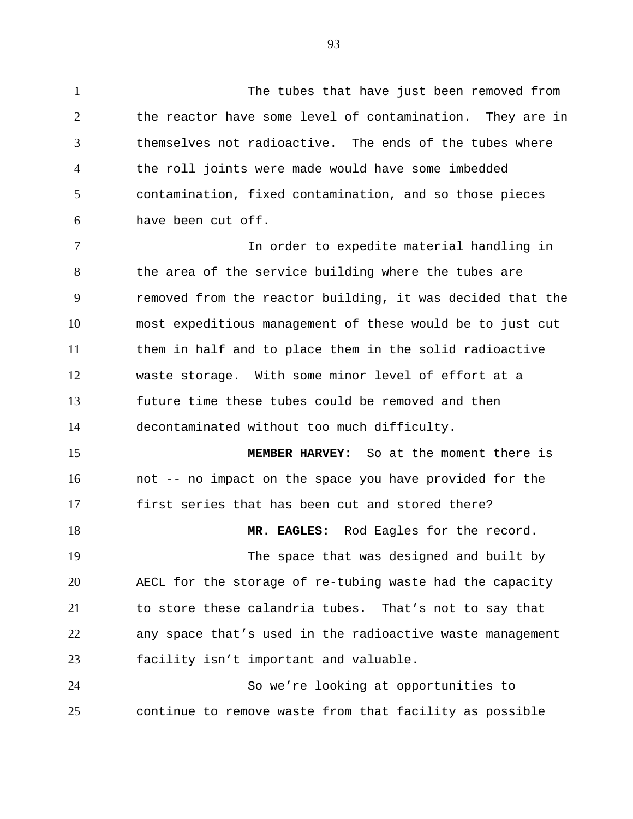1 The tubes that have just been removed from 2 3 4 5 6 the reactor have some level of contamination. They are in themselves not radioactive. The ends of the tubes where the roll joints were made would have some imbedded contamination, fixed contamination, and so those pieces have been cut off.

7 8 9 10 11 12 13 14 In order to expedite material handling in the area of the service building where the tubes are removed from the reactor building, it was decided that the most expeditious management of these would be to just cut them in half and to place them in the solid radioactive waste storage. With some minor level of effort at a future time these tubes could be removed and then decontaminated without too much difficulty.

15 16 17 **MEMBER HARVEY:** So at the moment there is not -- no impact on the space you have provided for the first series that has been cut and stored there?

18 **MR. EAGLES:** Rod Eagles for the record.

19 20 21 22 23 The space that was designed and built by AECL for the storage of re-tubing waste had the capacity to store these calandria tubes. That's not to say that any space that's used in the radioactive waste management facility isn't important and valuable.

24 25 So we're looking at opportunities to continue to remove waste from that facility as possible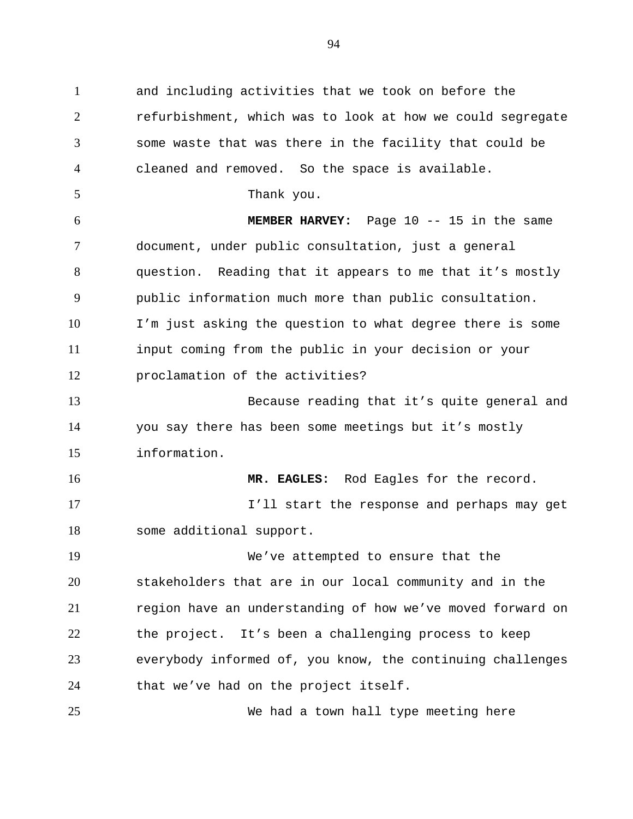1 and including activities that we took on before the 2 3 4 5 6 7 8 9 10 11 12 13 14 15 16 17 18 19 20 21 22 23 24 25 refurbishment, which was to look at how we could segregate some waste that was there in the facility that could be cleaned and removed. So the space is available. Thank you. **MEMBER HARVEY:** Page 10 -- 15 in the same document, under public consultation, just a general question. Reading that it appears to me that it's mostly public information much more than public consultation. I'm just asking the question to what degree there is some input coming from the public in your decision or your proclamation of the activities? Because reading that it's quite general and you say there has been some meetings but it's mostly information. **MR. EAGLES:** Rod Eagles for the record. I'll start the response and perhaps may get some additional support. We've attempted to ensure that the stakeholders that are in our local community and in the region have an understanding of how we've moved forward on the project. It's been a challenging process to keep everybody informed of, you know, the continuing challenges that we've had on the project itself. We had a town hall type meeting here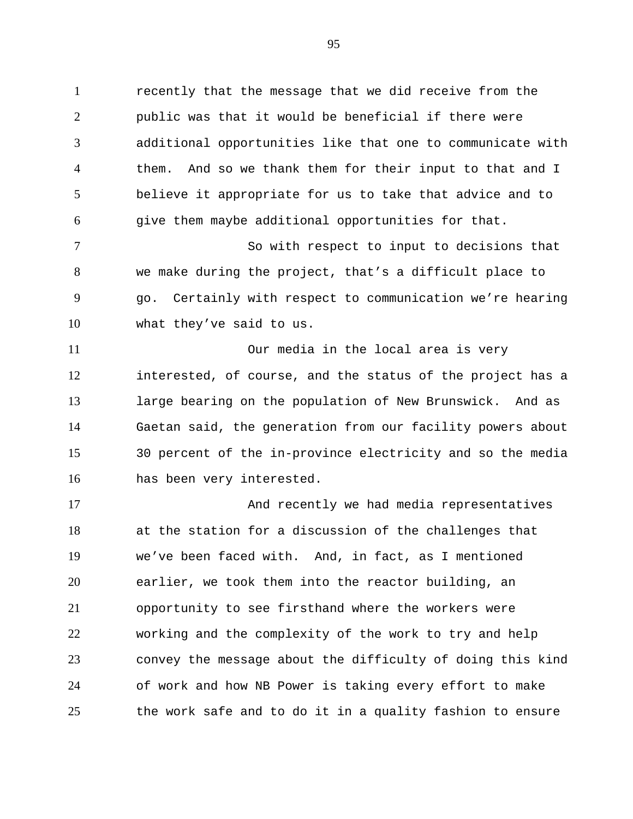1 recently that the message that we did receive from the 2 3 4 5 6 public was that it would be beneficial if there were additional opportunities like that one to communicate with them. And so we thank them for their input to that and I believe it appropriate for us to take that advice and to give them maybe additional opportunities for that.

7 8 9 10 So with respect to input to decisions that we make during the project, that's a difficult place to go. Certainly with respect to communication we're hearing what they've said to us.

11 12 13 14 15 16 Our media in the local area is very interested, of course, and the status of the project has a large bearing on the population of New Brunswick. And as Gaetan said, the generation from our facility powers about 30 percent of the in-province electricity and so the media has been very interested.

17 18 19 20 21 22 23 24 25 And recently we had media representatives at the station for a discussion of the challenges that we've been faced with. And, in fact, as I mentioned earlier, we took them into the reactor building, an opportunity to see firsthand where the workers were working and the complexity of the work to try and help convey the message about the difficulty of doing this kind of work and how NB Power is taking every effort to make the work safe and to do it in a quality fashion to ensure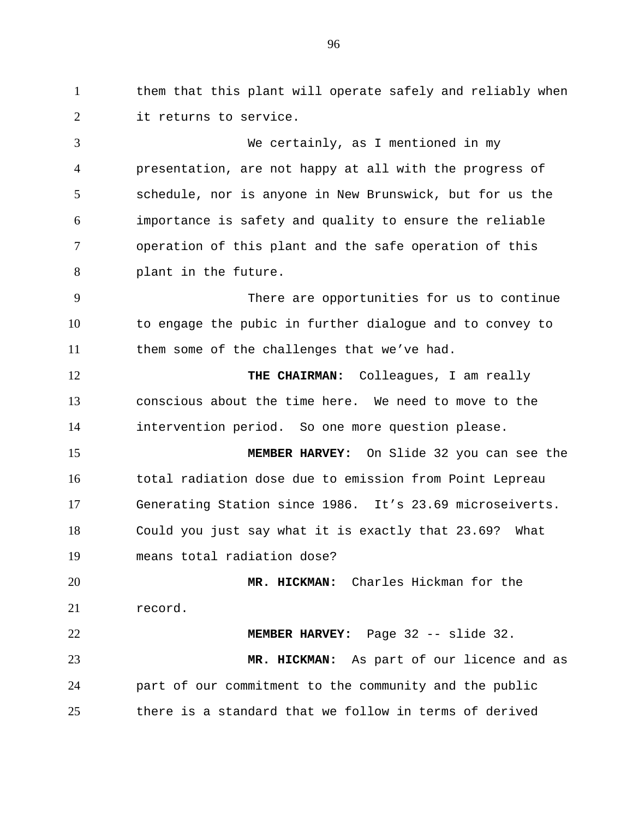1 them that this plant will operate safely and reliably when 2 it returns to service.

3 4 5 6 7 8 9 10 11 12 13 14 15 16 17 18 19 20 21 22 23 24 We certainly, as I mentioned in my presentation, are not happy at all with the progress of schedule, nor is anyone in New Brunswick, but for us the importance is safety and quality to ensure the reliable operation of this plant and the safe operation of this plant in the future. There are opportunities for us to continue to engage the pubic in further dialogue and to convey to them some of the challenges that we've had. **THE CHAIRMAN:** Colleagues, I am really conscious about the time here. We need to move to the intervention period. So one more question please. **MEMBER HARVEY:** On Slide 32 you can see the total radiation dose due to emission from Point Lepreau Generating Station since 1986. It's 23.69 microseiverts. Could you just say what it is exactly that 23.69? What means total radiation dose? **MR. HICKMAN:** Charles Hickman for the record. **MEMBER HARVEY:** Page 32 -- slide 32. **MR. HICKMAN:** As part of our licence and as part of our commitment to the community and the public

25 there is a standard that we follow in terms of derived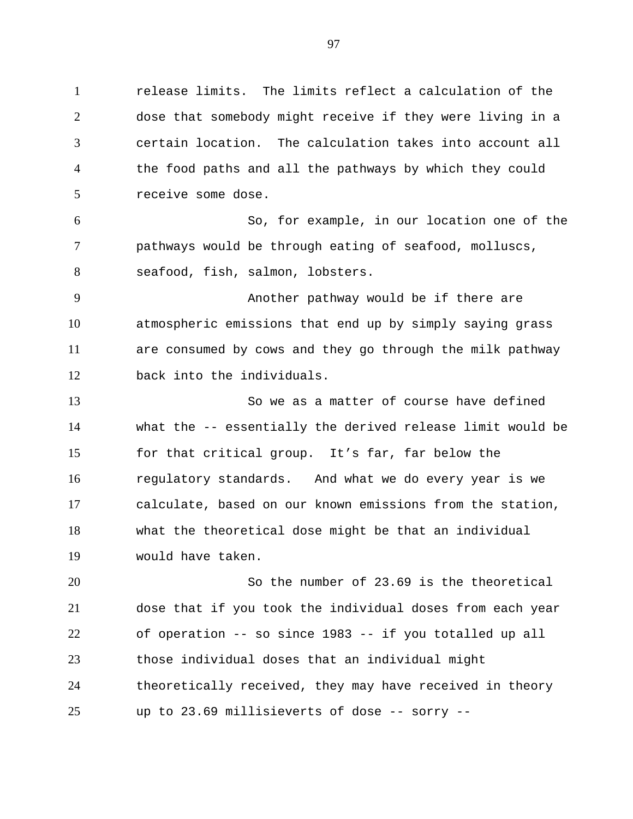1 release limits. The limits reflect a calculation of the 2 3 4 5 6 7 8 9 10 11 12 13 14 15 16 17 18 19 20 21 22 23 dose that somebody might receive if they were living in a certain location. The calculation takes into account all the food paths and all the pathways by which they could receive some dose. So, for example, in our location one of the pathways would be through eating of seafood, molluscs, seafood, fish, salmon, lobsters. Another pathway would be if there are atmospheric emissions that end up by simply saying grass are consumed by cows and they go through the milk pathway back into the individuals. So we as a matter of course have defined what the -- essentially the derived release limit would be for that critical group. It's far, far below the regulatory standards. And what we do every year is we calculate, based on our known emissions from the station, what the theoretical dose might be that an individual would have taken. So the number of 23.69 is the theoretical dose that if you took the individual doses from each year of operation -- so since 1983 -- if you totalled up all those individual doses that an individual might

24 25 theoretically received, they may have received in theory up to 23.69 millisieverts of dose -- sorry --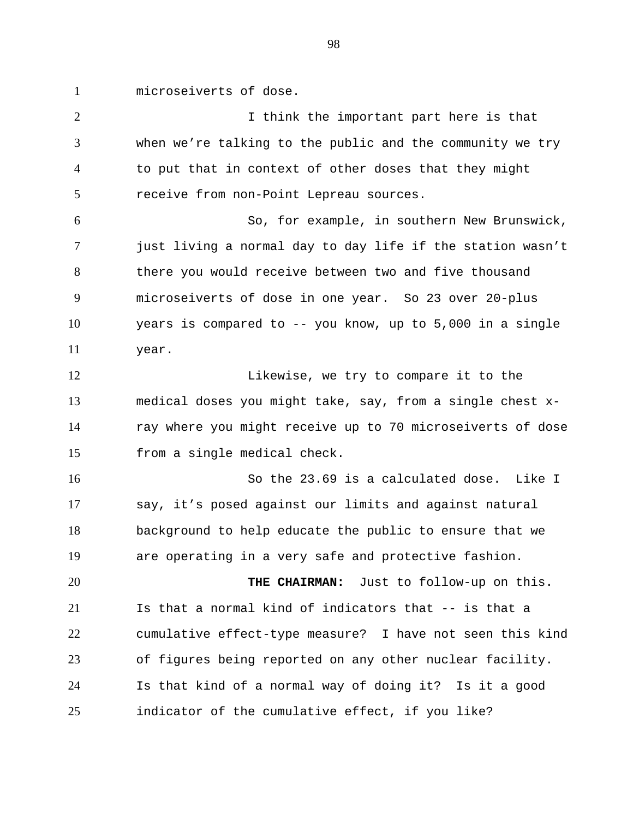1 microseiverts of dose.

2 3 4 5 6 7 8 9 10 11 12 13 14 15 16 17 18 19 20 21 22 23 24 25 I think the important part here is that when we're talking to the public and the community we try to put that in context of other doses that they might receive from non-Point Lepreau sources. So, for example, in southern New Brunswick, just living a normal day to day life if the station wasn't there you would receive between two and five thousand microseiverts of dose in one year. So 23 over 20-plus years is compared to -- you know, up to 5,000 in a single year. Likewise, we try to compare it to the medical doses you might take, say, from a single chest xray where you might receive up to 70 microseiverts of dose from a single medical check. So the 23.69 is a calculated dose. Like I say, it's posed against our limits and against natural background to help educate the public to ensure that we are operating in a very safe and protective fashion. **THE CHAIRMAN:** Just to follow-up on this. Is that a normal kind of indicators that -- is that a cumulative effect-type measure? I have not seen this kind of figures being reported on any other nuclear facility. Is that kind of a normal way of doing it? Is it a good indicator of the cumulative effect, if you like?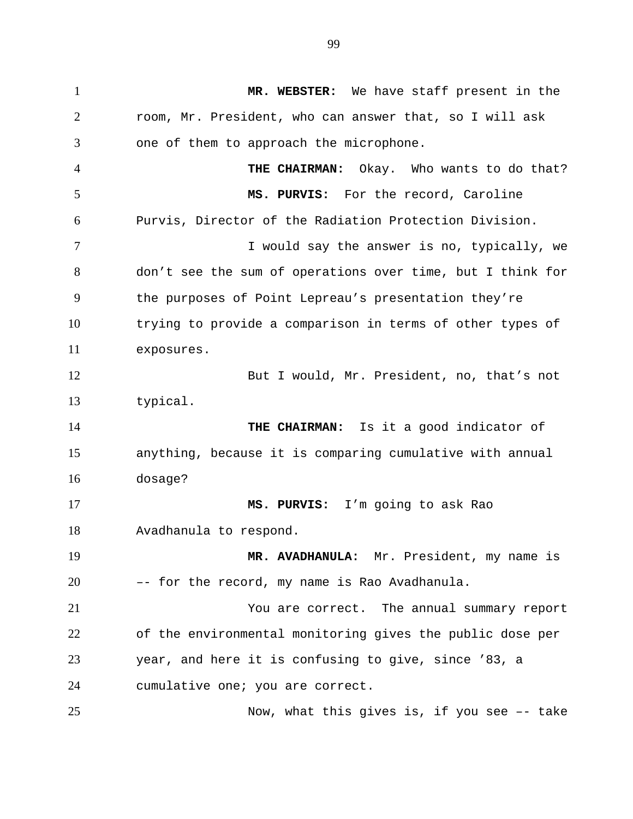1 **MR. WEBSTER:** We have staff present in the 2 3 4 5 6 7 8 9 10 11 12 13 14 15 16 17 18 19 20 21 22 23 24 25 room, Mr. President, who can answer that, so I will ask one of them to approach the microphone. **THE CHAIRMAN:** Okay. Who wants to do that? **MS. PURVIS:** For the record, Caroline Purvis, Director of the Radiation Protection Division. I would say the answer is no, typically, we don't see the sum of operations over time, but I think for the purposes of Point Lepreau's presentation they're trying to provide a comparison in terms of other types of exposures. But I would, Mr. President, no, that's not typical. **THE CHAIRMAN:** Is it a good indicator of anything, because it is comparing cumulative with annual dosage? **MS. PURVIS:** I'm going to ask Rao Avadhanula to respond. **MR. AVADHANULA:** Mr. President, my name is –- for the record, my name is Rao Avadhanula. You are correct. The annual summary report of the environmental monitoring gives the public dose per year, and here it is confusing to give, since '83, a cumulative one; you are correct. Now, what this gives is, if you see –- take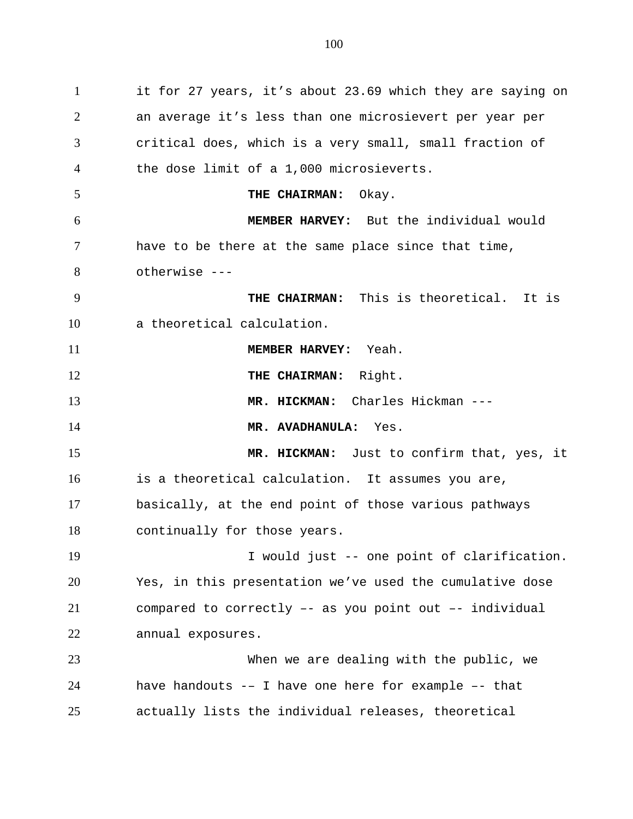1 it for 27 years, it's about 23.69 which they are saying on 2 3 4 5 6 7 8 9 10 11 12 13 14 15 16 17 18 19 20 21 22 23 24 25 an average it's less than one microsievert per year per critical does, which is a very small, small fraction of the dose limit of a 1,000 microsieverts. **THE CHAIRMAN:** Okay. **MEMBER HARVEY:** But the individual would have to be there at the same place since that time, otherwise --- **THE CHAIRMAN:** This is theoretical. It is a theoretical calculation. **MEMBER HARVEY:** Yeah. **THE CHAIRMAN:** Right. **MR. HICKMAN:** Charles Hickman --- **MR. AVADHANULA:** Yes. **MR. HICKMAN:** Just to confirm that, yes, it is a theoretical calculation. It assumes you are, basically, at the end point of those various pathways continually for those years. I would just -- one point of clarification. Yes, in this presentation we've used the cumulative dose compared to correctly –- as you point out –- individual annual exposures. When we are dealing with the public, we have handouts -– I have one here for example –- that actually lists the individual releases, theoretical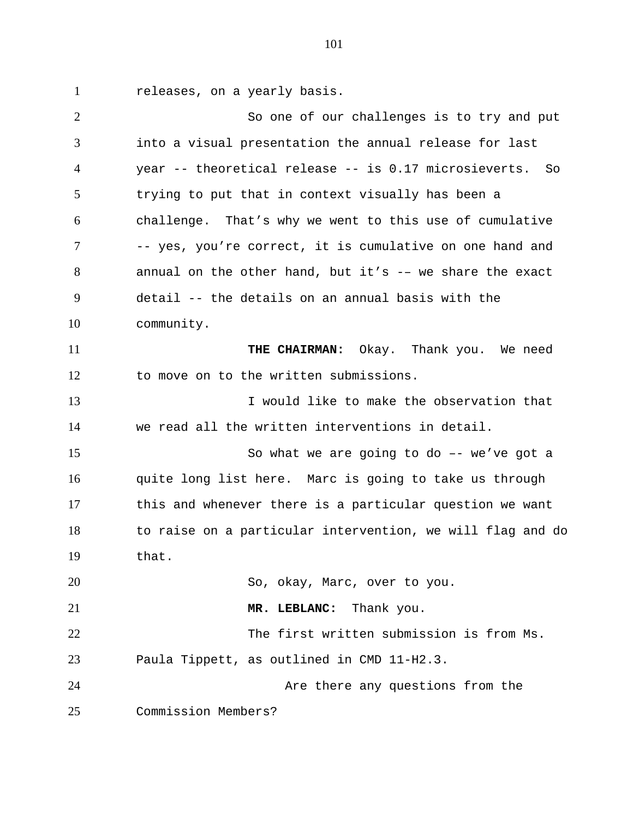1 releases, on a yearly basis.

2 3 4 5 6 7 8 9 10 11 12 13 14 15 16 17 18 19 20 21 22 23 24 25 So one of our challenges is to try and put into a visual presentation the annual release for last year -- theoretical release -- is 0.17 microsieverts. So trying to put that in context visually has been a challenge. That's why we went to this use of cumulative -- yes, you're correct, it is cumulative on one hand and annual on the other hand, but it's -– we share the exact detail -- the details on an annual basis with the community. **THE CHAIRMAN:** Okay. Thank you. We need to move on to the written submissions. I would like to make the observation that we read all the written interventions in detail. So what we are going to do –- we've got a quite long list here. Marc is going to take us through this and whenever there is a particular question we want to raise on a particular intervention, we will flag and do that. So, okay, Marc, over to you. **MR. LEBLANC:** Thank you. The first written submission is from Ms. Paula Tippett, as outlined in CMD 11-H2.3. Are there any questions from the Commission Members?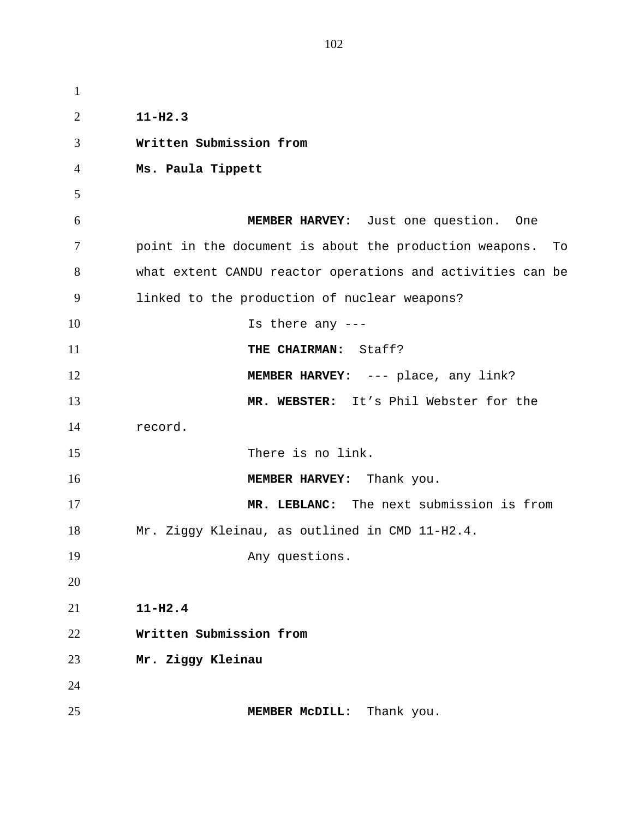| $\mathbf{1}$ |                                                              |
|--------------|--------------------------------------------------------------|
| 2            | $11 - H2.3$                                                  |
| 3            | Written Submission from                                      |
| 4            | Ms. Paula Tippett                                            |
| 5            |                                                              |
| 6            | MEMBER HARVEY: Just one question. One                        |
| $\tau$       | point in the document is about the production weapons.<br>To |
| 8            | what extent CANDU reactor operations and activities can be   |
| 9            | linked to the production of nuclear weapons?                 |
| 10           | Is there any $---$                                           |
| 11           | THE CHAIRMAN: Staff?                                         |
| 12           | <b>MEMBER HARVEY:</b> --- place, any link?                   |
| 13           | MR. WEBSTER: It's Phil Webster for the                       |
| 14           | record.                                                      |
| 15           | There is no link.                                            |
| 16           | MEMBER HARVEY: Thank you.                                    |
| 17           | MR. LEBLANC: The next submission is from                     |
| 18           | Mr. Ziggy Kleinau, as outlined in CMD 11-H2.4.               |
| 19           | Any questions.                                               |
| 20           |                                                              |
| 21           | $11 - H2.4$                                                  |
| 22           | Written Submission from                                      |
| 23           | Mr. Ziggy Kleinau                                            |
| 24           |                                                              |
| 25           | Thank you.<br>MEMBER MCDILL:                                 |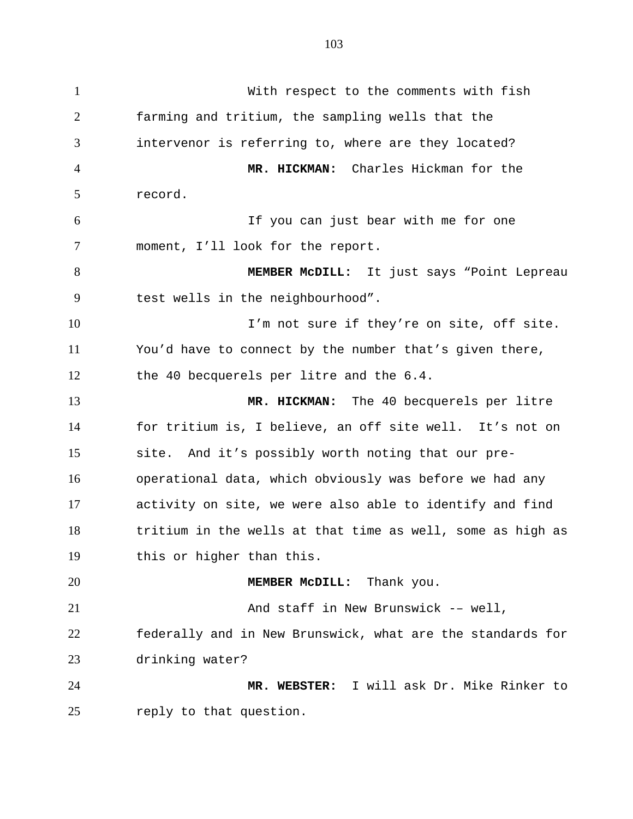1 With respect to the comments with fish 2 3 4 5 6 7 8 9 10 11 12 13 14 15 16 17 18 19 20 21 22 23 24 25 farming and tritium, the sampling wells that the intervenor is referring to, where are they located? **MR. HICKMAN:** Charles Hickman for the record. If you can just bear with me for one moment, I'll look for the report. **MEMBER McDILL:** It just says "Point Lepreau test wells in the neighbourhood". I'm not sure if they're on site, off site. You'd have to connect by the number that's given there, the 40 becquerels per litre and the 6.4. **MR. HICKMAN:** The 40 becquerels per litre for tritium is, I believe, an off site well. It's not on site. And it's possibly worth noting that our preoperational data, which obviously was before we had any activity on site, we were also able to identify and find tritium in the wells at that time as well, some as high as this or higher than this. **MEMBER McDILL:** Thank you. And staff in New Brunswick -– well, federally and in New Brunswick, what are the standards for drinking water? **MR. WEBSTER:** I will ask Dr. Mike Rinker to reply to that question.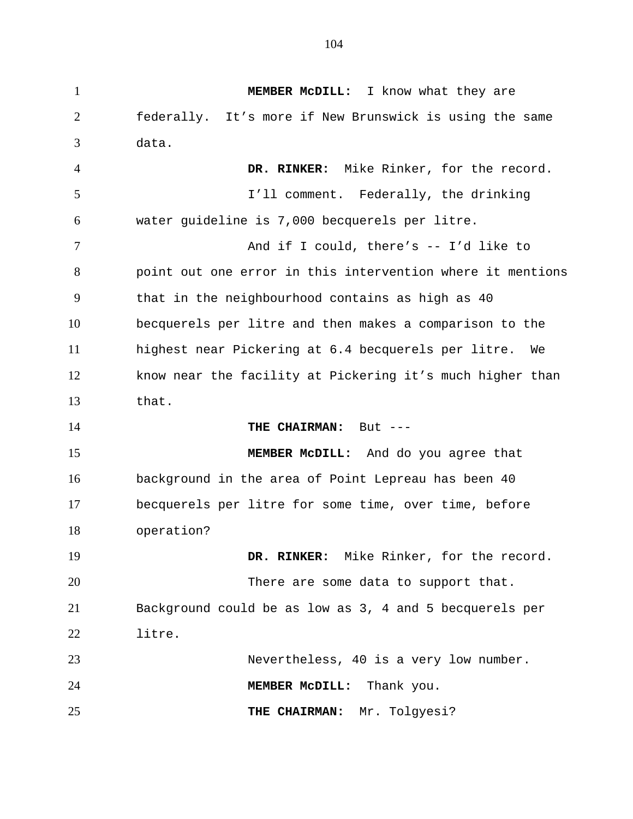1 **MEMBER McDILL:** I know what they are 2 3 4 5 6 7 8 9 10 11 12 13 14 15 16 17 18 19 20 21 22 23 24 25 federally. It's more if New Brunswick is using the same data. **DR. RINKER:** Mike Rinker, for the record. I'll comment. Federally, the drinking water guideline is 7,000 becquerels per litre. And if I could, there's -- I'd like to point out one error in this intervention where it mentions that in the neighbourhood contains as high as 40 becquerels per litre and then makes a comparison to the highest near Pickering at 6.4 becquerels per litre. We know near the facility at Pickering it's much higher than that. THE CHAIRMAN: But ---**MEMBER McDILL:** And do you agree that background in the area of Point Lepreau has been 40 becquerels per litre for some time, over time, before operation? **DR. RINKER:** Mike Rinker, for the record. There are some data to support that. Background could be as low as 3, 4 and 5 becquerels per litre. Nevertheless, 40 is a very low number. **MEMBER McDILL:** Thank you. **THE CHAIRMAN:** Mr. Tolgyesi?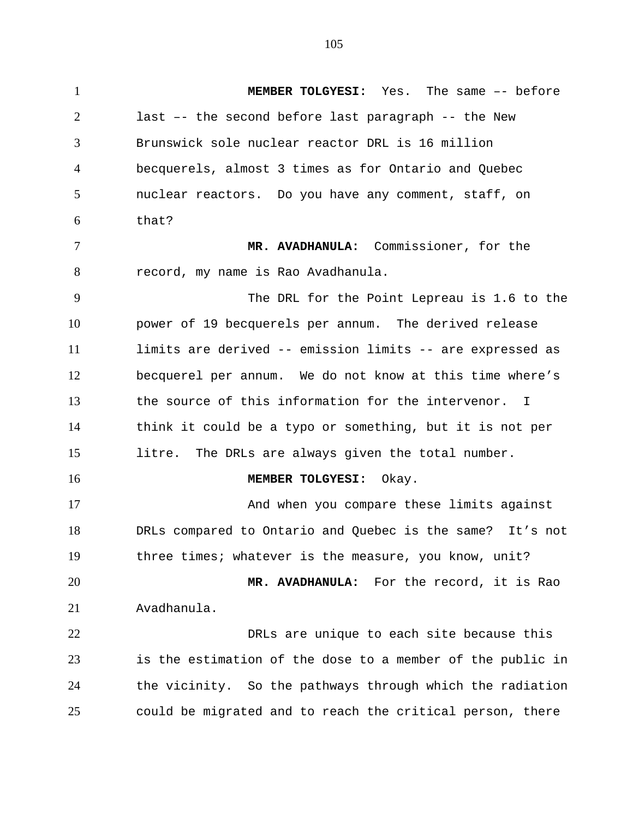1 **MEMBER TOLGYESI:** Yes. The same –- before 2 3 4 5 6 7 8 9 10 11 12 13 14 15 16 17 18 19 20 21 22 23 24 25 last –- the second before last paragraph -- the New Brunswick sole nuclear reactor DRL is 16 million becquerels, almost 3 times as for Ontario and Quebec nuclear reactors. Do you have any comment, staff, on that? **MR. AVADHANULA:** Commissioner, for the record, my name is Rao Avadhanula. The DRL for the Point Lepreau is 1.6 to the power of 19 becquerels per annum. The derived release limits are derived -- emission limits -- are expressed as becquerel per annum. We do not know at this time where's the source of this information for the intervenor. I think it could be a typo or something, but it is not per litre. The DRLs are always given the total number. **MEMBER TOLGYESI:** Okay. And when you compare these limits against DRLs compared to Ontario and Quebec is the same? It's not three times; whatever is the measure, you know, unit? **MR. AVADHANULA:** For the record, it is Rao Avadhanula. DRLs are unique to each site because this is the estimation of the dose to a member of the public in the vicinity. So the pathways through which the radiation could be migrated and to reach the critical person, there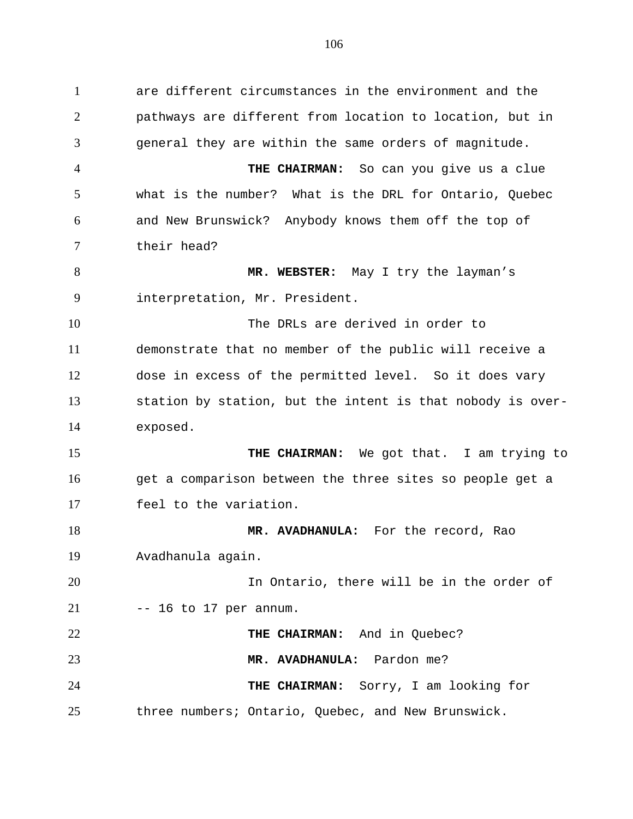1 are different circumstances in the environment and the 2 3 4 5 6 7 8 9 10 11 12 13 14 15 16 17 18 19 20 21 22 23 24 25 pathways are different from location to location, but in general they are within the same orders of magnitude. **THE CHAIRMAN:** So can you give us a clue what is the number? What is the DRL for Ontario, Quebec and New Brunswick? Anybody knows them off the top of their head? **MR. WEBSTER:** May I try the layman's interpretation, Mr. President. The DRLs are derived in order to demonstrate that no member of the public will receive a dose in excess of the permitted level. So it does vary station by station, but the intent is that nobody is overexposed. **THE CHAIRMAN:** We got that. I am trying to get a comparison between the three sites so people get a feel to the variation. **MR. AVADHANULA:** For the record, Rao Avadhanula again. In Ontario, there will be in the order of -- 16 to 17 per annum. **THE CHAIRMAN:** And in Quebec? **MR. AVADHANULA:** Pardon me? **THE CHAIRMAN:** Sorry, I am looking for three numbers; Ontario, Quebec, and New Brunswick.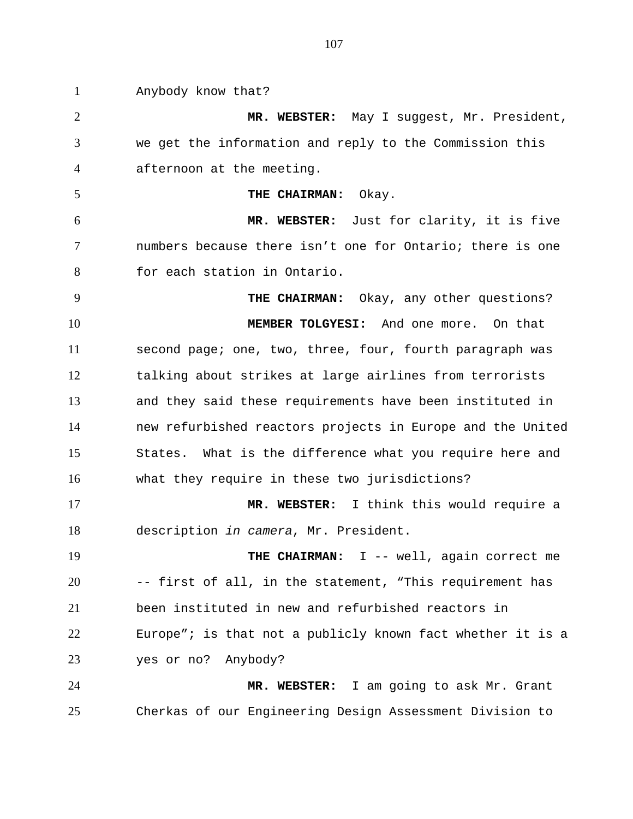1 Anybody know that? 2 3 4 5 6 7 8 9 10 11 12 13 14 15 16 17 18 19 20 21 22 23 24 25 **MR. WEBSTER:** May I suggest, Mr. President, we get the information and reply to the Commission this afternoon at the meeting. **THE CHAIRMAN:** Okay. **MR. WEBSTER:** Just for clarity, it is five numbers because there isn't one for Ontario; there is one for each station in Ontario. **THE CHAIRMAN:** Okay, any other questions? **MEMBER TOLGYESI:** And one more. On that second page; one, two, three, four, fourth paragraph was talking about strikes at large airlines from terrorists and they said these requirements have been instituted in new refurbished reactors projects in Europe and the United States. What is the difference what you require here and what they require in these two jurisdictions? **MR. WEBSTER:** I think this would require a description *in camera*, Mr. President. **THE CHAIRMAN:** I -- well, again correct me -- first of all, in the statement, "This requirement has been instituted in new and refurbished reactors in Europe"; is that not a publicly known fact whether it is a yes or no? Anybody? **MR. WEBSTER:** I am going to ask Mr. Grant Cherkas of our Engineering Design Assessment Division to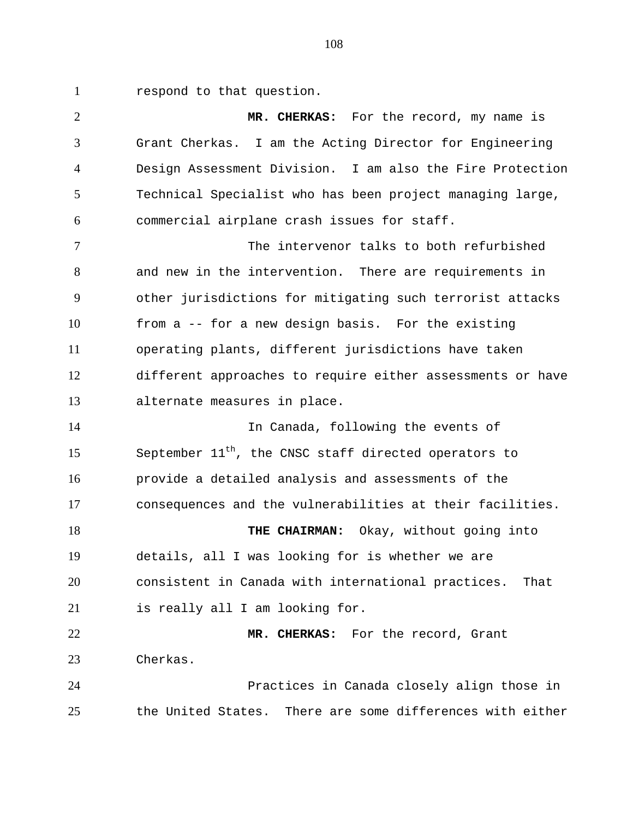1 respond to that question.

2 3 4 5 6 **MR. CHERKAS:** For the record, my name is Grant Cherkas. I am the Acting Director for Engineering Design Assessment Division. I am also the Fire Protection Technical Specialist who has been project managing large, commercial airplane crash issues for staff.

7 8 9 10 11 12 13 The intervenor talks to both refurbished and new in the intervention. There are requirements in other jurisdictions for mitigating such terrorist attacks from a -- for a new design basis. For the existing operating plants, different jurisdictions have taken different approaches to require either assessments or have alternate measures in place.

14 15 16 17 In Canada, following the events of September  $11<sup>th</sup>$ , the CNSC staff directed operators to provide a detailed analysis and assessments of the consequences and the vulnerabilities at their facilities.

18 19 20 21 **THE CHAIRMAN:** Okay, without going into details, all I was looking for is whether we are consistent in Canada with international practices. That is really all I am looking for.

22 23 **MR. CHERKAS:** For the record, Grant Cherkas.

24 25 Practices in Canada closely align those in the United States. There are some differences with either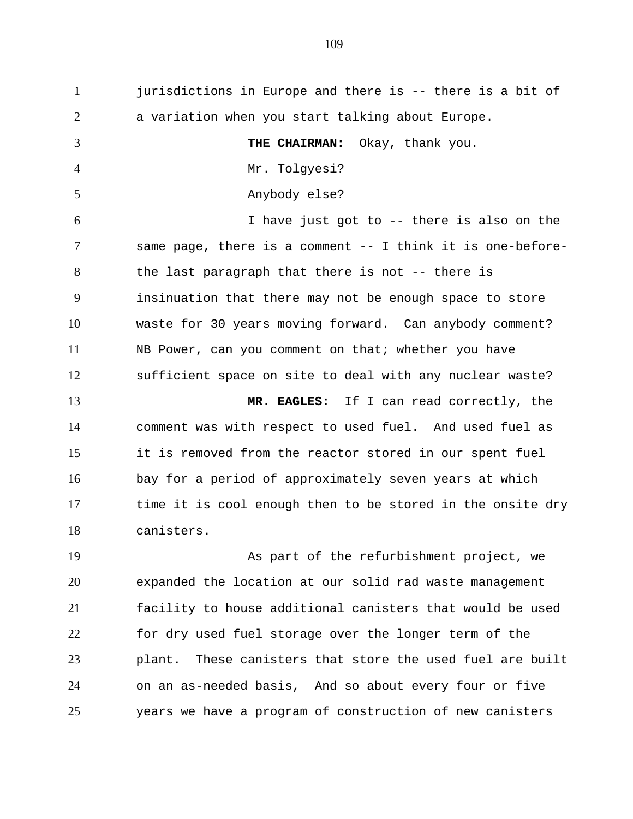1 jurisdictions in Europe and there is -- there is a bit of 2 3 4 5 6 7 8 9 10 11 12 13 14 15 16 17 18 a variation when you start talking about Europe. **THE CHAIRMAN:** Okay, thank you. Mr. Tolgyesi? Anybody else? I have just got to -- there is also on the same page, there is a comment -- I think it is one-beforethe last paragraph that there is not -- there is insinuation that there may not be enough space to store waste for 30 years moving forward. Can anybody comment? NB Power, can you comment on that; whether you have sufficient space on site to deal with any nuclear waste? **MR. EAGLES:** If I can read correctly, the comment was with respect to used fuel. And used fuel as it is removed from the reactor stored in our spent fuel bay for a period of approximately seven years at which time it is cool enough then to be stored in the onsite dry canisters.

19 20 21 22 23 24 25 As part of the refurbishment project, we expanded the location at our solid rad waste management facility to house additional canisters that would be used for dry used fuel storage over the longer term of the plant. These canisters that store the used fuel are built on an as-needed basis, And so about every four or five years we have a program of construction of new canisters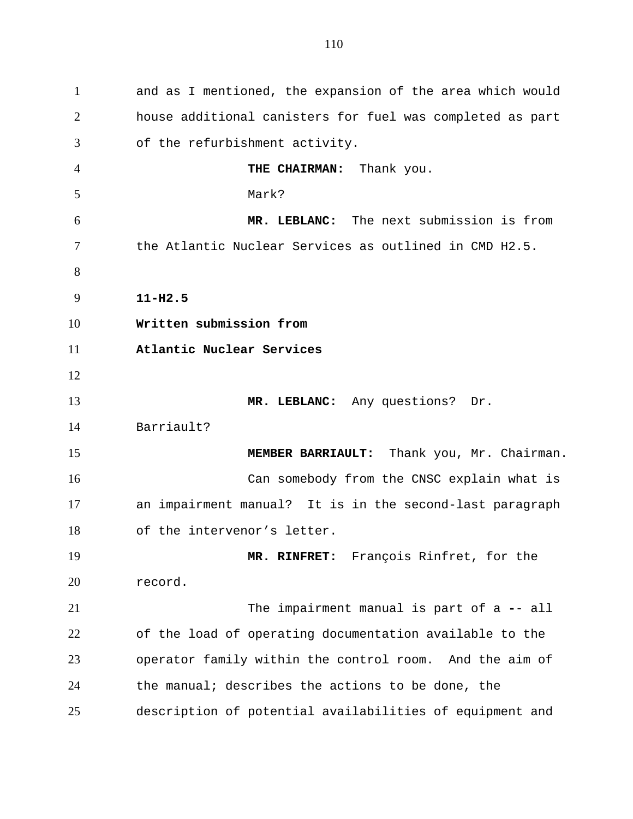1 and as I mentioned, the expansion of the area which would 2 3 4 5 6 7 8 9 10 11 12 13 14 15 16 17 18 19 20 21 22 23 24 25 house additional canisters for fuel was completed as part of the refurbishment activity. **THE CHAIRMAN:** Thank you. Mark? **MR. LEBLANC:** The next submission is from the Atlantic Nuclear Services as outlined in CMD H2.5. **11-H2.5 Written submission from Atlantic Nuclear Services MR. LEBLANC:** Any questions? Dr. Barriault? **MEMBER BARRIAULT:** Thank you, Mr. Chairman. Can somebody from the CNSC explain what is an impairment manual? It is in the second-last paragraph of the intervenor's letter. **MR. RINFRET:** François Rinfret, for the record. The impairment manual is part of a **-**- all of the load of operating documentation available to the operator family within the control room. And the aim of the manual; describes the actions to be done, the description of potential availabilities of equipment and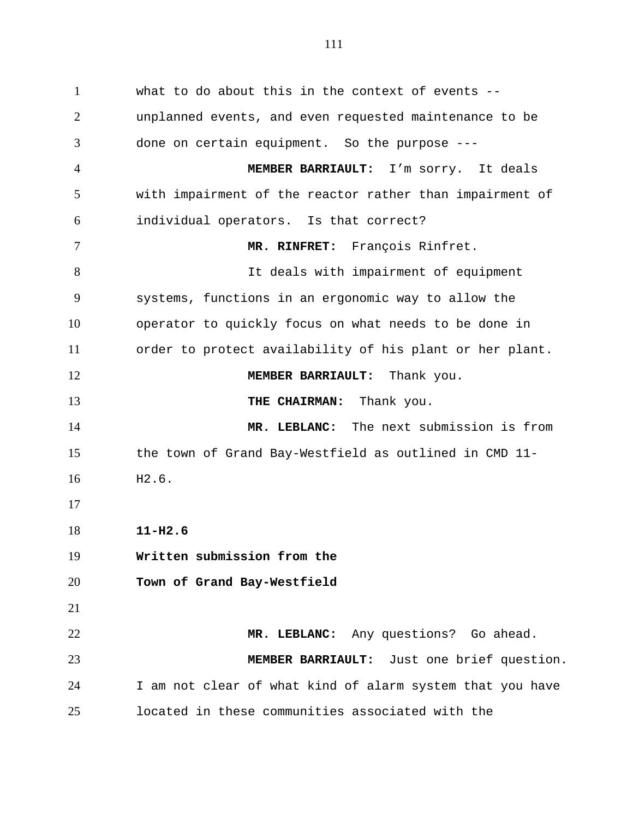1 what to do about this in the context of events -- 2 3 4 5 6 7 8 9 10 11 12 13 14 15 16 17 18 19 20 21 22 23 24 25 unplanned events, and even requested maintenance to be done on certain equipment. So the purpose --- **MEMBER BARRIAULT:** I'm sorry. It deals with impairment of the reactor rather than impairment of individual operators. Is that correct? **MR. RINFRET:** François Rinfret. It deals with impairment of equipment systems, functions in an ergonomic way to allow the operator to quickly focus on what needs to be done in order to protect availability of his plant or her plant. **MEMBER BARRIAULT:** Thank you. **THE CHAIRMAN:** Thank you. **MR. LEBLANC:** The next submission is from the town of Grand Bay-Westfield as outlined in CMD 11- H2.6. **11-H2.6 Written submission from the Town of Grand Bay-Westfield MR. LEBLANC:** Any questions? Go ahead. **MEMBER BARRIAULT:** Just one brief question. I am not clear of what kind of alarm system that you have located in these communities associated with the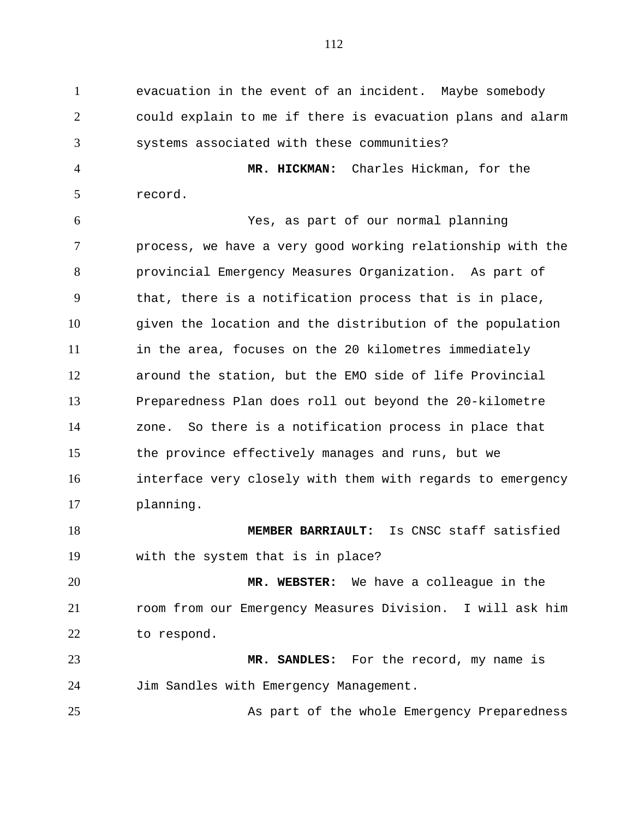1 evacuation in the event of an incident. Maybe somebody 2 3 could explain to me if there is evacuation plans and alarm systems associated with these communities?

4 5 **MR. HICKMAN:** Charles Hickman, for the record.

6 7 8 9 10 11 12 13 14 15 16 17 Yes, as part of our normal planning process, we have a very good working relationship with the provincial Emergency Measures Organization. As part of that, there is a notification process that is in place, given the location and the distribution of the population in the area, focuses on the 20 kilometres immediately around the station, but the EMO side of life Provincial Preparedness Plan does roll out beyond the 20-kilometre zone. So there is a notification process in place that the province effectively manages and runs, but we interface very closely with them with regards to emergency planning.

18 19 **MEMBER BARRIAULT:** Is CNSC staff satisfied with the system that is in place?

20 21 22 **MR. WEBSTER:** We have a colleague in the room from our Emergency Measures Division. I will ask him to respond.

23 24 **MR. SANDLES:** For the record, my name is Jim Sandles with Emergency Management.

25

As part of the whole Emergency Preparedness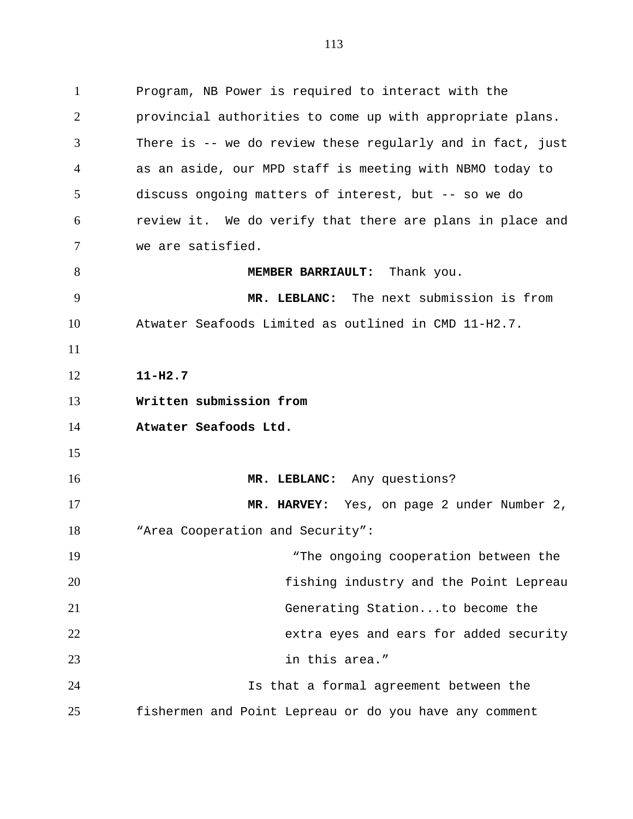1 Program, NB Power is required to interact with the 2 3 4 5 6 7 8 9 10 11 12 13 14 15 16 17 18 19 20 21 22 23 24 provincial authorities to come up with appropriate plans. There is -- we do review these regularly and in fact, just as an aside, our MPD staff is meeting with NBMO today to discuss ongoing matters of interest, but -- so we do review it. We do verify that there are plans in place and we are satisfied. **MEMBER BARRIAULT:** Thank you. **MR. LEBLANC:** The next submission is from Atwater Seafoods Limited as outlined in CMD 11-H2.7. **11-H2.7 Written submission from Atwater Seafoods Ltd. MR. LEBLANC:** Any questions? **MR. HARVEY:** Yes, on page 2 under Number 2, "Area Cooperation and Security": "The ongoing cooperation between the fishing industry and the Point Lepreau Generating Station...to become the extra eyes and ears for added security in this area." Is that a formal agreement between the

fishermen and Point Lepreau or do you have any comment

25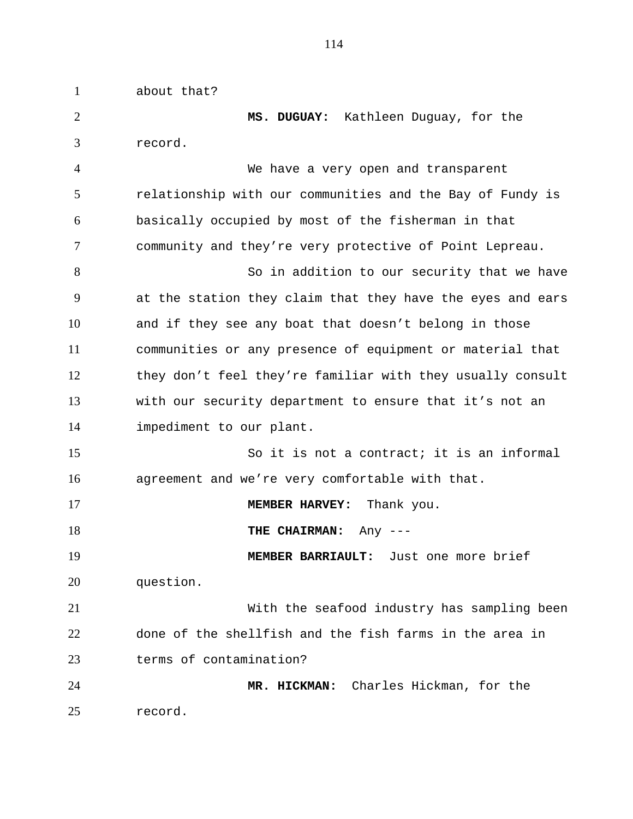1 about that? 2 3 4 5 6 7 8 9 10 11 12 13 14 15 16 17 18 19 20 21 22 23 24 25 **MS. DUGUAY:** Kathleen Duguay, for the record. We have a very open and transparent relationship with our communities and the Bay of Fundy is basically occupied by most of the fisherman in that community and they're very protective of Point Lepreau. So in addition to our security that we have at the station they claim that they have the eyes and ears and if they see any boat that doesn't belong in those communities or any presence of equipment or material that they don't feel they're familiar with they usually consult with our security department to ensure that it's not an impediment to our plant. So it is not a contract; it is an informal agreement and we're very comfortable with that. **MEMBER HARVEY:** Thank you. **THE CHAIRMAN:** Any --- **MEMBER BARRIAULT:** Just one more brief question. With the seafood industry has sampling been done of the shellfish and the fish farms in the area in terms of contamination? **MR. HICKMAN:** Charles Hickman, for the record.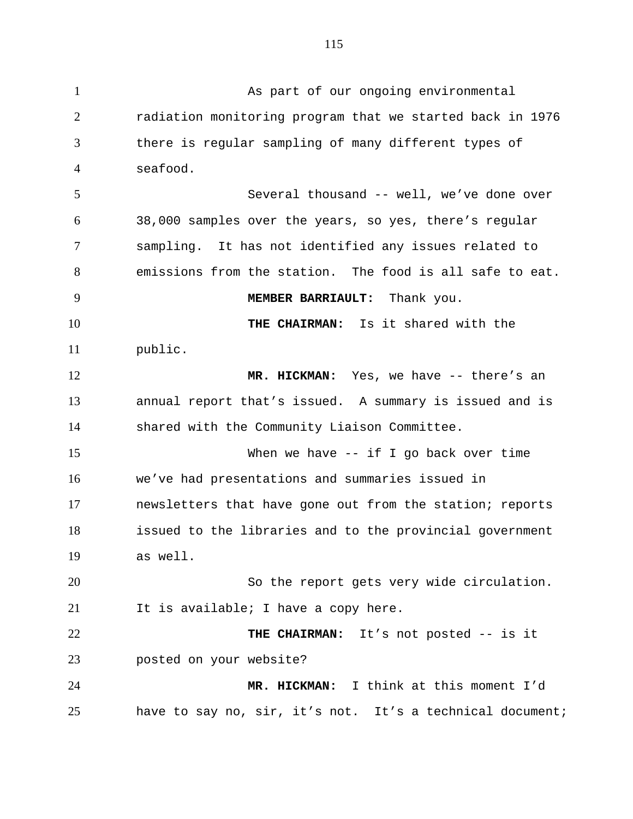2 3 4 5 6 7 8 9 10 11 12 13 14 15 16 17 18 19 20 21 22 23 24 radiation monitoring program that we started back in 1976 there is regular sampling of many different types of seafood. Several thousand -- well, we've done over 38,000 samples over the years, so yes, there's regular sampling. It has not identified any issues related to emissions from the station. The food is all safe to eat. **MEMBER BARRIAULT:** Thank you. **THE CHAIRMAN:** Is it shared with the public. **MR. HICKMAN:** Yes, we have -- there's an annual report that's issued. A summary is issued and is shared with the Community Liaison Committee. When we have  $-$  if I go back over time we've had presentations and summaries issued in newsletters that have gone out from the station; reports issued to the libraries and to the provincial government as well. So the report gets very wide circulation. It is available; I have a copy here. **THE CHAIRMAN:** It's not posted -- is it posted on your website? **MR. HICKMAN:** I think at this moment I'd

have to say no, sir, it's not. It's a technical document;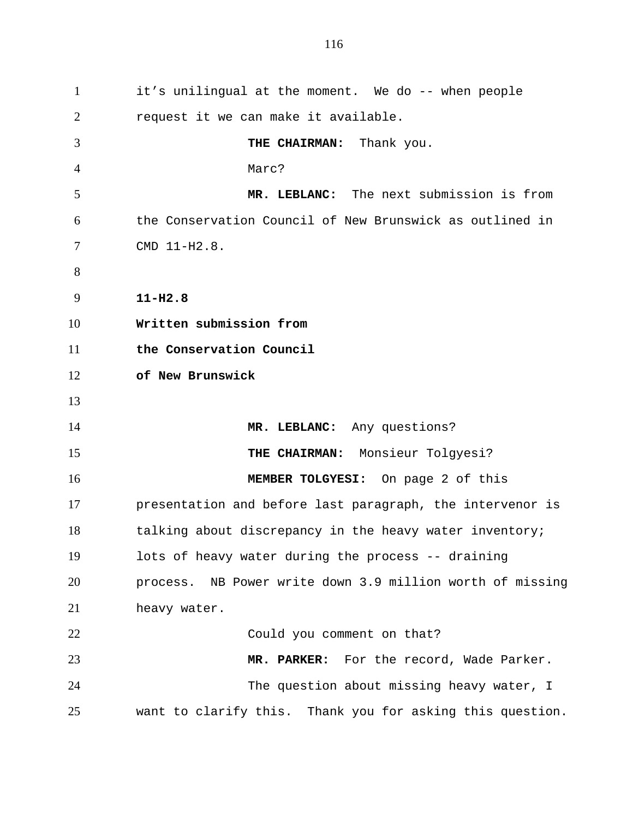1 it's unilingual at the moment. We do -- when people 2 3 4 5 6 7 8 9 10 11 12 13 14 15 16 17 18 19 20 21 22 23 24 25 request it we can make it available. **THE CHAIRMAN:** Thank you. Marc? **MR. LEBLANC:** The next submission is from the Conservation Council of New Brunswick as outlined in CMD 11-H2.8. **11-H2.8 Written submission from the Conservation Council of New Brunswick MR. LEBLANC:** Any questions? **THE CHAIRMAN:** Monsieur Tolgyesi? **MEMBER TOLGYESI:** On page 2 of this presentation and before last paragraph, the intervenor is talking about discrepancy in the heavy water inventory; lots of heavy water during the process -- draining process. NB Power write down 3.9 million worth of missing heavy water. Could you comment on that? **MR. PARKER:** For the record, Wade Parker. The question about missing heavy water, I want to clarify this. Thank you for asking this question.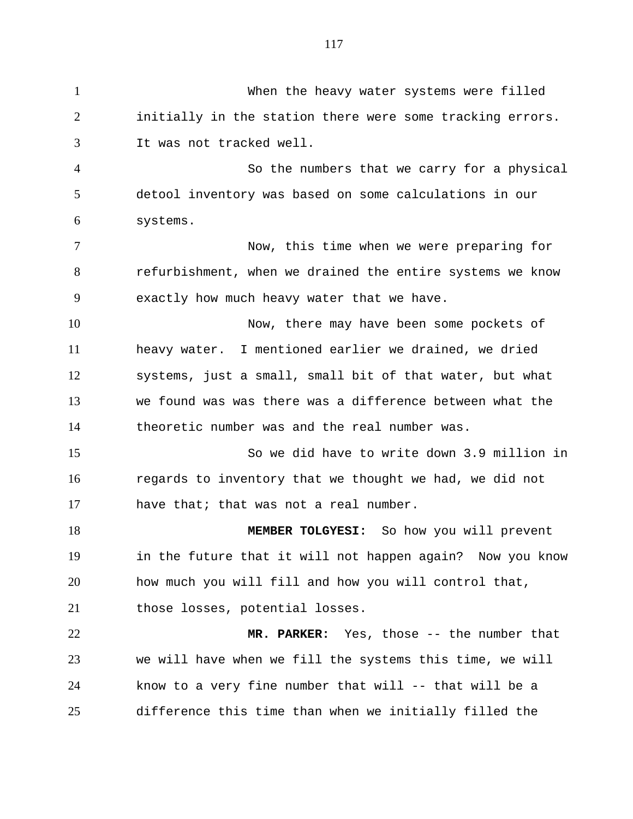1 When the heavy water systems were filled 2 3 4 5 6 7 8 9 10 11 12 13 14 15 16 17 18 19 20 21 22 23 24 25 initially in the station there were some tracking errors. It was not tracked well. So the numbers that we carry for a physical detool inventory was based on some calculations in our systems. Now, this time when we were preparing for refurbishment, when we drained the entire systems we know exactly how much heavy water that we have. Now, there may have been some pockets of heavy water. I mentioned earlier we drained, we dried systems, just a small, small bit of that water, but what we found was was there was a difference between what the theoretic number was and the real number was. So we did have to write down 3.9 million in regards to inventory that we thought we had, we did not have that; that was not a real number. **MEMBER TOLGYESI:** So how you will prevent in the future that it will not happen again? Now you know how much you will fill and how you will control that, those losses, potential losses. **MR. PARKER:** Yes, those -- the number that we will have when we fill the systems this time, we will know to a very fine number that will -- that will be a difference this time than when we initially filled the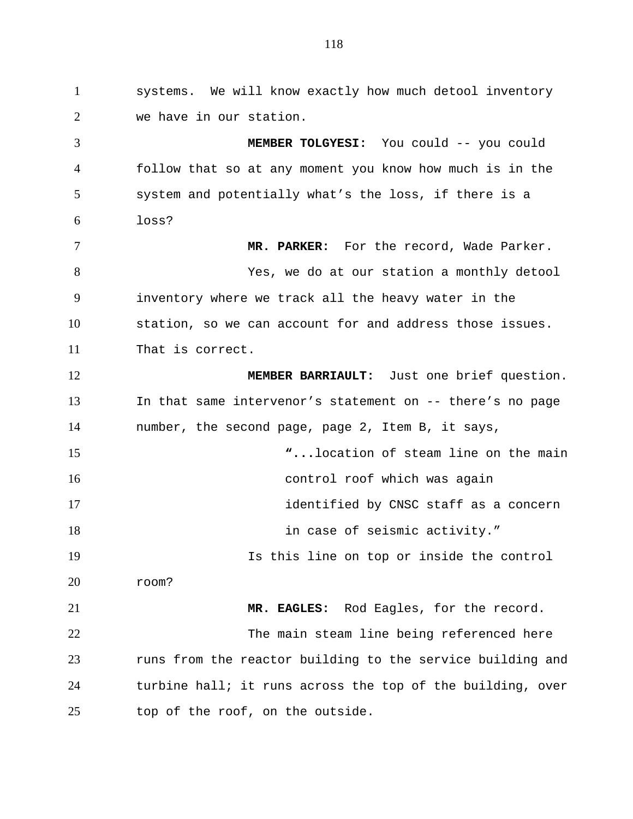1 systems. We will know exactly how much detool inventory 2 3 4 5 6 7 8 9 10 11 12 13 14 15 16 17 18 19 20 21 22 23 24 25 we have in our station. **MEMBER TOLGYESI:** You could -- you could follow that so at any moment you know how much is in the system and potentially what's the loss, if there is a loss? **MR. PARKER:** For the record, Wade Parker. Yes, we do at our station a monthly detool inventory where we track all the heavy water in the station, so we can account for and address those issues. That is correct. **MEMBER BARRIAULT:** Just one brief question. In that same intervenor's statement on -- there's no page number, the second page, page 2, Item B, it says, **"...**location of steam line on the main control roof which was again identified by CNSC staff as a concern in case of seismic activity." Is this line on top or inside the control room? **MR. EAGLES:** Rod Eagles, for the record. The main steam line being referenced here runs from the reactor building to the service building and turbine hall; it runs across the top of the building, over top of the roof, on the outside.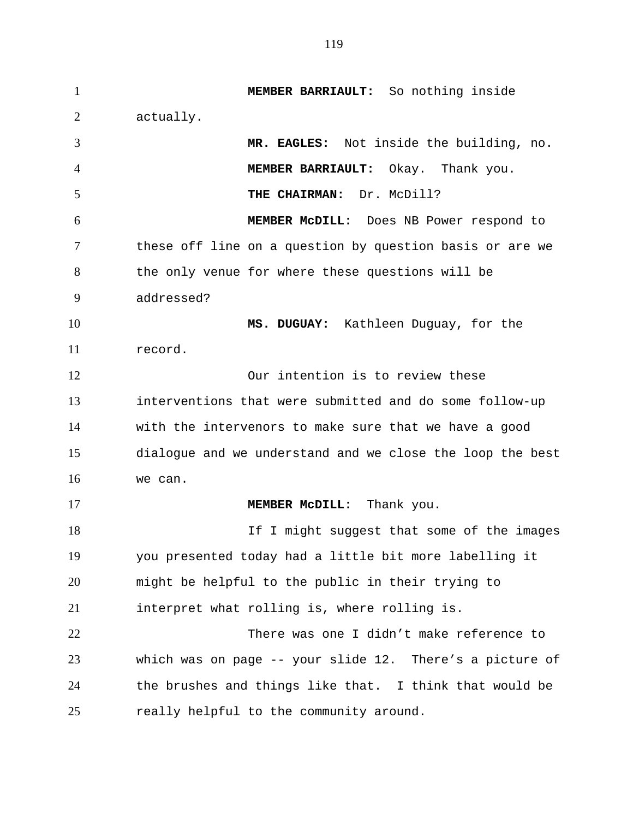1 **MEMBER BARRIAULT:** So nothing inside 2 3 4 5 6 7 8 9 10 11 12 13 14 15 16 17 18 19 20 21 22 23 24 25 actually. **MR. EAGLES:** Not inside the building, no. **MEMBER BARRIAULT:** Okay. Thank you. **THE CHAIRMAN:** Dr. McDill? **MEMBER McDILL:** Does NB Power respond to these off line on a question by question basis or are we the only venue for where these questions will be addressed? **MS. DUGUAY:** Kathleen Duguay, for the record. Our intention is to review these interventions that were submitted and do some follow-up with the intervenors to make sure that we have a good dialogue and we understand and we close the loop the best we can. **MEMBER McDILL:** Thank you. If I might suggest that some of the images you presented today had a little bit more labelling it might be helpful to the public in their trying to interpret what rolling is, where rolling is. There was one I didn't make reference to which was on page -- your slide 12. There's a picture of the brushes and things like that. I think that would be really helpful to the community around.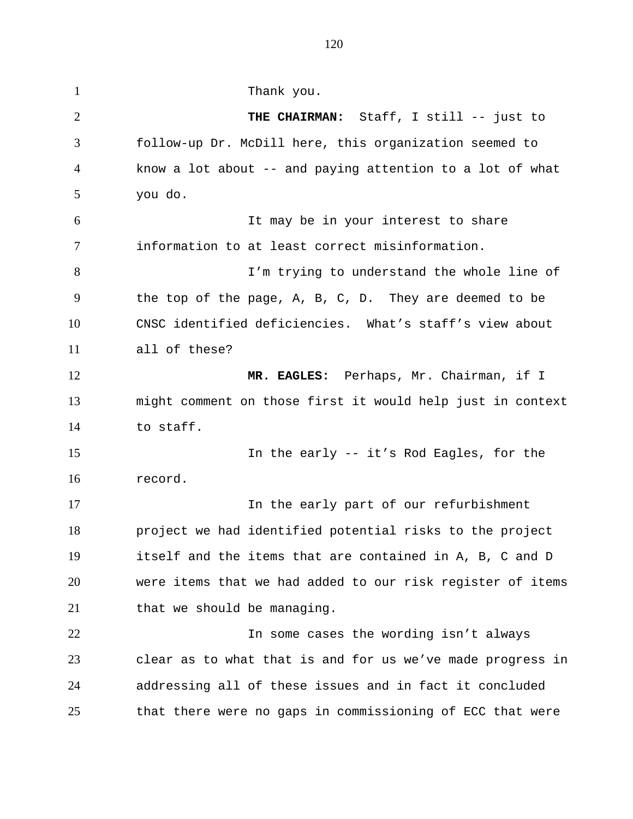1 Thank you. 2 3 4 5 6 7 8 9 10 11 12 13 14 15 16 17 18 19 20 21 22 23 24 25 **THE CHAIRMAN:** Staff, I still -- just to follow-up Dr. McDill here, this organization seemed to know a lot about -- and paying attention to a lot of what you do. It may be in your interest to share information to at least correct misinformation. I'm trying to understand the whole line of the top of the page, A, B, C, D. They are deemed to be CNSC identified deficiencies. What's staff's view about all of these? **MR. EAGLES:** Perhaps, Mr. Chairman, if I might comment on those first it would help just in context to staff. In the early -- it's Rod Eagles, for the record. In the early part of our refurbishment project we had identified potential risks to the project itself and the items that are contained in A, B, C and D were items that we had added to our risk register of items that we should be managing. In some cases the wording isn't always clear as to what that is and for us we've made progress in addressing all of these issues and in fact it concluded that there were no gaps in commissioning of ECC that were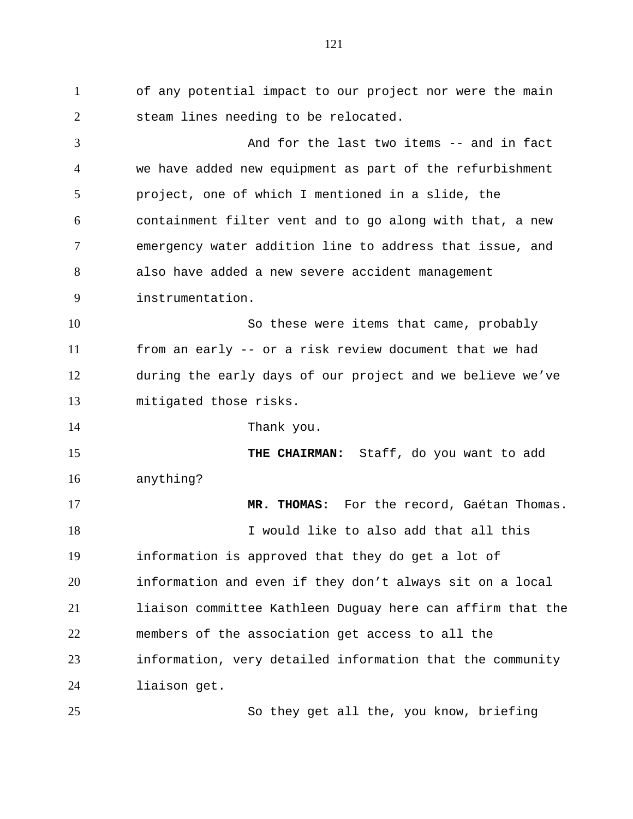1 of any potential impact to our project nor were the main 2 steam lines needing to be relocated.

3 4 5 6 7 8 9 And for the last two items -- and in fact we have added new equipment as part of the refurbishment project, one of which I mentioned in a slide, the containment filter vent and to go along with that, a new emergency water addition line to address that issue, and also have added a new severe accident management instrumentation.

10 11 12 13 So these were items that came, probably from an early -- or a risk review document that we had during the early days of our project and we believe we've mitigated those risks.

14

25

Thank you.

15 16 **THE CHAIRMAN:** Staff, do you want to add anything?

17 18 19 20 21 22 23 24 **MR. THOMAS:** For the record, Gaétan Thomas. I would like to also add that all this information is approved that they do get a lot of information and even if they don't always sit on a local liaison committee Kathleen Duguay here can affirm that the members of the association get access to all the information, very detailed information that the community liaison get.

So they get all the, you know, briefing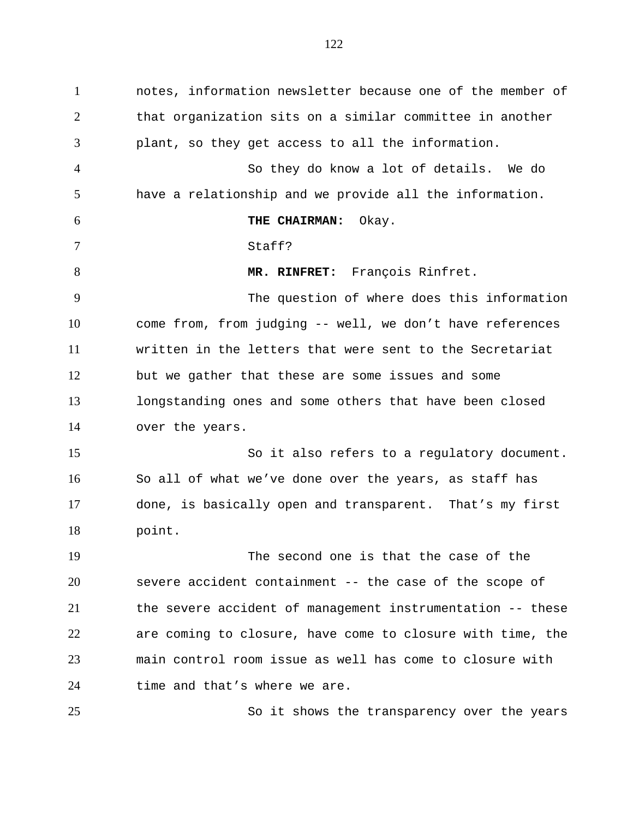1 notes, information newsletter because one of the member of 2 3 4 5 6 7 8 9 10 11 12 13 14 15 16 17 18 19 20 21 22 23 24 25 that organization sits on a similar committee in another plant, so they get access to all the information. So they do know a lot of details. We do have a relationship and we provide all the information. **THE CHAIRMAN:** Okay. Staff? **MR. RINFRET:** François Rinfret. The question of where does this information come from, from judging -- well, we don't have references written in the letters that were sent to the Secretariat but we gather that these are some issues and some longstanding ones and some others that have been closed over the years. So it also refers to a regulatory document. So all of what we've done over the years, as staff has done, is basically open and transparent. That's my first point. The second one is that the case of the severe accident containment -- the case of the scope of the severe accident of management instrumentation -- these are coming to closure, have come to closure with time, the main control room issue as well has come to closure with time and that's where we are. So it shows the transparency over the years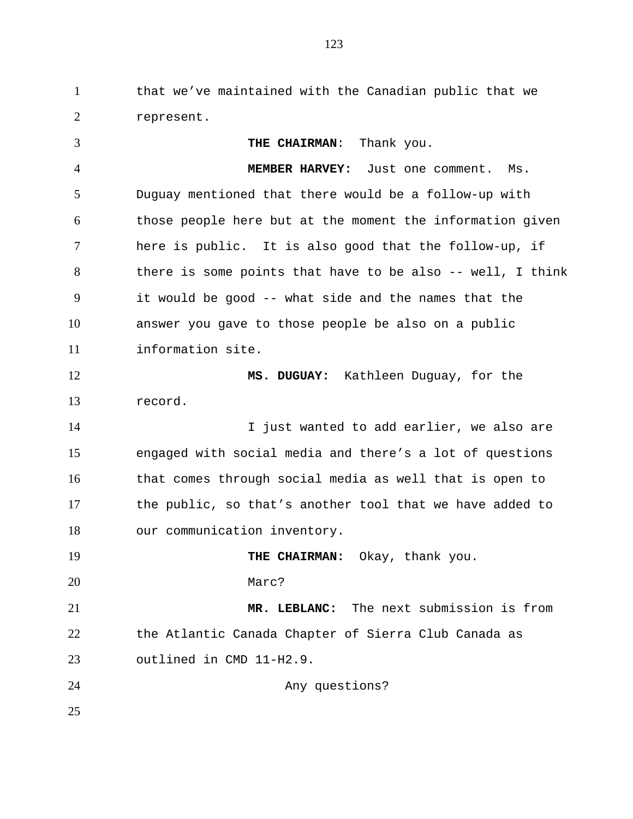1 that we've maintained with the Canadian public that we 2 represent.

3 4 5 6 7 8 9 10 11 12 13 14 15 16 17 18 19 20 21 22 23 24 25 **THE CHAIRMAN**: Thank you. **MEMBER HARVEY:** Just one comment. Ms. Duguay mentioned that there would be a follow-up with those people here but at the moment the information given here is public. It is also good that the follow-up, if there is some points that have to be also -- well, I think it would be good -- what side and the names that the answer you gave to those people be also on a public information site. **MS. DUGUAY:** Kathleen Duguay, for the record. I just wanted to add earlier, we also are engaged with social media and there's a lot of questions that comes through social media as well that is open to the public, so that's another tool that we have added to our communication inventory. **THE CHAIRMAN:** Okay, thank you. Marc? **MR. LEBLANC:** The next submission is from the Atlantic Canada Chapter of Sierra Club Canada as outlined in CMD 11-H2.9. Any questions?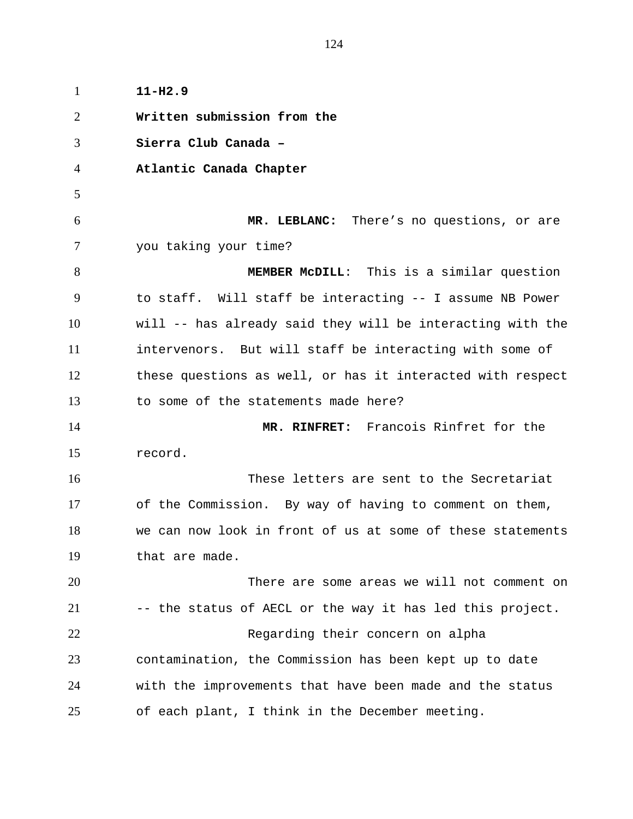1 **11-H2.9**  2 3 4 5 6 7 8 9 10 11 12 13 14 15 16 17 18 19 20 21 22 23 24 25 **Written submission from the Sierra Club Canada – Atlantic Canada Chapter MR. LEBLANC:** There's no questions, or are you taking your time? **MEMBER McDILL**: This is a similar question to staff. Will staff be interacting -- I assume NB Power will -- has already said they will be interacting with the intervenors. But will staff be interacting with some of these questions as well, or has it interacted with respect to some of the statements made here? **MR. RINFRET:** Francois Rinfret for the record. These letters are sent to the Secretariat of the Commission. By way of having to comment on them, we can now look in front of us at some of these statements that are made. There are some areas we will not comment on -- the status of AECL or the way it has led this project. Regarding their concern on alpha contamination, the Commission has been kept up to date with the improvements that have been made and the status of each plant, I think in the December meeting.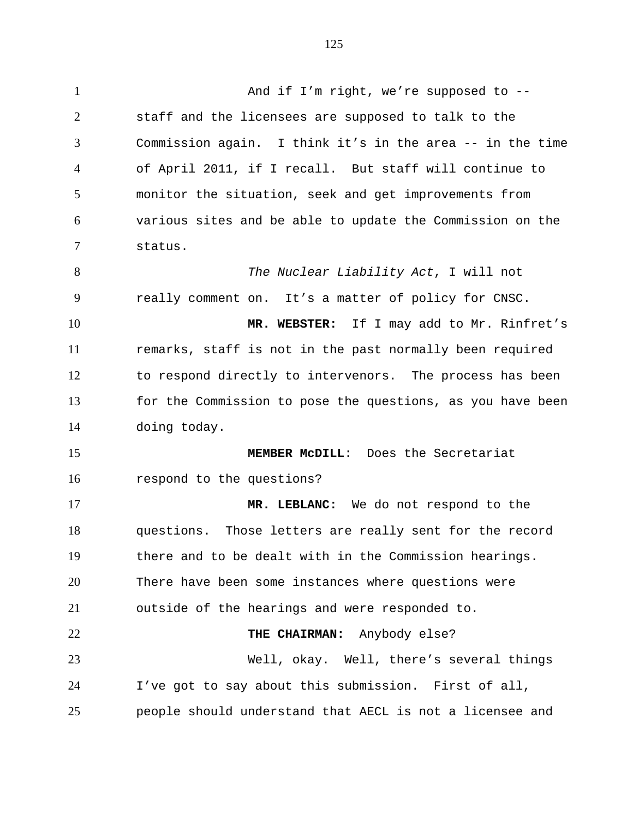| $\mathbf{1}$   | And if I'm right, we're supposed to $-$ -                  |
|----------------|------------------------------------------------------------|
| $\overline{2}$ | staff and the licensees are supposed to talk to the        |
| 3              | Commission again. I think it's in the area -- in the time  |
| 4              | of April 2011, if I recall. But staff will continue to     |
| 5              | monitor the situation, seek and get improvements from      |
| 6              | various sites and be able to update the Commission on the  |
| $\overline{7}$ | status.                                                    |
| 8              | The Nuclear Liability Act, I will not                      |
| 9              | really comment on. It's a matter of policy for CNSC.       |
| 10             | MR. WEBSTER: If I may add to Mr. Rinfret's                 |
| 11             | remarks, staff is not in the past normally been required   |
| 12             | to respond directly to intervenors. The process has been   |
| 13             | for the Commission to pose the questions, as you have been |
| 14             | doing today.                                               |
| 15             | MEMBER MCDILL: Does the Secretariat                        |
| 16             | respond to the questions?                                  |
| 17             | MR. LEBLANC: We do not respond to the                      |
| 18             | questions. Those letters are really sent for the record    |
| 19             | there and to be dealt with in the Commission hearings.     |
| 20             | There have been some instances where questions were        |
| 21             | outside of the hearings and were responded to.             |
| 22             | THE CHAIRMAN: Anybody else?                                |
| 23             | Well, okay. Well, there's several things                   |
| 24             | I've got to say about this submission. First of all,       |
| 25             | people should understand that AECL is not a licensee and   |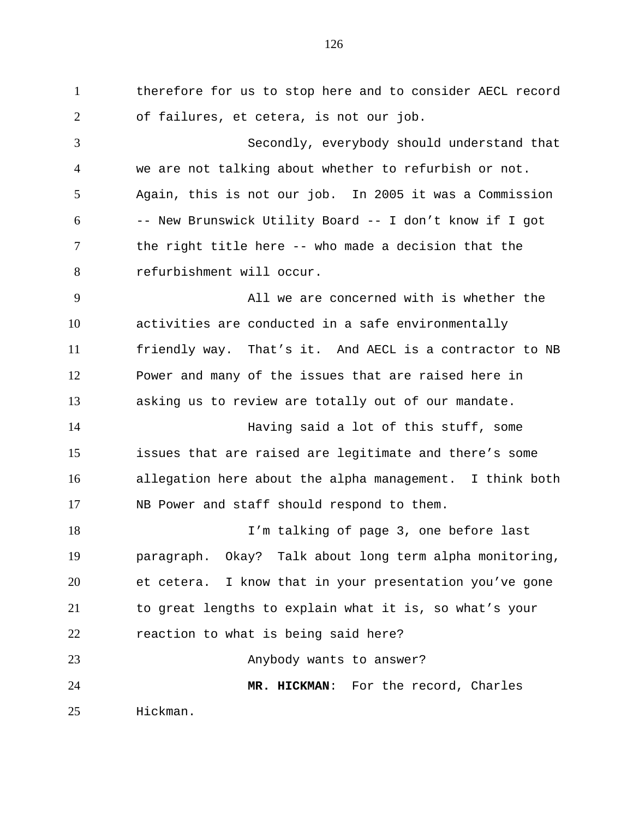1 therefore for us to stop here and to consider AECL record 2 3 4 5 6 7 8 9 10 11 12 13 14 15 16 17 18 19 20 21 22 23 24 of failures, et cetera, is not our job. Secondly, everybody should understand that we are not talking about whether to refurbish or not. Again, this is not our job. In 2005 it was a Commission -- New Brunswick Utility Board -- I don't know if I got the right title here -- who made a decision that the refurbishment will occur. All we are concerned with is whether the activities are conducted in a safe environmentally friendly way. That's it. And AECL is a contractor to NB Power and many of the issues that are raised here in asking us to review are totally out of our mandate. Having said a lot of this stuff, some issues that are raised are legitimate and there's some allegation here about the alpha management. I think both NB Power and staff should respond to them. I'm talking of page 3, one before last paragraph. Okay? Talk about long term alpha monitoring, et cetera. I know that in your presentation you've gone to great lengths to explain what it is, so what's your reaction to what is being said here? Anybody wants to answer? **MR. HICKMAN**: For the record, Charles

25 Hickman.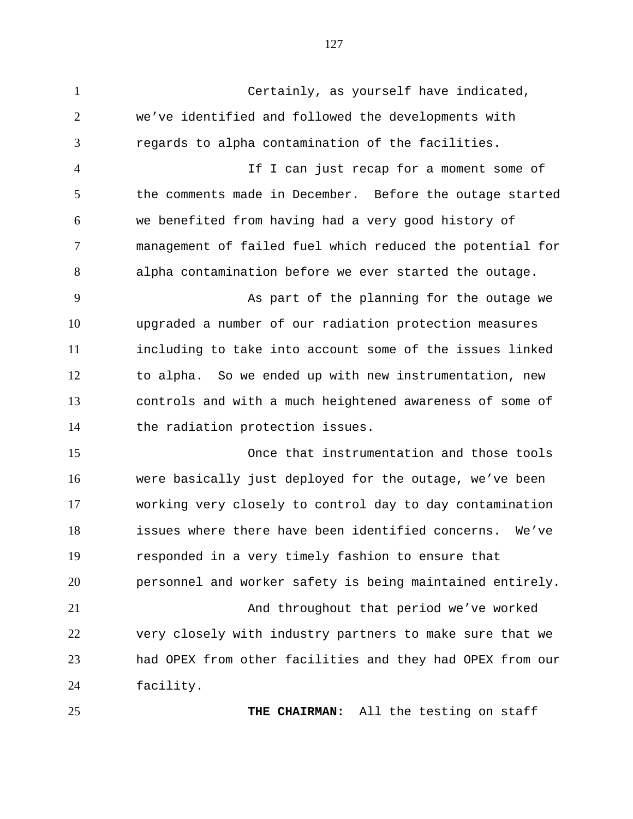1 Certainly, as yourself have indicated, 2 3 4 5 6 7 8 9 10 11 12 13 14 15 16 17 18 19 20 21 22 23 we've identified and followed the developments with regards to alpha contamination of the facilities. If I can just recap for a moment some of the comments made in December. Before the outage started we benefited from having had a very good history of management of failed fuel which reduced the potential for alpha contamination before we ever started the outage. As part of the planning for the outage we upgraded a number of our radiation protection measures including to take into account some of the issues linked to alpha. So we ended up with new instrumentation, new controls and with a much heightened awareness of some of the radiation protection issues. Once that instrumentation and those tools were basically just deployed for the outage, we've been working very closely to control day to day contamination issues where there have been identified concerns. We've responded in a very timely fashion to ensure that personnel and worker safety is being maintained entirely. And throughout that period we've worked very closely with industry partners to make sure that we had OPEX from other facilities and they had OPEX from our

25

24

facility.

**THE CHAIRMAN:** All the testing on staff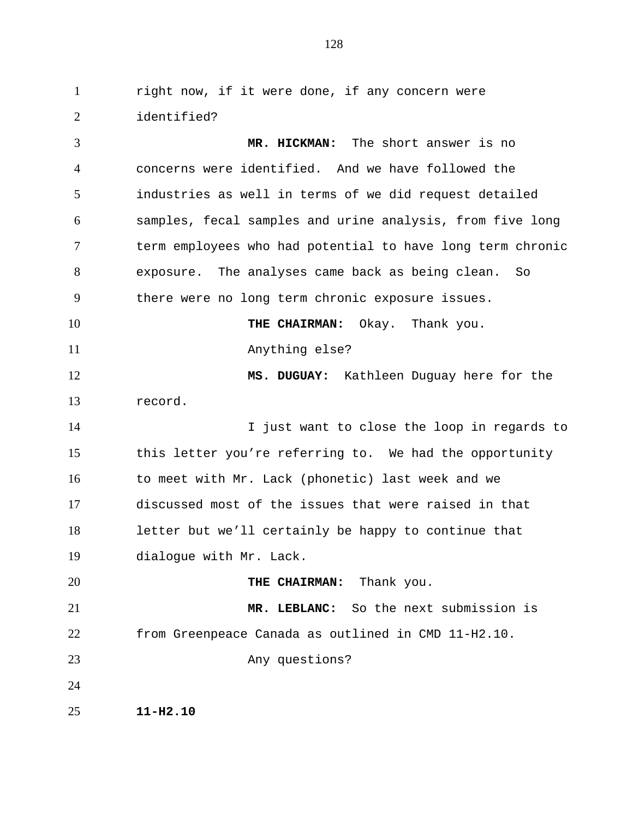1 right now, if it were done, if any concern were 2 identified?

3 4 5 6 7 8 9 10 11 12 13 14 15 16 17 18 19 20 21 22 23 24 25 **MR. HICKMAN:** The short answer is no concerns were identified. And we have followed the industries as well in terms of we did request detailed samples, fecal samples and urine analysis, from five long term employees who had potential to have long term chronic exposure. The analyses came back as being clean. So there were no long term chronic exposure issues. **THE CHAIRMAN:** Okay. Thank you. Anything else? **MS. DUGUAY:** Kathleen Duguay here for the record. I just want to close the loop in regards to this letter you're referring to. We had the opportunity to meet with Mr. Lack (phonetic) last week and we discussed most of the issues that were raised in that letter but we'll certainly be happy to continue that dialogue with Mr. Lack. **THE CHAIRMAN:** Thank you. **MR. LEBLANC:** So the next submission is from Greenpeace Canada as outlined in CMD 11-H2.10. Any questions? **11-H2.10**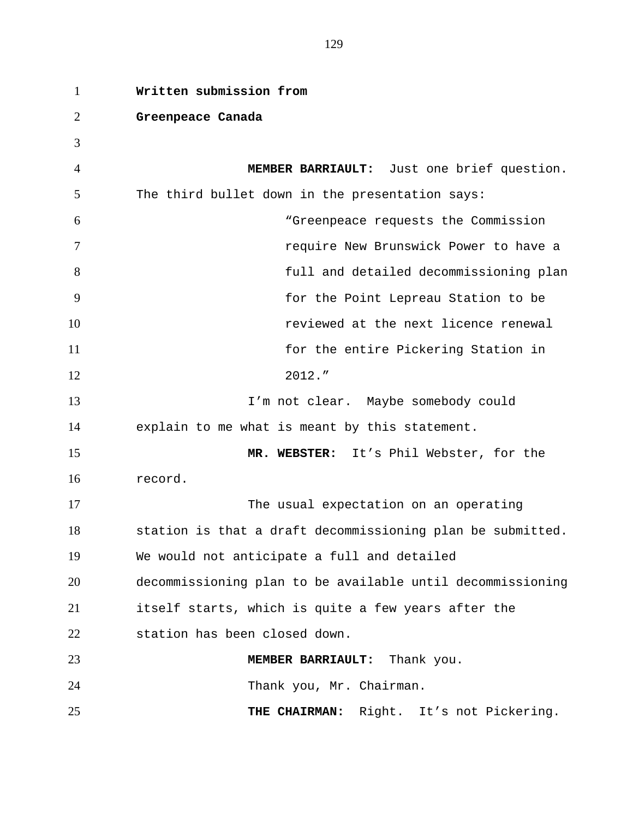| $\mathbf{1}$ | Written submission from                                    |
|--------------|------------------------------------------------------------|
| 2            | Greenpeace Canada                                          |
| 3            |                                                            |
| 4            | MEMBER BARRIAULT: Just one brief question.                 |
| 5            | The third bullet down in the presentation says:            |
| 6            | "Greenpeace requests the Commission                        |
| 7            | require New Brunswick Power to have a                      |
| 8            | full and detailed decommissioning plan                     |
| 9            | for the Point Lepreau Station to be                        |
| 10           | reviewed at the next licence renewal                       |
| 11           | for the entire Pickering Station in                        |
| 12           | 2012."                                                     |
| 13           | I'm not clear. Maybe somebody could                        |
| 14           | explain to me what is meant by this statement.             |
| 15           | MR. WEBSTER: It's Phil Webster, for the                    |
| 16           | record.                                                    |
| 17           | The usual expectation on an operating                      |
| 18           | station is that a draft decommissioning plan be submitted. |
| 19           | We would not anticipate a full and detailed                |
| 20           | decommissioning plan to be available until decommissioning |
| 21           | itself starts, which is quite a few years after the        |
| 22           | station has been closed down.                              |
| 23           | MEMBER BARRIAULT: Thank you.                               |
| 24           | Thank you, Mr. Chairman.                                   |
| 25           | Right. It's not Pickering.<br>THE CHAIRMAN:                |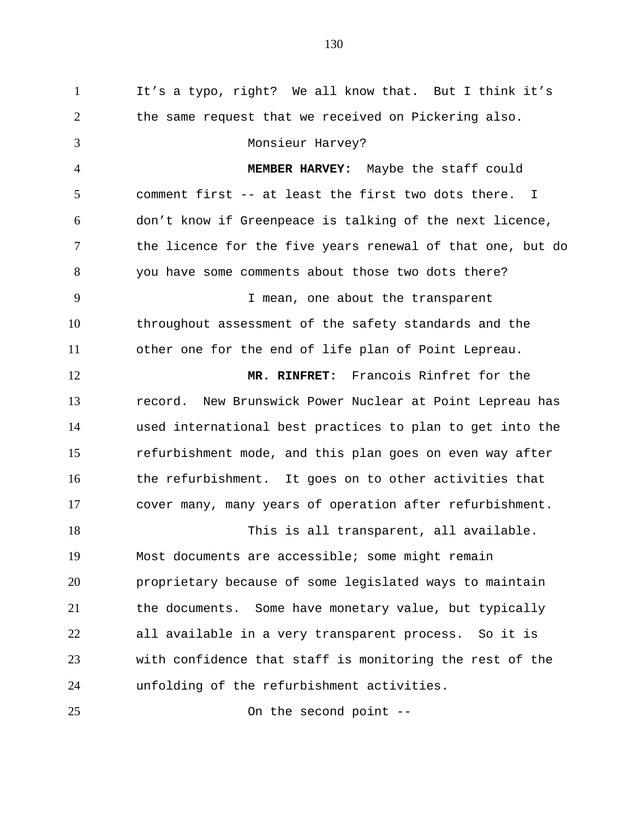1 It's a typo, right? We all know that. But I think it's 2 3 4 5 6 7 8 9 10 11 12 13 14 15 16 17 18 19 20 21 22 23 24 25 the same request that we received on Pickering also. Monsieur Harvey? **MEMBER HARVEY:** Maybe the staff could comment first -- at least the first two dots there. I don't know if Greenpeace is talking of the next licence, the licence for the five years renewal of that one, but do you have some comments about those two dots there? I mean, one about the transparent throughout assessment of the safety standards and the other one for the end of life plan of Point Lepreau. **MR. RINFRET:** Francois Rinfret for the record. New Brunswick Power Nuclear at Point Lepreau has used international best practices to plan to get into the refurbishment mode, and this plan goes on even way after the refurbishment. It goes on to other activities that cover many, many years of operation after refurbishment. This is all transparent, all available. Most documents are accessible; some might remain proprietary because of some legislated ways to maintain the documents. Some have monetary value, but typically all available in a very transparent process. So it is with confidence that staff is monitoring the rest of the unfolding of the refurbishment activities. On the second point --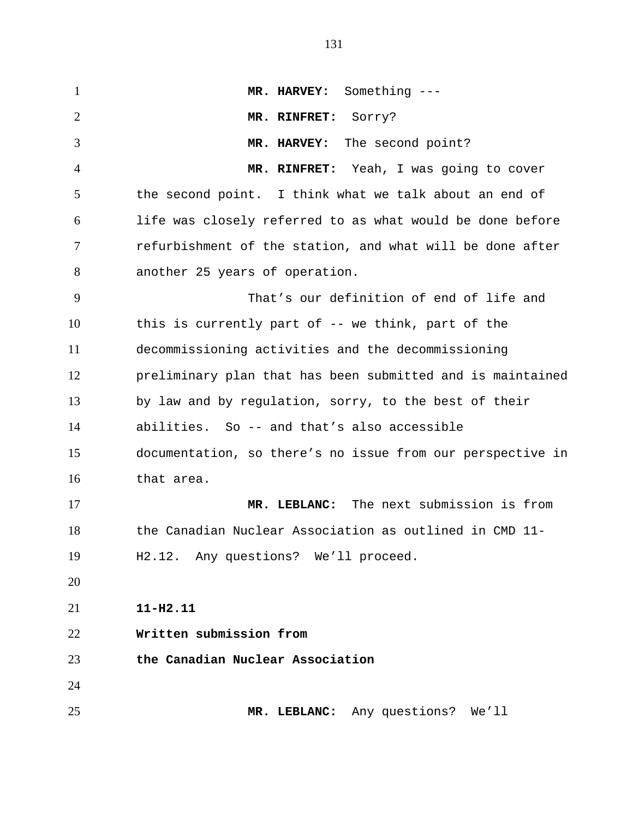1 **MR. HARVEY:** Something --- 2 3 4 5 6 7 8 9 10 11 12 13 14 15 16 17 18 19 20 21 22 23 24 25 **MR. RINFRET:** Sorry? **MR. HARVEY:** The second point? **MR. RINFRET:** Yeah, I was going to cover the second point. I think what we talk about an end of life was closely referred to as what would be done before refurbishment of the station, and what will be done after another 25 years of operation. That's our definition of end of life and this is currently part of -- we think, part of the decommissioning activities and the decommissioning preliminary plan that has been submitted and is maintained by law and by regulation, sorry, to the best of their abilities. So -- and that's also accessible documentation, so there's no issue from our perspective in that area. **MR. LEBLANC:** The next submission is from the Canadian Nuclear Association as outlined in CMD 11- H2.12. Any questions? We'll proceed. **11-H2.11 Written submission from the Canadian Nuclear Association MR. LEBLANC:** Any questions? We'll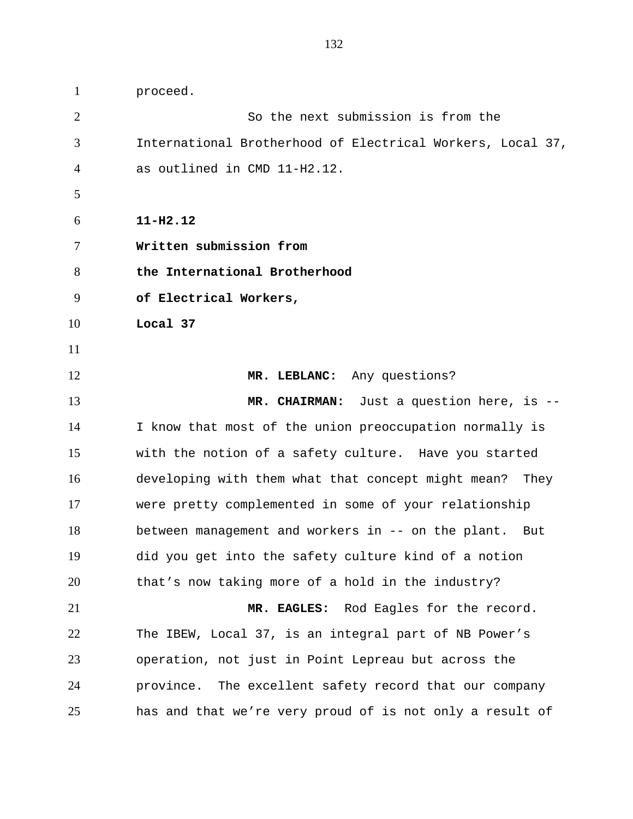1 proceed. 2 3 4 5 6 7 8 9 10 11 12 13 14 15 16 17 18 19 20 21 22 23 24 25 So the next submission is from the International Brotherhood of Electrical Workers, Local 37, as outlined in CMD 11-H2.12. **11-H2.12 Written submission from the International Brotherhood of Electrical Workers, Local 37 MR. LEBLANC:** Any questions? **MR. CHAIRMAN:** Just a question here, is -- I know that most of the union preoccupation normally is with the notion of a safety culture. Have you started developing with them what that concept might mean? They were pretty complemented in some of your relationship between management and workers in -- on the plant. But did you get into the safety culture kind of a notion that's now taking more of a hold in the industry? **MR. EAGLES:** Rod Eagles for the record. The IBEW, Local 37, is an integral part of NB Power's operation, not just in Point Lepreau but across the province. The excellent safety record that our company has and that we're very proud of is not only a result of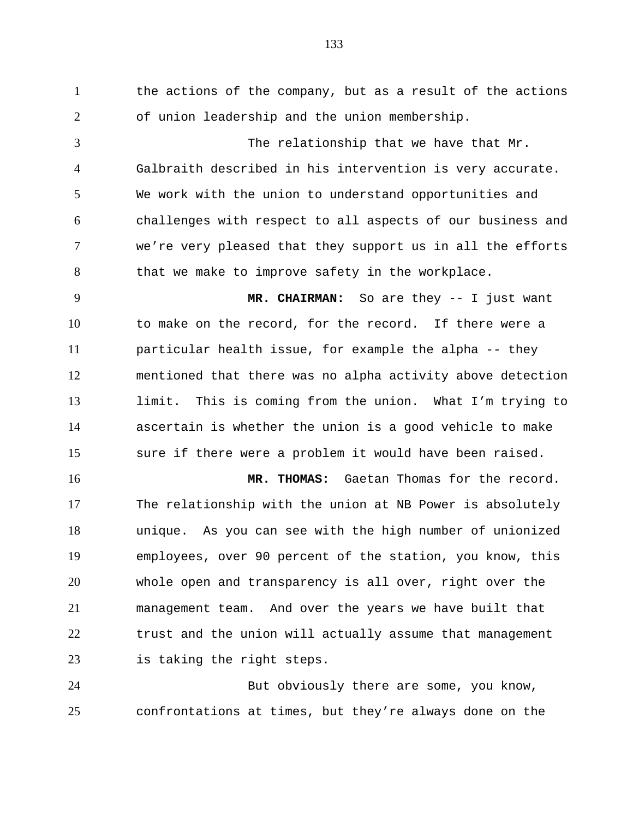1 the actions of the company, but as a result of the actions 2 3 4 5 6 7 8 9 10 11 12 13 14 15 16 17 18 19 20 21 22 of union leadership and the union membership. The relationship that we have that Mr. Galbraith described in his intervention is very accurate. We work with the union to understand opportunities and challenges with respect to all aspects of our business and we're very pleased that they support us in all the efforts that we make to improve safety in the workplace. **MR. CHAIRMAN:** So are they -- I just want to make on the record, for the record. If there were a particular health issue, for example the alpha -- they mentioned that there was no alpha activity above detection limit. This is coming from the union. What I'm trying to ascertain is whether the union is a good vehicle to make sure if there were a problem it would have been raised. **MR. THOMAS:** Gaetan Thomas for the record. The relationship with the union at NB Power is absolutely unique. As you can see with the high number of unionized employees, over 90 percent of the station, you know, this whole open and transparency is all over, right over the management team. And over the years we have built that trust and the union will actually assume that management

24 25 But obviously there are some, you know, confrontations at times, but they're always done on the

is taking the right steps.

23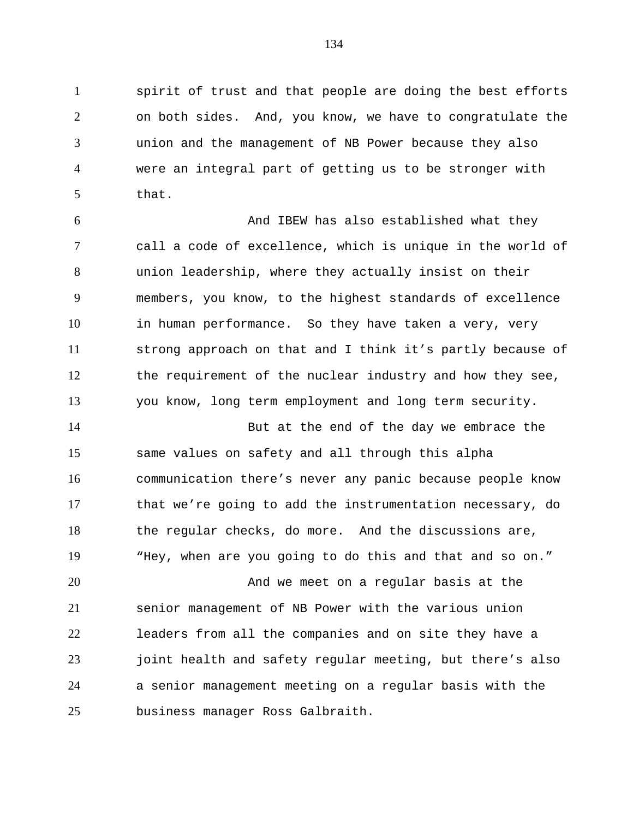1 spirit of trust and that people are doing the best efforts 2 3 4 5 on both sides. And, you know, we have to congratulate the union and the management of NB Power because they also were an integral part of getting us to be stronger with that.

6 7 8 9 10 11 12 13 And IBEW has also established what they call a code of excellence, which is unique in the world of union leadership, where they actually insist on their members, you know, to the highest standards of excellence in human performance. So they have taken a very, very strong approach on that and I think it's partly because of the requirement of the nuclear industry and how they see, you know, long term employment and long term security.

14 15 16 17 18 19 But at the end of the day we embrace the same values on safety and all through this alpha communication there's never any panic because people know that we're going to add the instrumentation necessary, do the regular checks, do more. And the discussions are, "Hey, when are you going to do this and that and so on."

20 21 22 23 24 25 And we meet on a regular basis at the senior management of NB Power with the various union leaders from all the companies and on site they have a joint health and safety regular meeting, but there's also a senior management meeting on a regular basis with the business manager Ross Galbraith.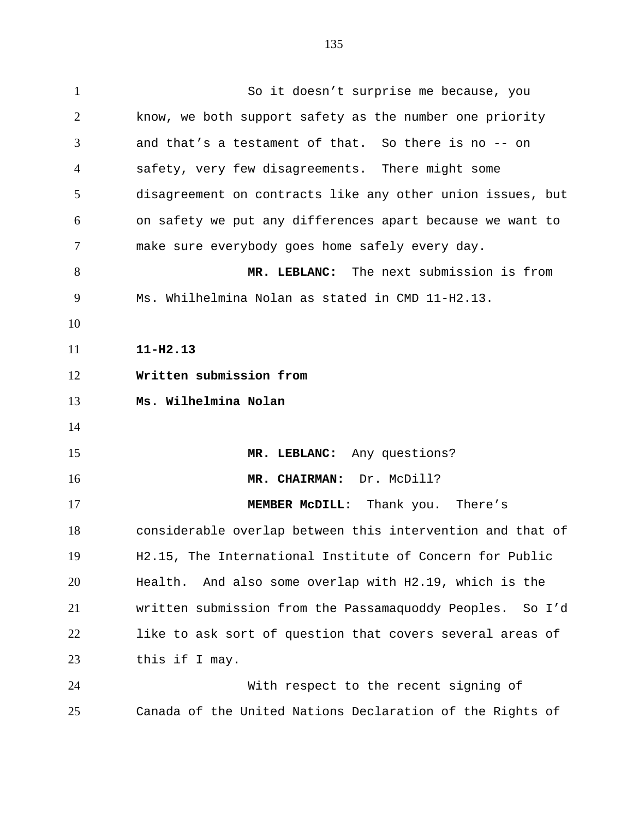135

1 So it doesn't surprise me because, you 2 3 4 5 6 7 8 9 10 11 12 13 14 15 16 17 18 19 20 21 22 23 24 25 know, we both support safety as the number one priority and that's a testament of that. So there is no -- on safety, very few disagreements. There might some disagreement on contracts like any other union issues, but on safety we put any differences apart because we want to make sure everybody goes home safely every day. **MR. LEBLANC:** The next submission is from Ms. Whilhelmina Nolan as stated in CMD 11-H2.13. **11-H2.13 Written submission from Ms. Wilhelmina Nolan MR. LEBLANC:** Any questions? **MR. CHAIRMAN:** Dr. McDill? **MEMBER McDILL:** Thank you. There's considerable overlap between this intervention and that of H2.15, The International Institute of Concern for Public Health. And also some overlap with H2.19, which is the written submission from the Passamaquoddy Peoples. So I'd like to ask sort of question that covers several areas of this if I may. With respect to the recent signing of Canada of the United Nations Declaration of the Rights of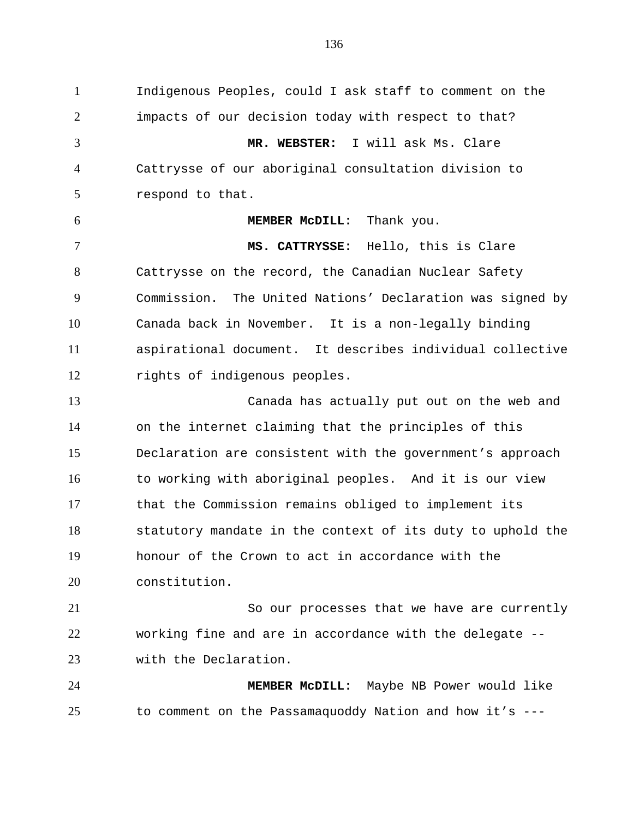1 Indigenous Peoples, could I ask staff to comment on the 2 3 4 5 6 7 8 9 10 11 12 13 14 15 16 17 18 19 20 21 22 23 24 25 impacts of our decision today with respect to that? **MR. WEBSTER:** I will ask Ms. Clare Cattrysse of our aboriginal consultation division to respond to that. **MEMBER McDILL:** Thank you. **MS. CATTRYSSE:** Hello, this is Clare Cattrysse on the record, the Canadian Nuclear Safety Commission. The United Nations' Declaration was signed by Canada back in November. It is a non-legally binding aspirational document. It describes individual collective rights of indigenous peoples. Canada has actually put out on the web and on the internet claiming that the principles of this Declaration are consistent with the government's approach to working with aboriginal peoples. And it is our view that the Commission remains obliged to implement its statutory mandate in the context of its duty to uphold the honour of the Crown to act in accordance with the constitution. So our processes that we have are currently working fine and are in accordance with the delegate - with the Declaration. **MEMBER McDILL:** Maybe NB Power would like to comment on the Passamaquoddy Nation and how it's ---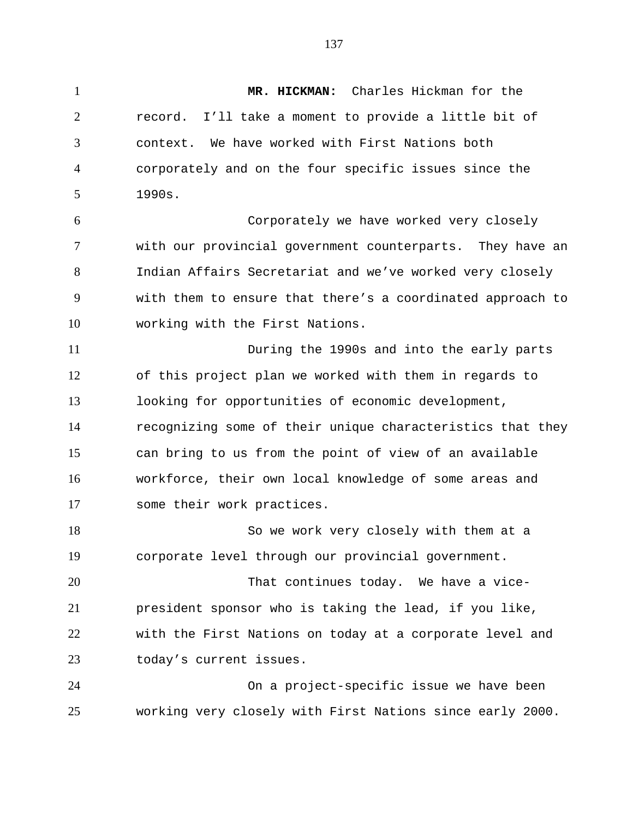1 **MR. HICKMAN:** Charles Hickman for the record. I'll take a moment to provide a little bit of context. We have worked with First Nations both corporately and on the four specific issues since the

2

3

4

5

1990s.

6 7 8 9 10 Corporately we have worked very closely with our provincial government counterparts. They have an Indian Affairs Secretariat and we've worked very closely with them to ensure that there's a coordinated approach to working with the First Nations.

11 12 13 14 15 16 17 During the 1990s and into the early parts of this project plan we worked with them in regards to looking for opportunities of economic development, recognizing some of their unique characteristics that they can bring to us from the point of view of an available workforce, their own local knowledge of some areas and some their work practices.

18 19 So we work very closely with them at a corporate level through our provincial government.

20 21 22 23 That continues today. We have a vicepresident sponsor who is taking the lead, if you like, with the First Nations on today at a corporate level and today's current issues.

24 25 On a project-specific issue we have been working very closely with First Nations since early 2000.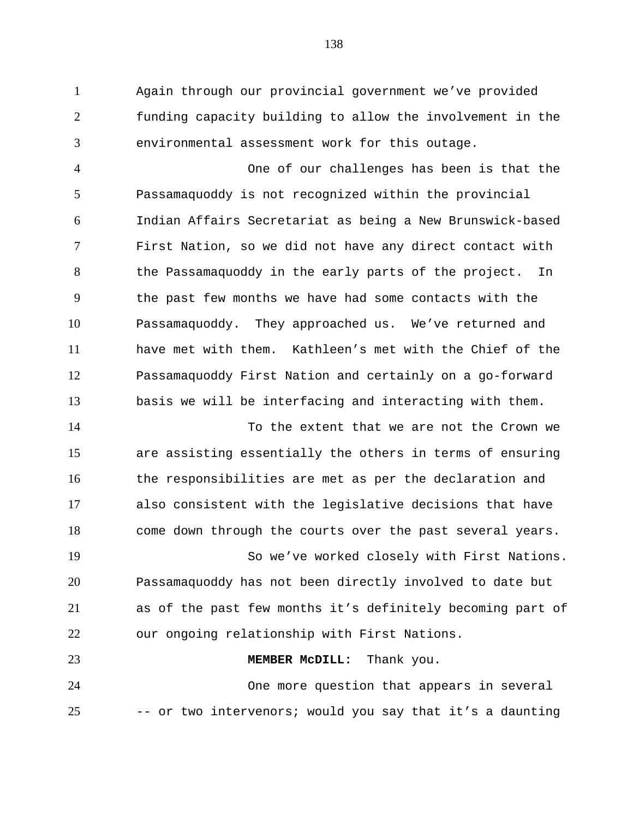1 Again through our provincial government we've provided 2 3 funding capacity building to allow the involvement in the environmental assessment work for this outage.

4 5 6 7 8 9 10 11 12 13 One of our challenges has been is that the Passamaquoddy is not recognized within the provincial Indian Affairs Secretariat as being a New Brunswick-based First Nation, so we did not have any direct contact with the Passamaquoddy in the early parts of the project. In the past few months we have had some contacts with the Passamaquoddy. They approached us. We've returned and have met with them. Kathleen's met with the Chief of the Passamaquoddy First Nation and certainly on a go-forward basis we will be interfacing and interacting with them.

14 15 16 17 18 To the extent that we are not the Crown we are assisting essentially the others in terms of ensuring the responsibilities are met as per the declaration and also consistent with the legislative decisions that have come down through the courts over the past several years.

19 20 21 22 So we've worked closely with First Nations. Passamaquoddy has not been directly involved to date but as of the past few months it's definitely becoming part of our ongoing relationship with First Nations.

24 25 One more question that appears in several -- or two intervenors; would you say that it's a daunting

**MEMBER McDILL:** Thank you.

23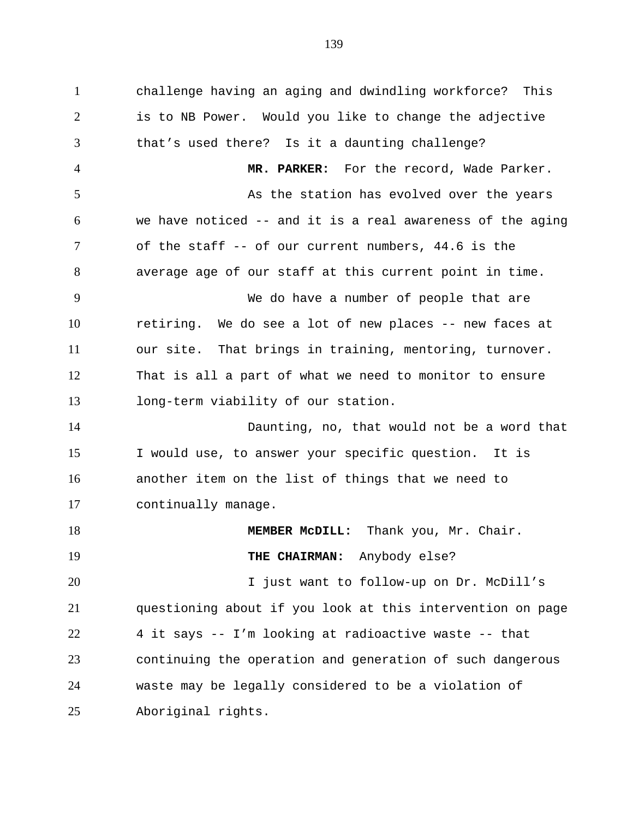1 challenge having an aging and dwindling workforce? This 2 3 4 5 6 7 8 9 10 11 12 13 14 15 16 17 18 19 20 21 22 23 24 25 is to NB Power. Would you like to change the adjective that's used there? Is it a daunting challenge? **MR. PARKER:** For the record, Wade Parker. As the station has evolved over the years we have noticed -- and it is a real awareness of the aging of the staff -- of our current numbers, 44.6 is the average age of our staff at this current point in time. We do have a number of people that are retiring. We do see a lot of new places -- new faces at our site. That brings in training, mentoring, turnover. That is all a part of what we need to monitor to ensure long-term viability of our station. Daunting, no, that would not be a word that I would use, to answer your specific question. It is another item on the list of things that we need to continually manage. **MEMBER McDILL:** Thank you, Mr. Chair. **THE CHAIRMAN:** Anybody else? I just want to follow-up on Dr. McDill's questioning about if you look at this intervention on page 4 it says -- I'm looking at radioactive waste -- that continuing the operation and generation of such dangerous waste may be legally considered to be a violation of Aboriginal rights.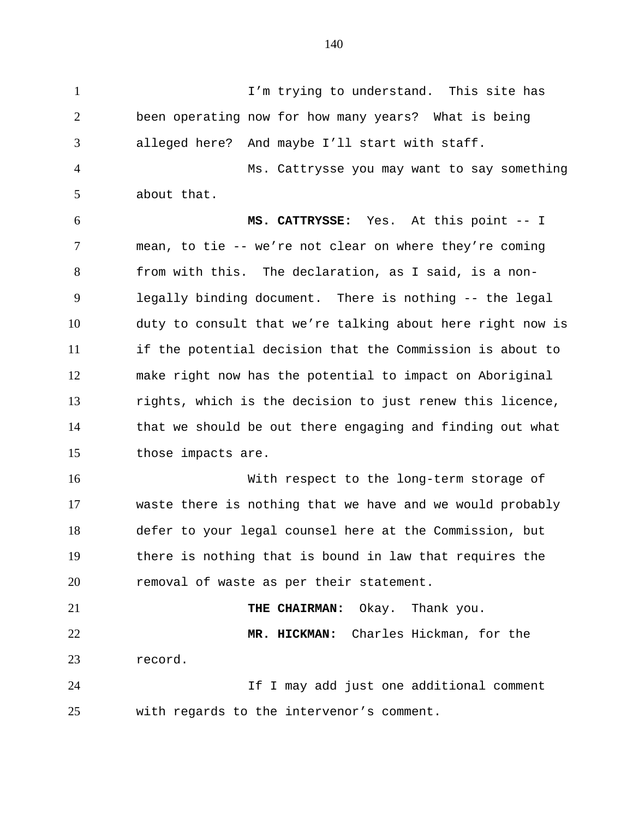1 I'm trying to understand. This site has 2 3 4 5 6 7 8 9 10 11 12 13 14 15 16 17 18 been operating now for how many years? What is being alleged here? And maybe I'll start with staff. Ms. Cattrysse you may want to say something about that. **MS. CATTRYSSE:** Yes. At this point -- I mean, to tie -- we're not clear on where they're coming from with this. The declaration, as I said, is a nonlegally binding document. There is nothing -- the legal duty to consult that we're talking about here right now is if the potential decision that the Commission is about to make right now has the potential to impact on Aboriginal rights, which is the decision to just renew this licence, that we should be out there engaging and finding out what those impacts are. With respect to the long-term storage of waste there is nothing that we have and we would probably defer to your legal counsel here at the Commission, but

19 20 there is nothing that is bound in law that requires the removal of waste as per their statement.

21 22 23 **THE CHAIRMAN:** Okay. Thank you. **MR. HICKMAN:** Charles Hickman, for the record.

24 25 If I may add just one additional comment with regards to the intervenor's comment.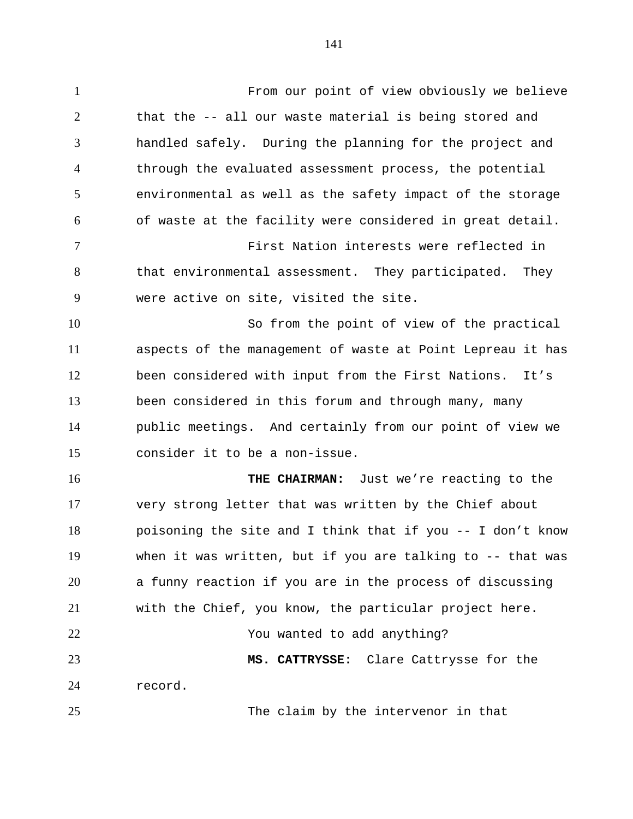141

1 From our point of view obviously we believe 2 3 4 5 6 7 8 9 10 11 12 13 14 15 16 17 18 19 20 21 22 23 24 25 that the -- all our waste material is being stored and handled safely. During the planning for the project and through the evaluated assessment process, the potential environmental as well as the safety impact of the storage of waste at the facility were considered in great detail. First Nation interests were reflected in that environmental assessment. They participated. They were active on site, visited the site. So from the point of view of the practical aspects of the management of waste at Point Lepreau it has been considered with input from the First Nations. It's been considered in this forum and through many, many public meetings. And certainly from our point of view we consider it to be a non-issue. **THE CHAIRMAN:** Just we're reacting to the very strong letter that was written by the Chief about poisoning the site and I think that if you -- I don't know when it was written, but if you are talking to -- that was a funny reaction if you are in the process of discussing with the Chief, you know, the particular project here. You wanted to add anything? **MS. CATTRYSSE:** Clare Cattrysse for the record. The claim by the intervenor in that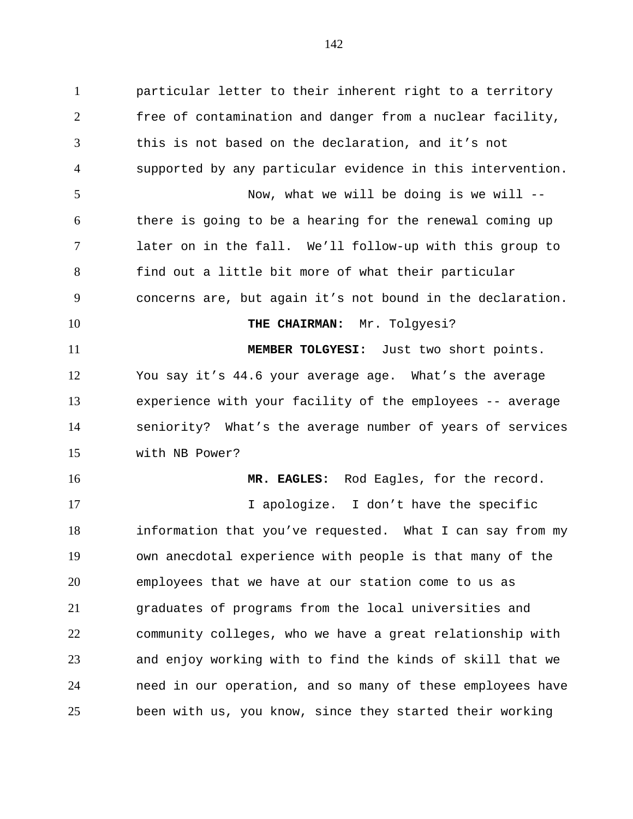1 particular letter to their inherent right to a territory 2 3 4 5 6 7 8 9 10 11 12 13 14 15 16 17 18 19 20 free of contamination and danger from a nuclear facility, this is not based on the declaration, and it's not supported by any particular evidence in this intervention. Now, what we will be doing is we will - there is going to be a hearing for the renewal coming up later on in the fall. We'll follow-up with this group to find out a little bit more of what their particular concerns are, but again it's not bound in the declaration. **THE CHAIRMAN:** Mr. Tolgyesi? **MEMBER TOLGYESI:** Just two short points. You say it's 44.6 your average age. What's the average experience with your facility of the employees -- average seniority? What's the average number of years of services with NB Power? **MR. EAGLES:** Rod Eagles, for the record. I apologize. I don't have the specific information that you've requested. What I can say from my own anecdotal experience with people is that many of the employees that we have at our station come to us as

21 22 23 24 25 graduates of programs from the local universities and community colleges, who we have a great relationship with and enjoy working with to find the kinds of skill that we need in our operation, and so many of these employees have been with us, you know, since they started their working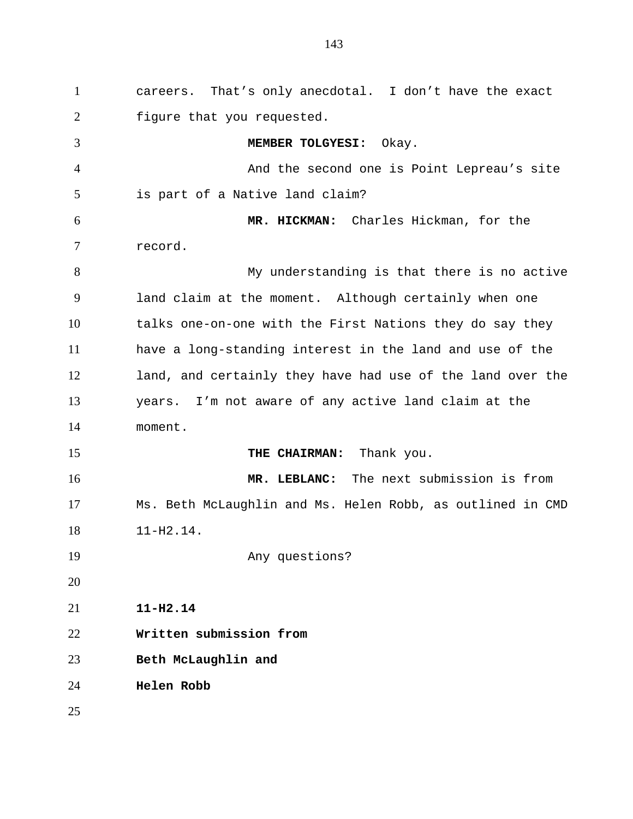1 careers. That's only anecdotal. I don't have the exact 2 3 4 5 6 7 8 9 10 11 12 13 14 15 16 17 18 19 20 21 22 23 24 25 figure that you requested. **MEMBER TOLGYESI:** Okay. And the second one is Point Lepreau's site is part of a Native land claim? **MR. HICKMAN:** Charles Hickman, for the record. My understanding is that there is no active land claim at the moment. Although certainly when one talks one-on-one with the First Nations they do say they have a long-standing interest in the land and use of the land, and certainly they have had use of the land over the years. I'm not aware of any active land claim at the moment. **THE CHAIRMAN:** Thank you. **MR. LEBLANC:** The next submission is from Ms. Beth McLaughlin and Ms. Helen Robb, as outlined in CMD 11-H2.14. Any questions? **11-H2.14 Written submission from Beth McLaughlin and Helen Robb**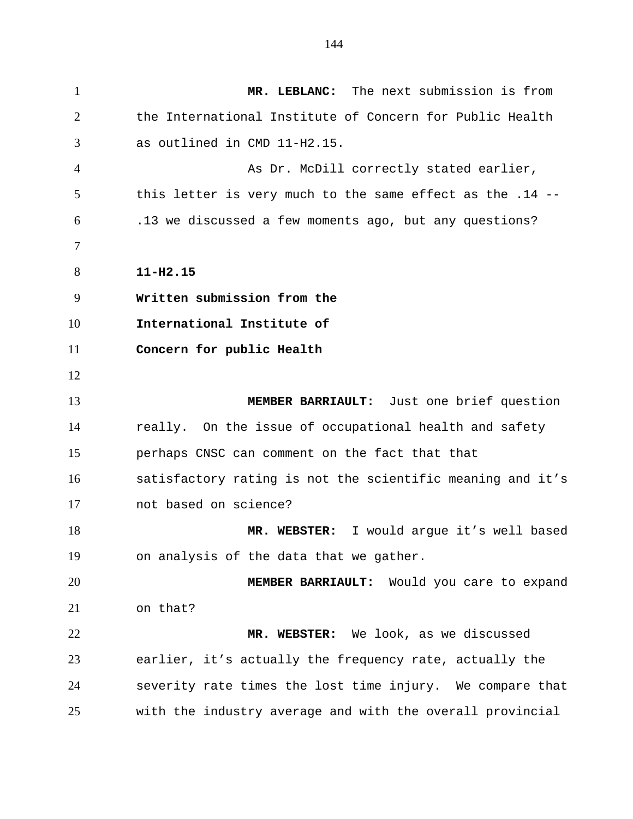1 **MR. LEBLANC:** The next submission is from 2 3 4 5 6 7 8 9 10 11 12 13 14 15 16 17 18 19 20 21 22 23 24 25 the International Institute of Concern for Public Health as outlined in CMD 11-H2.15. As Dr. McDill correctly stated earlier, this letter is very much to the same effect as the .14 -- .13 we discussed a few moments ago, but any questions? **11-H2.15 Written submission from the International Institute of Concern for public Health MEMBER BARRIAULT:** Just one brief question really. On the issue of occupational health and safety perhaps CNSC can comment on the fact that that satisfactory rating is not the scientific meaning and it's not based on science? **MR. WEBSTER:** I would argue it's well based on analysis of the data that we gather. **MEMBER BARRIAULT:** Would you care to expand on that? **MR. WEBSTER:** We look, as we discussed earlier, it's actually the frequency rate, actually the severity rate times the lost time injury. We compare that with the industry average and with the overall provincial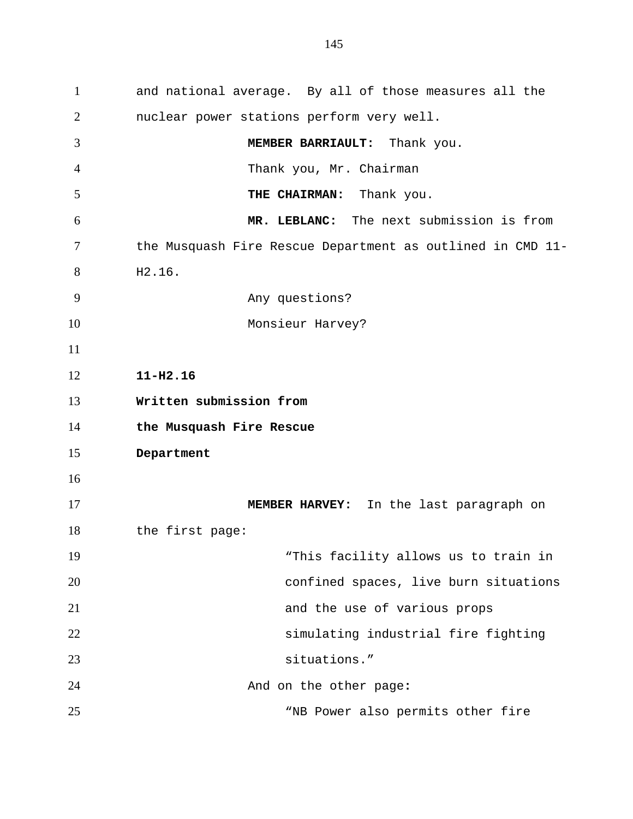1 and national average. By all of those measures all the 2 3 4 5 6 7 8 9 10 11 12 13 14 15 16 17 18 19 20 21 22 23 24 25 nuclear power stations perform very well. **MEMBER BARRIAULT:** Thank you. Thank you, Mr. Chairman **THE CHAIRMAN:** Thank you. **MR. LEBLANC:** The next submission is from the Musquash Fire Rescue Department as outlined in CMD 11- H2.16. Any questions? Monsieur Harvey? **11-H2.16 Written submission from the Musquash Fire Rescue Department MEMBER HARVEY:** In the last paragraph on the first page: "This facility allows us to train in confined spaces, live burn situations and the use of various props simulating industrial fire fighting situations." And on the other page**:** "NB Power also permits other fire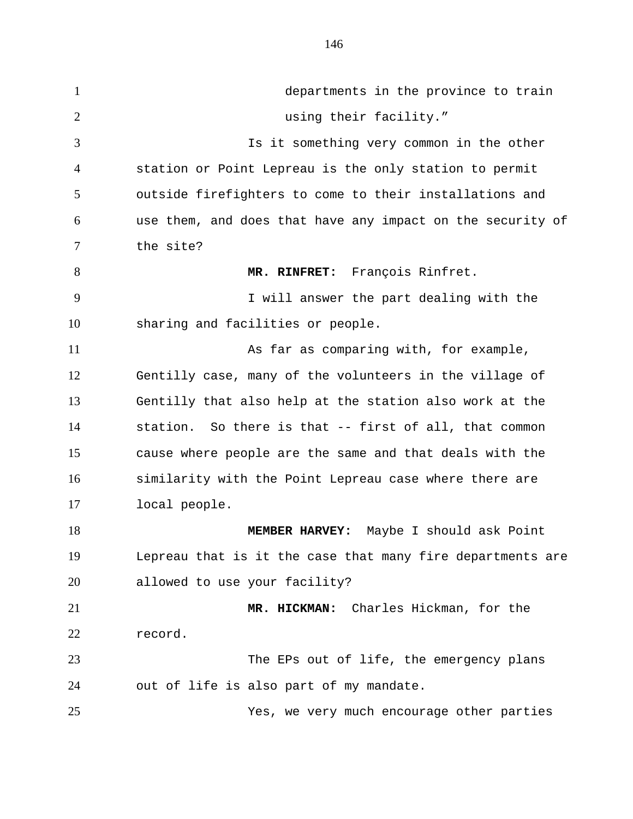1 departments in the province to train 2 3 4 5 6 7 8 9 10 11 12 13 14 15 16 17 18 19 20 21 22 23 24 25 using their facility." Is it something very common in the other station or Point Lepreau is the only station to permit outside firefighters to come to their installations and use them, and does that have any impact on the security of the site? **MR. RINFRET:** François Rinfret. I will answer the part dealing with the sharing and facilities or people. As far as comparing with, for example, Gentilly case, many of the volunteers in the village of Gentilly that also help at the station also work at the station. So there is that -- first of all, that common cause where people are the same and that deals with the similarity with the Point Lepreau case where there are local people. **MEMBER HARVEY:** Maybe I should ask Point Lepreau that is it the case that many fire departments are allowed to use your facility? **MR. HICKMAN:** Charles Hickman, for the record. The EPs out of life, the emergency plans out of life is also part of my mandate. Yes, we very much encourage other parties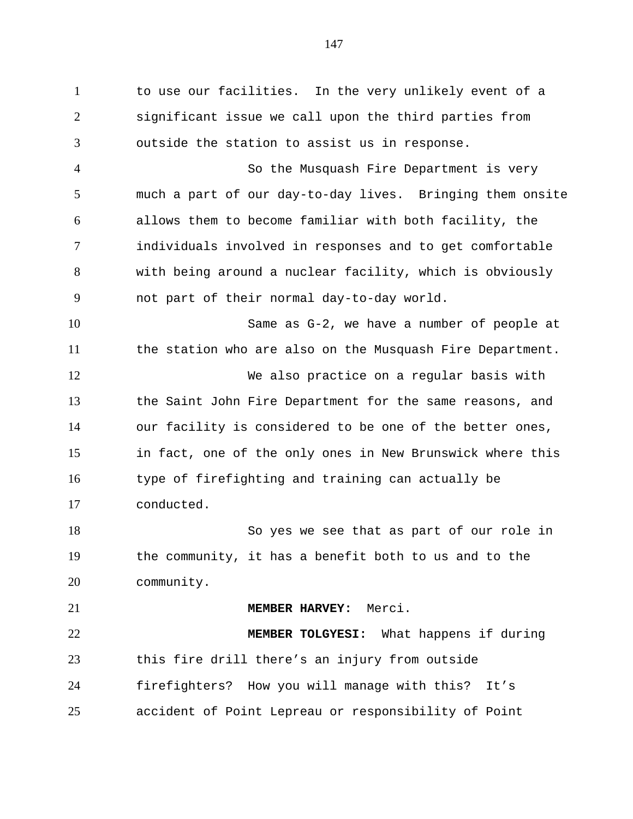1 to use our facilities. In the very unlikely event of a 2 3 4 5 6 7 8 9 10 11 12 13 14 15 16 17 18 19 20 21 22 23 significant issue we call upon the third parties from outside the station to assist us in response. So the Musquash Fire Department is very much a part of our day-to-day lives. Bringing them onsite allows them to become familiar with both facility, the individuals involved in responses and to get comfortable with being around a nuclear facility, which is obviously not part of their normal day-to-day world. Same as G-2, we have a number of people at the station who are also on the Musquash Fire Department. We also practice on a regular basis with the Saint John Fire Department for the same reasons, and our facility is considered to be one of the better ones, in fact, one of the only ones in New Brunswick where this type of firefighting and training can actually be conducted. So yes we see that as part of our role in the community, it has a benefit both to us and to the community. **MEMBER HARVEY:** Merci. **MEMBER TOLGYESI:** What happens if during this fire drill there's an injury from outside

24 25 firefighters? How you will manage with this? It's accident of Point Lepreau or responsibility of Point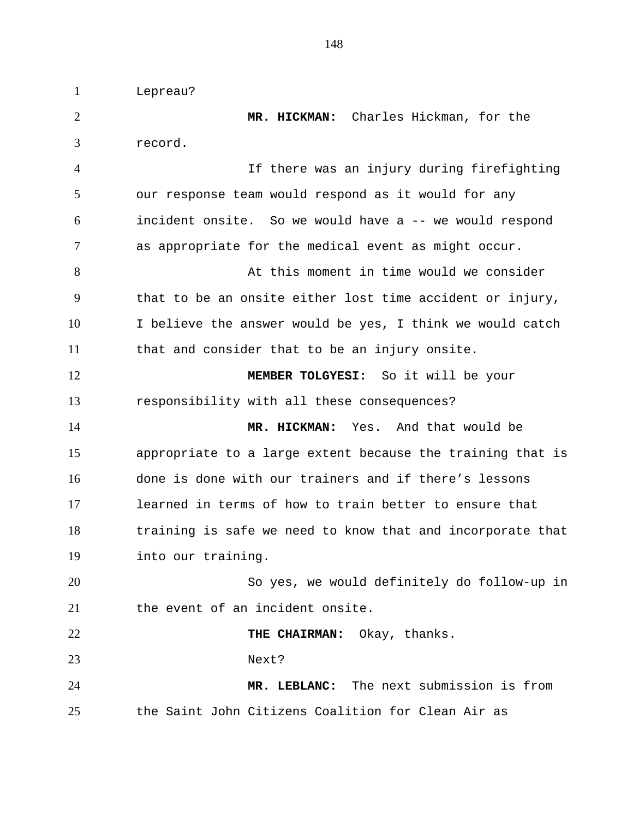1 Lepreau?

2 3 4 5 6 7 8 9 10 11 12 13 14 15 16 17 18 19 20 21 22 23 24 25 **MR. HICKMAN:** Charles Hickman, for the record. If there was an injury during firefighting our response team would respond as it would for any incident onsite. So we would have a -- we would respond as appropriate for the medical event as might occur. At this moment in time would we consider that to be an onsite either lost time accident or injury, I believe the answer would be yes, I think we would catch that and consider that to be an injury onsite. **MEMBER TOLGYESI:** So it will be your responsibility with all these consequences? **MR. HICKMAN:** Yes. And that would be appropriate to a large extent because the training that is done is done with our trainers and if there's lessons learned in terms of how to train better to ensure that training is safe we need to know that and incorporate that into our training. So yes, we would definitely do follow-up in the event of an incident onsite. **THE CHAIRMAN:** Okay, thanks. Next? **MR. LEBLANC:** The next submission is from the Saint John Citizens Coalition for Clean Air as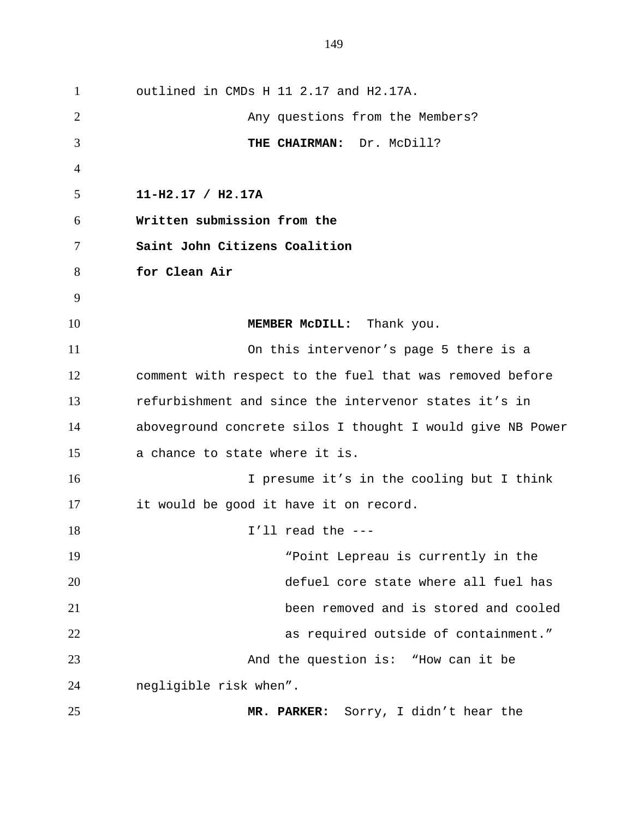1 outlined in CMDs H 11 2.17 and H2.17A. 2 3 4 5 6 7 8 9 10 11 12 13 14 15 16 17 18 19 20 21 22 23 24 25 Any questions from the Members? **THE CHAIRMAN:** Dr. McDill? **11-H2.17 / H2.17A Written submission from the Saint John Citizens Coalition for Clean Air MEMBER McDILL:** Thank you. On this intervenor's page 5 there is a comment with respect to the fuel that was removed before refurbishment and since the intervenor states it's in aboveground concrete silos I thought I would give NB Power a chance to state where it is. I presume it's in the cooling but I think it would be good it have it on record. I'll read the --- "Point Lepreau is currently in the defuel core state where all fuel has been removed and is stored and cooled as required outside of containment." And the question is: "How can it be negligible risk when". **MR. PARKER:** Sorry, I didn't hear the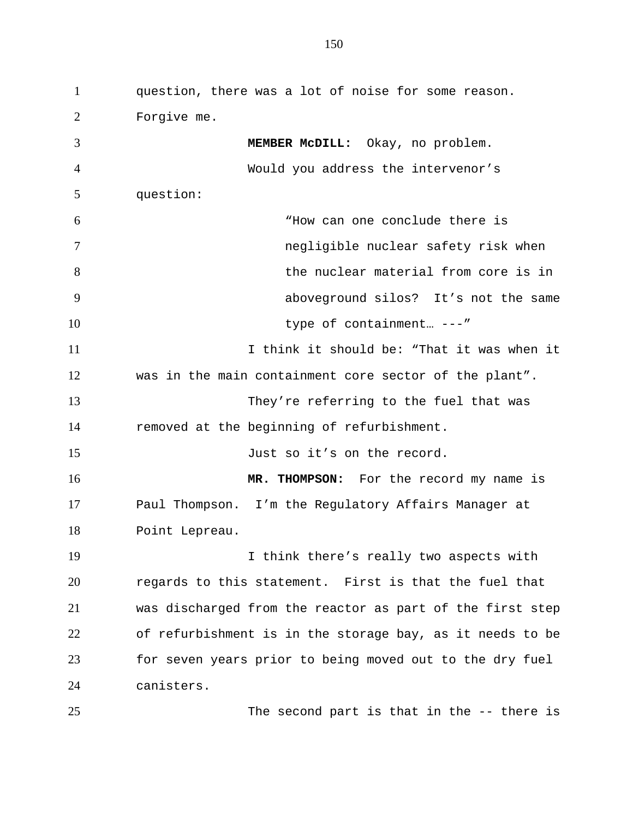1 question, there was a lot of noise for some reason. 2 3 4 5 6 7 8 9 10 11 12 13 14 15 16 17 18 19 20 21 22 23 24 25 Forgive me. **MEMBER McDILL:** Okay, no problem. Would you address the intervenor's question: "How can one conclude there is negligible nuclear safety risk when the nuclear material from core is in aboveground silos? It's not the same type of containment… ---" I think it should be: "That it was when it was in the main containment core sector of the plant". They're referring to the fuel that was removed at the beginning of refurbishment. Just so it's on the record. **MR. THOMPSON:** For the record my name is Paul Thompson. I'm the Regulatory Affairs Manager at Point Lepreau. I think there's really two aspects with regards to this statement. First is that the fuel that was discharged from the reactor as part of the first step of refurbishment is in the storage bay, as it needs to be for seven years prior to being moved out to the dry fuel canisters. The second part is that in the -- there is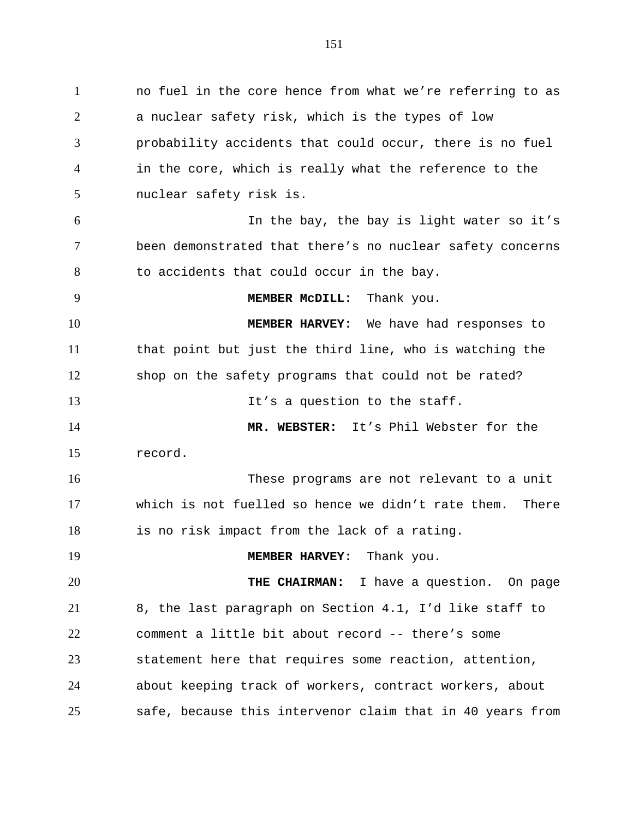1 no fuel in the core hence from what we're referring to as 2 3 4 5 6 7 8 9 10 11 12 13 14 15 16 17 18 19 20 21 22 23 24 a nuclear safety risk, which is the types of low probability accidents that could occur, there is no fuel in the core, which is really what the reference to the nuclear safety risk is. In the bay, the bay is light water so it's been demonstrated that there's no nuclear safety concerns to accidents that could occur in the bay. **MEMBER McDILL:** Thank you. **MEMBER HARVEY:** We have had responses to that point but just the third line, who is watching the shop on the safety programs that could not be rated? It's a question to the staff. **MR. WEBSTER:** It's Phil Webster for the record. These programs are not relevant to a unit which is not fuelled so hence we didn't rate them. There is no risk impact from the lack of a rating. **MEMBER HARVEY:** Thank you. **THE CHAIRMAN:** I have a question. On page 8, the last paragraph on Section 4.1, I'd like staff to comment a little bit about record -- there's some statement here that requires some reaction, attention, about keeping track of workers, contract workers, about

safe, because this intervenor claim that in 40 years from

25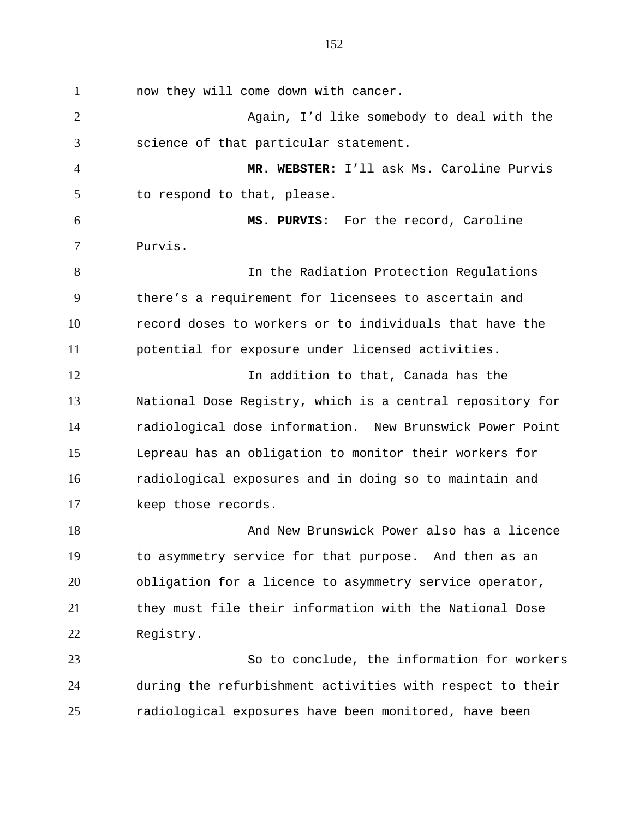1 now they will come down with cancer. 2 3 4 5 6 7 8 9 10 11 12 13 14 15 16 17 18 19 20 21 22 23 Again, I'd like somebody to deal with the science of that particular statement. **MR. WEBSTER:** I'll ask Ms. Caroline Purvis to respond to that, please. **MS. PURVIS:** For the record, Caroline Purvis. In the Radiation Protection Regulations there's a requirement for licensees to ascertain and record doses to workers or to individuals that have the potential for exposure under licensed activities. In addition to that, Canada has the National Dose Registry, which is a central repository for radiological dose information. New Brunswick Power Point Lepreau has an obligation to monitor their workers for radiological exposures and in doing so to maintain and keep those records. And New Brunswick Power also has a licence to asymmetry service for that purpose. And then as an obligation for a licence to asymmetry service operator, they must file their information with the National Dose Registry. So to conclude, the information for workers

24 25 during the refurbishment activities with respect to their radiological exposures have been monitored, have been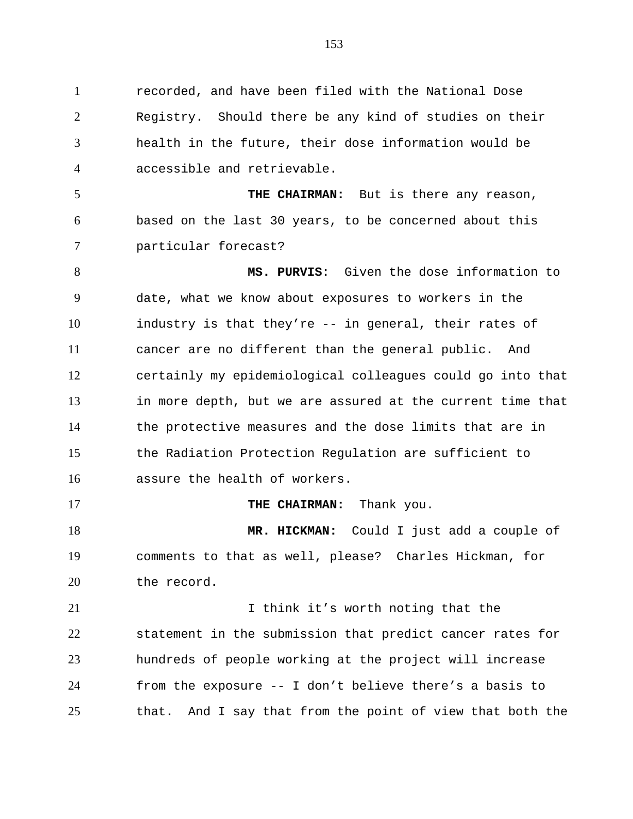1 recorded, and have been filed with the National Dose 2 3 4 Registry. Should there be any kind of studies on their health in the future, their dose information would be accessible and retrievable.

5 6 7 **THE CHAIRMAN:** But is there any reason, based on the last 30 years, to be concerned about this particular forecast?

8 9 10 11 12 13 14 15 16 **MS. PURVIS**: Given the dose information to date, what we know about exposures to workers in the industry is that they're -- in general, their rates of cancer are no different than the general public. And certainly my epidemiological colleagues could go into that in more depth, but we are assured at the current time that the protective measures and the dose limits that are in the Radiation Protection Regulation are sufficient to assure the health of workers.

**THE CHAIRMAN:** Thank you.

17

18 19 20 **MR. HICKMAN:** Could I just add a couple of comments to that as well, please? Charles Hickman, for the record.

21 22 23 24 25 I think it's worth noting that the statement in the submission that predict cancer rates for hundreds of people working at the project will increase from the exposure -- I don't believe there's a basis to that. And I say that from the point of view that both the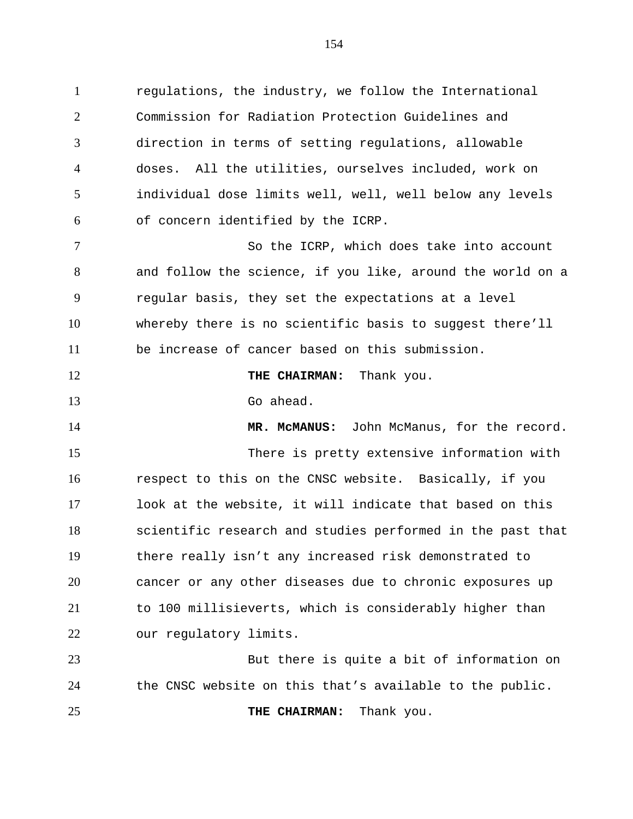1 regulations, the industry, we follow the International 2 3 4 5 6 Commission for Radiation Protection Guidelines and direction in terms of setting regulations, allowable doses. All the utilities, ourselves included, work on individual dose limits well, well, well below any levels of concern identified by the ICRP.

7 8 9 10 11 So the ICRP, which does take into account and follow the science, if you like, around the world on a regular basis, they set the expectations at a level whereby there is no scientific basis to suggest there'll be increase of cancer based on this submission.

12 **THE CHAIRMAN:** Thank you.

13 Go ahead.

14

25

15 16 17 18 19 20 21 22 **MR. McMANUS:** John McManus, for the record. There is pretty extensive information with respect to this on the CNSC website. Basically, if you look at the website, it will indicate that based on this scientific research and studies performed in the past that there really isn't any increased risk demonstrated to cancer or any other diseases due to chronic exposures up to 100 millisieverts, which is considerably higher than our regulatory limits.

23 24 But there is quite a bit of information on the CNSC website on this that's available to the public.

**THE CHAIRMAN:** Thank you.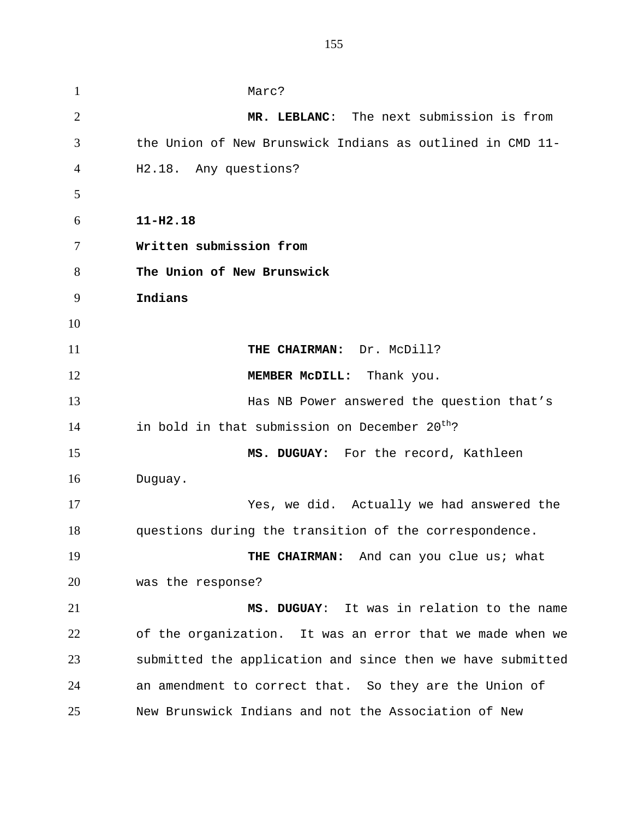1 Marc? 2 3 4 5 6 7 8 9 10 11 12 13 14 15 16 17 18 19 20 21 22 23 24 25 **MR. LEBLANC**: The next submission is from the Union of New Brunswick Indians as outlined in CMD 11- H2.18. Any questions? **11-H2.18 Written submission from The Union of New Brunswick Indians THE CHAIRMAN:** Dr. McDill? **MEMBER McDILL:** Thank you. Has NB Power answered the question that's in bold in that submission on December  $20^{th}$ ? **MS. DUGUAY:** For the record, Kathleen Duguay. Yes, we did. Actually we had answered the questions during the transition of the correspondence. **THE CHAIRMAN:** And can you clue us; what was the response? **MS. DUGUAY**: It was in relation to the name of the organization. It was an error that we made when we submitted the application and since then we have submitted an amendment to correct that. So they are the Union of New Brunswick Indians and not the Association of New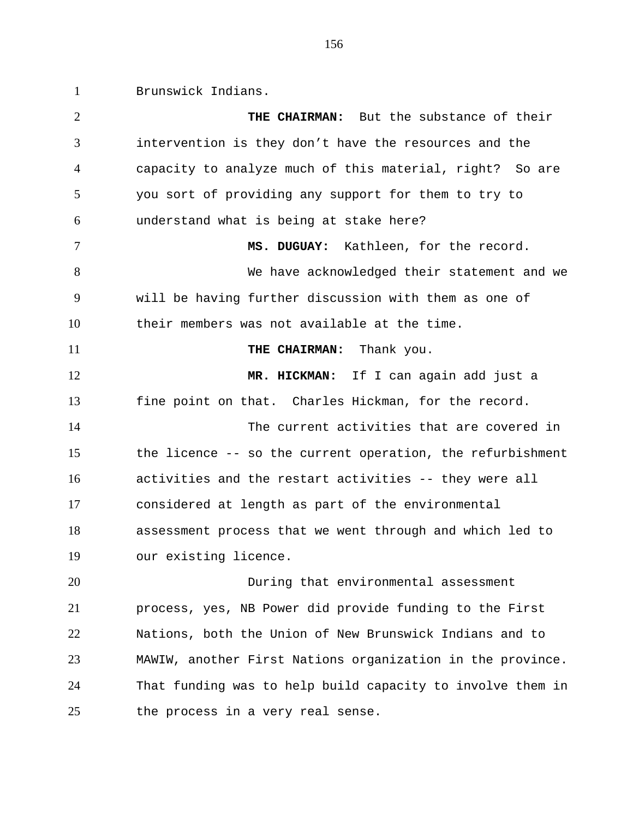1 Brunswick Indians.

2 3 4 5 6 7 8 9 10 11 12 13 14 15 16 17 18 19 20 21 22 23 24 25 **THE CHAIRMAN:** But the substance of their intervention is they don't have the resources and the capacity to analyze much of this material, right? So are you sort of providing any support for them to try to understand what is being at stake here? **MS. DUGUAY:** Kathleen, for the record. We have acknowledged their statement and we will be having further discussion with them as one of their members was not available at the time. **THE CHAIRMAN:** Thank you. **MR. HICKMAN:** If I can again add just a fine point on that. Charles Hickman, for the record. The current activities that are covered in the licence -- so the current operation, the refurbishment activities and the restart activities -- they were all considered at length as part of the environmental assessment process that we went through and which led to our existing licence. During that environmental assessment process, yes, NB Power did provide funding to the First Nations, both the Union of New Brunswick Indians and to MAWIW, another First Nations organization in the province. That funding was to help build capacity to involve them in the process in a very real sense.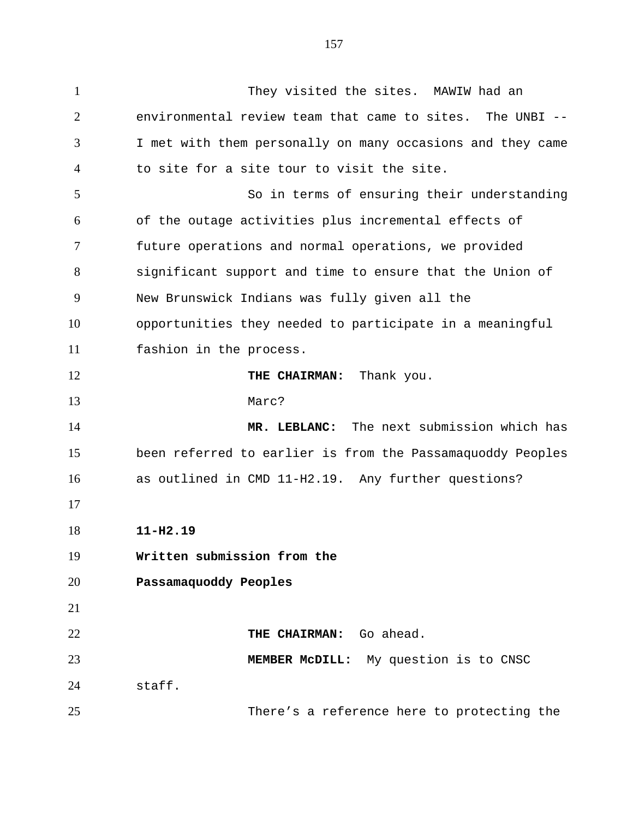1 They visited the sites. MAWIW had an 2 3 4 5 6 7 8 9 10 11 12 13 14 15 16 17 18 19 20 21 22 23 24 25 environmental review team that came to sites. The UNBI -- I met with them personally on many occasions and they came to site for a site tour to visit the site. So in terms of ensuring their understanding of the outage activities plus incremental effects of future operations and normal operations, we provided significant support and time to ensure that the Union of New Brunswick Indians was fully given all the opportunities they needed to participate in a meaningful fashion in the process. **THE CHAIRMAN:** Thank you. Marc? **MR. LEBLANC:** The next submission which has been referred to earlier is from the Passamaquoddy Peoples as outlined in CMD 11-H2.19. Any further questions? **11-H2.19 Written submission from the Passamaquoddy Peoples THE CHAIRMAN:** Go ahead. **MEMBER McDILL:** My question is to CNSC staff. There's a reference here to protecting the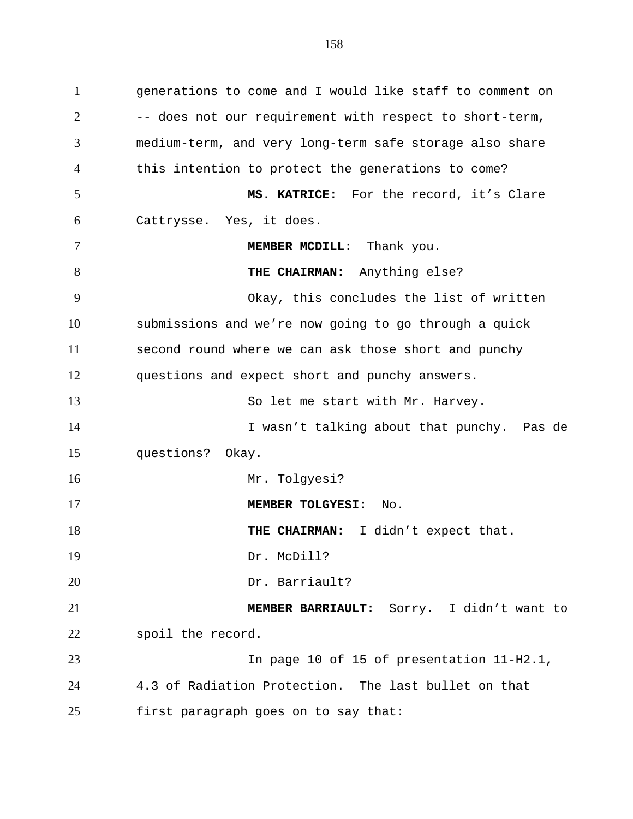1 generations to come and I would like staff to comment on 2 3 4 5 6 7 8 9 10 11 12 13 14 15 16 17 18 19 20 21 22 23 24 25 -- does not our requirement with respect to short-term, medium-term, and very long-term safe storage also share this intention to protect the generations to come? **MS. KATRICE:** For the record, it's Clare Cattrysse. Yes, it does. **MEMBER MCDILL**: Thank you. **THE CHAIRMAN:** Anything else? Okay, this concludes the list of written submissions and we're now going to go through a quick second round where we can ask those short and punchy questions and expect short and punchy answers. So let me start with Mr. Harvey. I wasn't talking about that punchy. Pas de questions? Okay. Mr. Tolgyesi? **MEMBER TOLGYESI:** No. **THE CHAIRMAN:** I didn't expect that. Dr**.** McDill? Dr**.** Barriault? **MEMBER BARRIAULT:** Sorry. I didn't want to spoil the record. In page 10 of 15 of presentation 11-H2.1, 4.3 of Radiation Protection. The last bullet on that first paragraph goes on to say that: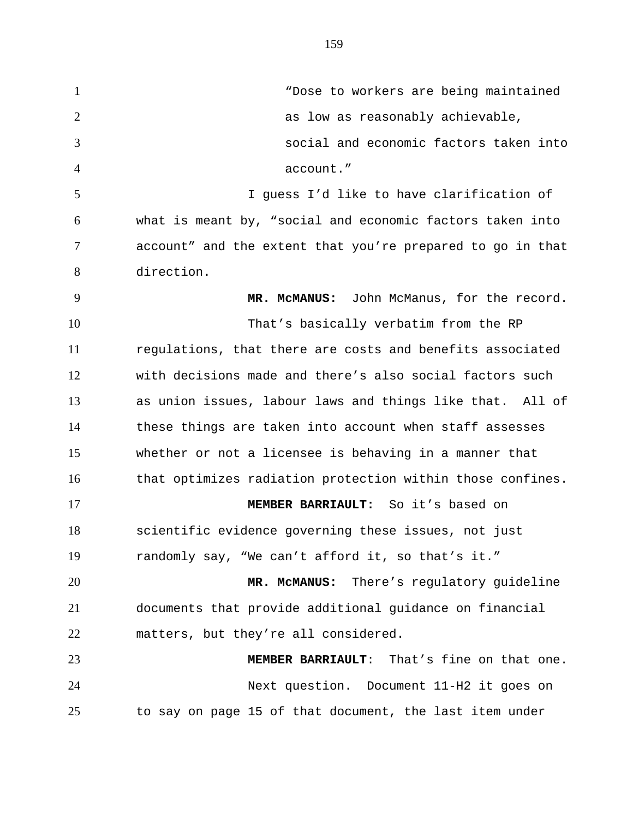1 "Dose to workers are being maintained 2 3 4 5 6 7 8 9 10 11 12 13 14 15 16 17 18 19 20 21 22 23 24 as low as reasonably achievable, social and economic factors taken into account." I guess I'd like to have clarification of what is meant by, "social and economic factors taken into account" and the extent that you're prepared to go in that direction. **MR. McMANUS:** John McManus, for the record. That's basically verbatim from the RP regulations, that there are costs and benefits associated with decisions made and there's also social factors such as union issues, labour laws and things like that. All of these things are taken into account when staff assesses whether or not a licensee is behaving in a manner that that optimizes radiation protection within those confines. **MEMBER BARRIAULT:** So it's based on scientific evidence governing these issues, not just randomly say, "We can't afford it, so that's it." **MR. McMANUS:** There's regulatory guideline documents that provide additional guidance on financial matters, but they're all considered. **MEMBER BARRIAULT**: That's fine on that one. Next question. Document 11-H2 it goes on

to say on page 15 of that document, the last item under

25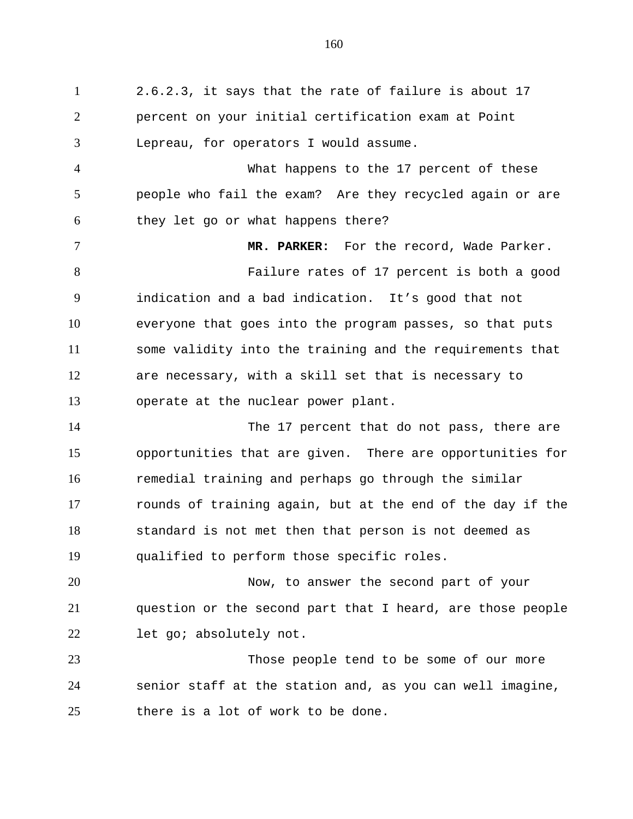1 2.6.2.3, it says that the rate of failure is about 17 2 3 4 5 6 7 8 9 10 11 12 13 14 15 16 17 18 19 20 21 22 23 24 25 percent on your initial certification exam at Point Lepreau, for operators I would assume. What happens to the 17 percent of these people who fail the exam? Are they recycled again or are they let go or what happens there? **MR. PARKER:** For the record, Wade Parker. Failure rates of 17 percent is both a good indication and a bad indication. It's good that not everyone that goes into the program passes, so that puts some validity into the training and the requirements that are necessary, with a skill set that is necessary to operate at the nuclear power plant. The 17 percent that do not pass, there are opportunities that are given. There are opportunities for remedial training and perhaps go through the similar rounds of training again, but at the end of the day if the standard is not met then that person is not deemed as qualified to perform those specific roles. Now, to answer the second part of your question or the second part that I heard, are those people let go; absolutely not. Those people tend to be some of our more senior staff at the station and, as you can well imagine, there is a lot of work to be done.